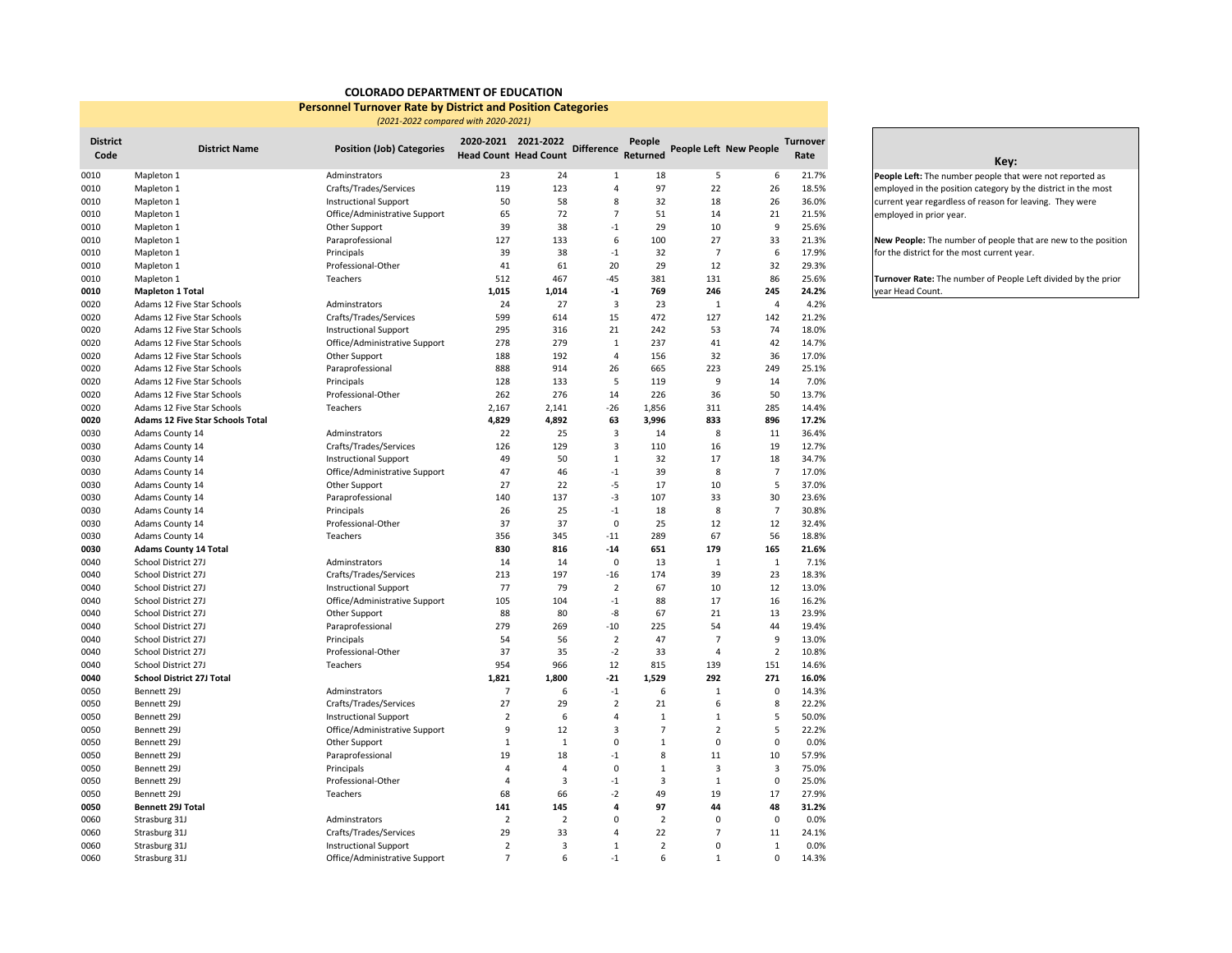## **COLORADO DEPARTMENT OF EDUCATION**

## **Personnel Turnover Rate by District and Position Categories**

 *(2021-2022 compared with 2020-2021)*

| <b>District</b><br>Code | <b>District Name</b>                    | <b>Position (Job) Categories</b> |                | 2020-2021 2021-2022<br><b>Head Count Head Count</b> | <b>Difference</b>       | People<br>Returned |                | People Left New People  | <b>Turnover</b><br>Rate |
|-------------------------|-----------------------------------------|----------------------------------|----------------|-----------------------------------------------------|-------------------------|--------------------|----------------|-------------------------|-------------------------|
| 0010                    | Mapleton 1                              | Adminstrators                    | 23             | 24                                                  | 1                       | 18                 | 5              | 6                       | 21.7%                   |
| 0010                    | Mapleton 1                              | Crafts/Trades/Services           | 119            | 123                                                 | $\overline{4}$          | 97                 | 22             | 26                      | 18.5%                   |
| 0010                    | Mapleton 1                              | <b>Instructional Support</b>     | 50             | 58                                                  | 8                       | 32                 | 18             | 26                      | 36.0%                   |
| 0010                    | Mapleton 1                              | Office/Administrative Support    | 65             | 72                                                  | $\overline{7}$          | 51                 | 14             | 21                      | 21.5%                   |
| 0010                    | Mapleton 1                              | Other Support                    | 39             | 38                                                  | $-1$                    | 29                 | 10             | 9                       | 25.6%                   |
| 0010                    | Mapleton 1                              | Paraprofessional                 | 127            | 133                                                 | 6                       | 100                | 27             | 33                      | 21.3%                   |
| 0010                    | Mapleton 1                              | Principals                       | 39             | 38                                                  | $-1$                    | 32                 | $\overline{7}$ | 6                       | 17.9%                   |
| 0010                    | Mapleton 1                              | Professional-Other               | 41             | 61                                                  | 20                      | 29                 | 12             | 32                      | 29.3%                   |
| 0010                    | Mapleton 1                              | Teachers                         | 512            | 467                                                 | $-45$                   | 381                | 131            | 86                      | 25.6%                   |
| 0010                    | <b>Mapleton 1 Total</b>                 |                                  | 1,015          | 1,014                                               | $^{\text{{\small -1}}}$ | 769                | 246            | 245                     | 24.2%                   |
| 0020                    | Adams 12 Five Star Schools              | Adminstrators                    | 24             | 27                                                  | $\overline{3}$          | 23                 | $\mathbf{1}$   | $\overline{4}$          | 4.2%                    |
| 0020                    | Adams 12 Five Star Schools              | Crafts/Trades/Services           | 599            | 614                                                 | 15                      | 472                | 127            | 142                     | 21.2%                   |
| 0020                    | Adams 12 Five Star Schools              | <b>Instructional Support</b>     | 295            | 316                                                 | 21                      | 242                | 53             | 74                      | 18.0%                   |
| 0020                    | Adams 12 Five Star Schools              | Office/Administrative Support    | 278            | 279                                                 | $1\,$                   | 237                | 41             | 42                      | 14.7%                   |
| 0020                    | Adams 12 Five Star Schools              | Other Support                    | 188            | 192                                                 | $\overline{4}$          | 156                | 32             | 36                      | 17.0%                   |
| 0020                    | Adams 12 Five Star Schools              | Paraprofessional                 | 888            | 914                                                 | 26                      | 665                | 223            | 249                     | 25.1%                   |
| 0020                    | Adams 12 Five Star Schools              | Principals                       | 128            | 133                                                 | 5                       | 119                | 9              | 14                      | 7.0%                    |
| 0020                    | Adams 12 Five Star Schools              | Professional-Other               | 262            | 276                                                 | 14                      | 226                | 36             | 50                      | 13.7%                   |
| 0020                    | Adams 12 Five Star Schools              | Teachers                         | 2,167          | 2,141                                               | $-26$                   | 1,856              | 311            | 285                     | 14.4%                   |
| 0020                    | <b>Adams 12 Five Star Schools Total</b> |                                  | 4,829          | 4,892                                               | 63                      | 3,996              | 833            | 896                     | 17.2%                   |
| 0030                    | Adams County 14                         | Adminstrators                    | 22             | 25                                                  | $\overline{3}$          | 14                 | 8              | 11                      | 36.4%                   |
| 0030                    | Adams County 14                         | Crafts/Trades/Services           | 126            | 129                                                 | $\overline{3}$          | 110                | 16             | 19                      | 12.7%                   |
| 0030                    | Adams County 14                         | <b>Instructional Support</b>     | 49             | 50                                                  | $\mathbf 1$             | 32                 | 17             | 18                      | 34.7%                   |
| 0030                    | Adams County 14                         | Office/Administrative Support    | 47             | 46                                                  | $-1$                    | 39                 | 8              | $\overline{7}$          | 17.0%                   |
| 0030                    | Adams County 14                         | Other Support                    | 27             | 22                                                  | $-5$                    | 17                 | 10             | 5                       | 37.0%                   |
| 0030                    | Adams County 14                         | Paraprofessional                 | 140            | 137                                                 | $-3$                    | 107                | 33             | 30                      | 23.6%                   |
| 0030                    | Adams County 14                         | Principals                       | 26             | 25                                                  | $-1$                    | 18                 | 8              | $\overline{7}$          | 30.8%                   |
| 0030                    | Adams County 14                         | Professional-Other               | 37             | 37                                                  | $\mathbf 0$             | 25                 | 12             | 12                      | 32.4%                   |
| 0030                    | Adams County 14                         | Teachers                         | 356            | 345                                                 | $-11$                   | 289                | 67             | 56                      | 18.8%                   |
| 0030                    | <b>Adams County 14 Total</b>            |                                  | 830            | 816                                                 | $-14$                   | 651                | 179            | 165                     | 21.6%                   |
| 0040                    | School District 27J                     | Adminstrators                    | 14             | 14                                                  | $\mathbf 0$             | 13                 | $\mathbf 1$    | $\,1\,$                 | 7.1%                    |
| 0040                    | School District 27J                     | Crafts/Trades/Services           | 213            | 197                                                 | $-16$                   | 174                | 39             | 23                      | 18.3%                   |
| 0040                    | School District 27J                     | <b>Instructional Support</b>     | 77             | 79                                                  | $\overline{2}$          | 67                 | 10             | 12                      | 13.0%                   |
| 0040                    | School District 27J                     | Office/Administrative Support    | 105            | 104                                                 | $-1$                    | 88                 | 17             | 16                      | 16.2%                   |
| 0040                    | School District 27J                     | Other Support                    | 88             | 80                                                  | $-8$                    | 67                 | 21             | 13                      | 23.9%                   |
| 0040                    | School District 27J                     | Paraprofessional                 | 279            | 269                                                 | $-10$                   | 225                | 54             | 44                      | 19.4%                   |
| 0040                    | School District 27J                     | Principals                       | 54             | 56                                                  | $\overline{2}$          | 47                 | $\overline{7}$ | 9                       | 13.0%                   |
| 0040                    | School District 27J                     | Professional-Other               | 37             | 35                                                  | $-2$                    | 33                 | $\overline{4}$ | $\overline{2}$          | 10.8%                   |
| 0040                    | School District 27J                     | Teachers                         | 954            | 966                                                 | 12                      | 815                | 139            | 151                     | 14.6%                   |
| 0040                    | <b>School District 27J Total</b>        |                                  | 1,821          | 1,800                                               | $-21$                   | 1,529              | 292            | 271                     | 16.0%                   |
| 0050                    | Bennett 29J                             | Adminstrators                    | $\overline{7}$ | 6                                                   | $-1$                    | 6                  | $\mathbf{1}$   | $\mathbf 0$             | 14.3%                   |
| 0050                    | Bennett 29J                             | Crafts/Trades/Services           | 27             | 29                                                  | 2                       | 21                 | 6              | 8                       | 22.2%                   |
| 0050                    | Bennett 29J                             | <b>Instructional Support</b>     | $\overline{2}$ | 6                                                   | 4                       | $\mathbf{1}$       | $\mathbf{1}$   | 5                       | 50.0%                   |
| 0050                    | Bennett 29J                             | Office/Administrative Support    | 9              | 12                                                  | 3                       | $\overline{7}$     | $\overline{2}$ | 5                       | 22.2%                   |
| 0050                    | Bennett 29J                             | Other Support                    | $\mathbf 1$    | $\mathbf 1$                                         | $\mathbf 0$             | $1\,$              | $\mathbf 0$    | $\mathbf 0$             | 0.0%                    |
| 0050                    | Bennett 29J                             | Paraprofessional                 | 19             | 18                                                  | $-1$                    | 8                  | 11             | 10                      | 57.9%                   |
| 0050                    | Bennett 29J                             | Principals                       | $\overline{4}$ | $\overline{4}$                                      | $\mathbf 0$             | $\mathbf{1}$       | 3              | $\overline{\mathbf{3}}$ | 75.0%                   |
| 0050                    | Bennett 29J                             | Professional-Other               | $\overline{4}$ | 3                                                   | $-1$                    | 3                  | $\mathbf{1}$   | $\mathbf 0$             | 25.0%                   |
| 0050                    | Bennett 29J                             | Teachers                         | 68             | 66                                                  | $-2$                    | 49                 | 19             | 17                      | 27.9%                   |
| 0050                    | Bennett 29J Total                       |                                  | 141            | 145                                                 | 4                       | 97                 | 44             | 48                      | 31.2%                   |
| 0060                    | Strasburg 31J                           | Adminstrators                    | $\overline{2}$ | $\overline{2}$                                      | 0                       | $\overline{2}$     | $\mathbf 0$    | $\mathbf 0$             | 0.0%                    |
| 0060                    | Strasburg 31J                           | Crafts/Trades/Services           | 29             | 33                                                  | $\overline{4}$          | 22                 | $\overline{7}$ | 11                      | 24.1%                   |
| 0060                    | Strasburg 31J                           | <b>Instructional Support</b>     | $\overline{2}$ | 3                                                   | $\mathbf{1}$            | $\overline{2}$     | $\mathbf 0$    | $\mathbf{1}$            | 0.0%                    |
| 0060                    | Strasburg 31J                           | Office/Administrative Support    | $\overline{7}$ | 6                                                   | $-1$                    | 6                  | $\mathbf{1}$   | $\Omega$                | 14.3%                   |

## **Key:**

**People Left:** The number people that were not reported as employed in the position category by the district in the most current year regardless of reason for leaving. They were employed in prior year.

**New People:** The number of people that are new to the position for the district for the most current year.

**Turnover Rate:** The number of People Left divided by the prior year Head Count.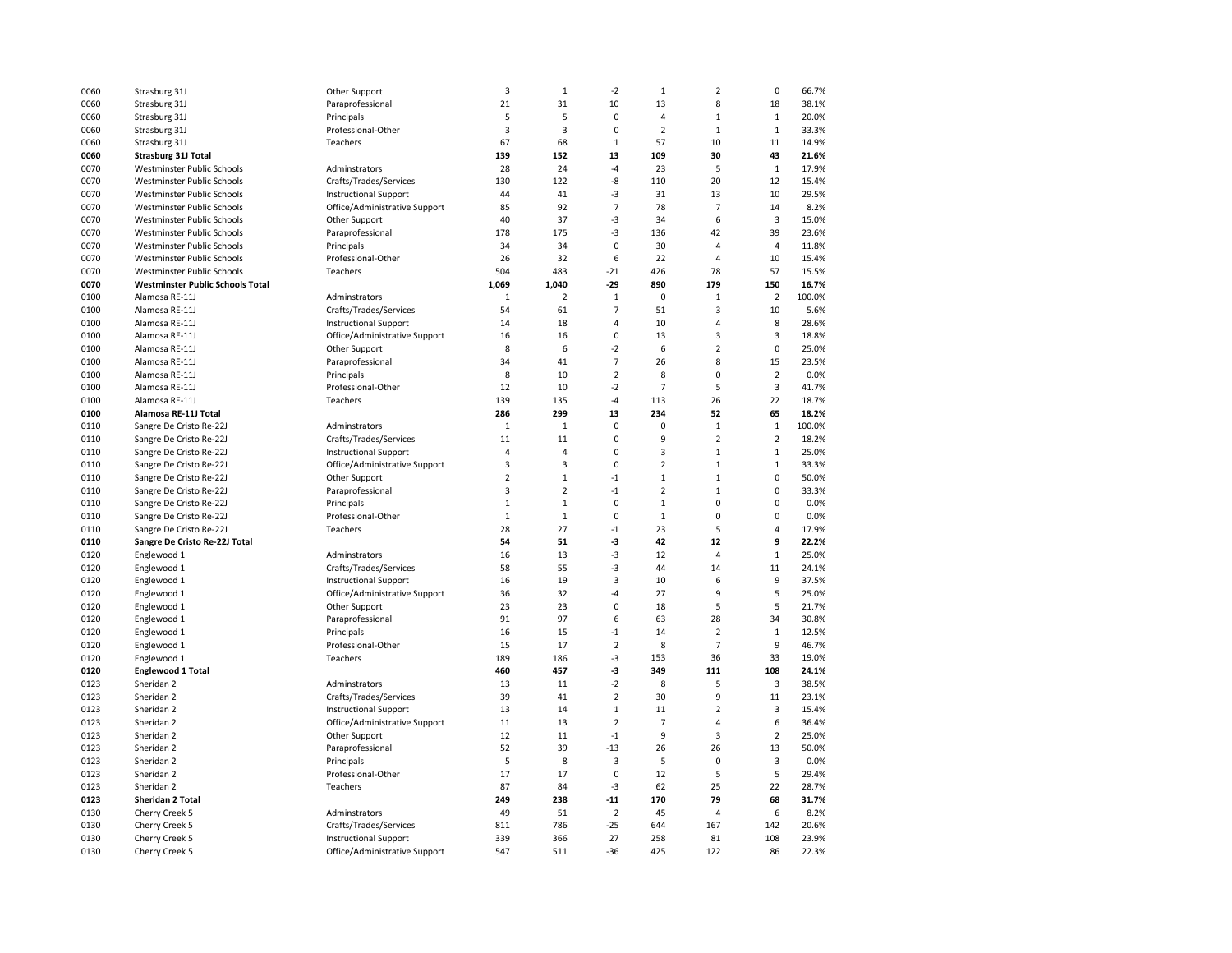| 0060         | Strasburg 31J                           | Other Support                 | 3              | $\mathbf 1$    | $-2$           | $1\,$          | $\overline{2}$          | $\pmb{0}$               | 66.7%  |
|--------------|-----------------------------------------|-------------------------------|----------------|----------------|----------------|----------------|-------------------------|-------------------------|--------|
| 0060         | Strasburg 31J                           | Paraprofessional              | 21             | 31             | 10             | 13             | 8                       | 18                      | 38.1%  |
| 0060         | Strasburg 31J                           | Principals                    | 5              | 5              | 0              | $\overline{4}$ | $\mathbf{1}$            | $\mathbf{1}$            | 20.0%  |
| 0060         | Strasburg 31J                           | Professional-Other            | $\overline{3}$ | $\overline{3}$ | 0              | $\overline{2}$ | $\mathbf{1}$            | $\mathbf{1}$            | 33.3%  |
| 0060         | Strasburg 31J                           | Teachers                      | 67             | 68             | $\mathbf{1}$   | 57             | 10                      | 11                      | 14.9%  |
| 0060         | <b>Strasburg 31J Total</b>              |                               | 139            | 152            | 13             | 109            | 30                      | 43                      | 21.6%  |
| 0070         | Westminster Public Schools              | Adminstrators                 | 28             | 24             | -4             | 23             | 5                       | $\mathbf{1}$            | 17.9%  |
| 0070         | Westminster Public Schools              | Crafts/Trades/Services        | 130            | 122            | -8             | 110            | 20                      | 12                      | 15.4%  |
| 0070         | Westminster Public Schools              | <b>Instructional Support</b>  | 44             | 41             | $-3$           | 31             | 13                      | 10                      | 29.5%  |
| 0070         | Westminster Public Schools              | Office/Administrative Support | 85             | 92             | $\overline{7}$ | 78             | $\overline{7}$          | 14                      | 8.2%   |
| 0070         | Westminster Public Schools              | Other Support                 | 40             | 37             | -3             | 34             | 6                       | 3                       | 15.0%  |
| 0070         | Westminster Public Schools              | Paraprofessional              | 178            | 175            | -3             | 136            | 42                      | 39                      | 23.6%  |
|              |                                         |                               | 34             | 34             | 0              |                | $\overline{4}$          | $\overline{4}$          |        |
| 0070<br>0070 | Westminster Public Schools              | Principals                    |                | 32             | 6              | 30             | $\overline{4}$          |                         | 11.8%  |
|              | Westminster Public Schools              | Professional-Other            | 26             |                |                | 22             |                         | 10                      | 15.4%  |
| 0070         | Westminster Public Schools              | Teachers                      | 504            | 483            | $-21$          | 426            | 78                      | 57                      | 15.5%  |
| 0070         | <b>Westminster Public Schools Total</b> |                               | 1,069          | 1,040          | -29            | 890            | 179                     | 150                     | 16.7%  |
| 0100         | Alamosa RE-11J                          | Adminstrators                 | $\mathbf{1}$   | $\overline{2}$ | $\mathbf 1$    | $\mathbf 0$    | $\mathbf{1}$            | $\overline{2}$          | 100.0% |
| 0100         | Alamosa RE-11J                          | Crafts/Trades/Services        | 54             | 61             | $\overline{7}$ | 51             | 3                       | 10                      | 5.6%   |
| 0100         | Alamosa RE-11J                          | <b>Instructional Support</b>  | 14             | 18             | 4              | 10             | $\overline{a}$          | 8                       | 28.6%  |
| 0100         | Alamosa RE-11J                          | Office/Administrative Support | 16             | 16             | 0              | 13             | $\overline{\mathbf{3}}$ | 3                       | 18.8%  |
| 0100         | Alamosa RE-11J                          | Other Support                 | 8              | 6              | $-2$           | 6              | $\overline{2}$          | $\pmb{0}$               | 25.0%  |
| 0100         | Alamosa RE-11J                          | Paraprofessional              | 34             | 41             | $\overline{7}$ | 26             | 8                       | 15                      | 23.5%  |
| 0100         | Alamosa RE-11J                          | Principals                    | 8              | 10             | $\overline{2}$ | 8              | $\mathbf 0$             | $\overline{2}$          | 0.0%   |
| 0100         | Alamosa RE-11J                          | Professional-Other            | 12             | 10             | $-2$           | $\overline{7}$ | 5                       | $\overline{\mathbf{3}}$ | 41.7%  |
| 0100         | Alamosa RE-11J                          | Teachers                      | 139            | 135            | $-4$           | 113            | 26                      | 22                      | 18.7%  |
| 0100         | Alamosa RE-11J Total                    |                               | 286            | 299            | 13             | 234            | 52                      | 65                      | 18.2%  |
| 0110         | Sangre De Cristo Re-22J                 | Adminstrators                 | $1\,$          | $\mathbf 1$    | 0              | $\mathbf 0$    | $\mathbf{1}$            | $\mathbf 1$             | 100.0% |
| 0110         | Sangre De Cristo Re-22J                 | Crafts/Trades/Services        | 11             | 11             | 0              | 9              | $\overline{2}$          | $\overline{2}$          | 18.2%  |
| 0110         | Sangre De Cristo Re-22J                 | <b>Instructional Support</b>  | $\overline{4}$ | $\overline{4}$ | 0              | 3              | $\mathbf{1}$            | $\mathbf 1$             | 25.0%  |
| 0110         | Sangre De Cristo Re-22J                 | Office/Administrative Support | 3              | 3              | $\mathbf 0$    | $\overline{2}$ | $\mathbf{1}$            | $\mathbf 1$             | 33.3%  |
| 0110         | Sangre De Cristo Re-22J                 | Other Support                 | $\overline{2}$ | $\mathbf{1}$   | $-1$           | $\mathbf{1}$   | $\mathbf{1}$            | 0                       | 50.0%  |
| 0110         | Sangre De Cristo Re-22J                 | Paraprofessional              | $\overline{3}$ | $\overline{2}$ | $-1$           | $\overline{2}$ | $\mathbf{1}$            | 0                       | 33.3%  |
| 0110         | Sangre De Cristo Re-22J                 | Principals                    | $\mathbf{1}$   | $\mathbf 1$    | 0              | $\mathbf{1}$   | $\pmb{0}$               | 0                       | 0.0%   |
| 0110         | Sangre De Cristo Re-22J                 | Professional-Other            | $\mathbf{1}$   | $\mathbf{1}$   | $\mathbf 0$    | $\mathbf{1}$   | $\mathbf 0$             | 0                       | 0.0%   |
| 0110         | Sangre De Cristo Re-22J                 | Teachers                      | 28             | 27             | $-1$           | 23             | 5                       | 4                       | 17.9%  |
| 0110         | Sangre De Cristo Re-22J Total           |                               | 54             | 51             | $-3$           | 42             | 12                      | 9                       | 22.2%  |
| 0120         | Englewood 1                             | Adminstrators                 | 16             | 13             | $-3$           | 12             | $\overline{4}$          | $\mathbf{1}$            | 25.0%  |
| 0120         | Englewood 1                             | Crafts/Trades/Services        | 58             | 55             | $-3$           | 44             | 14                      | 11                      | 24.1%  |
| 0120         | Englewood 1                             | <b>Instructional Support</b>  | 16             | 19             | 3              | 10             | 6                       | 9                       | 37.5%  |
| 0120         | Englewood 1                             | Office/Administrative Support | 36             | 32             | -4             | 27             | 9                       | 5                       | 25.0%  |
| 0120         | Englewood 1                             | Other Support                 | 23             | 23             | 0              | 18             | 5                       | 5                       | 21.7%  |
| 0120         | Englewood 1                             | Paraprofessional              | 91             | 97             | 6              | 63             | 28                      | 34                      | 30.8%  |
| 0120         | Englewood 1                             | Principals                    | 16             | 15             | $-1$           | 14             | $\overline{2}$          | $\mathbf 1$             | 12.5%  |
| 0120         | Englewood 1                             | Professional-Other            | 15             | 17             | $\overline{2}$ | 8              | $\overline{7}$          | 9                       | 46.7%  |
| 0120         | Englewood 1                             | Teachers                      | 189            | 186            | $-3$           | 153            | 36                      | 33                      | 19.0%  |
| 0120         | <b>Englewood 1 Total</b>                |                               | 460            | 457            | $-3$           | 349            | 111                     | 108                     | 24.1%  |
| 0123         | Sheridan <sub>2</sub>                   | Adminstrators                 | 13             | 11             | $-2$           | 8              | 5                       | $\overline{\mathbf{3}}$ | 38.5%  |
| 0123         | Sheridan <sub>2</sub>                   | Crafts/Trades/Services        | 39             | 41             | $\overline{2}$ | 30             | $\overline{9}$          | 11                      | 23.1%  |
| 0123         | Sheridan <sub>2</sub>                   | <b>Instructional Support</b>  | 13             | 14             | $\mathbf 1$    | 11             | $\overline{2}$          | 3                       | 15.4%  |
| 0123         | Sheridan <sub>2</sub>                   | Office/Administrative Support | 11             | 13             | $\overline{2}$ | $\overline{7}$ | $\overline{4}$          | 6                       | 36.4%  |
|              |                                         |                               |                |                | $^{\text{-}1}$ | 9              | $\mathsf 3$             | $\overline{2}$          | 25.0%  |
| 0123         | Sheridan 2                              | Other Support                 | 12<br>52       | 11<br>39       |                |                | 26                      |                         |        |
| 0123         | Sheridan <sub>2</sub>                   | Paraprofessional              |                |                | $-13$          | 26             | $\mathbf 0$             | 13                      | 50.0%  |
| 0123         | Sheridan <sub>2</sub>                   | Principals                    | 5              | 8              | 3              | 5              |                         | 3                       | 0.0%   |
| 0123         | Sheridan <sub>2</sub>                   | Professional-Other            | 17             | 17             | 0              | 12             | 5                       | 5                       | 29.4%  |
| 0123         | Sheridan <sub>2</sub>                   | Teachers                      | 87             | 84             | $-3$           | 62             | 25                      | 22                      | 28.7%  |
| 0123         | Sheridan 2 Total                        |                               | 249            | 238            | $-11$          | 170            | 79                      | 68                      | 31.7%  |
| 0130         | Cherry Creek 5                          | Adminstrators                 | 49             | 51             | $\overline{2}$ | 45             | $\overline{4}$          | 6                       | 8.2%   |
| 0130         | Cherry Creek 5                          | Crafts/Trades/Services        | 811            | 786            | $-25$          | 644            | 167                     | 142                     | 20.6%  |
| 0130         | Cherry Creek 5                          | <b>Instructional Support</b>  | 339            | 366            | 27             | 258            | 81                      | 108                     | 23.9%  |
| 0130         | Cherry Creek 5                          | Office/Administrative Support | 547            | 511            | $-36$          | 425            | 122                     | 86                      | 22.3%  |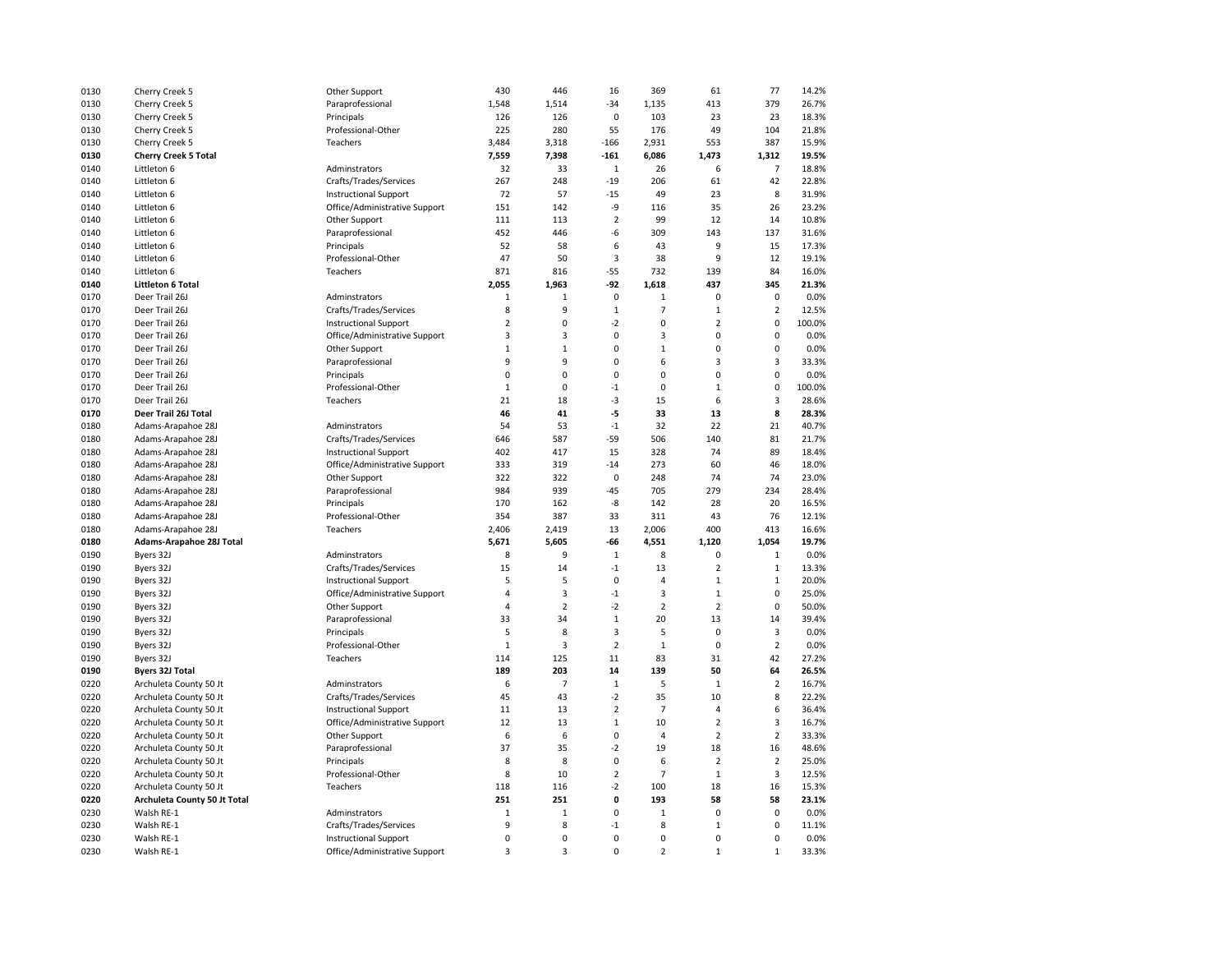| 0130 | Cherry Creek 5               | Other Support                 | 430            | 446            | 16             | 369            | 61             | 77             | 14.2%  |
|------|------------------------------|-------------------------------|----------------|----------------|----------------|----------------|----------------|----------------|--------|
| 0130 | Cherry Creek 5               | Paraprofessional              | 1,548          | 1,514          | $-34$          | 1,135          | 413            | 379            | 26.7%  |
| 0130 | Cherry Creek 5               | Principals                    | 126            | 126            | $\mathbf 0$    | 103            | 23             | 23             | 18.3%  |
| 0130 | Cherry Creek 5               | Professional-Other            | 225            | 280            | 55             | 176            | 49             | 104            | 21.8%  |
| 0130 | Cherry Creek 5               | Teachers                      | 3,484          | 3,318          | $-166$         | 2,931          | 553            | 387            | 15.9%  |
| 0130 | <b>Cherry Creek 5 Total</b>  |                               | 7,559          | 7,398          | $-161$         | 6,086          | 1,473          | 1.312          | 19.5%  |
| 0140 | Littleton 6                  | Adminstrators                 | 32             | 33             | $\mathbf{1}$   | 26             | 6              | $\overline{7}$ | 18.8%  |
| 0140 | Littleton 6                  | Crafts/Trades/Services        | 267            | 248            | $-19$          | 206            | 61             | 42             | 22.8%  |
| 0140 | Littleton 6                  | <b>Instructional Support</b>  | 72             | 57             | $-15$          | 49             | 23             | 8              | 31.9%  |
| 0140 | Littleton 6                  | Office/Administrative Support | 151            | 142            | -9             | 116            | 35             | 26             | 23.2%  |
| 0140 | Littleton 6                  | Other Support                 | 111            | 113            | $\overline{2}$ | 99             | 12             | 14             | 10.8%  |
| 0140 |                              | Paraprofessional              | 452            | 446            | $-6$           | 309            | 143            | 137            | 31.6%  |
| 0140 | Littleton 6<br>Littleton 6   | Principals                    | 52             | 58             | 6              | 43             | 9              | 15             | 17.3%  |
|      |                              |                               |                |                |                |                | 9              |                |        |
| 0140 | Littleton 6                  | Professional-Other            | 47             | 50             | 3              | 38             |                | 12             | 19.1%  |
| 0140 | Littleton 6                  | Teachers                      | 871            | 816            | $-55$          | 732            | 139            | 84             | 16.0%  |
| 0140 | <b>Littleton 6 Total</b>     |                               | 2,055          | 1,963          | -92            | 1,618          | 437            | 345            | 21.3%  |
| 0170 | Deer Trail 26J               | Adminstrators                 | $1\,$          | $\mathbf 1$    | $\pmb{0}$      | $\mathbf 1$    | $\mathbf 0$    | $\pmb{0}$      | 0.0%   |
| 0170 | Deer Trail 26J               | Crafts/Trades/Services        | 8              | 9              | $\mathbf{1}$   | $\overline{7}$ | $\mathbf{1}$   | $\mathbf 2$    | 12.5%  |
| 0170 | Deer Trail 26J               | <b>Instructional Support</b>  | $\overline{2}$ | 0              | $-2$           | 0              | $\overline{2}$ | $\pmb{0}$      | 100.0% |
| 0170 | Deer Trail 26J               | Office/Administrative Support | 3              | 3              | 0              | 3              | 0              | 0              | 0.0%   |
| 0170 | Deer Trail 26J               | Other Support                 | $1\,$          | $\mathbf 1$    | 0              | $\mathbf 1$    | 0              | $\pmb{0}$      | 0.0%   |
| 0170 | Deer Trail 26J               | Paraprofessional              | 9              | 9              | 0              | 6              | 3              | 3              | 33.3%  |
| 0170 | Deer Trail 26J               | Principals                    | $\mathbf 0$    | 0              | 0              | 0              | 0              | $\mathbf 0$    | 0.0%   |
| 0170 | Deer Trail 26J               | Professional-Other            | $\mathbf{1}$   | 0              | $-1$           | 0              | $\mathbf 1$    | $\pmb{0}$      | 100.0% |
| 0170 | Deer Trail 26J               | Teachers                      | 21             | 18             | $-3$           | 15             | 6              | 3              | 28.6%  |
| 0170 | Deer Trail 26J Total         |                               | 46             | 41             | -5             | 33             | 13             | 8              | 28.3%  |
| 0180 | Adams-Arapahoe 28J           | Adminstrators                 | 54             | 53             | $^{\text{-}1}$ | 32             | 22             | 21             | 40.7%  |
| 0180 | Adams-Arapahoe 28J           | Crafts/Trades/Services        | 646            | 587            | $-59$          | 506            | 140            | 81             | 21.7%  |
| 0180 | Adams-Arapahoe 28J           | <b>Instructional Support</b>  | 402            | 417            | 15             | 328            | 74             | 89             | 18.4%  |
| 0180 | Adams-Arapahoe 28J           | Office/Administrative Support | 333            | 319            | $-14$          | 273            | 60             | 46             | 18.0%  |
| 0180 | Adams-Arapahoe 28J           | Other Support                 | 322            | 322            | $\mathbf 0$    | 248            | 74             | 74             | 23.0%  |
| 0180 | Adams-Arapahoe 28J           | Paraprofessional              | 984            | 939            | $-45$          | 705            | 279            | 234            | 28.4%  |
| 0180 | Adams-Arapahoe 28J           | Principals                    | 170            | 162            | -8             | 142            | 28             | 20             | 16.5%  |
| 0180 | Adams-Arapahoe 28J           | Professional-Other            | 354            | 387            | 33             | 311            | 43             | 76             | 12.1%  |
| 0180 | Adams-Arapahoe 28J           | Teachers                      | 2,406          | 2,419          | 13             | 2,006          | 400            | 413            | 16.6%  |
| 0180 | Adams-Arapahoe 28J Total     |                               | 5,671          | 5,605          | -66            | 4,551          | 1,120          | 1,054          | 19.7%  |
| 0190 | Byers 32J                    | Adminstrators                 | 8              | 9              | $\,1\,$        | 8              | $\mathbf 0$    | $\mathbf{1}$   | 0.0%   |
| 0190 | Byers 32J                    | Crafts/Trades/Services        | 15             | 14             | $-1$           | 13             | $\overline{2}$ | $\mathbf{1}$   | 13.3%  |
| 0190 | Byers 32J                    | <b>Instructional Support</b>  | 5              | 5              | $\mathbf 0$    | $\overline{4}$ | $\mathbf 1$    | $\mathbf{1}$   | 20.0%  |
| 0190 | Byers 32J                    | Office/Administrative Support | $\overline{4}$ | 3              | $-1$           | 3              | $\mathbf{1}$   | $\mathbf 0$    | 25.0%  |
| 0190 | Byers 32J                    | Other Support                 | $\overline{4}$ | $\overline{2}$ | $-2$           | $\overline{2}$ | $\overline{2}$ | $\mathbf 0$    | 50.0%  |
| 0190 | Byers 32J                    | Paraprofessional              | 33             | 34             | $1\,$          | 20             | 13             | 14             | 39.4%  |
| 0190 |                              |                               | 5              | 8              | 3              |                | $\mathbf 0$    | 3              | 0.0%   |
|      | Byers 32J                    | Principals                    |                |                | $\overline{2}$ | 5              | $\mathbf 0$    | $\overline{2}$ | 0.0%   |
| 0190 | Byers 32J                    | Professional-Other            | $\mathbf{1}$   | 3<br>125       |                | $\mathbf{1}$   | 31             |                |        |
| 0190 | Byers 32J                    | Teachers                      | 114            |                | 11             | 83             |                | 42             | 27.2%  |
| 0190 | <b>Byers 32J Total</b>       |                               | 189            | 203            | 14             | 139            | 50             | 64             | 26.5%  |
| 0220 | Archuleta County 50 Jt       | Adminstrators                 | 6              | 7              | $1\,$          | 5              | $\mathbf 1$    | $\overline{2}$ | 16.7%  |
| 0220 | Archuleta County 50 Jt       | Crafts/Trades/Services        | 45             | 43             | $-2$           | 35             | 10             | 8              | 22.2%  |
| 0220 | Archuleta County 50 Jt       | <b>Instructional Support</b>  | 11             | 13             | $\overline{2}$ | $\overline{7}$ | $\overline{4}$ | 6              | 36.4%  |
| 0220 | Archuleta County 50 Jt       | Office/Administrative Support | 12             | 13             | $\mathbf{1}$   | 10             | $\overline{2}$ | 3              | 16.7%  |
| 0220 | Archuleta County 50 Jt       | Other Support                 | 6              | 6              | 0              | $\overline{4}$ | $\overline{2}$ | $\overline{2}$ | 33.3%  |
| 0220 | Archuleta County 50 Jt       | Paraprofessional              | 37             | 35             | $-2$           | 19             | 18             | 16             | 48.6%  |
| 0220 | Archuleta County 50 Jt       | Principals                    | 8              | 8              | 0              | 6              | $\overline{2}$ | $\overline{2}$ | 25.0%  |
| 0220 | Archuleta County 50 Jt       | Professional-Other            | 8              | 10             | $\overline{2}$ | $\overline{7}$ | $\mathbf 1$    | 3              | 12.5%  |
| 0220 | Archuleta County 50 Jt       | Teachers                      | 118            | 116            | $-2$           | 100            | 18             | 16             | 15.3%  |
| 0220 | Archuleta County 50 Jt Total |                               | 251            | 251            | 0              | 193            | 58             | 58             | 23.1%  |
| 0230 | Walsh RE-1                   | Adminstrators                 | $\mathbf{1}$   | $\mathbf 1$    | 0              | $\mathbf 1$    | $\Omega$       | $\mathbf 0$    | 0.0%   |
| 0230 | Walsh RE-1                   | Crafts/Trades/Services        | 9              | 8              | $-1$           | 8              | $\mathbf{1}$   | $\mathbf 0$    | 11.1%  |
| 0230 | Walsh RE-1                   | <b>Instructional Support</b>  | $\pmb{0}$      | 0              | 0              | 0              | 0              | 0              | 0.0%   |
| 0230 | Walsh RE-1                   | Office/Administrative Support | 3              | 3              | 0              | 2              | $\mathbf{1}$   | $\mathbf{1}$   | 33.3%  |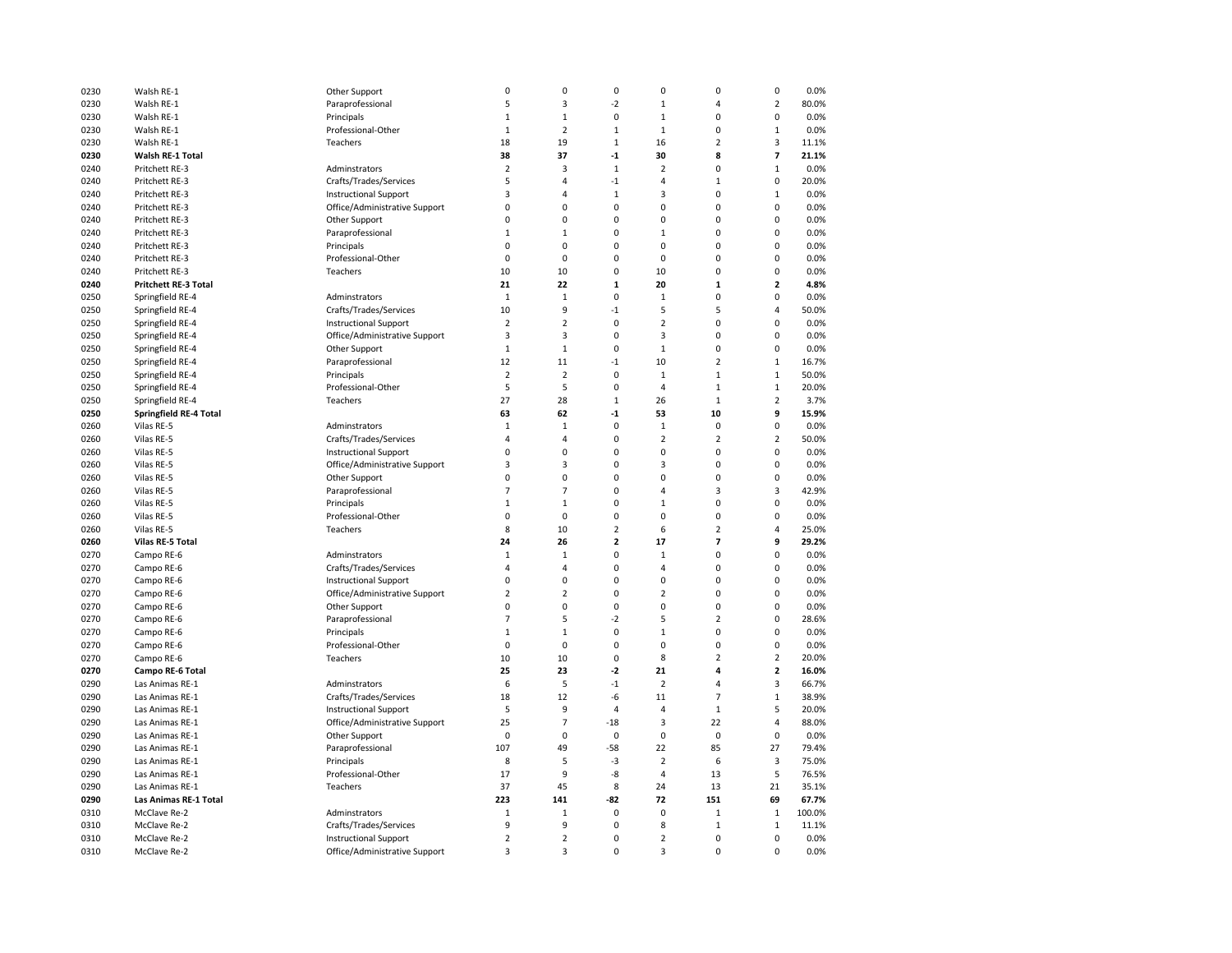| 0230 | Walsh RE-1                    | Other Support                 | 0              | 0              | $\pmb{0}$               | 0              | 0                        | 0                       | 0.0%   |
|------|-------------------------------|-------------------------------|----------------|----------------|-------------------------|----------------|--------------------------|-------------------------|--------|
| 0230 | Walsh RE-1                    | Paraprofessional              | 5              | 3              | $-2$                    | $\mathbf 1$    | 4                        | $\overline{2}$          | 80.0%  |
| 0230 | Walsh RE-1                    | Principals                    | $\mathbf{1}$   | $\mathbf{1}$   | 0                       | $\mathbf{1}$   | 0                        | 0                       | 0.0%   |
| 0230 | Walsh RE-1                    | Professional-Other            | $\mathbf{1}$   | $\overline{2}$ | $\mathbf{1}$            | $\mathbf{1}$   | 0                        | $\mathbf{1}$            | 0.0%   |
| 0230 | Walsh RE-1                    | Teachers                      | 18             | 19             | $\mathbf{1}$            | 16             | $\overline{2}$           | 3                       | 11.1%  |
| 0230 | Walsh RE-1 Total              |                               | 38             | 37             | $-1$                    | 30             | 8                        | 7                       | 21.1%  |
| 0240 | Pritchett RE-3                | Adminstrators                 | $\overline{2}$ | 3              | $\,1\,$                 | $\overline{2}$ | 0                        | $\mathbf 1$             | 0.0%   |
| 0240 | Pritchett RE-3                | Crafts/Trades/Services        | 5              | 4              | $-1$                    | 4              | $\mathbf 1$              | 0                       | 20.0%  |
| 0240 | Pritchett RE-3                | <b>Instructional Support</b>  | 3              | 4              | $\mathbf{1}$            | 3              | 0                        | $\mathbf{1}$            | 0.0%   |
| 0240 | Pritchett RE-3                | Office/Administrative Support | $\mathbf 0$    | $\mathbf 0$    | 0                       | 0              | 0                        | $\mathbf 0$             | 0.0%   |
| 0240 | Pritchett RE-3                | Other Support                 | 0              | 0              | 0                       | 0              | 0                        | 0                       | 0.0%   |
| 0240 | Pritchett RE-3                | Paraprofessional              | 1              | 1              | 0                       | $\mathbf 1$    | 0                        | 0                       | 0.0%   |
| 0240 | Pritchett RE-3                | Principals                    | 0              | 0              | 0                       | 0              | 0                        | 0                       | 0.0%   |
| 0240 | Pritchett RE-3                | Professional-Other            | 0              | $\mathbf 0$    | 0                       | 0              | 0                        | $\mathbf 0$             | 0.0%   |
|      |                               | Teachers                      |                |                | 0                       |                | 0                        | 0                       |        |
| 0240 | Pritchett RE-3                |                               | 10             | 10             |                         | 10             |                          |                         | 0.0%   |
| 0240 | Pritchett RE-3 Total          |                               | 21             | 22             | $\mathbf 1$             | 20             | $\mathbf 1$              | $\overline{\mathbf{2}}$ | 4.8%   |
| 0250 | Springfield RE-4              | Adminstrators                 | 1              | $\mathbf 1$    | $\pmb{0}$               | $\mathbf 1$    | 0                        | 0                       | 0.0%   |
| 0250 | Springfield RE-4              | Crafts/Trades/Services        | 10             | 9              | $-1$                    | 5              | 5                        | 4                       | 50.0%  |
| 0250 | Springfield RE-4              | <b>Instructional Support</b>  | $\overline{2}$ | $\overline{2}$ | $\pmb{0}$               | $\overline{2}$ | 0                        | 0                       | 0.0%   |
| 0250 | Springfield RE-4              | Office/Administrative Support | 3              | 3              | 0                       | 3              | 0                        | $\mathbf 0$             | 0.0%   |
| 0250 | Springfield RE-4              | Other Support                 | $\,1\,$        | $\mathbf 1$    | $\pmb{0}$               | $\mathbf 1$    | 0                        | 0                       | 0.0%   |
| 0250 | Springfield RE-4              | Paraprofessional              | 12             | 11             | $-1$                    | 10             | $\overline{2}$           | $\mathbf{1}$            | 16.7%  |
| 0250 | Springfield RE-4              | Principals                    | $\overline{2}$ | $\overline{2}$ | $\pmb{0}$               | $\mathbf 1$    | $\mathbf 1$              | $\mathbf{1}$            | 50.0%  |
| 0250 | Springfield RE-4              | Professional-Other            | 5              | 5              | 0                       | 4              | $\mathbf 1$              | $\mathbf 1$             | 20.0%  |
| 0250 | Springfield RE-4              | Teachers                      | 27             | 28             | $\mathbf{1}$            | 26             | $\mathbf{1}$             | $\mathbf 2$             | 3.7%   |
| 0250 | <b>Springfield RE-4 Total</b> |                               | 63             | 62             | $^{\text{{\small -1}}}$ | 53             | 10                       | 9                       | 15.9%  |
| 0260 | Vilas RE-5                    | Adminstrators                 | $1\,$          | $\mathbf 1$    | 0                       | $\mathbf 1$    | $\mathbf 0$              | $\pmb{0}$               | 0.0%   |
| 0260 | Vilas RE-5                    | Crafts/Trades/Services        | $\overline{4}$ | 4              | $\mathbf 0$             | $\overline{2}$ | $\overline{2}$           | $\overline{2}$          | 50.0%  |
| 0260 | Vilas RE-5                    | <b>Instructional Support</b>  | $\mathbf 0$    | $\mathbf 0$    | $\mathbf 0$             | 0              | 0                        | $\mathbf 0$             | 0.0%   |
| 0260 | Vilas RE-5                    | Office/Administrative Support | 3              | 3              | $\mathbf 0$             | 3              | 0                        | $\Omega$                | 0.0%   |
| 0260 | Vilas RE-5                    | Other Support                 | 0              | $\mathbf 0$    | $\mathbf 0$             | 0              | 0                        | $\mathbf 0$             | 0.0%   |
| 0260 | Vilas RE-5                    | Paraprofessional              | $\overline{7}$ | $\overline{7}$ | 0                       | 4              | 3                        | 3                       | 42.9%  |
| 0260 | Vilas RE-5                    | Principals                    | $\mathbf{1}$   | $\mathbf{1}$   | 0                       | $\mathbf{1}$   | 0                        | $\mathbf 0$             | 0.0%   |
| 0260 | Vilas RE-5                    | Professional-Other            | $\mathbf 0$    | $\mathbf 0$    | $\mathbf 0$             | 0              | 0                        | $\Omega$                | 0.0%   |
| 0260 | Vilas RE-5                    | Teachers                      | 8              | 10             | $\overline{2}$          | 6              | $\overline{2}$           | $\overline{a}$          | 25.0%  |
| 0260 | Vilas RE-5 Total              |                               | 24             | 26             | $\overline{2}$          | 17             | $\overline{\phantom{a}}$ | 9                       | 29.2%  |
| 0270 | Campo RE-6                    | Adminstrators                 | $\mathbf 1$    | $\mathbf{1}$   | 0                       | $\mathbf{1}$   | 0                        | $\mathbf 0$             | 0.0%   |
| 0270 | Campo RE-6                    | Crafts/Trades/Services        | $\overline{4}$ | $\overline{4}$ | $\mathbf 0$             | 4              | 0                        | $\mathbf 0$             | 0.0%   |
| 0270 | Campo RE-6                    | <b>Instructional Support</b>  | $\mathbf 0$    | $\mathbf 0$    | 0                       | 0              | 0                        | $\mathbf 0$             | 0.0%   |
| 0270 | Campo RE-6                    | Office/Administrative Support | $\overline{2}$ | $\overline{2}$ | 0                       | $\overline{2}$ | 0                        | 0                       | 0.0%   |
| 0270 | Campo RE-6                    | Other Support                 | 0              | 0              | $\pmb{0}$               | 0              | 0                        | 0                       | 0.0%   |
| 0270 | Campo RE-6                    | Paraprofessional              | $\overline{7}$ | 5              | $-2$                    | 5              | $\overline{2}$           | 0                       | 28.6%  |
| 0270 | Campo RE-6                    | Principals                    | $\mathbf 1$    | $\mathbf 1$    | 0                       | $\mathbf 1$    | 0                        | $\mathbf 0$             | 0.0%   |
| 0270 | Campo RE-6                    | Professional-Other            | 0              | $\mathbf 0$    | 0                       | 0              | 0                        | $\mathbf 0$             | 0.0%   |
| 0270 | Campo RE-6                    | Teachers                      | 10             | 10             | $\mathbf 0$             | 8              | $\overline{2}$           | $\overline{2}$          | 20.0%  |
| 0270 | Campo RE-6 Total              |                               | 25             | 23             | $-2$                    | 21             | 4                        | $\mathbf{2}$            | 16.0%  |
| 0290 | Las Animas RE-1               | Adminstrators                 | 6              | 5              | $-1$                    | $\overline{2}$ | 4                        | 3                       | 66.7%  |
| 0290 | Las Animas RE-1               | Crafts/Trades/Services        | 18             | 12             | -6                      | 11             | $\overline{7}$           | $\mathbf 1$             | 38.9%  |
| 0290 | Las Animas RE-1               | <b>Instructional Support</b>  | 5              | 9              | 4                       | $\overline{4}$ | $\mathbf 1$              | 5                       | 20.0%  |
| 0290 | Las Animas RE-1               | Office/Administrative Support | 25             | $\overline{7}$ | $-18$                   | 3              | 22                       | 4                       | 88.0%  |
| 0290 | Las Animas RE-1               | Other Support                 | 0              | 0              | $\pmb{0}$               | 0              | $\mathbf 0$              | 0                       | 0.0%   |
| 0290 | Las Animas RE-1               | Paraprofessional              | 107            | 49             | -58                     | 22             | 85                       | 27                      | 79.4%  |
| 0290 | Las Animas RE-1               | Principals                    | 8              | 5              | $-3$                    | $\overline{2}$ | 6                        | 3                       | 75.0%  |
| 0290 | Las Animas RE-1               | Professional-Other            | 17             | 9              | -8                      | $\overline{4}$ | 13                       | 5                       | 76.5%  |
|      |                               |                               |                |                |                         |                | 13                       | 21                      | 35.1%  |
| 0290 | Las Animas RE-1               | Teachers                      | 37<br>223      | 45             | 8                       | 24<br>72       | 151                      |                         |        |
| 0290 | Las Animas RE-1 Total         |                               |                | 141            | -82                     |                |                          | 69                      | 67.7%  |
| 0310 | McClave Re-2                  | Adminstrators                 | $\mathbf 1$    | $\mathbf 1$    | $\pmb{0}$               | 0              | $\mathbf 1$              | $\,1\,$                 | 100.0% |
| 0310 | McClave Re-2                  | Crafts/Trades/Services        | 9              | 9              | $\mathbf 0$             | 8              | $\mathbf 1$              | $\mathbf{1}$            | 11.1%  |
| 0310 | McClave Re-2                  | <b>Instructional Support</b>  | $\overline{2}$ | $\mathbf 2$    | 0                       | $\overline{2}$ | $\mathbf 0$              | $\mathbf 0$             | 0.0%   |
| 0310 | McClave Re-2                  | Office/Administrative Support | 3              | 3              | 0                       | 3              | $\mathbf 0$              | $\mathbf 0$             | 0.0%   |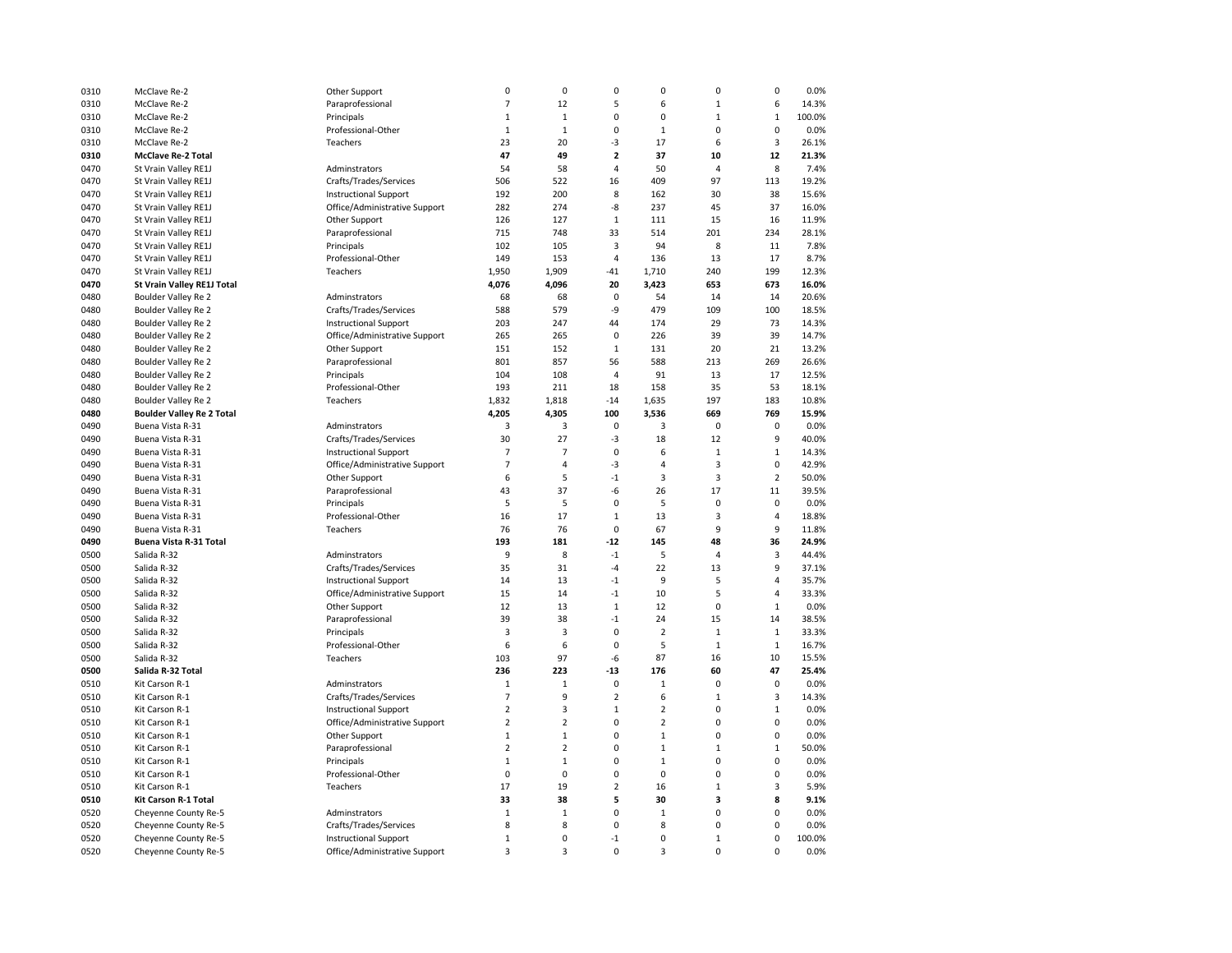| 0310 | McClave Re-2                     | Other Support                 | $\pmb{0}$      | 0              | 0                       | 0              | 0              | $\pmb{0}$      | 0.0%   |
|------|----------------------------------|-------------------------------|----------------|----------------|-------------------------|----------------|----------------|----------------|--------|
| 0310 | McClave Re-2                     | Paraprofessional              | $\overline{7}$ | 12             | 5                       | 6              | $\mathbf 1$    | 6              | 14.3%  |
| 0310 | McClave Re-2                     | Principals                    | $\mathbf{1}$   | $\mathbf{1}$   | 0                       | 0              | $\mathbf{1}$   | $\mathbf{1}$   | 100.0% |
| 0310 | McClave Re-2                     | Professional-Other            | $\mathbf{1}$   | $\mathbf{1}$   | 0                       | $\mathbf{1}$   | 0              | $\mathbf 0$    | 0.0%   |
| 0310 | McClave Re-2                     | Teachers                      | 23             | 20             | -3                      | 17             | 6              | 3              | 26.1%  |
| 0310 | <b>McClave Re-2 Total</b>        |                               | 47             | 49             | $\overline{\mathbf{c}}$ | 37             | 10             | 12             | 21.3%  |
| 0470 | St Vrain Valley RE1J             | Adminstrators                 | 54             | 58             | 4                       | 50             | $\overline{4}$ | 8              | 7.4%   |
| 0470 | St Vrain Valley RE1J             | Crafts/Trades/Services        | 506            | 522            | 16                      | 409            | 97             | 113            | 19.2%  |
| 0470 | St Vrain Valley RE1J             | <b>Instructional Support</b>  | 192            | 200            | 8                       | 162            | 30             | 38             | 15.6%  |
|      |                                  |                               |                |                |                         |                |                |                |        |
| 0470 | St Vrain Valley RE1J             | Office/Administrative Support | 282            | 274            | -8                      | 237            | 45             | 37             | 16.0%  |
| 0470 | St Vrain Valley RE1J             | Other Support                 | 126            | 127            | $1\,$                   | 111            | 15             | 16             | 11.9%  |
| 0470 | St Vrain Valley RE1J             | Paraprofessional              | 715            | 748            | 33                      | 514            | 201            | 234            | 28.1%  |
| 0470 | St Vrain Valley RE1J             | Principals                    | 102            | 105            | 3                       | 94             | 8              | 11             | 7.8%   |
| 0470 | St Vrain Valley RE1J             | Professional-Other            | 149            | 153            | 4                       | 136            | 13             | 17             | 8.7%   |
| 0470 | St Vrain Valley RE1J             | Teachers                      | 1,950          | 1,909          | -41                     | 1,710          | 240            | 199            | 12.3%  |
| 0470 | St Vrain Valley RE1J Total       |                               | 4,076          | 4,096          | 20                      | 3,423          | 653            | 673            | 16.0%  |
| 0480 | Boulder Valley Re 2              | Adminstrators                 | 68             | 68             | $\pmb{0}$               | 54             | 14             | 14             | 20.6%  |
| 0480 | Boulder Valley Re 2              | Crafts/Trades/Services        | 588            | 579            | -9                      | 479            | 109            | 100            | 18.5%  |
| 0480 | Boulder Valley Re 2              | <b>Instructional Support</b>  | 203            | 247            | 44                      | 174            | 29             | 73             | 14.3%  |
| 0480 | Boulder Valley Re 2              | Office/Administrative Support | 265            | 265            | $\pmb{0}$               | 226            | 39             | 39             | 14.7%  |
| 0480 | Boulder Valley Re 2              | Other Support                 | 151            | 152            | $\,1\,$                 | 131            | 20             | 21             | 13.2%  |
| 0480 | Boulder Valley Re 2              | Paraprofessional              | 801            | 857            | 56                      | 588            | 213            | 269            | 26.6%  |
| 0480 | Boulder Valley Re 2              | Principals                    | 104            | 108            | $\overline{4}$          | 91             | 13             | 17             | 12.5%  |
| 0480 | Boulder Valley Re 2              | Professional-Other            | 193            | 211            | 18                      | 158            | 35             | 53             | 18.1%  |
| 0480 | Boulder Valley Re 2              | Teachers                      | 1,832          | 1,818          | $-14$                   | 1,635          | 197            | 183            | 10.8%  |
| 0480 | <b>Boulder Valley Re 2 Total</b> |                               | 4,205          | 4,305          | 100                     | 3,536          | 669            | 769            | 15.9%  |
| 0490 | Buena Vista R-31                 | Adminstrators                 | 3              | 3              | $\pmb{0}$               | 3              | $\mathbf 0$    | $\pmb{0}$      | 0.0%   |
| 0490 | Buena Vista R-31                 | Crafts/Trades/Services        | 30             | 27             | -3                      | 18             | 12             | $\overline{9}$ | 40.0%  |
| 0490 | Buena Vista R-31                 | <b>Instructional Support</b>  | $\overline{7}$ | $\overline{7}$ | 0                       | 6              | $\mathbf{1}$   | $\mathbf{1}$   | 14.3%  |
| 0490 | Buena Vista R-31                 | Office/Administrative Support | $\overline{7}$ | 4              | $-3$                    | $\overline{4}$ | 3              | $\mathbf 0$    | 42.9%  |
| 0490 | Buena Vista R-31                 | Other Support                 | 6              | 5              | $^{\text{-}1}$          | 3              | 3              | $\overline{2}$ | 50.0%  |
| 0490 | Buena Vista R-31                 | Paraprofessional              | 43             | 37             | -6                      | 26             | 17             | 11             | 39.5%  |
| 0490 | Buena Vista R-31                 | Principals                    | 5              | 5              | 0                       | 5              | 0              | 0              | 0.0%   |
| 0490 | Buena Vista R-31                 | Professional-Other            | 16             | 17             | $\mathbf{1}$            | 13             | 3              | $\overline{4}$ | 18.8%  |
| 0490 | Buena Vista R-31                 | Teachers                      | 76             | 76             | 0                       | 67             | 9              | 9              | 11.8%  |
| 0490 | Buena Vista R-31 Total           |                               | 193            | 181            | $-12$                   | 145            | 48             | 36             | 24.9%  |
| 0500 | Salida R-32                      | Adminstrators                 | 9              | 8              | $-1$                    | 5              | 4              | 3              | 44.4%  |
| 0500 | Salida R-32                      | Crafts/Trades/Services        | 35             | 31             | -4                      | 22             | 13             | 9              | 37.1%  |
|      |                                  |                               |                |                | $-1$                    |                | 5              | $\overline{4}$ | 35.7%  |
| 0500 | Salida R-32                      | <b>Instructional Support</b>  | 14             | 13             |                         | 9              | 5              |                |        |
| 0500 | Salida R-32                      | Office/Administrative Support | 15             | 14             | $^{\text{-}1}$          | 10             |                | $\sqrt{4}$     | 33.3%  |
| 0500 | Salida R-32                      | Other Support                 | 12             | 13             | $\mathbf 1$             | 12             | 0              | $\mathbf{1}$   | 0.0%   |
| 0500 | Salida R-32                      | Paraprofessional              | 39             | 38             | $-1$                    | 24             | 15             | 14             | 38.5%  |
| 0500 | Salida R-32                      | Principals                    | 3              | 3              | 0                       | $\overline{2}$ | $\mathbf 1$    | $\mathbf{1}$   | 33.3%  |
| 0500 | Salida R-32                      | Professional-Other            | 6              | 6              | 0                       | 5              | $\mathbf 1$    | $\mathbf 1$    | 16.7%  |
| 0500 | Salida R-32                      | Teachers                      | 103            | 97             | -6                      | 87             | 16             | 10             | 15.5%  |
| 0500 | Salida R-32 Total                |                               | 236            | 223            | $-13$                   | 176            | 60             | 47             | 25.4%  |
| 0510 | Kit Carson R-1                   | Adminstrators                 | $\mathbf{1}$   | $\mathbf 1$    | $\pmb{0}$               | $\mathbf{1}$   | 0              | $\pmb{0}$      | 0.0%   |
| 0510 | Kit Carson R-1                   | Crafts/Trades/Services        | $\overline{7}$ | 9              | $\overline{2}$          | 6              | $\mathbf 1$    | $\mathsf 3$    | 14.3%  |
| 0510 | Kit Carson R-1                   | <b>Instructional Support</b>  | $\overline{2}$ | 3              | $\mathbf 1$             | $\overline{2}$ | 0              | $\mathbf{1}$   | 0.0%   |
| 0510 | Kit Carson R-1                   | Office/Administrative Support | $\overline{2}$ | $\overline{2}$ | 0                       | $\overline{2}$ | 0              | $\mathbf 0$    | 0.0%   |
| 0510 | Kit Carson R-1                   | Other Support                 | $\mathbf{1}$   | $\mathbf 1$    | 0                       | $\mathbf{1}$   | 0              | $\mathbf 0$    | 0.0%   |
| 0510 | Kit Carson R-1                   | Paraprofessional              | $\overline{2}$ | $\overline{2}$ | 0                       | $\mathbf 1$    | $\mathbf{1}$   | $\mathbf{1}$   | 50.0%  |
| 0510 | Kit Carson R-1                   | Principals                    | $\mathbf{1}$   | $1\,$          | 0                       | $\mathbf{1}$   | 0              | $\pmb{0}$      | 0.0%   |
| 0510 | Kit Carson R-1                   | Professional-Other            | 0              | 0              | 0                       | 0              | 0              | $\mathbf 0$    | 0.0%   |
| 0510 | Kit Carson R-1                   | Teachers                      | 17             | 19             | $\overline{2}$          | 16             | $\mathbf{1}$   | 3              | 5.9%   |
| 0510 | Kit Carson R-1 Total             |                               | 33             | 38             | 5                       | 30             | 3              | 8              | 9.1%   |
| 0520 | Cheyenne County Re-5             | Adminstrators                 | $\,1\,$        | $\mathbf 1$    | 0                       | $\mathbf 1$    | 0              | 0              | 0.0%   |
| 0520 | Cheyenne County Re-5             | Crafts/Trades/Services        | 8              | 8              | 0                       | 8              | 0              | 0              | 0.0%   |
| 0520 | Cheyenne County Re-5             | <b>Instructional Support</b>  | $\mathbf{1}$   | 0              | $-1$                    | 0              | $\mathbf{1}$   | $\mathbf 0$    | 100.0% |
| 0520 | Cheyenne County Re-5             | Office/Administrative Support | $\overline{3}$ | 3              | 0                       | 3              | 0              | $\mathbf 0$    | 0.0%   |
|      |                                  |                               |                |                |                         |                |                |                |        |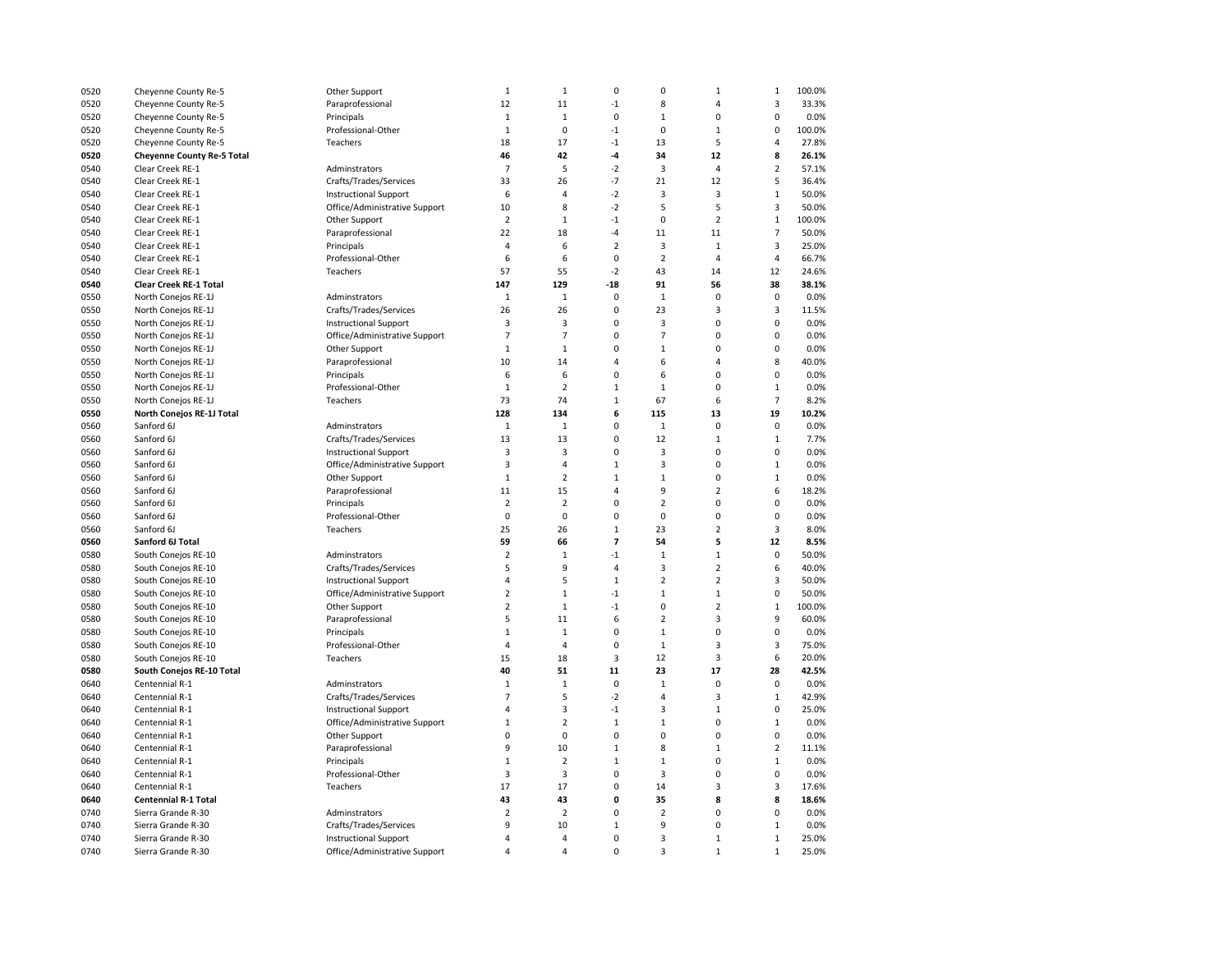| 0520 | Cheyenne County Re-5              | Other Support                 | $\mathbf{1}$            | $\mathbf{1}$   | 0              | $\mathbf 0$    | $\mathbf{1}$            | $\mathbf{1}$   | 100.0% |
|------|-----------------------------------|-------------------------------|-------------------------|----------------|----------------|----------------|-------------------------|----------------|--------|
| 0520 | Cheyenne County Re-5              | Paraprofessional              | 12                      | 11             | $-1$           | 8              | $\overline{4}$          | 3              | 33.3%  |
| 0520 | Cheyenne County Re-5              | Principals                    | $\mathbf{1}$            | $\mathbf{1}$   | 0              | $\mathbf{1}$   | $\mathbf 0$             | 0              | 0.0%   |
| 0520 | Cheyenne County Re-5              | Professional-Other            | $\mathbf{1}$            | 0              | $-1$           | $\mathbf 0$    | $\mathbf{1}$            | $\mathbf 0$    | 100.0% |
| 0520 | Cheyenne County Re-5              | Teachers                      | 18                      | 17             | $-1$           | 13             | 5                       | 4              | 27.8%  |
| 0520 | <b>Cheyenne County Re-5 Total</b> |                               | 46                      | 42             | $-4$           | 34             | 12                      | 8              | 26.1%  |
| 0540 | Clear Creek RE-1                  | Adminstrators                 | $\overline{7}$          | 5              | $-2$           | $\overline{3}$ | $\overline{4}$          | $\overline{2}$ | 57.1%  |
| 0540 | Clear Creek RE-1                  | Crafts/Trades/Services        | 33                      | 26             | $-7$           | 21             | 12                      | 5              | 36.4%  |
| 0540 | Clear Creek RE-1                  | <b>Instructional Support</b>  | 6                       | $\overline{4}$ | $-2$           | 3              | $\overline{3}$          | $\mathbf 1$    | 50.0%  |
| 0540 | Clear Creek RE-1                  | Office/Administrative Support | 10                      | 8              | $-2$           | 5              | 5                       | 3              | 50.0%  |
| 0540 | Clear Creek RE-1                  | Other Support                 | $\overline{2}$          | $\mathbf 1$    | $^{\text{-}1}$ | $\mathbf 0$    | $\overline{2}$          | $\mathbf{1}$   | 100.0% |
| 0540 | Clear Creek RE-1                  | Paraprofessional              | 22                      | 18             | $-4$           | 11             | 11                      | $\overline{7}$ | 50.0%  |
| 0540 | Clear Creek RE-1                  | Principals                    | $\overline{4}$          | 6              | $\overline{2}$ | 3              | $\mathbf{1}$            | 3              | 25.0%  |
| 0540 | Clear Creek RE-1                  | Professional-Other            | 6                       | 6              | 0              | $\overline{2}$ | $\overline{4}$          | 4              | 66.7%  |
| 0540 | Clear Creek RE-1                  | Teachers                      | 57                      | 55             | $-2$           | 43             | 14                      | 12             | 24.6%  |
|      | <b>Clear Creek RE-1 Total</b>     |                               | 147                     | 129            | $-18$          | 91             | 56                      | 38             | 38.1%  |
| 0540 |                                   |                               | $\mathbf{1}$            | $\mathbf 1$    | $\mathbf 0$    | $\mathbf{1}$   | $\mathbf 0$             | $\mathbf 0$    | 0.0%   |
| 0550 | North Conejos RE-1J               | Adminstrators                 |                         |                |                |                |                         |                |        |
| 0550 | North Conejos RE-1J               | Crafts/Trades/Services        | 26                      | 26             | 0              | 23             | 3                       | 3              | 11.5%  |
| 0550 | North Conejos RE-1J               | <b>Instructional Support</b>  | 3                       | 3              | $\mathbf 0$    | 3              | $\mathbf 0$             | 0              | 0.0%   |
| 0550 | North Conejos RE-1J               | Office/Administrative Support | $\overline{7}$          | $\overline{7}$ | $\Omega$       | $\overline{7}$ | $\mathbf 0$             | 0              | 0.0%   |
| 0550 | North Conejos RE-1J               | Other Support                 | $\mathbf{1}$            | $\mathbf 1$    | $\mathbf 0$    | $1\,$          | $\Omega$                | 0              | 0.0%   |
| 0550 | North Conejos RE-1J               | Paraprofessional              | 10                      | 14             | 4              | 6              | $\overline{4}$          | 8              | 40.0%  |
| 0550 | North Conejos RE-1J               | Principals                    | 6                       | 6              | 0              | 6              | $\mathbf 0$             | 0              | 0.0%   |
| 0550 | North Conejos RE-1J               | Professional-Other            | $\mathbf{1}$            | $\overline{2}$ | $\mathbf{1}$   | $1\,$          | $\mathbf 0$             | $\mathbf 1$    | 0.0%   |
| 0550 | North Conejos RE-1J               | Teachers                      | 73                      | 74             | $\mathbf{1}$   | 67             | 6                       | $\overline{7}$ | 8.2%   |
| 0550 | North Conejos RE-1J Total         |                               | 128                     | 134            | 6              | 115            | 13                      | 19             | 10.2%  |
| 0560 | Sanford 6J                        | Adminstrators                 | $1\,$                   | $\mathbf 1$    | $\Omega$       | $1\,$          | $\mathbf 0$             | 0              | 0.0%   |
| 0560 | Sanford 6J                        | Crafts/Trades/Services        | 13                      | 13             | $\Omega$       | 12             | $\mathbf{1}$            | $\mathbf 1$    | 7.7%   |
| 0560 | Sanford 6J                        | <b>Instructional Support</b>  | 3                       | 3              | $\Omega$       | $\overline{3}$ | $\mathbf 0$             | 0              | 0.0%   |
| 0560 | Sanford 6J                        | Office/Administrative Support | $\overline{3}$          | $\overline{4}$ | $\mathbf{1}$   | $\overline{3}$ | $\mathbf 0$             | $\mathbf{1}$   | 0.0%   |
| 0560 | Sanford 6J                        | Other Support                 | $\mathbf{1}$            | $\overline{2}$ | $\mathbf 1$    | $1\,$          | $\pmb{0}$               | $\mathbf{1}$   | 0.0%   |
| 0560 | Sanford 6J                        | Paraprofessional              | 11                      | 15             | 4              | 9              | $\overline{2}$          | 6              | 18.2%  |
| 0560 | Sanford 6J                        | Principals                    | $\overline{2}$          | $\overline{2}$ | 0              | $\overline{2}$ | $\mathbf 0$             | 0              | 0.0%   |
| 0560 | Sanford 6J                        | Professional-Other            | $\mathbf 0$             | $\mathbf 0$    | $\mathbf 0$    | $\mathbf 0$    | $\mathbf 0$             | 0              | 0.0%   |
| 0560 | Sanford 6J                        | Teachers                      | 25                      | 26             | $\mathbf{1}$   | 23             | $\overline{2}$          | 3              | 8.0%   |
| 0560 | Sanford 6J Total                  |                               | 59                      | 66             | 7              | 54             | 5                       | 12             | 8.5%   |
| 0580 | South Conejos RE-10               | Adminstrators                 | $\overline{2}$          | $\mathbf{1}$   | $-1$           | $\mathbf{1}$   | $\mathbf{1}$            | 0              | 50.0%  |
| 0580 | South Conejos RE-10               | Crafts/Trades/Services        | 5                       | 9              | 4              | 3              | $\overline{2}$          | 6              | 40.0%  |
| 0580 | South Conejos RE-10               | <b>Instructional Support</b>  | $\overline{4}$          | 5              | $\mathbf 1$    | $\overline{2}$ | $\overline{2}$          | 3              | 50.0%  |
| 0580 | South Conejos RE-10               | Office/Administrative Support | $\overline{2}$          | $\mathbf{1}$   | $-1$           | $\mathbf{1}$   | $\mathbf{1}$            | 0              | 50.0%  |
| 0580 | South Conejos RE-10               | Other Support                 | $\overline{2}$          | $\mathbf{1}$   | $-1$           | $\mathbf 0$    | $\overline{2}$          | $\overline{1}$ | 100.0% |
| 0580 | South Conejos RE-10               | Paraprofessional              | 5                       | 11             | 6              | $\overline{2}$ | $\overline{\mathbf{3}}$ | 9              | 60.0%  |
| 0580 | South Conejos RE-10               | Principals                    | $\mathbf{1}$            | $\mathbf{1}$   | 0              | $\mathbf{1}$   | $\pmb{0}$               | 0              | 0.0%   |
| 0580 | South Conejos RE-10               | Professional-Other            | $\overline{4}$          | $\overline{4}$ | $\mathbf 0$    | $1\,$          | 3                       | 3              | 75.0%  |
| 0580 | South Conejos RE-10               | Teachers                      | 15                      | 18             | 3              | 12             | 3                       | 6              | 20.0%  |
| 0580 | South Conejos RE-10 Total         |                               | 40                      | 51             | 11             | 23             | 17                      | 28             | 42.5%  |
| 0640 | Centennial R-1                    | Adminstrators                 | $1\,$                   | $\mathbf{1}$   | $\mathbf 0$    | $\mathbf{1}$   | $\mathbf 0$             | $\mathbf 0$    | 0.0%   |
| 0640 | Centennial R-1                    | Crafts/Trades/Services        | $\overline{7}$          | 5              | $-2$           | $\overline{4}$ | 3                       | $\mathbf{1}$   | 42.9%  |
| 0640 | Centennial R-1                    | <b>Instructional Support</b>  | $\overline{4}$          | 3              | $-1$           | 3              | $1\,$                   | 0              | 25.0%  |
| 0640 | Centennial R-1                    | Office/Administrative Support | $\mathbf{1}$            | $\mathbf 2$    | $\mathbf{1}$   | $\mathbf{1}$   | $\mathbf 0$             | $\mathbf 1$    | 0.0%   |
| 0640 | Centennial R-1                    | Other Support                 | $\mathbf 0$             | $\pmb{0}$      | $\mathbf 0$    | $\mathbf 0$    | $\pmb{0}$               | 0              | 0.0%   |
| 0640 | Centennial R-1                    | Paraprofessional              | 9                       | 10             | $\mathbf 1$    | 8              | $\mathbf{1}$            | $\mathbf 2$    | 11.1%  |
| 0640 | Centennial R-1                    | Principals                    | $\mathbf{1}$            | $\mathbf 2$    | $\mathbf{1}$   | $\mathbf{1}$   | $\pmb{0}$               | $\mathbf{1}$   | 0.0%   |
|      | Centennial R-1                    | Professional-Other            | 3                       | 3              | 0              | 3              | $\mathbf 0$             | 0              | 0.0%   |
| 0640 | Centennial R-1                    | Teachers                      | 17                      | 17             | 0              | 14             | $\overline{3}$          |                |        |
| 0640 |                                   |                               |                         |                |                |                |                         | 3              | 17.6%  |
| 0640 | <b>Centennial R-1 Total</b>       |                               | 43                      | 43             | 0              | 35             | 8                       | 8              | 18.6%  |
| 0740 | Sierra Grande R-30                | Adminstrators                 | $\overline{2}$          | $\overline{2}$ | 0              | $\overline{2}$ | $\mathbf 0$             | 0              | 0.0%   |
| 0740 | Sierra Grande R-30                | Crafts/Trades/Services        | 9                       | 10             | $\mathbf{1}$   | 9              | $\mathbf 0$             | $\mathbf 1$    | 0.0%   |
| 0740 | Sierra Grande R-30                | <b>Instructional Support</b>  | $\Delta$                | $\overline{4}$ | 0              | 3              | $\mathbf{1}$            | $\mathbf{1}$   | 25.0%  |
| 0740 | Sierra Grande R-30                | Office/Administrative Support | $\overline{\mathbf{4}}$ | $\overline{a}$ | 0              | 3              | $\mathbf{1}$            | $\mathbf{1}$   | 25.0%  |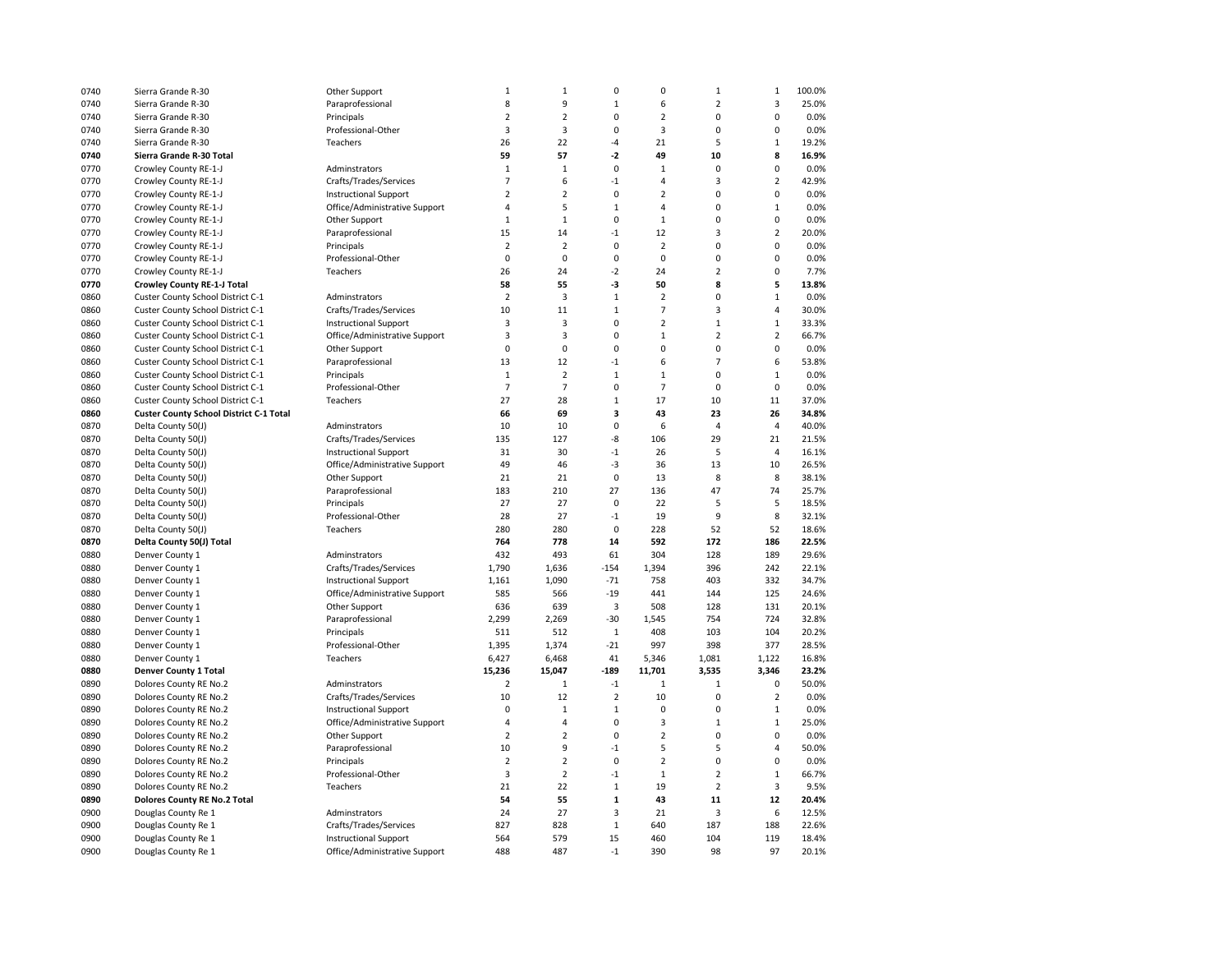| 0740 | Sierra Grande R-30                             | Other Support                 | $\mathbf 1$    | $\mathbf{1}$   | $\pmb{0}$      | 0                       | $\mathbf 1$    | $\mathbf 1$    | 100.0% |
|------|------------------------------------------------|-------------------------------|----------------|----------------|----------------|-------------------------|----------------|----------------|--------|
| 0740 | Sierra Grande R-30                             | Paraprofessional              | 8              | 9              | $\mathbf{1}$   | 6                       | $\overline{2}$ | 3              | 25.0%  |
| 0740 | Sierra Grande R-30                             | Principals                    | $\overline{2}$ | $\overline{2}$ | 0              | $\overline{2}$          | 0              | 0              | 0.0%   |
| 0740 | Sierra Grande R-30                             | Professional-Other            | $\overline{3}$ | 3              | 0              | 3                       | 0              | $\mathbf 0$    | 0.0%   |
| 0740 | Sierra Grande R-30                             | Teachers                      | 26             | 22             | $-4$           | 21                      | 5              | $\mathbf{1}$   | 19.2%  |
| 0740 | Sierra Grande R-30 Total                       |                               | 59             | 57             | $-2$           | 49                      | 10             | 8              | 16.9%  |
| 0770 | Crowley County RE-1-J                          | Adminstrators                 | $\mathbf 1$    | $\mathbf 1$    | 0              | $\mathbf 1$             | 0              | 0              | 0.0%   |
| 0770 | Crowley County RE-1-J                          | Crafts/Trades/Services        | $\overline{7}$ | 6              | $-1$           | 4                       | 3              | $\overline{2}$ | 42.9%  |
| 0770 | Crowley County RE-1-J                          | <b>Instructional Support</b>  | $\overline{2}$ | $\overline{2}$ | $\mathbf 0$    | $\overline{2}$          | 0              | $\mathbf 0$    | 0.0%   |
|      |                                                |                               |                |                |                |                         |                |                |        |
| 0770 | Crowley County RE-1-J                          | Office/Administrative Support | 4              | 5              | $\mathbf 1$    | 4                       | 0              | $\mathbf 1$    | 0.0%   |
| 0770 | Crowley County RE-1-J                          | Other Support                 | $\mathbf 1$    | $\mathbf 1$    | 0              | $\mathbf 1$             | 0              | 0              | 0.0%   |
| 0770 | Crowley County RE-1-J                          | Paraprofessional              | 15             | 14             | $-1$           | 12                      | 3              | $\overline{2}$ | 20.0%  |
| 0770 | Crowley County RE-1-J                          | Principals                    | $\overline{2}$ | $\overline{2}$ | 0              | $\overline{2}$          | 0              | 0              | 0.0%   |
| 0770 | Crowley County RE-1-J                          | Professional-Other            | $\mathbf 0$    | $\mathbf 0$    | $\mathbf 0$    | 0                       | 0              | $\mathbf 0$    | 0.0%   |
| 0770 | Crowley County RE-1-J                          | Teachers                      | 26             | 24             | $-2$           | 24                      | $\overline{2}$ | 0              | 7.7%   |
| 0770 | <b>Crowley County RE-1-J Total</b>             |                               | 58             | 55             | -3             | 50                      | 8              | 5              | 13.8%  |
| 0860 | Custer County School District C-1              | Adminstrators                 | $\overline{2}$ | 3              | $\mathbf{1}$   | $\overline{2}$          | 0              | $\mathbf 1$    | 0.0%   |
| 0860 | Custer County School District C-1              | Crafts/Trades/Services        | 10             | 11             | $\mathbf{1}$   | $\overline{7}$          | 3              | $\sqrt{4}$     | 30.0%  |
| 0860 | Custer County School District C-1              | <b>Instructional Support</b>  | 3              | 3              | 0              | $\overline{\mathbf{c}}$ | $\mathbf{1}$   | $\mathbf 1$    | 33.3%  |
| 0860 | Custer County School District C-1              | Office/Administrative Support | 3              | 3              | 0              | $\mathbf 1$             | $\mathbf 2$    | $\mathbf 2$    | 66.7%  |
| 0860 | Custer County School District C-1              | Other Support                 | 0              | 0              | $\pmb{0}$      | 0                       | 0              | $\mathbf 0$    | 0.0%   |
| 0860 | Custer County School District C-1              | Paraprofessional              | 13             | 12             | $-1$           | 6                       | $\overline{7}$ | 6              | 53.8%  |
| 0860 | Custer County School District C-1              | Principals                    | $\mathbf 1$    | $\mathbf 2$    | $\mathbf{1}$   | $\mathbf{1}$            | $\mathbf 0$    | $\mathbf 1$    | 0.0%   |
| 0860 | Custer County School District C-1              | Professional-Other            | $\overline{7}$ | $\overline{7}$ | $\pmb{0}$      | $\overline{7}$          | $\pmb{0}$      | $\pmb{0}$      | 0.0%   |
| 0860 | Custer County School District C-1              | Teachers                      | 27             | 28             | $\mathbf{1}$   | 17                      | 10             | 11             | 37.0%  |
| 0860 | <b>Custer County School District C-1 Total</b> |                               | 66             | 69             | 3              | 43                      | 23             | 26             | 34.8%  |
| 0870 | Delta County 50(J)                             | Adminstrators                 | 10             | 10             | $\mathbf 0$    | 6                       | $\overline{4}$ | $\overline{4}$ | 40.0%  |
| 0870 | Delta County 50(J)                             | Crafts/Trades/Services        | 135            | 127            | $-8$           | 106                     | 29             | 21             | 21.5%  |
| 0870 | Delta County 50(J)                             | <b>Instructional Support</b>  | 31             | 30             | $\mathbf{-1}$  | 26                      | 5              | $\overline{4}$ | 16.1%  |
| 0870 | Delta County 50(J)                             | Office/Administrative Support | 49             | 46             | $-3$           | 36                      | 13             | 10             | 26.5%  |
| 0870 | Delta County 50(J)                             | Other Support                 | 21             | 21             | $\mathbf 0$    | 13                      | 8              | 8              | 38.1%  |
| 0870 | Delta County 50(J)                             | Paraprofessional              | 183            | 210            | 27             | 136                     | 47             | 74             | 25.7%  |
| 0870 | Delta County 50(J)                             | Principals                    | 27             | 27             | $\pmb{0}$      | 22                      | 5              | 5              | 18.5%  |
| 0870 | Delta County 50(J)                             | Professional-Other            | 28             | 27             | $-1$           | 19                      | 9              | 8              | 32.1%  |
| 0870 | Delta County 50(J)                             | Teachers                      | 280            | 280            | 0              | 228                     | 52             | 52             | 18.6%  |
| 0870 |                                                |                               | 764            | 778            | 14             | 592                     | 172            | 186            | 22.5%  |
|      | Delta County 50(J) Total                       | Adminstrators                 | 432            | 493            | 61             | 304                     | 128            | 189            | 29.6%  |
| 0880 | Denver County 1                                |                               |                |                |                |                         |                |                |        |
| 0880 | Denver County 1                                | Crafts/Trades/Services        | 1,790          | 1,636          | $-154$         | 1,394                   | 396            | 242            | 22.1%  |
| 0880 | Denver County 1                                | <b>Instructional Support</b>  | 1,161          | 1,090          | $-71$          | 758                     | 403            | 332            | 34.7%  |
| 0880 | Denver County 1                                | Office/Administrative Support | 585            | 566            | $-19$          | 441                     | 144            | 125            | 24.6%  |
| 0880 | Denver County 1                                | Other Support                 | 636            | 639            | 3              | 508                     | 128            | 131            | 20.1%  |
| 0880 | Denver County 1                                | Paraprofessional              | 2,299          | 2,269          | $-30$          | 1,545                   | 754            | 724            | 32.8%  |
| 0880 | Denver County 1                                | Principals                    | 511            | 512            | $\mathbf 1$    | 408                     | 103            | 104            | 20.2%  |
| 0880 | Denver County 1                                | Professional-Other            | 1,395          | 1,374          | $-21$          | 997                     | 398            | 377            | 28.5%  |
| 0880 | Denver County 1                                | Teachers                      | 6,427          | 6,468          | 41             | 5,346                   | 1,081          | 1,122          | 16.8%  |
| 0880 | Denver County 1 Total                          |                               | 15,236         | 15,047         | $-189$         | 11,701                  | 3,535          | 3,346          | 23.2%  |
| 0890 | Dolores County RE No.2                         | Adminstrators                 | $\overline{2}$ | $\mathbf 1$    | $\mathbf{-1}$  | $\mathbf 1$             | $\mathbf 1$    | $\mathsf 0$    | 50.0%  |
| 0890 | Dolores County RE No.2                         | Crafts/Trades/Services        | 10             | 12             | $\overline{2}$ | 10                      | 0              | $\overline{2}$ | 0.0%   |
| 0890 | Dolores County RE No.2                         | <b>Instructional Support</b>  | 0              | $\mathbf 1$    | $\mathbf{1}$   | 0                       | 0              | $1\,$          | 0.0%   |
| 0890 | Dolores County RE No.2                         | Office/Administrative Support | $\overline{4}$ | 4              | 0              | 3                       | $\mathbf 1$    | $\mathbf 1$    | 25.0%  |
| 0890 | Dolores County RE No.2                         | Other Support                 | $\overline{2}$ | $\mathbf 2$    | $\pmb{0}$      | $\overline{\mathbf{c}}$ | 0              | 0              | 0.0%   |
| 0890 | Dolores County RE No.2                         | Paraprofessional              | 10             | 9              | $^{\text{-}1}$ | 5                       | 5              | 4              | 50.0%  |
| 0890 | Dolores County RE No.2                         | Principals                    | $\overline{2}$ | $\overline{2}$ | $\pmb{0}$      | $\overline{2}$          | 0              | 0              | 0.0%   |
| 0890 | Dolores County RE No.2                         | Professional-Other            | 3              | $\overline{2}$ | $-1$           | $\mathbf 1$             | $\overline{2}$ | $\mathbf 1$    | 66.7%  |
| 0890 | Dolores County RE No.2                         | Teachers                      | 21             | 22             | $\mathbf{1}$   | 19                      | $\overline{2}$ | 3              | 9.5%   |
| 0890 | <b>Dolores County RE No.2 Total</b>            |                               | 54             | 55             | $\mathbf 1$    | 43                      | 11             | 12             | 20.4%  |
| 0900 | Douglas County Re 1                            | Adminstrators                 | 24             | 27             | 3              | 21                      | 3              | 6              | 12.5%  |
| 0900 | Douglas County Re 1                            | Crafts/Trades/Services        | 827            | 828            | $\mathbf{1}$   | 640                     | 187            | 188            | 22.6%  |
| 0900 | Douglas County Re 1                            | <b>Instructional Support</b>  | 564            | 579            | 15             | 460                     | 104            | 119            | 18.4%  |
| 0900 | Douglas County Re 1                            | Office/Administrative Support | 488            | 487            | $-1$           | 390                     | 98             | 97             | 20.1%  |
|      |                                                |                               |                |                |                |                         |                |                |        |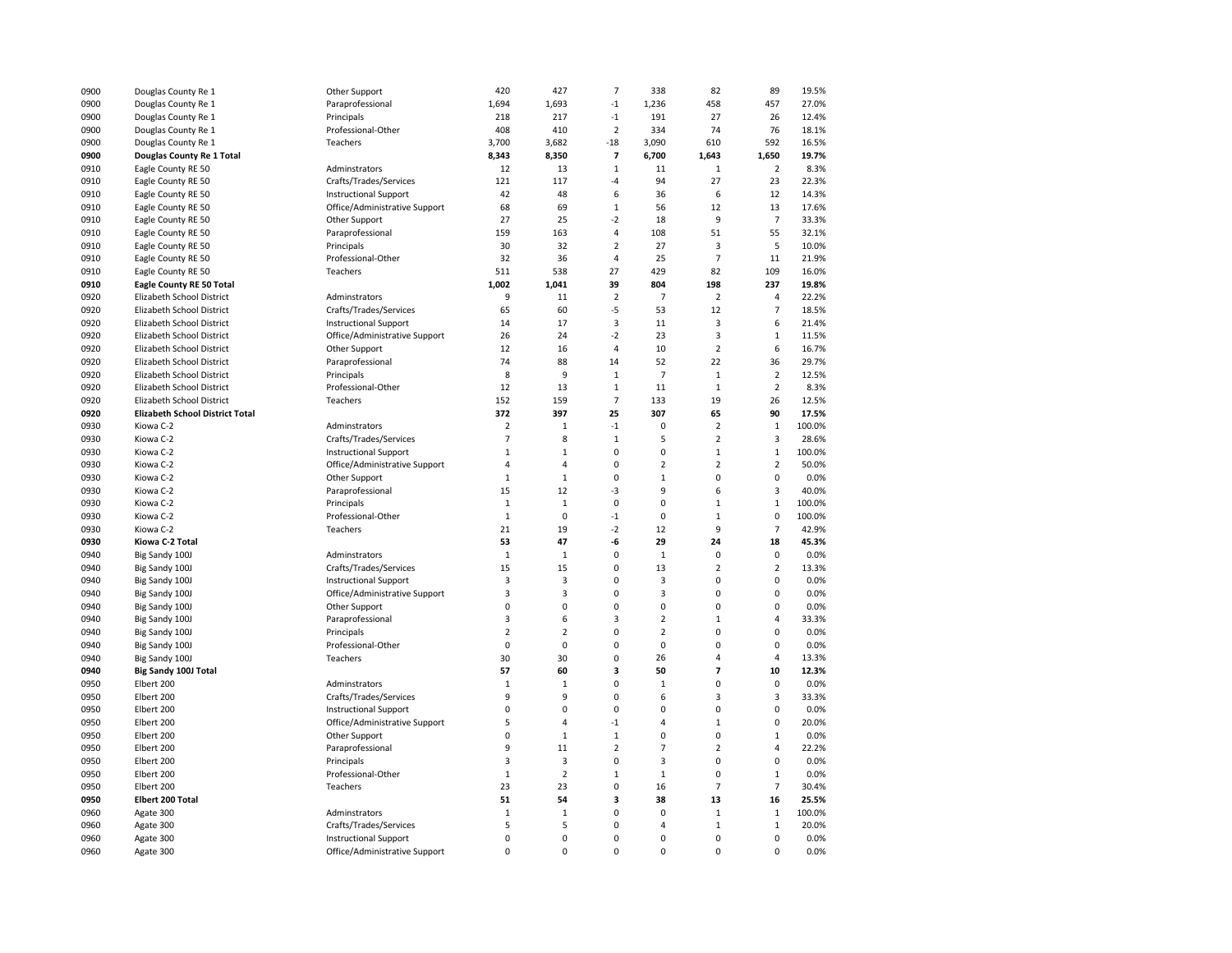| 0900 | Douglas County Re 1                    | Other Support                 | 420            | 427            | $\overline{7}$           | 338            | 82             | 89             | 19.5%  |
|------|----------------------------------------|-------------------------------|----------------|----------------|--------------------------|----------------|----------------|----------------|--------|
| 0900 | Douglas County Re 1                    | Paraprofessional              | 1,694          | 1,693          | $\mathbf{-1}$            | 1,236          | 458            | 457            | 27.0%  |
| 0900 | Douglas County Re 1                    | Principals                    | 218            | 217            | $-1$                     | 191            | 27             | 26             | 12.4%  |
| 0900 | Douglas County Re 1                    | Professional-Other            | 408            | 410            | $\overline{2}$           | 334            | 74             | 76             | 18.1%  |
| 0900 | Douglas County Re 1                    | Teachers                      | 3,700          | 3,682          | $-18$                    | 3,090          | 610            | 592            | 16.5%  |
| 0900 | Douglas County Re 1 Total              |                               | 8,343          | 8,350          | $\overline{\phantom{a}}$ | 6,700          | 1,643          | 1,650          | 19.7%  |
| 0910 | Eagle County RE 50                     | Adminstrators                 | 12             | 13             | $\mathbf 1$              | 11             | $\mathbf{1}$   | $\overline{2}$ | 8.3%   |
| 0910 | Eagle County RE 50                     | Crafts/Trades/Services        | 121            | 117            | -4                       | 94             | 27             | 23             | 22.3%  |
| 0910 | Eagle County RE 50                     |                               | 42             | 48             | 6                        | 36             | 6              | 12             | 14.3%  |
| 0910 |                                        | <b>Instructional Support</b>  | 68             | 69             | $\mathbf{1}$             | 56             | 12             | 13             | 17.6%  |
|      | Eagle County RE 50                     | Office/Administrative Support |                |                |                          |                |                |                |        |
| 0910 | Eagle County RE 50                     | Other Support                 | 27             | 25             | $-2$                     | 18             | 9              | $\overline{7}$ | 33.3%  |
| 0910 | Eagle County RE 50                     | Paraprofessional              | 159            | 163            | 4                        | 108            | 51             | 55             | 32.1%  |
| 0910 | Eagle County RE 50                     | Principals                    | 30             | 32             | $\overline{2}$           | 27             | 3              | 5              | 10.0%  |
| 0910 | Eagle County RE 50                     | Professional-Other            | 32             | 36             | 4                        | 25             | $\overline{7}$ | 11             | 21.9%  |
| 0910 | Eagle County RE 50                     | Teachers                      | 511            | 538            | 27                       | 429            | 82             | 109            | 16.0%  |
| 0910 | <b>Eagle County RE 50 Total</b>        |                               | 1,002          | 1,041          | 39                       | 804            | 198            | 237            | 19.8%  |
| 0920 | Elizabeth School District              | Adminstrators                 | 9              | 11             | $\overline{2}$           | $\overline{7}$ | $\overline{2}$ | 4              | 22.2%  |
| 0920 | Elizabeth School District              | Crafts/Trades/Services        | 65             | 60             | $-5$                     | 53             | 12             | $\overline{7}$ | 18.5%  |
| 0920 | Elizabeth School District              | <b>Instructional Support</b>  | 14             | 17             | 3                        | 11             | 3              | 6              | 21.4%  |
| 0920 | Elizabeth School District              | Office/Administrative Support | 26             | 24             | $-2$                     | 23             | 3              | $\,1\,$        | 11.5%  |
| 0920 | Elizabeth School District              | Other Support                 | 12             | 16             | $\overline{4}$           | 10             | $\overline{2}$ | 6              | 16.7%  |
| 0920 | Elizabeth School District              | Paraprofessional              | 74             | 88             | 14                       | 52             | 22             | 36             | 29.7%  |
| 0920 | Elizabeth School District              | Principals                    | 8              | 9              | $\mathbf{1}$             | $\overline{7}$ | $\mathbf{1}$   | $\overline{2}$ | 12.5%  |
| 0920 | Elizabeth School District              | Professional-Other            | 12             | 13             | $\mathbf 1$              | 11             | $\mathbf 1$    | $\overline{2}$ | 8.3%   |
| 0920 | Elizabeth School District              | Teachers                      | 152            | 159            | $\overline{7}$           | 133            | 19             | 26             | 12.5%  |
| 0920 | <b>Elizabeth School District Total</b> |                               | 372            | 397            | 25                       | 307            | 65             | 90             | 17.5%  |
| 0930 | Kiowa C-2                              | Adminstrators                 | $\mathbf 2$    | $\,1\,$        | $-1$                     | 0              | $\overline{2}$ | $\mathbf{1}$   | 100.0% |
| 0930 | Kiowa C-2                              | Crafts/Trades/Services        | $\overline{7}$ | 8              | $\mathbf{1}$             | 5              | $\overline{2}$ | 3              | 28.6%  |
| 0930 | Kiowa C-2                              | <b>Instructional Support</b>  | $\mathbf 1$    | $\mathbf{1}$   | $\mathbf 0$              | 0              | $\mathbf 1$    | $\mathbf 1$    | 100.0% |
| 0930 | Kiowa C-2                              | Office/Administrative Support | 4              | $\overline{4}$ | $\mathbf 0$              | $\overline{2}$ | $\overline{2}$ | $\overline{2}$ | 50.0%  |
| 0930 | Kiowa C-2                              | Other Support                 | $\mathbf 1$    | $\mathbf 1$    | $\pmb{0}$                | $\mathbf 1$    | 0              | $\mathbf 0$    | 0.0%   |
| 0930 | Kiowa C-2                              | Paraprofessional              | 15             | 12             | $-3$                     | 9              | 6              | 3              | 40.0%  |
| 0930 | Kiowa C-2                              | Principals                    | $\mathbf 1$    | $\mathbf{1}$   | 0                        | 0              | $\mathbf{1}$   | $1\,$          | 100.0% |
| 0930 | Kiowa C-2                              | Professional-Other            | $\mathbf{1}$   | $\mathbf 0$    | $-1$                     | 0              | $\mathbf 1$    | $\mathbf 0$    | 100.0% |
| 0930 | Kiowa C-2                              | Teachers                      | 21             | 19             | $-2$                     | 12             | 9              | $\overline{7}$ | 42.9%  |
| 0930 | Kiowa C-2 Total                        |                               | 53             | 47             | -6                       | 29             | 24             | 18             | 45.3%  |
|      |                                        |                               |                | $\mathbf{1}$   | 0                        | $\mathbf{1}$   | 0              | 0              |        |
| 0940 | Big Sandy 100J                         | Adminstrators                 | $\mathbf{1}$   |                | $\mathbf 0$              |                | $\overline{2}$ | $\overline{2}$ | 0.0%   |
| 0940 | Big Sandy 100J                         | Crafts/Trades/Services        | 15             | 15             |                          | 13             |                |                | 13.3%  |
| 0940 | Big Sandy 100J                         | <b>Instructional Support</b>  | 3              | 3              | 0                        | 3              | 0              | 0              | 0.0%   |
| 0940 | Big Sandy 100J                         | Office/Administrative Support | 3              | 3              | 0                        | 3              | 0              | 0              | 0.0%   |
| 0940 | Big Sandy 100J                         | Other Support                 | 0              | 0              | 0                        | 0              | 0              | 0              | 0.0%   |
| 0940 | Big Sandy 100J                         | Paraprofessional              | 3              | 6              | 3                        | $\overline{2}$ | $\mathbf 1$    | 4              | 33.3%  |
| 0940 | Big Sandy 100J                         | Principals                    | $\overline{2}$ | $\overline{2}$ | 0                        | $\overline{2}$ | 0              | $\mathbf 0$    | 0.0%   |
| 0940 | Big Sandy 100J                         | Professional-Other            | $\mathbf 0$    | $\mathbf 0$    | 0                        | 0              | 0              | $\mathbf 0$    | 0.0%   |
| 0940 | Big Sandy 100J                         | Teachers                      | 30             | 30             | 0                        | 26             | 4              | $\overline{4}$ | 13.3%  |
| 0940 | Big Sandy 100J Total                   |                               | 57             | 60             | 3                        | 50             | 7              | 10             | 12.3%  |
| 0950 | Elbert 200                             | Adminstrators                 | $\mathbf 1$    | 1              | 0                        | $\mathbf 1$    | 0              | 0              | 0.0%   |
| 0950 | Elbert 200                             | Crafts/Trades/Services        | 9              | 9              | 0                        | 6              | 3              | 3              | 33.3%  |
| 0950 | Elbert 200                             | <b>Instructional Support</b>  | 0              | 0              | 0                        | 0              | 0              | $\mathbf 0$    | 0.0%   |
| 0950 | Elbert 200                             | Office/Administrative Support | 5              | 4              | $^{\text{-}1}$           | 4              | $\mathbf 1$    | 0              | 20.0%  |
| 0950 | Elbert 200                             | Other Support                 | 0              | 1              | $\mathbf 1$              | 0              | 0              | $\mathbf 1$    | 0.0%   |
| 0950 | Elbert 200                             | Paraprofessional              | 9              | 11             | $\overline{2}$           | 7              | $\overline{2}$ | 4              | 22.2%  |
| 0950 | Elbert 200                             | Principals                    | 3              | 3              | 0                        | 3              | 0              | 0              | 0.0%   |
| 0950 | Elbert 200                             | Professional-Other            | $1\,$          | $\overline{2}$ | $\mathbf{1}$             | $\mathbf 1$    | $\mathbf 0$    | $\mathbf 1$    | 0.0%   |
| 0950 | Elbert 200                             | Teachers                      | 23             | 23             | $\pmb{0}$                | 16             | $\overline{7}$ | $\overline{7}$ | 30.4%  |
| 0950 | Elbert 200 Total                       |                               | 51             | 54             | 3                        | 38             | 13             | 16             | 25.5%  |
| 0960 | Agate 300                              | Adminstrators                 | $\mathbf 1$    | $\mathbf 1$    | 0                        | 0              | $\mathbf 1$    | $\,1\,$        | 100.0% |
| 0960 | Agate 300                              | Crafts/Trades/Services        | 5              | 5              | $\mathbf 0$              | 4              | $\mathbf 1$    | $1\,$          | 20.0%  |
| 0960 | Agate 300                              | <b>Instructional Support</b>  | 0              | $\mathbf 0$    | 0                        | 0              | $\mathbf 0$    | $\mathbf 0$    | 0.0%   |
| 0960 | Agate 300                              | Office/Administrative Support | $\mathbf 0$    | 0              | 0                        | 0              | $\mathbf 0$    | $\mathbf 0$    | 0.0%   |
|      |                                        |                               |                |                |                          |                |                |                |        |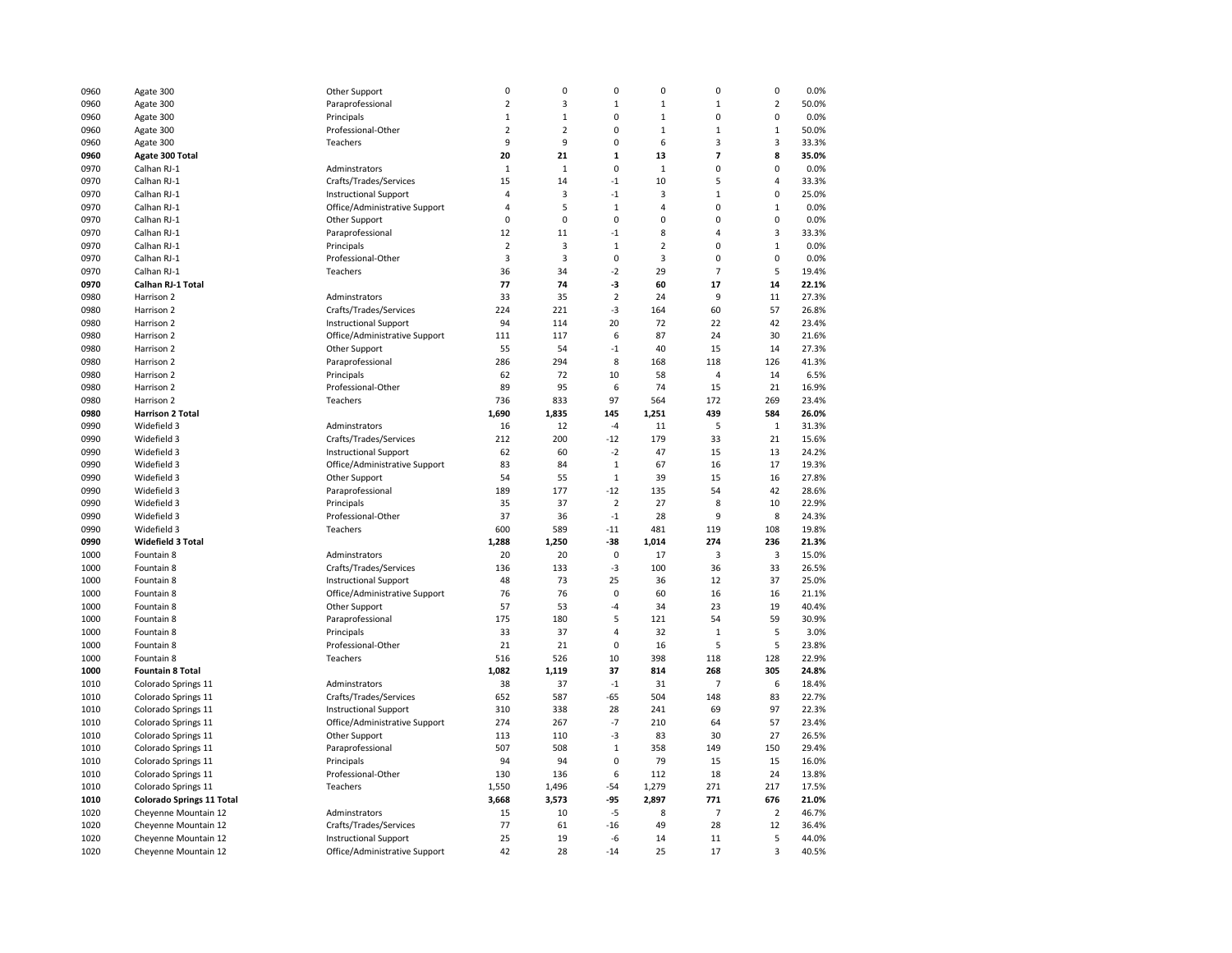| 0960         | Agate 300                                    | Other Support                                                 | 0              | 0              | $\pmb{0}$               | 0              | 0              | 0              | 0.0%           |
|--------------|----------------------------------------------|---------------------------------------------------------------|----------------|----------------|-------------------------|----------------|----------------|----------------|----------------|
| 0960         | Agate 300                                    | Paraprofessional                                              | $\overline{2}$ | 3              | $\mathbf 1$             | $\mathbf 1$    | $\mathbf 1$    | $\overline{2}$ | 50.0%          |
| 0960         | Agate 300                                    | Principals                                                    | $\mathbf{1}$   | $\mathbf{1}$   | 0                       | $\mathbf{1}$   | 0              | 0              | 0.0%           |
| 0960         | Agate 300                                    | Professional-Other                                            | $\overline{2}$ | $\overline{2}$ | 0                       | $\mathbf{1}$   | $\mathbf{1}$   | $\mathbf{1}$   | 50.0%          |
| 0960         | Agate 300                                    | Teachers                                                      | 9              | 9              | 0                       | 6              | 3              | 3              | 33.3%          |
| 0960         | Agate 300 Total                              |                                                               | 20             | 21             | $\mathbf{1}$            | 13             | $\overline{7}$ | 8              | 35.0%          |
| 0970         | Calhan RJ-1                                  | Adminstrators                                                 | $1\,$          | $\mathbf 1$    | $\pmb{0}$               | $\mathbf 1$    | 0              | 0              | 0.0%           |
| 0970         | Calhan RJ-1                                  | Crafts/Trades/Services                                        | 15             | 14             | $-1$                    | 10             | 5              | $\overline{4}$ | 33.3%          |
| 0970         | Calhan RJ-1                                  | <b>Instructional Support</b>                                  | $\overline{4}$ | 3              | $-1$                    | 3              | $\mathbf{1}$   | 0              | 25.0%          |
| 0970         | Calhan RJ-1                                  | Office/Administrative Support                                 | $\overline{4}$ | 5              | $\mathbf{1}$            | 4              | 0              | $\mathbf{1}$   | 0.0%           |
| 0970         | Calhan RJ-1                                  | Other Support                                                 | $\mathbf 0$    | $\mathbf 0$    | $\mathbf 0$             | 0              | 0              | $\mathbf 0$    | 0.0%           |
| 0970         | Calhan RJ-1                                  | Paraprofessional                                              | 12             | 11             | $^{\text{{\small -1}}}$ | 8              | 4              | 3              | 33.3%          |
| 0970         | Calhan RJ-1                                  | Principals                                                    | $\overline{2}$ | 3              | $1\,$                   | $\overline{2}$ | 0              | $\mathbf{1}$   | 0.0%           |
| 0970         | Calhan RJ-1                                  | Professional-Other                                            | 3              | 3              | 0                       | 3              | 0              | $\mathbf 0$    | 0.0%           |
|              |                                              | Teachers                                                      |                | 34             |                         | 29             | $\overline{7}$ | 5              | 19.4%          |
| 0970         | Calhan RJ-1                                  |                                                               | 36<br>77       |                | $-2$<br>$-3$            |                | 17             | 14             |                |
| 0970         | Calhan RJ-1 Total                            |                                                               |                | 74             |                         | 60             |                |                | 22.1%          |
| 0980         | Harrison 2                                   | Adminstrators                                                 | 33             | 35             | $\overline{2}$          | 24             | 9              | 11             | 27.3%          |
| 0980         | Harrison 2                                   | Crafts/Trades/Services                                        | 224            | 221            | $-3$                    | 164            | 60             | 57             | 26.8%          |
| 0980         | Harrison 2                                   | <b>Instructional Support</b>                                  | 94             | 114            | 20                      | 72             | 22             | 42             | 23.4%          |
| 0980         | Harrison 2                                   | Office/Administrative Support                                 | 111            | 117            | 6                       | 87             | 24             | 30             | 21.6%          |
| 0980         | Harrison 2                                   | Other Support                                                 | 55             | 54             | $-1$                    | 40             | 15             | 14             | 27.3%          |
| 0980         | Harrison 2                                   | Paraprofessional                                              | 286            | 294            | 8                       | 168            | 118            | 126            | 41.3%          |
| 0980         | Harrison 2                                   | Principals                                                    | 62             | 72             | 10                      | 58             | 4              | 14             | 6.5%           |
| 0980         | Harrison 2                                   | Professional-Other                                            | 89             | 95             | 6                       | 74             | 15             | 21             | 16.9%          |
| 0980         | Harrison 2                                   | Teachers                                                      | 736            | 833            | 97                      | 564            | 172            | 269            | 23.4%          |
| 0980         | <b>Harrison 2 Total</b>                      |                                                               | 1,690          | 1,835          | 145                     | 1,251          | 439            | 584            | 26.0%          |
| 0990         | Widefield 3                                  | Adminstrators                                                 | 16             | 12             | $-4$                    | 11             | 5              | $\,1\,$        | 31.3%          |
| 0990         | Widefield 3                                  | Crafts/Trades/Services                                        | 212            | 200            | $-12$                   | 179            | 33             | 21             | 15.6%          |
| 0990         | Widefield 3                                  | <b>Instructional Support</b>                                  | 62             | 60             | $-2$                    | 47             | 15             | 13             | 24.2%          |
| 0990         | Widefield 3                                  | Office/Administrative Support                                 | 83             | 84             | $\mathbf{1}$            | 67             | 16             | 17             | 19.3%          |
| 0990         | Widefield 3                                  | Other Support                                                 | 54             | 55             | $\mathbf 1$             | 39             | 15             | 16             | 27.8%          |
| 0990         | Widefield 3                                  | Paraprofessional                                              | 189            | 177            | $-12$                   | 135            | 54             | 42             | 28.6%          |
|              |                                              |                                                               |                |                |                         |                |                |                |                |
| 0990         | Widefield 3                                  | Principals                                                    | 35             | 37             | $\overline{2}$          | 27             | 8              | 10             | 22.9%          |
| 0990         | Widefield 3                                  | Professional-Other                                            | 37             | 36             | $-1$                    | 28             | 9              | 8              | 24.3%          |
| 0990         | Widefield 3                                  | Teachers                                                      | 600            | 589            | $-11$                   | 481            | 119            | 108            | 19.8%          |
| 0990         | <b>Widefield 3 Total</b>                     |                                                               |                | 1,250          | $-38$                   |                | 274            | 236            | 21.3%          |
| 1000         | Fountain 8                                   | Adminstrators                                                 | 1,288<br>20    | 20             | $\mathbf 0$             | 1,014<br>17    | 3              | 3              | 15.0%          |
| 1000         |                                              |                                                               | 136            | 133            | $-3$                    | 100            | 36             | 33             | 26.5%          |
|              | Fountain 8                                   | Crafts/Trades/Services                                        |                |                | 25                      |                |                |                |                |
| 1000         | Fountain 8                                   | <b>Instructional Support</b>                                  | 48             | 73             | 0                       | 36<br>60       | 12<br>16       | 37             | 25.0%          |
| 1000         | Fountain 8                                   | Office/Administrative Support                                 | 76             | 76<br>53       | $-4$                    | 34             | 23             | 16<br>19       | 21.1%<br>40.4% |
| 1000<br>1000 | Fountain 8<br>Fountain 8                     | Other Support                                                 | 57<br>175      |                | 5                       | 121            | 54             | 59             | 30.9%          |
|              |                                              | Paraprofessional                                              |                | 180            |                         |                |                |                |                |
| 1000         | Fountain 8                                   | Principals                                                    | 33             | 37             | $\overline{4}$          | 32             | $\mathbf{1}$   | 5              | 3.0%           |
| 1000         | Fountain 8                                   | Professional-Other                                            | 21             | 21             | $\pmb{0}$               | 16             | 5              | 5              | 23.8%          |
| 1000         | Fountain 8                                   | Teachers                                                      | 516            | 526            | 10                      | 398            | 118            | 128            | 22.9%          |
| 1000         | <b>Fountain 8 Total</b>                      |                                                               | 1,082          | 1,119          | 37                      | 814            | 268            | 305            | 24.8%          |
| 1010         | Colorado Springs 11                          | Adminstrators                                                 | 38             | 37             | $-1$                    | 31             | $\overline{7}$ | 6              | 18.4%          |
| 1010         | Colorado Springs 11                          | Crafts/Trades/Services                                        | 652            | 587            | $-65$                   | 504            | 148            | 83             | 22.7%          |
| 1010         | Colorado Springs 11                          | <b>Instructional Support</b>                                  | 310            | 338            | 28                      | 241            | 69             | 97             | 22.3%          |
| 1010         | Colorado Springs 11                          | Office/Administrative Support                                 | 274            | 267            | $-7$                    | 210            | 64             | 57             | 23.4%          |
| 1010         | Colorado Springs 11                          | Other Support                                                 | 113            | 110            | -3                      | 83             | 30             | 27             | 26.5%          |
| 1010         | Colorado Springs 11                          | Paraprofessional                                              | 507            | 508            | $\mathbf{1}$            | 358            | 149            | 150            | 29.4%          |
| 1010         | Colorado Springs 11                          | Principals                                                    | 94             | 94             | 0                       | 79             | 15             | 15             | 16.0%          |
| 1010         | Colorado Springs 11                          | Professional-Other                                            | 130            | 136            | 6                       | 112            | 18             | 24             | 13.8%          |
| 1010         | Colorado Springs 11                          | Teachers                                                      | 1,550          | 1,496          | -54                     | 1,279          | 271            | 217            | 17.5%          |
| 1010         | <b>Colorado Springs 11 Total</b>             |                                                               | 3,668          | 3,573          | -95                     | 2,897          | 771            | 676            | 21.0%          |
| 1020         | Cheyenne Mountain 12                         | Adminstrators                                                 | 15             | 10             | $-5$                    | 8              | $\overline{7}$ | $\overline{2}$ | 46.7%          |
| 1020         | Cheyenne Mountain 12                         | Crafts/Trades/Services                                        | 77             | 61             | -16                     | 49             | 28             | 12             | 36.4%          |
| 1020<br>1020 | Cheyenne Mountain 12<br>Cheyenne Mountain 12 | <b>Instructional Support</b><br>Office/Administrative Support | 25<br>42       | 19<br>28       | -6<br>$-14$             | 14<br>25       | 11<br>17       | 5<br>3         | 44.0%<br>40.5% |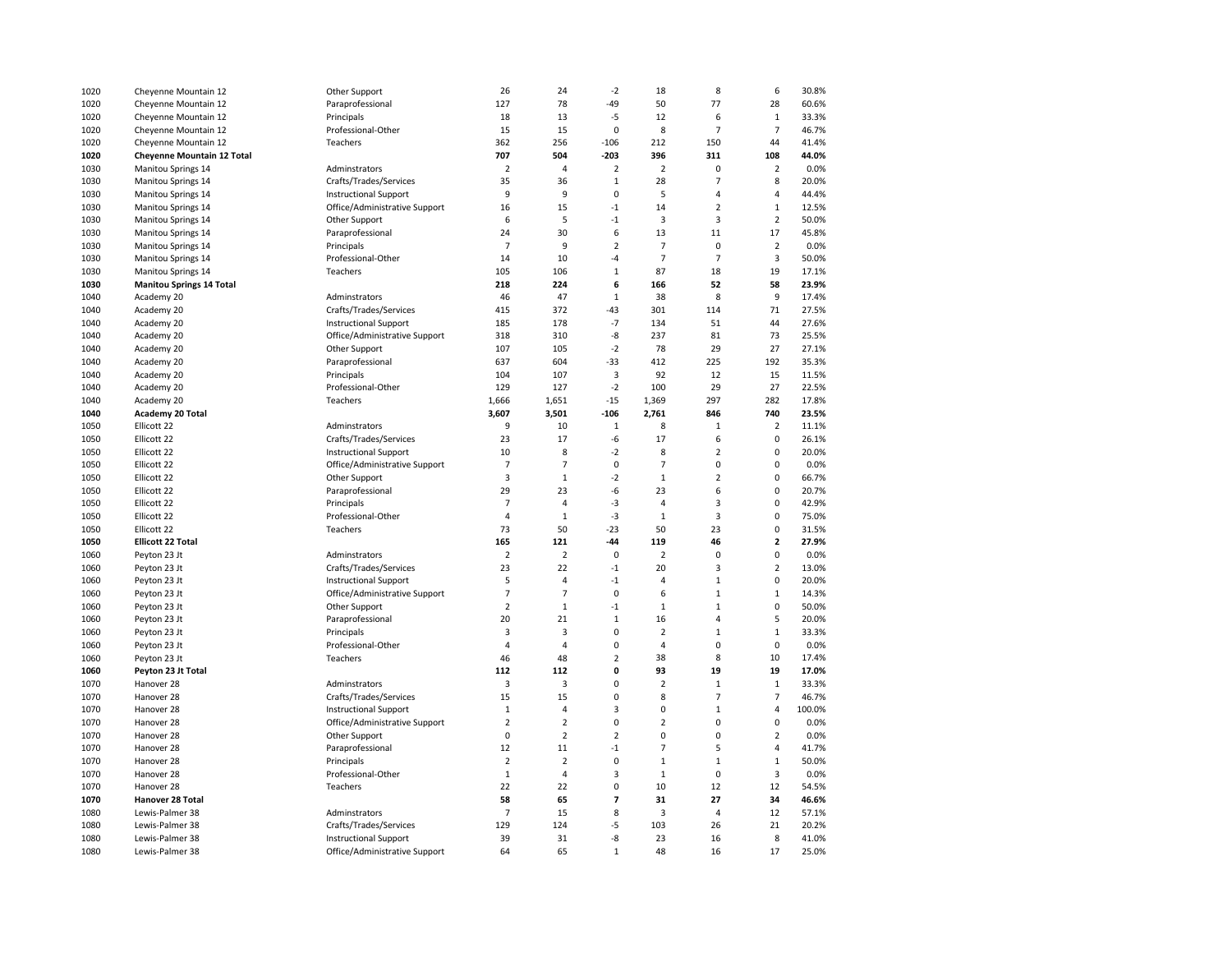| 1020 | Cheyenne Mountain 12              | Other Support                 | 26             | 24                      | $-2$                     | 18             | 8              | 6              | 30.8%  |
|------|-----------------------------------|-------------------------------|----------------|-------------------------|--------------------------|----------------|----------------|----------------|--------|
| 1020 | Cheyenne Mountain 12              | Paraprofessional              | 127            | 78                      | $-49$                    | 50             | 77             | 28             | 60.6%  |
| 1020 | Cheyenne Mountain 12              | Principals                    | 18             | 13                      | $-5$                     | 12             | 6              | $1\,$          | 33.3%  |
| 1020 | Cheyenne Mountain 12              | Professional-Other            | 15             | 15                      | 0                        | 8              | $\overline{7}$ | $\overline{7}$ | 46.7%  |
| 1020 | Cheyenne Mountain 12              | Teachers                      | 362            | 256                     | $-106$                   | 212            | 150            | 44             | 41.4%  |
| 1020 | <b>Cheyenne Mountain 12 Total</b> |                               | 707            | 504                     | $-203$                   | 396            | 311            | 108            | 44.0%  |
| 1030 | Manitou Springs 14                | Adminstrators                 | $\overline{2}$ | 4                       | $\overline{2}$           | $\overline{2}$ | 0              | $\overline{2}$ | 0.0%   |
| 1030 | Manitou Springs 14                | Crafts/Trades/Services        | 35             | 36                      | $\mathbf 1$              | 28             | $\overline{7}$ | 8              | 20.0%  |
| 1030 | Manitou Springs 14                | <b>Instructional Support</b>  | 9              | 9                       | $\mathbf 0$              | 5              | 4              | 4              | 44.4%  |
| 1030 | Manitou Springs 14                | Office/Administrative Support | 16             | 15                      | $-1$                     | 14             | $\overline{2}$ | $\mathbf 1$    | 12.5%  |
| 1030 | Manitou Springs 14                | Other Support                 | 6              | 5                       | $-1$                     | 3              | 3              | $\overline{2}$ | 50.0%  |
| 1030 | Manitou Springs 14                | Paraprofessional              | 24             | 30                      | 6                        | 13             | 11             | 17             | 45.8%  |
| 1030 | <b>Manitou Springs 14</b>         | Principals                    | $\overline{7}$ | 9                       | $\overline{2}$           | $\overline{7}$ | 0              | $\overline{2}$ | 0.0%   |
| 1030 | Manitou Springs 14                | Professional-Other            | 14             | 10                      | -4                       | $\overline{7}$ | $\overline{7}$ | 3              | 50.0%  |
| 1030 |                                   | Teachers                      | 105            | 106                     | $\mathbf{1}$             | 87             | 18             | 19             | 17.1%  |
|      | Manitou Springs 14                |                               | 218            | 224                     | 6                        | 166            | 52             | 58             | 23.9%  |
| 1030 | <b>Manitou Springs 14 Total</b>   |                               |                | 47                      | $\,1\,$                  | 38             | 8              | 9              | 17.4%  |
| 1040 | Academy 20                        | Adminstrators                 | 46             |                         |                          |                |                |                |        |
| 1040 | Academy 20                        | Crafts/Trades/Services        | 415            | 372                     | $-43$                    | 301            | 114            | 71             | 27.5%  |
| 1040 | Academy 20                        | <b>Instructional Support</b>  | 185            | 178                     | $-7$                     | 134            | 51             | 44             | 27.6%  |
| 1040 | Academy 20                        | Office/Administrative Support | 318            | 310                     | -8                       | 237            | 81             | 73             | 25.5%  |
| 1040 | Academy 20                        | Other Support                 | 107            | 105                     | $-2$                     | 78             | 29             | 27             | 27.1%  |
| 1040 | Academy 20                        | Paraprofessional              | 637            | 604                     | $-33$                    | 412            | 225            | 192            | 35.3%  |
| 1040 | Academy 20                        | Principals                    | 104            | 107                     | 3                        | 92             | 12             | 15             | 11.5%  |
| 1040 | Academy 20                        | Professional-Other            | 129            | 127                     | $-2$                     | 100            | 29             | 27             | 22.5%  |
| 1040 | Academy 20                        | Teachers                      | 1,666          | 1,651                   | $-15$                    | 1,369          | 297            | 282            | 17.8%  |
| 1040 | Academy 20 Total                  |                               | 3,607          | 3,501                   | $-106$                   | 2,761          | 846            | 740            | 23.5%  |
| 1050 | Ellicott 22                       | Adminstrators                 | 9              | 10                      | $\,1\,$                  | 8              | $\mathbf{1}$   | $\overline{2}$ | 11.1%  |
| 1050 | Ellicott 22                       | Crafts/Trades/Services        | 23             | 17                      | -6                       | 17             | 6              | $\mathbf 0$    | 26.1%  |
| 1050 | Ellicott 22                       | <b>Instructional Support</b>  | 10             | 8                       | $-2$                     | 8              | $\overline{2}$ | $\mathbf 0$    | 20.0%  |
| 1050 | Ellicott 22                       | Office/Administrative Support | $\overline{7}$ | $\overline{7}$          | $\mathbf 0$              | $\overline{7}$ | $\mathbf 0$    | $\mathbf 0$    | 0.0%   |
| 1050 | Ellicott 22                       | Other Support                 | 3              | $\mathbf 1$             | $-2$                     | $\mathbf 1$    | $\overline{2}$ | $\pmb{0}$      | 66.7%  |
| 1050 | Ellicott 22                       | Paraprofessional              | 29             | 23                      | -6                       | 23             | 6              | $\mathsf 0$    | 20.7%  |
| 1050 | Ellicott 22                       | Principals                    | 7              | 4                       | -3                       | 4              | 3              | 0              | 42.9%  |
| 1050 | Ellicott 22                       | Professional-Other            | $\overline{4}$ | $\mathbf{1}$            | $-3$                     | $\mathbf{1}$   | $\overline{3}$ | $\mathbf 0$    | 75.0%  |
| 1050 | Ellicott 22                       | Teachers                      | 73             | 50                      | $-23$                    | 50             | 23             | $\mathbf 0$    | 31.5%  |
| 1050 | <b>Ellicott 22 Total</b>          |                               | 165            | 121                     | $-44$                    | 119            | 46             | $\mathbf{2}$   | 27.9%  |
| 1060 | Peyton 23 Jt                      | Adminstrators                 | $\overline{2}$ | 2                       | 0                        | 2              | 0              | $\mathbf 0$    | 0.0%   |
| 1060 | Peyton 23 Jt                      | Crafts/Trades/Services        | 23             | 22                      | $-1$                     | 20             | 3              | $\overline{2}$ | 13.0%  |
| 1060 | Peyton 23 Jt                      | <b>Instructional Support</b>  | 5              | $\overline{4}$          | $-1$                     | 4              | $\mathbf 1$    | 0              | 20.0%  |
| 1060 | Peyton 23 Jt                      | Office/Administrative Support | $\overline{7}$ | $\overline{7}$          | $\mathbf 0$              | 6              | $\mathbf 1$    | $\,1\,$        | 14.3%  |
| 1060 | Peyton 23 Jt                      | Other Support                 | $\overline{2}$ | $1\,$                   | $-1$                     | $\mathbf 1$    | $\mathbf{1}$   | $\mathsf 0$    | 50.0%  |
| 1060 | Peyton 23 Jt                      | Paraprofessional              | 20             | 21                      | $\,1\,$                  | 16             | 4              | 5              | 20.0%  |
| 1060 | Peyton 23 Jt                      | Principals                    | 3              | 3                       | 0                        | $\overline{2}$ | $\mathbf 1$    | $\mathbf{1}$   | 33.3%  |
| 1060 | Peyton 23 Jt                      | Professional-Other            | $\overline{4}$ | $\overline{4}$          | $\mathbf 0$              | 4              | 0              | $\mathsf 0$    | 0.0%   |
| 1060 | Peyton 23 Jt                      | Teachers                      | 46             | 48                      | $\overline{2}$           | 38             | 8              | 10             | 17.4%  |
| 1060 | Peyton 23 Jt Total                |                               | 112            | 112                     | 0                        | 93             | 19             | 19             | 17.0%  |
| 1070 | Hanover 28                        | Adminstrators                 | 3              | 3                       | 0                        | $\overline{2}$ | $\mathbf 1$    | $\mathbf{1}$   | 33.3%  |
| 1070 | Hanover 28                        | Crafts/Trades/Services        | 15             | 15                      | $\pmb{0}$                | 8              | $\overline{7}$ | $\overline{7}$ | 46.7%  |
| 1070 | Hanover 28                        | <b>Instructional Support</b>  | $\mathbf 1$    | 4                       | 3                        | 0              | $\mathbf 1$    | $\overline{4}$ | 100.0% |
| 1070 | Hanover 28                        | Office/Administrative Support | $\mathbf 2$    | $\overline{\mathbf{c}}$ | $\mathbf 0$              | $\overline{2}$ | $\mathbf 0$    | $\mathbf 0$    | 0.0%   |
| 1070 | Hanover 28                        | Other Support                 | 0              | $\mathbf 2$             | $\overline{2}$           | $\pmb{0}$      | $\mathbf 0$    | $\overline{2}$ | 0.0%   |
| 1070 | Hanover 28                        | Paraprofessional              | 12             | 11                      | $-1$                     | $\overline{7}$ | 5              | $\overline{4}$ | 41.7%  |
| 1070 | Hanover 28                        | Principals                    | $\mathbf 2$    | $\overline{2}$          | $\pmb{0}$                | $\mathbf 1$    | $\mathbf{1}$   | $\mathbf 1$    | 50.0%  |
| 1070 | Hanover 28                        | Professional-Other            | $\mathbf{1}$   | $\overline{4}$          | 3                        | $\mathbf{1}$   | $\mathbf 0$    | 3              | 0.0%   |
| 1070 | Hanover 28                        | Teachers                      | 22             | 22                      | $\mathbf 0$              | 10             | 12             | 12             | 54.5%  |
| 1070 | Hanover 28 Total                  |                               | 58             | 65                      | $\overline{\phantom{a}}$ | 31             | 27             | 34             | 46.6%  |
| 1080 | Lewis-Palmer 38                   | Adminstrators                 | $\overline{7}$ | 15                      | 8                        | 3              | $\overline{4}$ | 12             |        |
|      |                                   |                               |                | 124                     |                          |                |                | 21             | 57.1%  |
| 1080 | Lewis-Palmer 38                   | Crafts/Trades/Services        | 129            |                         | -5                       | 103            | 26             |                | 20.2%  |
| 1080 | Lewis-Palmer 38                   | <b>Instructional Support</b>  | 39             | 31                      | $-8$                     | 23             | 16             | 8              | 41.0%  |
| 1080 | Lewis-Palmer 38                   | Office/Administrative Support | 64             | 65                      | $\,1\,$                  | 48             | 16             | 17             | 25.0%  |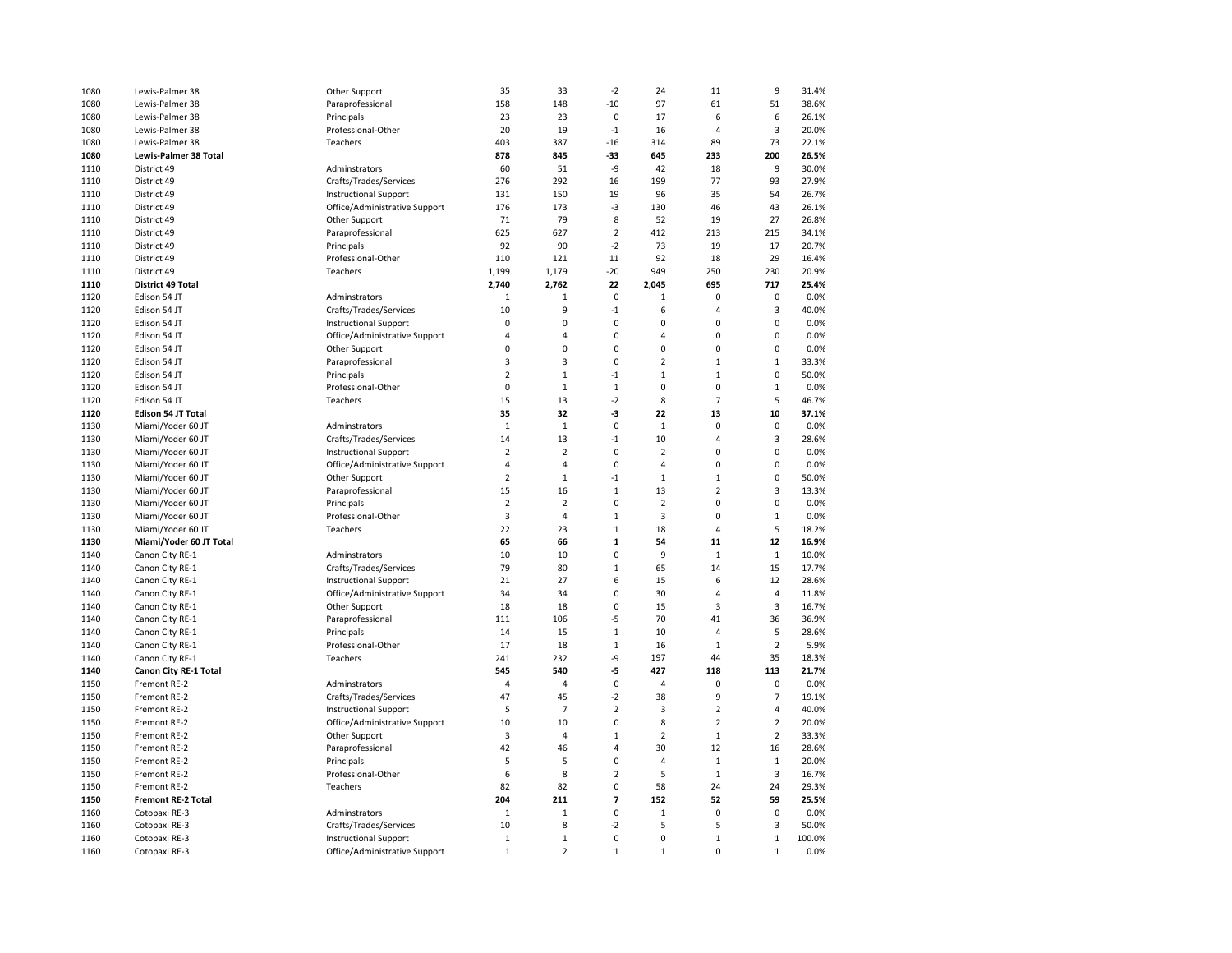| 1080 | Lewis-Palmer 38              | Other Support                 | 35             | 33             | $-2$                     | 24             | 11             | 9              | 31.4%  |
|------|------------------------------|-------------------------------|----------------|----------------|--------------------------|----------------|----------------|----------------|--------|
| 1080 | Lewis-Palmer 38              | Paraprofessional              | 158            | 148            | $-10$                    | 97             | 61             | 51             | 38.6%  |
| 1080 | Lewis-Palmer 38              | Principals                    | 23             | 23             | $\mathbf 0$              | 17             | 6              | 6              | 26.1%  |
| 1080 | Lewis-Palmer 38              | Professional-Other            | 20             | 19             | $-1$                     | 16             | $\overline{4}$ | $\overline{3}$ | 20.0%  |
| 1080 | Lewis-Palmer 38              | Teachers                      | 403            | 387            | $-16$                    | 314            | 89             | 73             | 22.1%  |
| 1080 | <b>Lewis-Palmer 38 Total</b> |                               | 878            | 845            | -33                      | 645            | 233            | 200            | 26.5%  |
| 1110 | District 49                  | Adminstrators                 | 60             | 51             | -9                       | 42             | 18             | 9              | 30.0%  |
| 1110 | District 49                  | Crafts/Trades/Services        | 276            | 292            | 16                       | 199            | 77             | 93             | 27.9%  |
| 1110 | District 49                  |                               | 131            | 150            | 19                       | 96             | 35             | 54             | 26.7%  |
|      |                              | <b>Instructional Support</b>  |                |                |                          |                |                |                |        |
| 1110 | District 49                  | Office/Administrative Support | 176            | 173            | $-3$                     | 130            | 46             | 43             | 26.1%  |
| 1110 | District 49                  | Other Support                 | 71             | 79             | 8                        | 52             | 19             | 27             | 26.8%  |
| 1110 | District 49                  | Paraprofessional              | 625            | 627            | $\overline{\mathbf{c}}$  | 412            | 213            | 215            | 34.1%  |
| 1110 | District 49                  | Principals                    | 92             | 90             | $-2$                     | 73             | 19             | 17             | 20.7%  |
| 1110 | District 49                  | Professional-Other            | 110            | 121            | 11                       | 92             | 18             | 29             | 16.4%  |
| 1110 | District 49                  | Teachers                      | 1,199          | 1,179          | $-20$                    | 949            | 250            | 230            | 20.9%  |
| 1110 | <b>District 49 Total</b>     |                               | 2,740          | 2,762          | 22                       | 2,045          | 695            | 717            | 25.4%  |
| 1120 | Edison 54 JT                 | Adminstrators                 | 1              | 1              | $\mathbf 0$              | $\mathbf{1}$   | 0              | 0              | 0.0%   |
| 1120 | Edison 54 JT                 | Crafts/Trades/Services        | 10             | 9              | $-1$                     | 6              | $\overline{4}$ | 3              | 40.0%  |
| 1120 | Edison 54 JT                 | <b>Instructional Support</b>  | $\mathbf 0$    | $\mathbf 0$    | $\mathbf 0$              | $\mathbf 0$    | $\mathbf 0$    | $\mathbf 0$    | 0.0%   |
| 1120 | Edison 54 JT                 | Office/Administrative Support | 4              | 4              | 0                        | 4              | $\mathbf 0$    | 0              | 0.0%   |
| 1120 | Edison 54 JT                 | Other Support                 | $\mathbf 0$    | 0              | 0                        | $\pmb{0}$      | $\mathbf 0$    | 0              | 0.0%   |
| 1120 | Edison 54 JT                 | Paraprofessional              | 3              | 3              | $\mathbf 0$              | $\overline{2}$ | $\mathbf 1$    | $\mathbf 1$    | 33.3%  |
| 1120 | Edison 54 JT                 | Principals                    | $\mathbf 2$    | $\mathbf{1}$   | $-1$                     | $\mathbf 1$    | $\mathbf{1}$   | 0              | 50.0%  |
| 1120 | Edison 54 JT                 | Professional-Other            | $\pmb{0}$      | $\mathbf 1$    | $\mathbf 1$              | $\pmb{0}$      | $\mathbf 0$    | $\mathbf 1$    | 0.0%   |
| 1120 | Edison 54 JT                 | Teachers                      | 15             | 13             | $-2$                     | 8              | $\overline{7}$ | 5              | 46.7%  |
| 1120 | <b>Edison 54 JT Total</b>    |                               | 35             | 32             | $-3$                     | 22             | 13             | 10             | 37.1%  |
| 1130 | Miami/Yoder 60 JT            | Adminstrators                 | $\mathbf{1}$   | $\mathbf{1}$   | $\mathbf 0$              | $\mathbf 1$    | $\mathbf 0$    | $\mathbf 0$    | 0.0%   |
| 1130 | Miami/Yoder 60 JT            | Crafts/Trades/Services        | 14             | 13             | $-1$                     | 10             | $\overline{4}$ | 3              | 28.6%  |
| 1130 | Miami/Yoder 60 JT            | <b>Instructional Support</b>  | $\overline{2}$ | $\overline{2}$ | $\mathbf 0$              | $\overline{2}$ | $\mathbf 0$    | 0              | 0.0%   |
| 1130 | Miami/Yoder 60 JT            | Office/Administrative Support | 4              | 4              | $\mathbf 0$              | $\overline{4}$ | $\mathbf 0$    | 0              | 0.0%   |
| 1130 | Miami/Yoder 60 JT            | Other Support                 | 2              | $\mathbf{1}$   | $-1$                     | $\mathbf{1}$   | $\mathbf{1}$   | 0              | 50.0%  |
| 1130 | Miami/Yoder 60 JT            | Paraprofessional              | 15             | 16             | $\mathbf{1}$             | 13             | $\overline{2}$ | 3              | 13.3%  |
| 1130 | Miami/Yoder 60 JT            | Principals                    | $\overline{2}$ | $\overline{2}$ | 0                        | $\overline{2}$ | 0              | 0              | 0.0%   |
| 1130 | Miami/Yoder 60 JT            | Professional-Other            | 3              | 4              | $\mathbf 1$              | 3              | $\mathbf 0$    | $1\,$          | 0.0%   |
| 1130 | Miami/Yoder 60 JT            | Teachers                      | 22             | 23             | $\mathbf{1}$             | 18             | $\overline{4}$ | 5              | 18.2%  |
| 1130 | Miami/Yoder 60 JT Total      |                               | 65             | 66             | 1                        |                | 11             | 12             | 16.9%  |
|      |                              |                               | 10             |                | 0                        | 54<br>9        |                |                | 10.0%  |
| 1140 | Canon City RE-1              | Adminstrators                 |                | 10             |                          |                | $\mathbf{1}$   | $\mathbf{1}$   |        |
| 1140 | Canon City RE-1              | Crafts/Trades/Services        | 79             | 80             | $\mathbf 1$              | 65             | 14             | 15             | 17.7%  |
| 1140 | Canon City RE-1              | <b>Instructional Support</b>  | 21             | 27             | 6                        | 15             | 6              | 12             | 28.6%  |
| 1140 | Canon City RE-1              | Office/Administrative Support | 34             | 34             | 0                        | 30             | $\overline{4}$ | 4              | 11.8%  |
| 1140 | Canon City RE-1              | Other Support                 | 18             | 18             | 0                        | 15             | 3              | 3              | 16.7%  |
| 1140 | Canon City RE-1              | Paraprofessional              | 111            | 106            | -5                       | 70             | 41             | 36             | 36.9%  |
| 1140 | Canon City RE-1              | Principals                    | 14             | 15             | $1\,$                    | 10             | 4              | 5              | 28.6%  |
| 1140 | Canon City RE-1              | Professional-Other            | 17             | 18             | $1\,$                    | 16             | $\mathbf{1}$   | $\overline{2}$ | 5.9%   |
| 1140 | Canon City RE-1              | Teachers                      | 241            | 232            | -9                       | 197            | 44             | 35             | 18.3%  |
| 1140 | Canon City RE-1 Total        |                               | 545            | 540            | -5                       | 427            | 118            | 113            | 21.7%  |
| 1150 | Fremont RE-2                 | Adminstrators                 | 4              | 4              | $\mathbf 0$              | 4              | 0              | 0              | 0.0%   |
| 1150 | Fremont RE-2                 | Crafts/Trades/Services        | 47             | 45             | $-2$                     | 38             | 9              | $\overline{7}$ | 19.1%  |
| 1150 | Fremont RE-2                 | <b>Instructional Support</b>  | 5              | $\overline{7}$ | $\overline{2}$           | 3              | $\overline{2}$ | 4              | 40.0%  |
| 1150 | Fremont RE-2                 | Office/Administrative Support | 10             | 10             | $\mathbf 0$              | 8              | $\overline{2}$ | $\overline{2}$ | 20.0%  |
| 1150 | Fremont RE-2                 | Other Support                 | 3              | $\overline{4}$ | $\mathbf 1$              | $\mathbf 2$    | $\mathbf 1$    | $\mathbf 2$    | 33.3%  |
| 1150 | Fremont RE-2                 | Paraprofessional              | 42             | 46             | 4                        | 30             | 12             | 16             | 28.6%  |
| 1150 | Fremont RE-2                 | Principals                    | 5              | 5              | 0                        | 4              | $\mathbf{1}$   | $\mathbf 1$    | 20.0%  |
| 1150 | Fremont RE-2                 | Professional-Other            | 6              | 8              | $\overline{2}$           | 5              | $\mathbf{1}$   | 3              | 16.7%  |
| 1150 | Fremont RE-2                 | Teachers                      | 82             | 82             | $\mathbf 0$              | 58             | 24             | 24             | 29.3%  |
| 1150 | Fremont RE-2 Total           |                               | 204            | 211            | $\overline{\phantom{a}}$ | 152            | 52             | 59             | 25.5%  |
| 1160 | Cotopaxi RE-3                | Adminstrators                 | $\mathbf{1}$   | $\mathbf 1$    | $\mathbf 0$              | $\mathbf{1}$   | $\mathbf 0$    | $\pmb{0}$      | 0.0%   |
| 1160 | Cotopaxi RE-3                | Crafts/Trades/Services        | 10             | 8              | $-2$                     | 5              | 5              | 3              | 50.0%  |
| 1160 | Cotopaxi RE-3                | <b>Instructional Support</b>  | $\mathbf{1}$   | $\mathbf{1}$   | $\mathbf 0$              | $\mathbf 0$    | $\mathbf{1}$   | $\mathbf 1$    | 100.0% |
| 1160 | Cotopaxi RE-3                | Office/Administrative Support | $\mathbf{1}$   | $\overline{2}$ | $\mathbf{1}$             | $\mathbf{1}$   | $\Omega$       | $\mathbf{1}$   | 0.0%   |
|      |                              |                               |                |                |                          |                |                |                |        |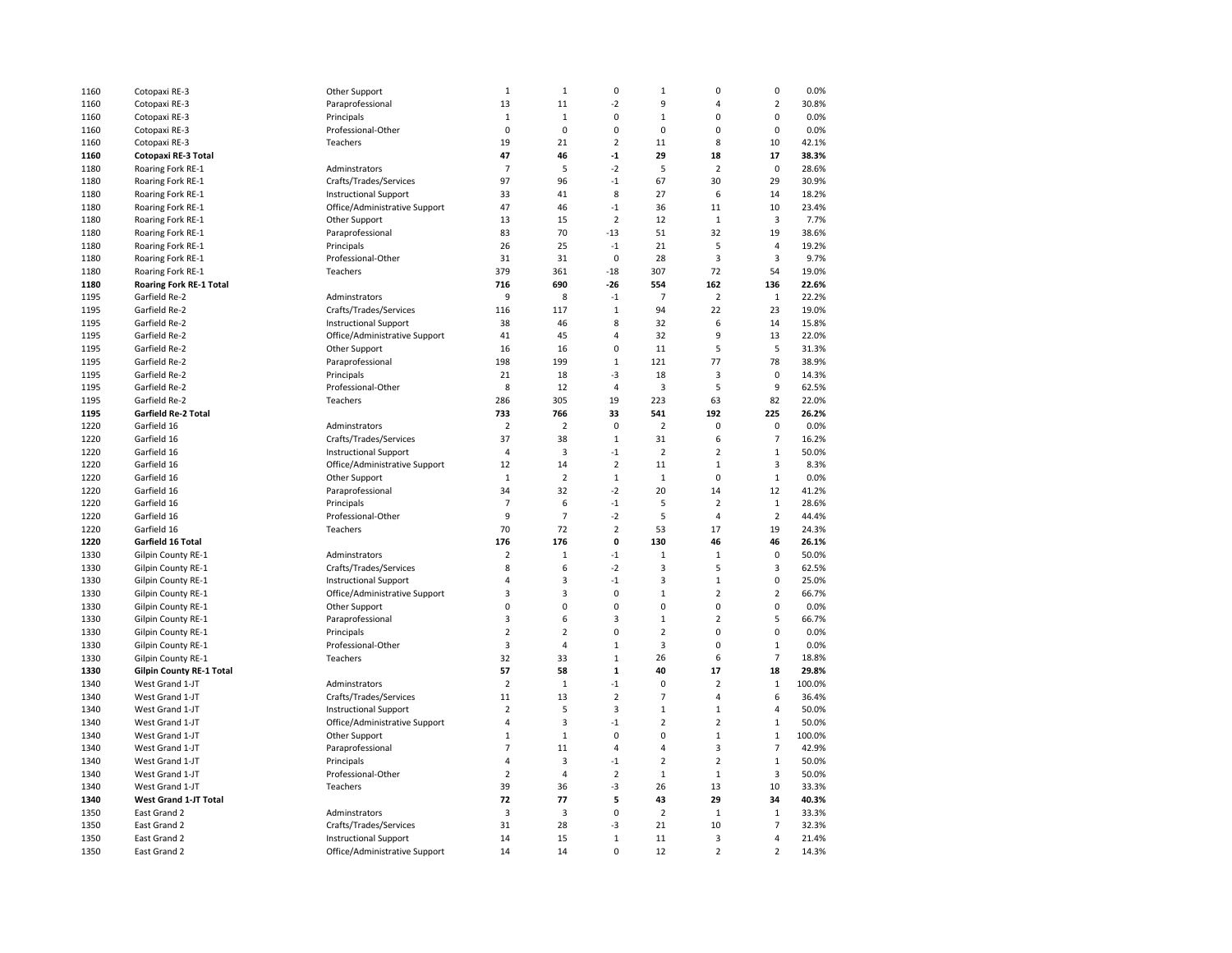| 1160         | Cotopaxi RE-3                   | Other Support                 | $\mathbf{1}$            | $\mathbf 1$    | 0                   | $\,1\,$                 | $\pmb{0}$      | $\pmb{0}$      | 0.0%   |
|--------------|---------------------------------|-------------------------------|-------------------------|----------------|---------------------|-------------------------|----------------|----------------|--------|
| 1160         | Cotopaxi RE-3                   | Paraprofessional              | 13                      | 11             | $-2$                | 9                       | 4              | $\mathbf 2$    | 30.8%  |
| 1160         | Cotopaxi RE-3                   | Principals                    | $\mathbf{1}$            | $\mathbf{1}$   | 0                   | $\mathbf{1}$            | $\mathbf 0$    | 0              | 0.0%   |
| 1160         | Cotopaxi RE-3                   | Professional-Other            | $\mathbf 0$             | $\mathbf 0$    | $\Omega$            | $\mathbf 0$             | $\mathbf 0$    | $\mathbf 0$    | 0.0%   |
| 1160         | Cotopaxi RE-3                   | Teachers                      | 19                      | 21             | $\overline{2}$      | 11                      | 8              | 10             | 42.1%  |
| 1160         | Cotopaxi RE-3 Total             |                               | 47                      | 46             | $-1$                | 29                      | 18             | 17             | 38.3%  |
| 1180         | Roaring Fork RE-1               | Adminstrators                 | $\overline{7}$          | 5              | $-2$                | 5                       | $\overline{2}$ | 0              | 28.6%  |
| 1180         | Roaring Fork RE-1               | Crafts/Trades/Services        | 97                      | 96             | $-1$                | 67                      | 30             | 29             | 30.9%  |
| 1180         | Roaring Fork RE-1               | <b>Instructional Support</b>  | 33                      | 41             | 8                   | 27                      | 6              | 14             | 18.2%  |
| 1180         | Roaring Fork RE-1               | Office/Administrative Support | 47                      | 46             | $-1$                | 36                      | 11             | 10             | 23.4%  |
| 1180         | Roaring Fork RE-1               | Other Support                 | 13                      | 15             | $\overline{2}$      | 12                      | $\mathbf{1}$   | 3              | 7.7%   |
| 1180         |                                 |                               | 83                      | 70             | $-13$               | 51                      | 32             | 19             | 38.6%  |
|              | Roaring Fork RE-1               | Paraprofessional              |                         |                |                     |                         | 5              |                |        |
| 1180         | Roaring Fork RE-1               | Principals                    | 26                      | 25             | $-1$<br>$\mathbf 0$ | 21                      |                | 4              | 19.2%  |
| 1180         | Roaring Fork RE-1               | Professional-Other            | 31                      | 31             |                     | 28                      | $\mathsf 3$    | 3              | 9.7%   |
| 1180         | Roaring Fork RE-1               | Teachers                      | 379                     | 361            | $-18$               | 307                     | 72             | 54             | 19.0%  |
| 1180         | <b>Roaring Fork RE-1 Total</b>  |                               | 716                     | 690            | $-26$               | 554                     | 162            | 136            | 22.6%  |
| 1195         | Garfield Re-2                   | Adminstrators                 | 9                       | 8              | $-1$                | $\overline{7}$          | $\overline{2}$ | $\mathbf 1$    | 22.2%  |
| 1195         | Garfield Re-2                   | Crafts/Trades/Services        | 116                     | 117            | $\mathbf 1$         | 94                      | 22             | 23             | 19.0%  |
| 1195         | Garfield Re-2                   | <b>Instructional Support</b>  | 38                      | 46             | 8                   | 32                      | 6              | 14             | 15.8%  |
| 1195         | Garfield Re-2                   | Office/Administrative Support | 41                      | 45             | 4                   | 32                      | 9              | 13             | 22.0%  |
| 1195         | Garfield Re-2                   | Other Support                 | 16                      | 16             | 0                   | 11                      | 5              | 5              | 31.3%  |
| 1195         | Garfield Re-2                   | Paraprofessional              | 198                     | 199            | $\mathbf 1$         | 121                     | 77             | 78             | 38.9%  |
| 1195         | Garfield Re-2                   | Principals                    | 21                      | 18             | $-3$                | 18                      | $\overline{3}$ | $\pmb{0}$      | 14.3%  |
| 1195         | Garfield Re-2                   | Professional-Other            | 8                       | 12             | 4                   | $\overline{\mathbf{3}}$ | 5              | 9              | 62.5%  |
| 1195         | Garfield Re-2                   | Teachers                      | 286                     | 305            | 19                  | 223                     | 63             | 82             | 22.0%  |
| 1195         | Garfield Re-2 Total             |                               | 733                     | 766            | 33                  | 541                     | 192            | 225            | 26.2%  |
| 1220         | Garfield 16                     | Adminstrators                 | $\overline{2}$          | $\mathbf 2$    | $\mathbf 0$         | $\overline{2}$          | $\Omega$       | $\mathbf 0$    | 0.0%   |
| 1220         | Garfield 16                     | Crafts/Trades/Services        | 37                      | 38             | $\mathbf{1}$        | 31                      | 6              | $\overline{7}$ | 16.2%  |
| 1220         | Garfield 16                     | <b>Instructional Support</b>  | $\overline{4}$          | 3              | $-1$                | $\overline{2}$          | $\overline{2}$ | $\mathbf 1$    | 50.0%  |
| 1220         | Garfield 16                     | Office/Administrative Support | 12                      | 14             | $\overline{2}$      | 11                      | $\mathbf{1}$   | 3              | 8.3%   |
| 1220         | Garfield 16                     | Other Support                 | $\mathbf{1}$            | $\overline{2}$ | $\mathbf{1}$        | $\mathbf{1}$            | $\mathbf 0$    | $\mathbf 1$    | 0.0%   |
| 1220         | Garfield 16                     | Paraprofessional              | 34                      | 32             | $-2$                | 20                      | 14             | 12             | 41.2%  |
| 1220         | Garfield 16                     | Principals                    | $\overline{7}$          | 6              | $-1$                | 5                       | $\overline{2}$ | $\mathbf 1$    | 28.6%  |
| 1220         | Garfield 16                     | Professional-Other            | 9                       | $\overline{7}$ | $-2$                | 5                       | $\overline{4}$ | $\overline{2}$ | 44.4%  |
| 1220         | Garfield 16                     | Teachers                      | 70                      | 72             | $\overline{2}$      | 53                      | 17             | 19             | 24.3%  |
| 1220         | Garfield 16 Total               |                               | 176                     | 176            | 0                   | 130                     | 46             | 46             | 26.1%  |
| 1330         | Gilpin County RE-1              | Adminstrators                 | $\overline{2}$          | $\mathbf{1}$   | $-1$                | $\mathbf{1}$            | $\mathbf{1}$   | $\mathbf 0$    | 50.0%  |
| 1330         | Gilpin County RE-1              | Crafts/Trades/Services        | 8                       | 6              | $-2$                | 3                       | 5              | 3              | 62.5%  |
| 1330         | Gilpin County RE-1              | <b>Instructional Support</b>  | 4                       | 3              | $-1$                | 3                       | $\mathbf{1}$   | 0              | 25.0%  |
| 1330         | <b>Gilpin County RE-1</b>       | Office/Administrative Support | 3                       | 3              | $\mathbf 0$         | $\mathbf{1}$            | $\overline{2}$ | $\overline{2}$ | 66.7%  |
| 1330         | <b>Gilpin County RE-1</b>       | Other Support                 | 0                       | 0              | $\Omega$            | 0                       | 0              | 0              | 0.0%   |
| 1330         | Gilpin County RE-1              | Paraprofessional              | 3                       | 6              | 3                   | $\mathbf{1}$            | $\overline{2}$ | 5              | 66.7%  |
| 1330         | Gilpin County RE-1              | Principals                    | $\overline{2}$          | $\overline{2}$ | 0                   | $\overline{2}$          | $\pmb{0}$      | 0              | 0.0%   |
| 1330         | Gilpin County RE-1              | Professional-Other            | 3                       | 4              | $\overline{1}$      | 3                       | $\pmb{0}$      | $\mathbf 1$    | 0.0%   |
| 1330         | Gilpin County RE-1              | Teachers                      | 32                      | 33             | $\mathbf{1}$        | 26                      | 6              | $\overline{7}$ | 18.8%  |
| 1330         | <b>Gilpin County RE-1 Total</b> |                               | 57                      | 58             | $\mathbf 1$         | 40                      | 17             | 18             | 29.8%  |
| 1340         | West Grand 1-JT                 | Adminstrators                 | $\overline{2}$          | $\mathbf 1$    | $-1$                | $\mathbf 0$             | $\overline{2}$ | $\mathbf 1$    | 100.0% |
| 1340         | West Grand 1-JT                 | Crafts/Trades/Services        | 11                      | 13             | $\overline{2}$      | $\overline{7}$          | $\overline{4}$ | 6              | 36.4%  |
| 1340         | West Grand 1-JT                 | <b>Instructional Support</b>  | $\overline{2}$          | 5              | 3                   | $1\,$                   | $\mathbf 1$    | 4              | 50.0%  |
| 1340         | West Grand 1-JT                 | Office/Administrative Support | $\overline{4}$          | 3              | $-1$                | $\overline{2}$          | $\overline{2}$ | $\mathbf 1$    | 50.0%  |
| 1340         | West Grand 1-JT                 | Other Support                 | $\mathbf{1}$            | $\,1\,$        | $\mathbf 0$         | $\pmb{0}$               | $\,1\,$        | $\mathbf 1$    | 100.0% |
|              | West Grand 1-JT                 | Paraprofessional              | $\overline{7}$          | 11             | 4                   | $\overline{4}$          | $\overline{3}$ | $\overline{7}$ | 42.9%  |
| 1340<br>1340 | West Grand 1-JT                 | Principals                    | $\overline{4}$          | 3              | $-1$                | $\overline{2}$          | $\overline{2}$ | $\mathbf 1$    | 50.0%  |
| 1340         | West Grand 1-JT                 | Professional-Other            | $\overline{2}$          | $\overline{4}$ | $\overline{2}$      | $1\,$                   | $\mathbf 1$    | 3              | 50.0%  |
| 1340         | West Grand 1-JT                 | Teachers                      | 39                      | 36             | $-3$                | 26                      | 13             | 10             | 33.3%  |
|              |                                 |                               |                         |                |                     |                         | 29             |                |        |
| 1340         | <b>West Grand 1-JT Total</b>    |                               | 72                      | 77             | 5                   | 43                      |                | 34             | 40.3%  |
| 1350         | East Grand 2                    | Adminstrators                 | $\overline{\mathbf{3}}$ | 3              | 0                   | $\overline{2}$          | $\mathbf 1$    | $\mathbf 1$    | 33.3%  |
| 1350         | East Grand 2                    | Crafts/Trades/Services        | 31                      | 28             | $-3$                | 21                      | 10             | $\overline{7}$ | 32.3%  |
| 1350         | East Grand 2                    | <b>Instructional Support</b>  | 14                      | 15             | $\mathbf{1}$        | 11                      | 3              | 4              | 21.4%  |
| 1350         | East Grand 2                    | Office/Administrative Support | 14                      | 14             | 0                   | 12                      | $\overline{2}$ | $\overline{2}$ | 14.3%  |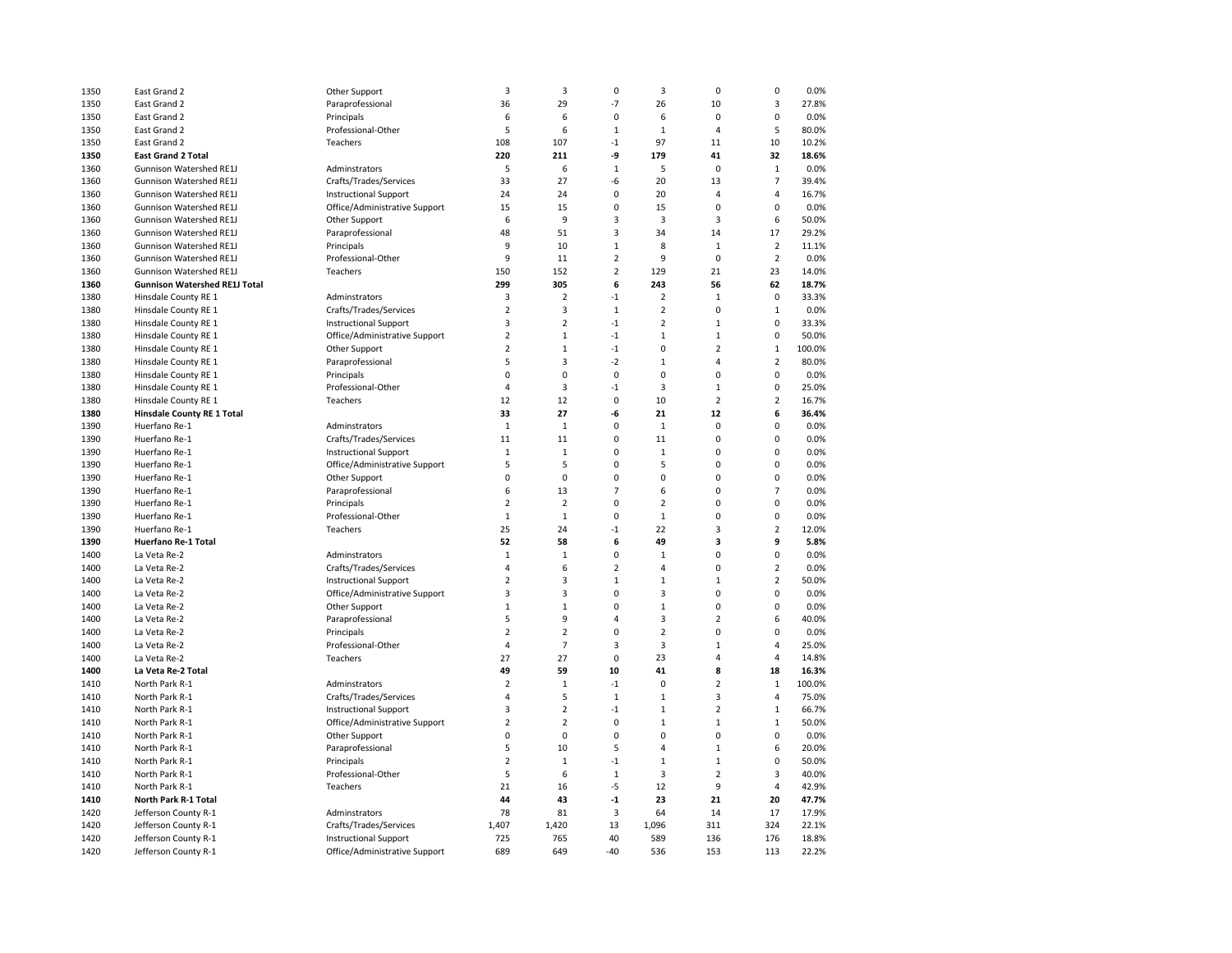| 1350 | East Grand 2                         | Other Support                 | $\overline{\mathbf{3}}$ | 3              | $\pmb{0}$      | $\overline{\mathbf{3}}$ | $\mathbf 0$    | 0              | 0.0%   |
|------|--------------------------------------|-------------------------------|-------------------------|----------------|----------------|-------------------------|----------------|----------------|--------|
| 1350 | East Grand 2                         | Paraprofessional              | 36                      | 29             | $-7$           | 26                      | 10             | 3              | 27.8%  |
| 1350 | East Grand 2                         | Principals                    | 6                       | 6              | 0              | 6                       | $\mathbf 0$    | 0              | 0.0%   |
| 1350 | East Grand 2                         | Professional-Other            | 5                       | 6              | $\mathbf{1}$   | $\mathbf{1}$            | $\overline{a}$ | 5              | 80.0%  |
| 1350 | East Grand 2                         | Teachers                      | 108                     | 107            | $-1$           | 97                      | 11             | 10             | 10.2%  |
| 1350 | <b>East Grand 2 Total</b>            |                               | 220                     | 211            | -9             | 179                     | 41             | 32             | 18.6%  |
| 1360 | Gunnison Watershed RE1J              | Adminstrators                 | 5                       | 6              | $\mathbf{1}$   | 5                       | $\mathbf 0$    | $\mathbf{1}$   | 0.0%   |
| 1360 | <b>Gunnison Watershed RE1J</b>       | Crafts/Trades/Services        | 33                      | 27             | $-6$           | 20                      | 13             | $\overline{7}$ | 39.4%  |
| 1360 | <b>Gunnison Watershed RE1J</b>       | <b>Instructional Support</b>  | 24                      | 24             | 0              | 20                      | $\overline{4}$ | 4              | 16.7%  |
| 1360 | Gunnison Watershed RE1J              | Office/Administrative Support | 15                      | 15             | 0              | 15                      | $\mathbf 0$    | 0              | 0.0%   |
| 1360 | Gunnison Watershed RE1J              | Other Support                 | 6                       | 9              | 3              | $\overline{3}$          | 3              | 6              | 50.0%  |
| 1360 | Gunnison Watershed RE1J              | Paraprofessional              | 48                      | 51             | 3              | 34                      | 14             | 17             | 29.2%  |
| 1360 | <b>Gunnison Watershed RE1J</b>       | Principals                    | 9                       | 10             | $\mathbf 1$    | 8                       | $\mathbf{1}$   | $\overline{2}$ | 11.1%  |
| 1360 | <b>Gunnison Watershed RE1J</b>       | Professional-Other            | 9                       | 11             | $\overline{2}$ | 9                       | $\pmb{0}$      | $\overline{2}$ | 0.0%   |
| 1360 | Gunnison Watershed RE1J              | Teachers                      | 150                     | 152            | $\overline{2}$ | 129                     | 21             | 23             | 14.0%  |
| 1360 | <b>Gunnison Watershed RE1J Total</b> |                               | 299                     | 305            | 6              | 243                     | 56             | 62             | 18.7%  |
| 1380 | Hinsdale County RE 1                 | Adminstrators                 | $\overline{3}$          | $\mathbf 2$    | $-1$           | $\overline{2}$          | $\mathbf{1}$   | $\mathbf 0$    | 33.3%  |
| 1380 | Hinsdale County RE 1                 | Crafts/Trades/Services        | $\overline{2}$          | 3              | $\mathbf 1$    | $\overline{2}$          | $\pmb{0}$      | $\mathbf 1$    | 0.0%   |
| 1380 | Hinsdale County RE 1                 | <b>Instructional Support</b>  | $\overline{\mathbf{3}}$ | $\overline{2}$ | $-1$           | $\overline{2}$          | $\mathbf{1}$   | 0              | 33.3%  |
| 1380 | Hinsdale County RE 1                 | Office/Administrative Support | $\overline{2}$          | $\mathbf{1}$   | $-1$           | $\mathbf{1}$            | $\mathbf{1}$   | 0              | 50.0%  |
| 1380 | Hinsdale County RE 1                 | Other Support                 | $\overline{2}$          | $\mathbf{1}$   | $-1$           | $\mathbf 0$             | $\overline{2}$ | $\mathbf 1$    | 100.0% |
| 1380 | Hinsdale County RE 1                 | Paraprofessional              | 5                       | 3              | $-2$           | $\mathbf{1}$            | $\overline{4}$ | $\overline{2}$ | 80.0%  |
| 1380 | Hinsdale County RE 1                 | Principals                    | 0                       | $\pmb{0}$      | 0              | 0                       | $\mathbf 0$    | 0              | 0.0%   |
| 1380 | Hinsdale County RE 1                 | Professional-Other            | $\overline{4}$          | 3              | $-1$           | 3                       | $\mathbf{1}$   | 0              | 25.0%  |
| 1380 | Hinsdale County RE 1                 | Teachers                      | 12                      | 12             | 0              | 10                      | $\overline{2}$ | $\overline{2}$ | 16.7%  |
| 1380 | Hinsdale County RE 1 Total           |                               | 33                      | 27             | -6             | 21                      | 12             | 6              | 36.4%  |
| 1390 | Huerfano Re-1                        | Adminstrators                 | $\mathbf{1}$            | 1              | 0              | $1\,$                   | $\mathbf 0$    | 0              | 0.0%   |
| 1390 | Huerfano Re-1                        | Crafts/Trades/Services        | 11                      | 11             | 0              | 11                      | $\mathbf 0$    | 0              | 0.0%   |
| 1390 | Huerfano Re-1                        | <b>Instructional Support</b>  | $\mathbf{1}$            | $\mathbf{1}$   | 0              | $1\,$                   | $\Omega$       | 0              | 0.0%   |
| 1390 | Huerfano Re-1                        | Office/Administrative Support | 5                       | 5              | 0              | 5                       | $\mathbf 0$    | 0              | 0.0%   |
| 1390 | Huerfano Re-1                        | Other Support                 | $\mathbf 0$             | $\pmb{0}$      | 0              | $\mathbf 0$             | $\mathbf 0$    | 0              | 0.0%   |
| 1390 | Huerfano Re-1                        | Paraprofessional              | 6                       | 13             | 7              | 6                       | $\mathbf 0$    | $\overline{7}$ | 0.0%   |
| 1390 | Huerfano Re-1                        | Principals                    | 2                       | $\overline{2}$ | $\Omega$       | $\overline{2}$          | $\mathbf 0$    | 0              | 0.0%   |
| 1390 | Huerfano Re-1                        | Professional-Other            | $\mathbf{1}$            | $\mathbf{1}$   | 0              | $\mathbf{1}$            | $\mathbf 0$    | 0              | 0.0%   |
| 1390 | Huerfano Re-1                        | Teachers                      | 25                      | 24             | $-1$           | 22                      | $\overline{3}$ | $\overline{2}$ | 12.0%  |
| 1390 | <b>Huerfano Re-1 Total</b>           |                               | 52                      | 58             | 6              | 49                      | 3              | 9              | 5.8%   |
| 1400 | La Veta Re-2                         | Adminstrators                 | $\mathbf{1}$            | $\mathbf{1}$   | 0              | $\mathbf{1}$            | $\mathbf 0$    | 0              | 0.0%   |
| 1400 | La Veta Re-2                         | Crafts/Trades/Services        | $\overline{4}$          | 6              | $\overline{2}$ | $\overline{4}$          | $\mathbf 0$    | $\overline{2}$ | 0.0%   |
| 1400 | La Veta Re-2                         | <b>Instructional Support</b>  | $\overline{2}$          | 3              | $\mathbf 1$    | $\mathbf{1}$            | $\mathbf{1}$   | $\overline{2}$ | 50.0%  |
| 1400 | La Veta Re-2                         | Office/Administrative Support | 3                       | 3              | 0              | 3                       | $\pmb{0}$      | 0              | 0.0%   |
| 1400 | La Veta Re-2                         | Other Support                 | $\mathbf{1}$            | $\mathbf{1}$   | $\Omega$       | $\mathbf{1}$            | $\mathbf 0$    | 0              | 0.0%   |
| 1400 | La Veta Re-2                         | Paraprofessional              | 5                       | 9              | 4              | 3                       | $\overline{2}$ | 6              | 40.0%  |
| 1400 | La Veta Re-2                         | Principals                    | $\overline{2}$          | $\mathbf 2$    | $\Omega$       | $\overline{2}$          | $\mathbf 0$    | 0              | 0.0%   |
| 1400 | La Veta Re-2                         | Professional-Other            | $\overline{4}$          | $\overline{7}$ | 3              | 3                       | $\mathbf{1}$   | 4              | 25.0%  |
| 1400 | La Veta Re-2                         | Teachers                      | 27                      | 27             | 0              | 23                      | $\overline{4}$ | 4              | 14.8%  |
| 1400 | La Veta Re-2 Total                   |                               | 49                      | 59             | 10             | 41                      | 8              | 18             | 16.3%  |
| 1410 | North Park R-1                       | Adminstrators                 | $\overline{2}$          | $1\,$          | $-1$           | $\mathbf 0$             | $\overline{2}$ | $\mathbf{1}$   | 100.0% |
| 1410 | North Park R-1                       | Crafts/Trades/Services        | $\Delta$                | 5              | $\mathbf 1$    | $1\,$                   | 3              | 4              | 75.0%  |
| 1410 | North Park R-1                       | <b>Instructional Support</b>  | 3                       | $\overline{2}$ | $-1$           | $\mathbf{1}$            | $\overline{2}$ | $\mathbf 1$    | 66.7%  |
| 1410 | North Park R-1                       | Office/Administrative Support | $\overline{2}$          | $\overline{2}$ | 0              | $\mathbf{1}$            | $\mathbf{1}$   | $\mathbf 1$    | 50.0%  |
| 1410 | North Park R-1                       | Other Support                 | $\mathbf 0$             | $\pmb{0}$      | 0              | $\mathbf 0$             | $\mathbf 0$    | 0              | 0.0%   |
| 1410 | North Park R-1                       | Paraprofessional              | 5                       | 10             | 5              | $\overline{4}$          | $\mathbf{1}$   | 6              | 20.0%  |
| 1410 | North Park R-1                       | Principals                    | $\overline{2}$          | $1\,$          | $-1$           | $\mathbf{1}$            | $\mathbf{1}$   | 0              | 50.0%  |
| 1410 | North Park R-1                       | Professional-Other            | 5                       | 6              | $\mathbf{1}$   | 3                       | $\overline{2}$ | 3              | 40.0%  |
| 1410 | North Park R-1                       | Teachers                      | 21                      | 16             | $-5$           | 12                      | 9              | 4              | 42.9%  |
| 1410 | North Park R-1 Total                 |                               | 44                      | 43             | $-1$           | 23                      | 21             | 20             | 47.7%  |
| 1420 | Jefferson County R-1                 | Adminstrators                 | 78                      | 81             | 3              | 64                      | 14             | 17             | 17.9%  |
| 1420 | Jefferson County R-1                 | Crafts/Trades/Services        | 1,407                   | 1,420          | 13             | 1,096                   | 311            | 324            | 22.1%  |
| 1420 | Jefferson County R-1                 | <b>Instructional Support</b>  | 725                     | 765            | 40             | 589                     | 136            | 176            | 18.8%  |
| 1420 | Jefferson County R-1                 | Office/Administrative Support | 689                     | 649            | $-40$          | 536                     | 153            | 113            | 22.2%  |
|      |                                      |                               |                         |                |                |                         |                |                |        |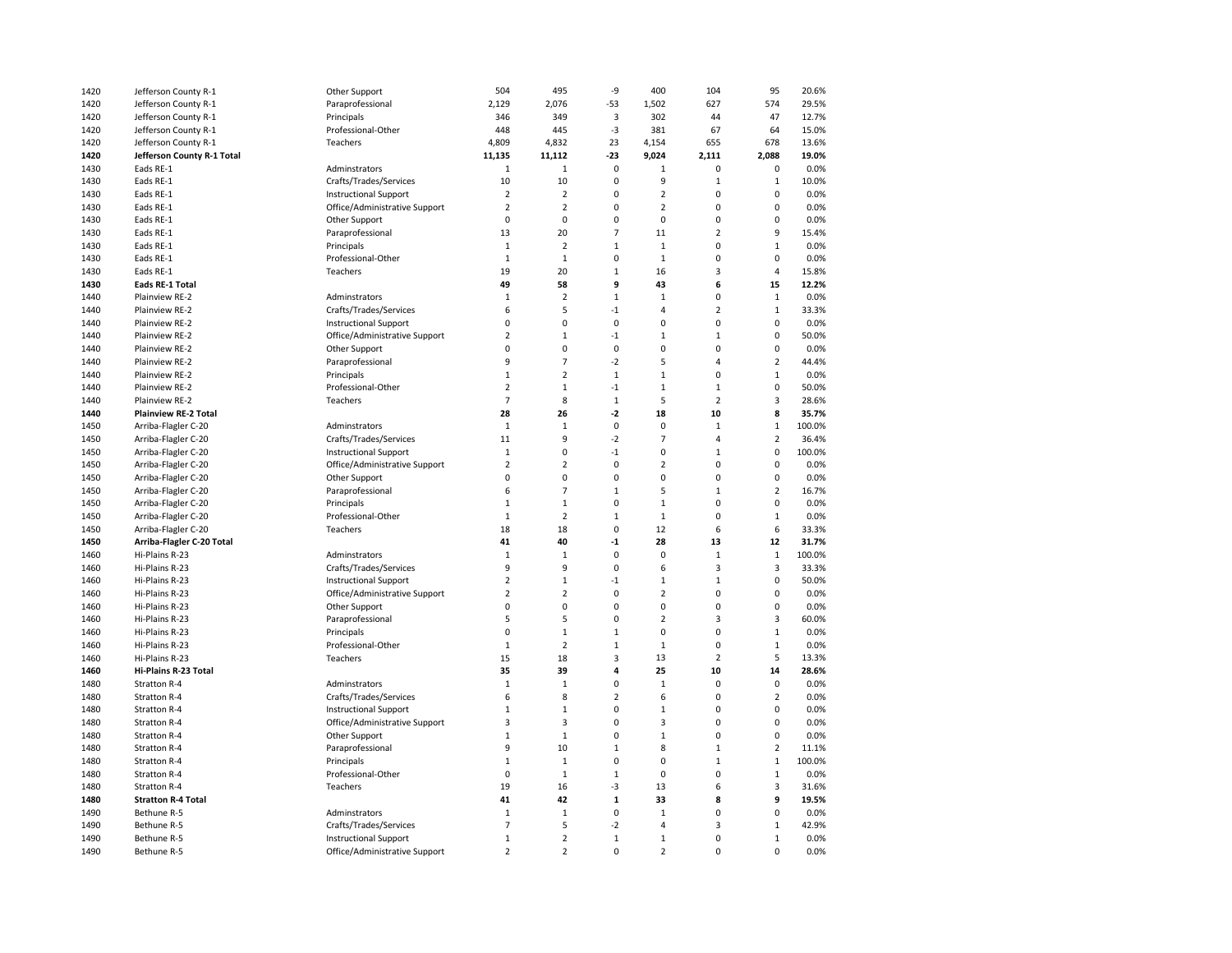| 1420 | Jefferson County R-1         | Other Support                 | 504            | 495            | -9             | 400            | 104            | 95             | 20.6%  |
|------|------------------------------|-------------------------------|----------------|----------------|----------------|----------------|----------------|----------------|--------|
| 1420 | Jefferson County R-1         | Paraprofessional              | 2,129          | 2,076          | $-53$          | 1,502          | 627            | 574            | 29.5%  |
| 1420 | Jefferson County R-1         | Principals                    | 346            | 349            | 3              | 302            | 44             | 47             | 12.7%  |
| 1420 | Jefferson County R-1         | Professional-Other            | 448            | 445            | $-3$           | 381            | 67             | 64             | 15.0%  |
| 1420 | Jefferson County R-1         | Teachers                      | 4,809          | 4,832          | 23             | 4,154          | 655            | 678            | 13.6%  |
| 1420 | Jefferson County R-1 Total   |                               | 11,135         | 11,112         | $-23$          | 9,024          | 2,111          | 2.088          | 19.0%  |
| 1430 | Eads RE-1                    | Adminstrators                 | $1\,$          | $\mathbf 1$    | $\pmb{0}$      | $\mathbf 1$    | 0              | 0              | 0.0%   |
| 1430 | Eads RE-1                    | Crafts/Trades/Services        | 10             | 10             | 0              | 9              | $\mathbf 1$    | 1              | 10.0%  |
| 1430 | Eads RE-1                    | <b>Instructional Support</b>  | $\overline{2}$ | $\overline{2}$ | 0              | $\overline{2}$ | $\mathbf 0$    | $\mathbf 0$    | 0.0%   |
| 1430 | Eads RE-1                    | Office/Administrative Support | $\overline{2}$ | $\overline{2}$ | 0              | $\overline{2}$ | 0              | 0              | 0.0%   |
| 1430 | Eads RE-1                    | Other Support                 | $\mathbf 0$    | $\mathbf 0$    | $\mathbf 0$    | $\mathbf 0$    | 0              | 0              | 0.0%   |
| 1430 | Eads RE-1                    | Paraprofessional              | 13             | 20             | $\overline{7}$ | 11             | $\overline{2}$ | 9              | 15.4%  |
| 1430 | Eads RE-1                    | Principals                    | $1\,$          | 2              | $1\,$          | $\mathbf 1$    | 0              | $\mathbf 1$    | 0.0%   |
|      |                              |                               |                |                |                |                |                | 0              |        |
| 1430 | Eads RE-1                    | Professional-Other            | $1\,$          | $\mathbf{1}$   | 0              | $1\,$          | 0              |                | 0.0%   |
| 1430 | Eads RE-1                    | Teachers                      | 19             | 20             | $1\,$          | 16             | 3              | 4              | 15.8%  |
| 1430 | <b>Eads RE-1 Total</b>       |                               | 49             | 58             | 9              | 43             | 6              | 15             | 12.2%  |
| 1440 | Plainview RE-2               | Adminstrators                 | $1\,$          | $\overline{2}$ | $\,1\,$        | $\mathbf 1$    | 0              | $\mathbf{1}$   | 0.0%   |
| 1440 | Plainview RE-2               | Crafts/Trades/Services        | 6              | 5              | $-1$           | 4              | $\overline{2}$ | $\mathbf 1$    | 33.3%  |
| 1440 | Plainview RE-2               | <b>Instructional Support</b>  | 0              | 0              | 0              | 0              | 0              | 0              | 0.0%   |
| 1440 | Plainview RE-2               | Office/Administrative Support | $\overline{2}$ | $\mathbf 1$    | $-1$           | $\mathbf 1$    | $\mathbf 1$    | 0              | 50.0%  |
| 1440 | Plainview RE-2               | Other Support                 | $\mathbf 0$    | 0              | $\mathbf 0$    | $\mathbf 0$    | 0              | $\mathbf 0$    | 0.0%   |
| 1440 | Plainview RE-2               | Paraprofessional              | 9              | $\overline{7}$ | $-2$           | 5              | 4              | $\overline{2}$ | 44.4%  |
| 1440 | Plainview RE-2               | Principals                    | $\mathbf 1$    | $\overline{2}$ | $\,1\,$        | $\mathbf 1$    | 0              | $\mathbf 1$    | 0.0%   |
| 1440 | Plainview RE-2               | Professional-Other            | $\overline{2}$ | $\mathbf 1$    | $-1$           | $\mathbf 1$    | $\mathbf 1$    | 0              | 50.0%  |
| 1440 | Plainview RE-2               | Teachers                      | $\overline{7}$ | 8              | $1\,$          | 5              | $\overline{2}$ | 3              | 28.6%  |
| 1440 | <b>Plainview RE-2 Total</b>  |                               | 28             | 26             | $-2$           | 18             | 10             | 8              | 35.7%  |
| 1450 | Arriba-Flagler C-20          | Adminstrators                 | $\mathbf{1}$   | $\mathbf{1}$   | $\mathbf 0$    | $\mathbf 0$    | $\,1\,$        | $\mathbf{1}$   | 100.0% |
| 1450 | Arriba-Flagler C-20          | Crafts/Trades/Services        | 11             | 9              | $-2$           | $\overline{7}$ | 4              | $\overline{2}$ | 36.4%  |
| 1450 | Arriba-Flagler C-20          | <b>Instructional Support</b>  | $1\,$          | $\pmb{0}$      | $-1$           | 0              | $\mathbf 1$    | $\mathbf 0$    | 100.0% |
| 1450 | Arriba-Flagler C-20          | Office/Administrative Support | $\overline{2}$ | $\overline{2}$ | $\mathbf 0$    | $\overline{2}$ | 0              | $\mathbf 0$    | 0.0%   |
| 1450 | Arriba-Flagler C-20          | Other Support                 | $\mathbf 0$    | 0              | $\mathbf 0$    | 0              | $\mathbf 0$    | $\mathbf 0$    | 0.0%   |
| 1450 | Arriba-Flagler C-20          | Paraprofessional              | 6              | $\overline{7}$ | $\mathbf{1}$   | 5              | $\mathbf 1$    | $\overline{2}$ | 16.7%  |
| 1450 | Arriba-Flagler C-20          | Principals                    | $1\,$          | $\mathbf 1$    | $\Omega$       | $\mathbf 1$    | 0              | 0              | 0.0%   |
| 1450 | Arriba-Flagler C-20          | Professional-Other            | $1\,$          | $\mathbf 2$    | $1\,$          | $\mathbf 1$    | $\mathbf 0$    | $\mathbf 1$    | 0.0%   |
| 1450 | Arriba-Flagler C-20          | Teachers                      | 18             | 18             | $\mathbf 0$    | 12             | 6              | 6              | 33.3%  |
| 1450 | Arriba-Flagler C-20 Total    |                               | 41             | 40             | $-1$           | 28             | 13             | 12             | 31.7%  |
| 1460 | Hi-Plains R-23               | Adminstrators                 | $1\,$          | $\mathbf{1}$   | $\mathbf 0$    | 0              | $\mathbf 1$    | $\mathbf 1$    | 100.0% |
| 1460 | Hi-Plains R-23               | Crafts/Trades/Services        | 9              | 9              | $\Omega$       | 6              | 3              | 3              | 33.3%  |
| 1460 | Hi-Plains R-23               | <b>Instructional Support</b>  | $\overline{2}$ | $\mathbf 1$    | $-1$           | $\mathbf 1$    | $\mathbf 1$    | $\mathbf 0$    | 50.0%  |
| 1460 | Hi-Plains R-23               | Office/Administrative Support | $\overline{2}$ | $\overline{2}$ | 0              | $\overline{2}$ | $\mathbf 0$    | $\mathbf 0$    | 0.0%   |
| 1460 | Hi-Plains R-23               | Other Support                 | 0              | 0              | 0              | 0              | 0              | $\mathbf 0$    | 0.0%   |
| 1460 | Hi-Plains R-23               | Paraprofessional              | 5              | 5              | $\mathbf 0$    | $\overline{2}$ | 3              | 3              | 60.0%  |
| 1460 | Hi-Plains R-23               | Principals                    | $\mathbf 0$    | $\mathbf{1}$   | $\mathbf{1}$   | 0              | 0              | $\mathbf{1}$   | 0.0%   |
| 1460 | Hi-Plains R-23               | Professional-Other            | $1\,$          | $\overline{2}$ | $1\,$          | $\mathbf 1$    | 0              | $\mathbf 1$    | 0.0%   |
| 1460 | Hi-Plains R-23               | Teachers                      | 15             | 18             | 3              | 13             | $\overline{2}$ | 5              | 13.3%  |
| 1460 | Hi-Plains R-23 Total         |                               | 35             | 39             | 4              | 25             | 10             | 14             | 28.6%  |
| 1480 |                              | Adminstrators                 | $\mathbf{1}$   | $\mathbf{1}$   | 0              | $\mathbf{1}$   | $\mathbf 0$    | $\mathbf 0$    | 0.0%   |
|      | Stratton R-4<br>Stratton R-4 |                               | 6              | 8              | $\overline{2}$ | 6              | $\mathbf 0$    | $\overline{2}$ | 0.0%   |
| 1480 |                              | Crafts/Trades/Services        |                |                |                |                |                |                |        |
| 1480 | Stratton R-4                 | <b>Instructional Support</b>  | $\mathbf 1$    | $\mathbf 1$    | $\pmb{0}$      | $\mathbf 1$    | 0              | 0              | 0.0%   |
| 1480 | Stratton R-4                 | Office/Administrative Support | 3              | 3              | 0              | 3              | 0              | 0              | 0.0%   |
| 1480 | Stratton R-4                 | Other Support                 | $\mathbf 1$    | $\mathbf{1}$   | 0              | $\mathbf 1$    | 0              | 0              | 0.0%   |
| 1480 | Stratton R-4                 | Paraprofessional              | 9              | 10             | $1\,$          | 8              | $\mathbf 1$    | $\overline{2}$ | 11.1%  |
| 1480 | Stratton R-4                 | Principals                    | $\mathbf{1}$   | $\mathbf 1$    | $\mathbf 0$    | $\mathbf 0$    | $\mathbf 1$    | $\mathbf 1$    | 100.0% |
| 1480 | Stratton R-4                 | Professional-Other            | $\mathbf 0$    | $1\,$          | $\,1\,$        | 0              | 0              | $\mathbf{1}$   | 0.0%   |
| 1480 | Stratton R-4                 | Teachers                      | 19             | 16             | -3             | 13             | 6              | 3              | 31.6%  |
| 1480 | <b>Stratton R-4 Total</b>    |                               | 41             | 42             | $\mathbf 1$    | 33             | 8              | 9              | 19.5%  |
| 1490 | Bethune R-5                  | Adminstrators                 | $\mathbf 1$    | $\mathbf 1$    | $\pmb{0}$      | $\mathbf 1$    | 0              | 0              | 0.0%   |
| 1490 | Bethune R-5                  | Crafts/Trades/Services        | $\overline{7}$ | 5              | $-2$           | $\overline{4}$ | 3              | $\,1\,$        | 42.9%  |
| 1490 | Bethune R-5                  | <b>Instructional Support</b>  | $\mathbf 1$    | $\overline{2}$ | $\,1\,$        | $\mathbf 1$    | 0              | $\mathbf 1$    | 0.0%   |
| 1490 | Bethune R-5                  | Office/Administrative Support | $\overline{2}$ | $\overline{2}$ | $\mathbf 0$    | $\overline{2}$ | 0              | 0              | 0.0%   |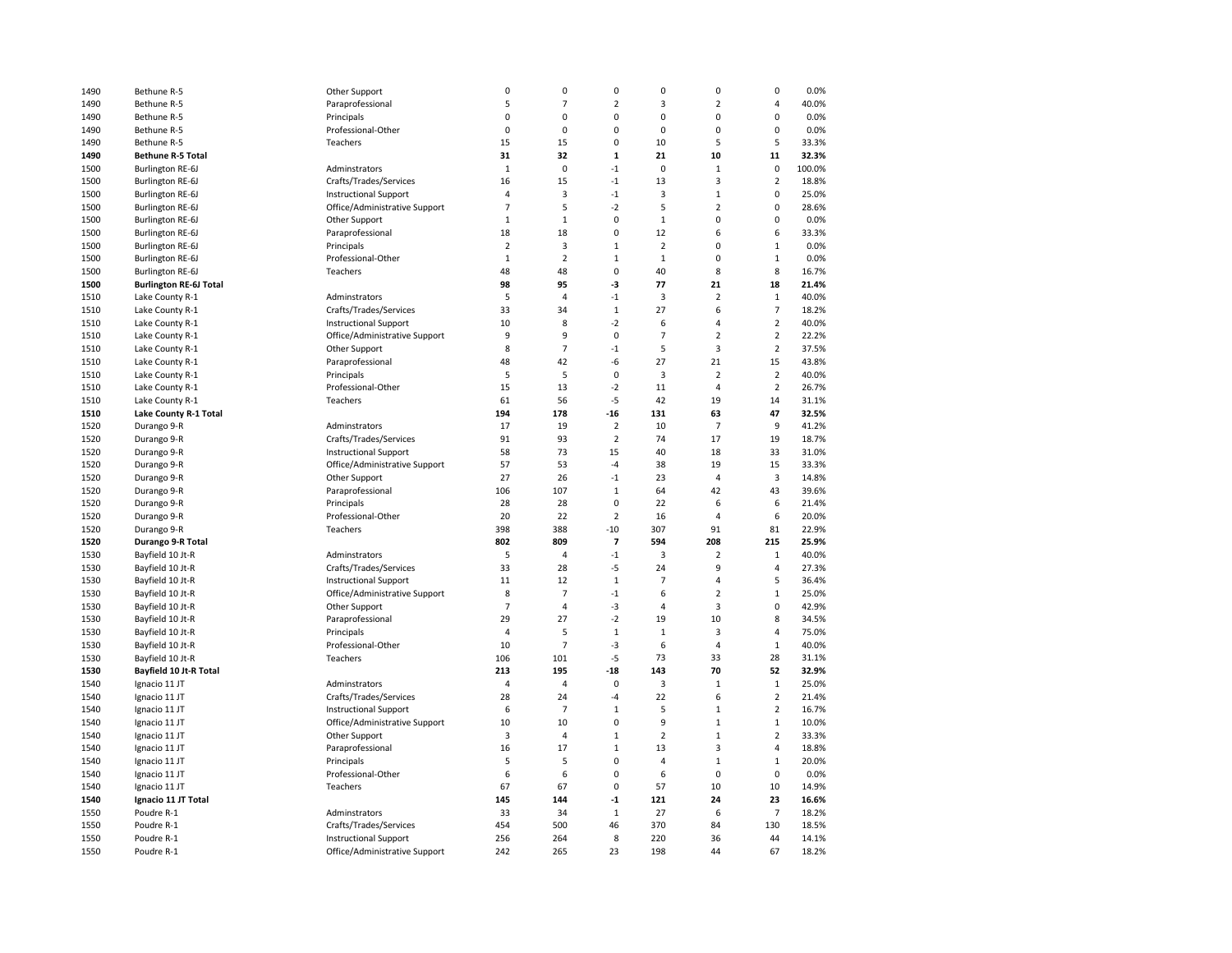| 1490 | Bethune R-5                   | Other Support                 | 0              | 0              | $\pmb{0}$                   | 0              | 0                       | $\mathbf 0$             | 0.0%   |
|------|-------------------------------|-------------------------------|----------------|----------------|-----------------------------|----------------|-------------------------|-------------------------|--------|
| 1490 | Bethune R-5                   | Paraprofessional              | 5              | $\overline{7}$ | $\overline{2}$              | 3              | $\overline{2}$          | 4                       | 40.0%  |
| 1490 | Bethune R-5                   | Principals                    | $\mathbf 0$    | 0              | 0                           | 0              | $\mathbf 0$             | $\mathbf 0$             | 0.0%   |
| 1490 | Bethune R-5                   | Professional-Other            | 0              | 0              | 0                           | 0              | $\mathbf 0$             | 0                       | 0.0%   |
| 1490 | Bethune R-5                   | Teachers                      | 15             | 15             | 0                           | 10             | 5                       | 5                       | 33.3%  |
| 1490 | <b>Bethune R-5 Total</b>      |                               | 31             | 32             | $\mathbf 1$                 | 21             | 10                      | 11                      | 32.3%  |
| 1500 | <b>Burlington RE-6J</b>       | Adminstrators                 | $\mathbf{1}$   | 0              | $-1$                        | $\mathbf 0$    | $\mathbf 1$             | $\mathbf 0$             | 100.0% |
| 1500 | Burlington RE-6J              | Crafts/Trades/Services        | 16             | 15             | $-1$                        | 13             | 3                       | $\overline{2}$          | 18.8%  |
| 1500 | <b>Burlington RE-6J</b>       | <b>Instructional Support</b>  | 4              | $\overline{3}$ | $-1$                        | 3              | $\mathbf{1}$            | $\mathbf 0$             | 25.0%  |
| 1500 | <b>Burlington RE-6J</b>       | Office/Administrative Support | $\overline{7}$ | 5              | $-2$                        | 5              | $\overline{2}$          | 0                       | 28.6%  |
| 1500 | <b>Burlington RE-6J</b>       | Other Support                 | $\mathbf 1$    | $\mathbf{1}$   | 0                           | $\mathbf{1}$   | 0                       | 0                       | 0.0%   |
| 1500 |                               |                               | 18             | 18             | 0                           | 12             | 6                       | 6                       | 33.3%  |
|      | Burlington RE-6J              | Paraprofessional              | $\overline{2}$ |                |                             | $\overline{2}$ | $\mathbf 0$             |                         |        |
| 1500 | Burlington RE-6J              | Principals                    |                | 3              | $\mathbf 1$<br>$\mathbf{1}$ |                | $\mathbf 0$             | $1\,$                   | 0.0%   |
| 1500 | <b>Burlington RE-6J</b>       | Professional-Other            | $\mathbf{1}$   | $\overline{2}$ |                             | $\,1$          |                         | $\mathbf 1$             | 0.0%   |
| 1500 | <b>Burlington RE-6J</b>       | Teachers                      | 48             | 48             | 0                           | 40             | 8                       | 8                       | 16.7%  |
| 1500 | <b>Burlington RE-6J Total</b> |                               | 98             | 95             | -3                          | 77             | 21                      | 18                      | 21.4%  |
| 1510 | Lake County R-1               | Adminstrators                 | 5              | 4              | -1                          | 3              | $\overline{2}$          | $\mathbf{1}$            | 40.0%  |
| 1510 | Lake County R-1               | Crafts/Trades/Services        | 33             | 34             | $\,1\,$                     | 27             | 6                       | $\overline{7}$          | 18.2%  |
| 1510 | Lake County R-1               | <b>Instructional Support</b>  | 10             | 8              | $-2$                        | 6              | $\overline{4}$          | $\overline{2}$          | 40.0%  |
| 1510 | Lake County R-1               | Office/Administrative Support | 9              | 9              | $\mathbf 0$                 | $\overline{7}$ | $\overline{2}$          | $\overline{2}$          | 22.2%  |
| 1510 | Lake County R-1               | Other Support                 | 8              | $\overline{7}$ | -1                          | 5              | $\overline{\mathbf{3}}$ | $\overline{2}$          | 37.5%  |
| 1510 | Lake County R-1               | Paraprofessional              | 48             | 42             | -6                          | 27             | 21                      | 15                      | 43.8%  |
| 1510 | Lake County R-1               | Principals                    | 5              | 5              | $\mathbf 0$                 | 3              | $\overline{2}$          | $\overline{2}$          | 40.0%  |
| 1510 | Lake County R-1               | Professional-Other            | 15             | 13             | $-2$                        | $11\,$         | 4                       | $\overline{2}$          | 26.7%  |
| 1510 | Lake County R-1               | Teachers                      | 61             | 56             | $-5$                        | 42             | 19                      | 14                      | 31.1%  |
| 1510 | Lake County R-1 Total         |                               | 194            | 178            | -16                         | 131            | 63                      | 47                      | 32.5%  |
| 1520 | Durango 9-R                   | Adminstrators                 | 17             | 19             | $\overline{2}$              | 10             | $\overline{7}$          | 9                       | 41.2%  |
| 1520 | Durango 9-R                   | Crafts/Trades/Services        | 91             | 93             | $\overline{2}$              | 74             | 17                      | 19                      | 18.7%  |
| 1520 | Durango 9-R                   | <b>Instructional Support</b>  | 58             | 73             | 15                          | 40             | 18                      | 33                      | 31.0%  |
| 1520 | Durango 9-R                   | Office/Administrative Support | 57             | 53             | $-4$                        | 38             | 19                      | 15                      | 33.3%  |
| 1520 | Durango 9-R                   | Other Support                 | 27             | 26             | $-1$                        | 23             | $\overline{4}$          | $\overline{\mathbf{3}}$ | 14.8%  |
| 1520 | Durango 9-R                   | Paraprofessional              | 106            | 107            | $\mathbf{1}$                | 64             | 42                      | 43                      | 39.6%  |
| 1520 | Durango 9-R                   | Principals                    | 28             | 28             | 0                           | 22             | 6                       | 6                       | 21.4%  |
| 1520 | Durango 9-R                   | Professional-Other            | 20             | 22             | $\overline{2}$              | 16             | $\overline{4}$          | 6                       | 20.0%  |
| 1520 | Durango 9-R                   | Teachers                      | 398            | 388            | $-10$                       | 307            | 91                      | 81                      | 22.9%  |
| 1520 | Durango 9-R Total             |                               | 802            | 809            | $\overline{7}$              | 594            | 208                     | 215                     | 25.9%  |
| 1530 | Bayfield 10 Jt-R              | Adminstrators                 | 5              | $\overline{4}$ | $-1$                        | 3              | $\overline{2}$          | $\mathbf{1}$            | 40.0%  |
| 1530 | Bayfield 10 Jt-R              | Crafts/Trades/Services        | 33             | 28             | -5                          | 24             | 9                       | $\overline{4}$          | 27.3%  |
| 1530 | Bayfield 10 Jt-R              | <b>Instructional Support</b>  | 11             | 12             | $1\,$                       | $\overline{7}$ | 4                       | 5                       | 36.4%  |
| 1530 | Bayfield 10 Jt-R              | Office/Administrative Support | 8              | $\overline{7}$ | $-1$                        | 6              | $\overline{2}$          | $\mathbf 1$             | 25.0%  |
| 1530 | Bayfield 10 Jt-R              | Other Support                 | $\overline{7}$ | 4              | -3                          | $\overline{4}$ | 3                       | 0                       | 42.9%  |
| 1530 | Bayfield 10 Jt-R              | Paraprofessional              | 29             | 27             | $-2$                        | 19             | 10                      | 8                       | 34.5%  |
| 1530 | Bayfield 10 Jt-R              | Principals                    | 4              | 5              | $\,1\,$                     | $\mathbf 1$    | $\overline{\mathbf{3}}$ | 4                       | 75.0%  |
| 1530 | Bayfield 10 Jt-R              | Professional-Other            | 10             | 7              | -3                          | 6              | $\overline{4}$          | $\mathbf 1$             | 40.0%  |
| 1530 | Bayfield 10 Jt-R              | Teachers                      | 106            | 101            | -5                          | 73             | 33                      | 28                      | 31.1%  |
| 1530 | Bayfield 10 Jt-R Total        |                               | 213            | 195            | $-18$                       | 143            | 70                      | 52                      | 32.9%  |
| 1540 | Ignacio 11 JT                 | Adminstrators                 | 4              | 4              | $\pmb{0}$                   | 3              | $\mathbf{1}$            | $\mathbf 1$             | 25.0%  |
| 1540 | Ignacio 11 JT                 | Crafts/Trades/Services        | 28             | 24             | -4                          | 22             | 6                       | $\overline{2}$          | 21.4%  |
| 1540 | Ignacio 11 JT                 | <b>Instructional Support</b>  | 6              | $\overline{7}$ | $\mathbf 1$                 | 5              | $\mathbf 1$             | $\overline{2}$          | 16.7%  |
| 1540 | Ignacio 11 JT                 | Office/Administrative Support | 10             | 10             | 0                           | 9              | $\mathbf{1}$            | $\mathbf 1$             | 10.0%  |
| 1540 | Ignacio 11 JT                 | Other Support                 | 3              | $\sqrt{4}$     | $\mathbf 1$                 | $\overline{2}$ | $\mathbf 1$             | $\overline{2}$          | 33.3%  |
| 1540 | Ignacio 11 JT                 | Paraprofessional              | 16             | 17             | $\mathbf 1$                 | 13             | 3                       | 4                       | 18.8%  |
| 1540 | Ignacio 11 JT                 | Principals                    | 5              | 5              | 0                           | 4              | $\mathbf 1$             | $\,1\,$                 | 20.0%  |
| 1540 | Ignacio 11 JT                 | Professional-Other            | 6              | 6              | 0                           | 6              | $\mathbf 0$             | $\mathbf 0$             | 0.0%   |
| 1540 | Ignacio 11 JT                 | Teachers                      | 67             | 67             | $\mathbf 0$                 | 57             | 10                      | 10                      | 14.9%  |
| 1540 | Ignacio 11 JT Total           |                               | 145            | 144            | $-1$                        | 121            | 24                      | 23                      | 16.6%  |
| 1550 | Poudre R-1                    | Adminstrators                 | 33             | 34             | $1\,$                       | 27             | 6                       | $\overline{7}$          | 18.2%  |
| 1550 | Poudre R-1                    |                               | 454            | 500            | 46                          | 370            | 84                      | 130                     | 18.5%  |
|      |                               | Crafts/Trades/Services        |                |                |                             |                |                         |                         |        |
| 1550 | Poudre R-1                    | <b>Instructional Support</b>  | 256            | 264            | 8                           | 220            | 36                      | 44                      | 14.1%  |
| 1550 | Poudre R-1                    | Office/Administrative Support | 242            | 265            | 23                          | 198            | 44                      | 67                      | 18.2%  |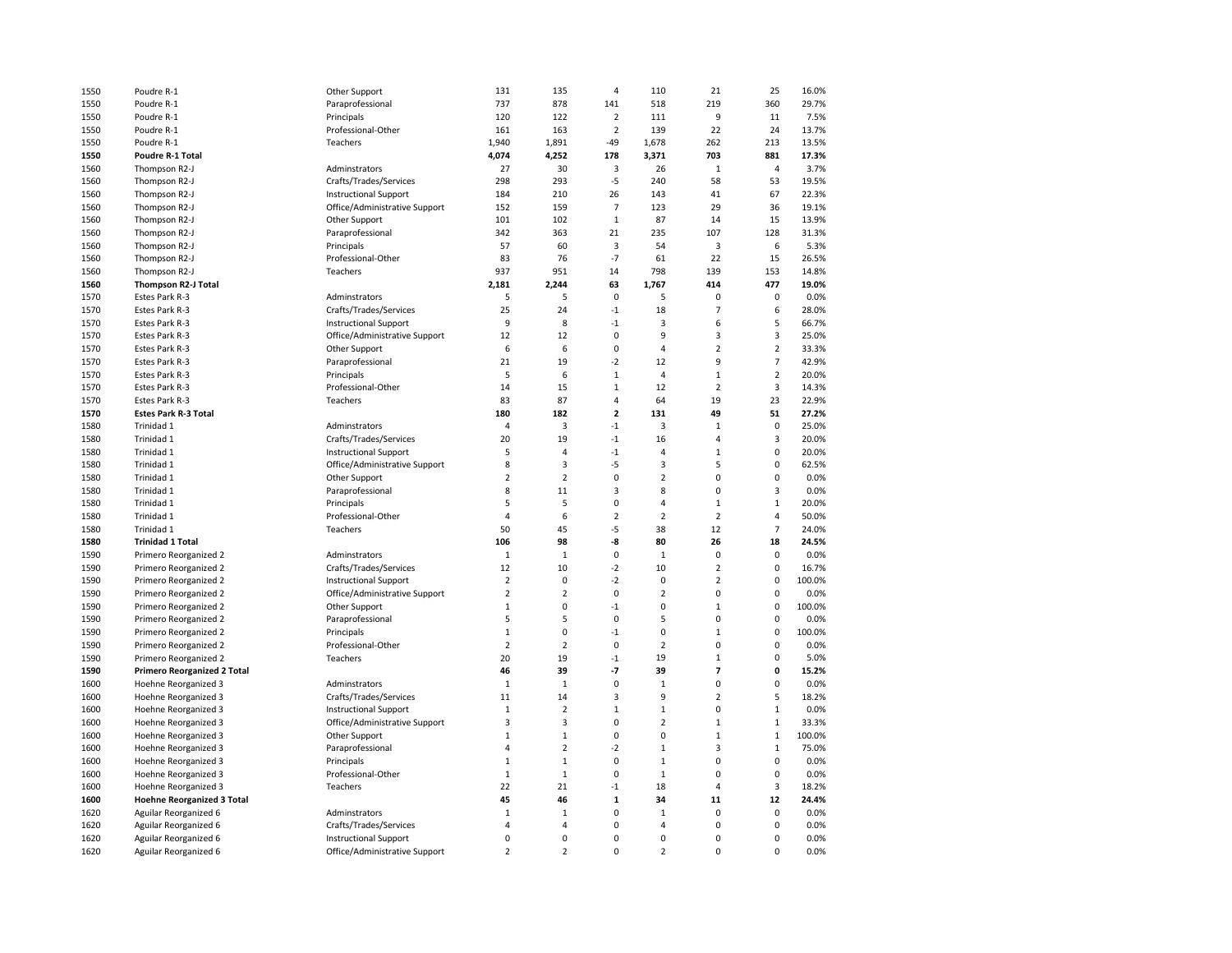| 1550         | Poudre R-1                                                | Other Support                  | 131            | 135            | $\overline{a}$          | 110            | 21             | 25             | 16.0%        |
|--------------|-----------------------------------------------------------|--------------------------------|----------------|----------------|-------------------------|----------------|----------------|----------------|--------------|
| 1550         | Poudre R-1                                                | Paraprofessional               | 737            | 878            | 141                     | 518            | 219            | 360            | 29.7%        |
| 1550         | Poudre R-1                                                | Principals                     | 120            | 122            | 2                       | 111            | 9              | 11             | 7.5%         |
| 1550         | Poudre R-1                                                | Professional-Other             | 161            | 163            | $\overline{2}$          | 139            | 22             | 24             | 13.7%        |
| 1550         | Poudre R-1                                                | Teachers                       | 1,940          | 1,891          | $-49$                   | 1,678          | 262            | 213            | 13.5%        |
| 1550         | Poudre R-1 Total                                          |                                | 4,074          | 4,252          | 178                     | 3,371          | 703            | 881            | 17.3%        |
| 1560         | Thompson R2-J                                             | Adminstrators                  | 27             | 30             | 3                       | 26             | $\mathbf{1}$   | $\overline{4}$ | 3.7%         |
| 1560         | Thompson R2-J                                             | Crafts/Trades/Services         | 298            | 293            | -5                      | 240            | 58             | 53             | 19.5%        |
| 1560         | Thompson R2-J                                             | <b>Instructional Support</b>   | 184            | 210            | 26                      | 143            | 41             | 67             | 22.3%        |
| 1560         | Thompson R2-J                                             | Office/Administrative Support  | 152            | 159            | $\overline{7}$          | 123            | 29             | 36             | 19.1%        |
| 1560         | Thompson R2-J                                             | Other Support                  | 101            | 102            | $1\,$                   | 87             | 14             | 15             | 13.9%        |
| 1560         | Thompson R2-J                                             | Paraprofessional               | 342            | 363            | 21                      | 235            | 107            | 128            | 31.3%        |
| 1560         | Thompson R2-J                                             | Principals                     | 57             | 60             | 3                       | 54             | 3              | 6              | 5.3%         |
| 1560         | Thompson R2-J                                             | Professional-Other             | 83             | 76             | $-7$                    | 61             | 22             | 15             | 26.5%        |
| 1560         | Thompson R2-J                                             | Teachers                       | 937            | 951            | 14                      | 798            | 139            | 153            | 14.8%        |
| 1560         | Thompson R2-J Total                                       |                                | 2,181          | 2,244          | 63                      | 1,767          | 414            | 477            | 19.0%        |
| 1570         | Estes Park R-3                                            | Adminstrators                  | 5              | 5              | $\mathbf 0$             | 5              | $\mathbf 0$    | 0              | 0.0%         |
| 1570         | Estes Park R-3                                            | Crafts/Trades/Services         | 25             | 24             | $-1$                    | 18             | $\overline{7}$ | 6              | 28.0%        |
| 1570         | Estes Park R-3                                            | <b>Instructional Support</b>   | 9              | 8              | $-1$                    | 3              | 6              | 5              | 66.7%        |
| 1570         | Estes Park R-3                                            | Office/Administrative Support  | 12             | 12             | $\pmb{0}$               | 9              | 3              | $\mathsf 3$    | 25.0%        |
| 1570         | Estes Park R-3                                            | Other Support                  | 6              | 6              | $\pmb{0}$               | 4              | $\overline{2}$ | $\overline{2}$ | 33.3%        |
| 1570         | Estes Park R-3                                            | Paraprofessional               | 21             | 19             | $-2$                    | 12             | 9              | $\overline{7}$ | 42.9%        |
| 1570         | Estes Park R-3                                            | Principals                     | 5              | 6              | $\mathbf{1}$            | 4              | $\mathbf 1$    | $\overline{2}$ | 20.0%        |
| 1570         | Estes Park R-3                                            | Professional-Other             | 14             | 15             | $\mathbf 1$             | 12             | $\overline{2}$ | 3              | 14.3%        |
| 1570         | Estes Park R-3                                            | Teachers                       | 83             | 87             | $\overline{\mathbf{4}}$ | 64             | 19             | 23             | 22.9%        |
| 1570         | <b>Estes Park R-3 Total</b>                               |                                | 180            | 182            | $\overline{\mathbf{c}}$ | 131            | 49             | 51             | 27.2%        |
| 1580         | Trinidad 1                                                | Adminstrators                  | 4              | 3              | $-1$                    | 3              | $\mathbf 1$    | $\pmb{0}$      | 25.0%        |
| 1580         | Trinidad 1                                                | Crafts/Trades/Services         | 20             | 19             | $^{\text{{\small -1}}}$ | 16             | 4              | 3              | 20.0%        |
| 1580         | Trinidad 1                                                | <b>Instructional Support</b>   | 5              | 4              | $^{\text{{\small -1}}}$ | $\overline{4}$ | $\mathbf{1}$   | $\mathbf 0$    | 20.0%        |
| 1580         | Trinidad 1                                                | Office/Administrative Support  | 8              | 3              | $-5$                    | 3              | 5              | $\mathbf 0$    | 62.5%        |
| 1580         | Trinidad 1                                                | Other Support                  | $\overline{2}$ | $\overline{2}$ | $\mathbf 0$             | $\overline{2}$ | 0              | $\pmb{0}$      | 0.0%         |
| 1580         | Trinidad 1                                                | Paraprofessional               | 8              | 11             | 3                       | 8              | $\mathbf 0$    | 3              | 0.0%         |
| 1580         | Trinidad 1                                                | Principals                     | 5              | 5              | 0                       | $\overline{4}$ | $\mathbf{1}$   | $\mathbf{1}$   | 20.0%        |
| 1580         | Trinidad 1                                                | Professional-Other             | $\overline{4}$ | 6              | $\overline{2}$          | $\overline{2}$ | $\overline{2}$ | $\overline{4}$ | 50.0%        |
| 1580         | Trinidad 1                                                | Teachers                       | 50             | 45             | $-5$                    | 38             | 12             | $\overline{7}$ | 24.0%        |
| 1580         | <b>Trinidad 1 Total</b>                                   |                                | 106            | 98             | -8                      | 80             | 26             | 18             | 24.5%        |
| 1590         | Primero Reorganized 2                                     | Adminstrators                  | $\mathbf{1}$   | $\mathbf 1$    | $\mathbf 0$             | $\mathbf{1}$   | $\mathbf 0$    | $\mathbf 0$    | 0.0%         |
| 1590         | Primero Reorganized 2                                     | Crafts/Trades/Services         | 12             | 10             | $-2$                    | 10             | $\overline{2}$ | $\mathbf 0$    | 16.7%        |
| 1590         | Primero Reorganized 2                                     | <b>Instructional Support</b>   | $\overline{2}$ | $\mathbf 0$    | $-2$                    | 0              | $\overline{2}$ | $\mathbf 0$    | 100.0%       |
| 1590         | Primero Reorganized 2                                     | Office/Administrative Support  | $\overline{2}$ | $\overline{2}$ | $\pmb{0}$               | $\overline{2}$ | 0              | $\pmb{0}$      | 0.0%         |
| 1590         | Primero Reorganized 2                                     | Other Support                  | $\mathbf 1$    | 0              | $-1$                    | 0              | $\mathbf{1}$   | $\pmb{0}$      | 100.0%       |
| 1590         | Primero Reorganized 2                                     | Paraprofessional               | 5              | 5              | 0                       | 5              | 0              | 0              | 0.0%         |
| 1590         | Primero Reorganized 2                                     | Principals                     | $\mathbf 1$    | 0              | $-1$                    | 0              | $\mathbf{1}$   | $\mathbf 0$    | 100.0%       |
| 1590         | Primero Reorganized 2                                     | Professional-Other             | $\overline{2}$ | $\overline{2}$ | 0                       | $\overline{2}$ | $\Omega$       | $\mathbf 0$    | 0.0%         |
| 1590         | Primero Reorganized 2                                     | Teachers                       | 20             | 19             | $-1$                    | 19             | $\mathbf{1}$   | $\mathbf 0$    | 5.0%         |
| 1590         | <b>Primero Reorganized 2 Total</b>                        |                                | 46             | 39             | $-7$                    | 39             | 7              | $\pmb{0}$      | 15.2%        |
| 1600         | Hoehne Reorganized 3                                      | Adminstrators                  | $\mathbf 1$    | $\,1\,$        | 0                       | $\mathbf 1$    | 0              | 0              | 0.0%         |
| 1600         | Hoehne Reorganized 3                                      | Crafts/Trades/Services         | 11             | 14             | 3                       | 9              | $\overline{2}$ | 5              | 18.2%        |
| 1600         | Hoehne Reorganized 3                                      | <b>Instructional Support</b>   | $\mathbf 1$    | 2              | $\mathbf{1}$            | $\mathbf{1}$   | $\Omega$       | $\mathbf{1}$   | 0.0%         |
| 1600         | Hoehne Reorganized 3                                      | Office/Administrative Support  | 3              | 3              | 0                       | $\overline{2}$ | $\mathbf 1$    | $\mathbf 1$    | 33.3%        |
| 1600         | Hoehne Reorganized 3                                      | Other Support                  | $\mathbf 1$    | $\mathbf 1$    | $\mathbf 0$             | 0              | $\mathbf 1$    | $\mathbf 1$    | 100.0%       |
|              |                                                           |                                | 4              | $\overline{2}$ | $-2$                    | $\mathbf 1$    | 3              | $\mathbf{1}$   | 75.0%        |
| 1600<br>1600 | Hoehne Reorganized 3<br>Hoehne Reorganized 3              | Paraprofessional<br>Principals | $\mathbf 1$    | $\mathbf 1$    | 0                       | $\mathbf 1$    | $\overline{0}$ | $\pmb{0}$      | 0.0%         |
| 1600         |                                                           | Professional-Other             | $\mathbf{1}$   | $\,1\,$        | $\mathbf 0$             | $\mathbf 1$    | $\mathbf 0$    | $\mathbf 0$    | 0.0%         |
| 1600         | Hoehne Reorganized 3                                      | Teachers                       | 22             | 21             | $-1$                    | 18             | 4              | $\mathsf 3$    | 18.2%        |
| 1600         | Hoehne Reorganized 3<br><b>Hoehne Reorganized 3 Total</b> |                                | 45             | 46             | $\mathbf 1$             | 34             | 11             | 12             | 24.4%        |
|              |                                                           |                                | $\mathbf 1$    | $\mathbf 1$    | $\pmb{0}$               | $\mathbf 1$    | 0              | $\pmb{0}$      | 0.0%         |
| 1620         | Aguilar Reorganized 6                                     | Adminstrators                  | $\overline{4}$ | 4              | $\mathbf 0$             | $\overline{4}$ | $\mathbf 0$    | $\pmb{0}$      | 0.0%         |
| 1620         | Aguilar Reorganized 6                                     | Crafts/Trades/Services         | 0              | 0              | 0                       | 0              | $\mathbf 0$    | $\mathbf 0$    |              |
| 1620         | Aguilar Reorganized 6                                     | <b>Instructional Support</b>   | $\overline{2}$ | $\overline{2}$ | $\mathbf 0$             | $\overline{2}$ | $\Omega$       | $\mathbf 0$    | 0.0%<br>0.0% |
| 1620         | Aguilar Reorganized 6                                     | Office/Administrative Support  |                |                |                         |                |                |                |              |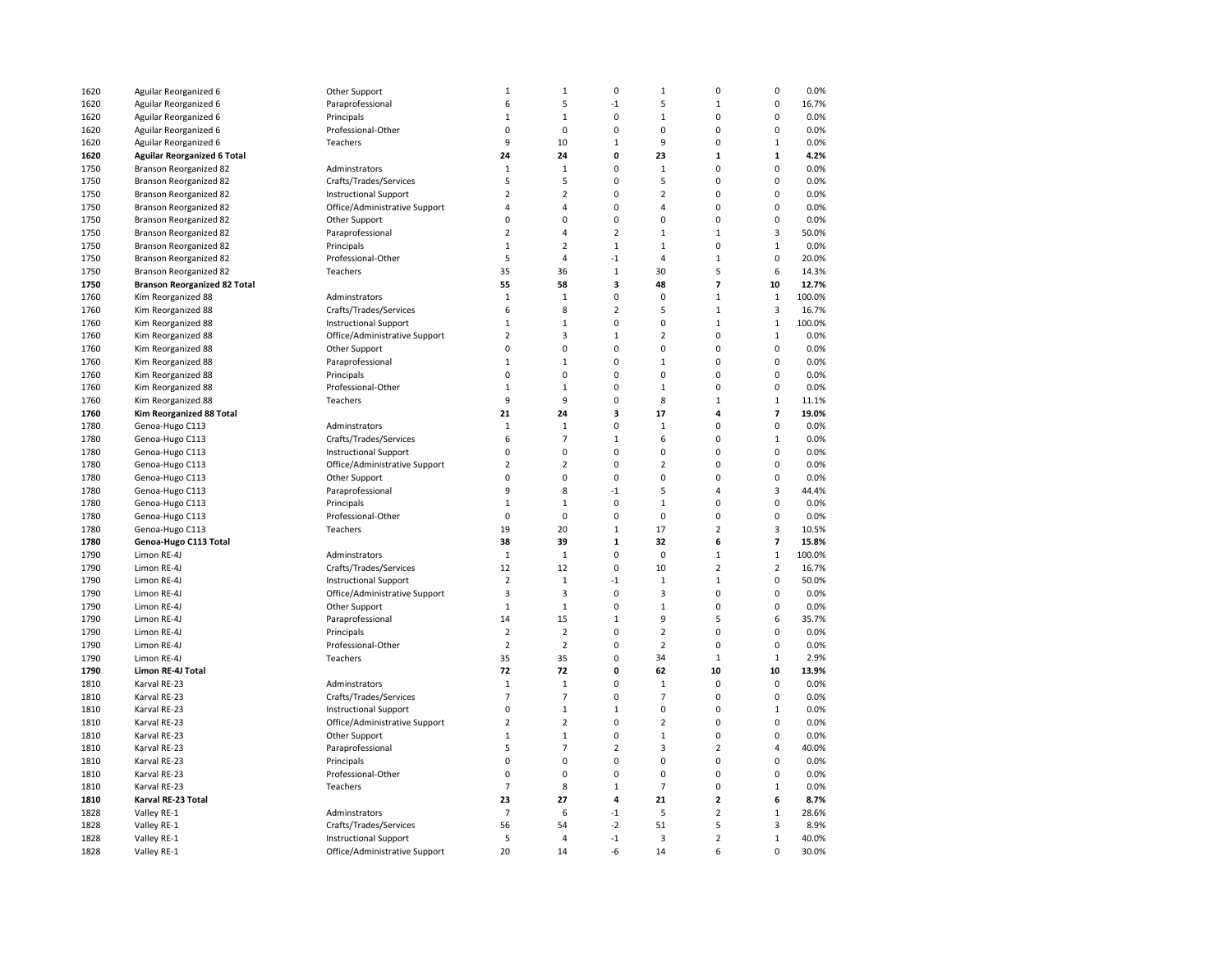| 1620 | Aguilar Reorganized 6               | Other Support                 | 1                       | $\mathbf 1$    | $\pmb{0}$      | $\mathbf 1$    | $\mathbf 0$    | $\pmb{0}$                | 0.0%   |
|------|-------------------------------------|-------------------------------|-------------------------|----------------|----------------|----------------|----------------|--------------------------|--------|
| 1620 | Aguilar Reorganized 6               | Paraprofessional              | 6                       | 5              | $-1$           | 5              | $\mathbf 1$    | $\pmb{0}$                | 16.7%  |
| 1620 | Aguilar Reorganized 6               | Principals                    | $\mathbf 1$             | $\mathbf 1$    | $\mathbf 0$    | $\mathbf{1}$   | $\Omega$       | $\mathbf 0$              | 0.0%   |
| 1620 | Aguilar Reorganized 6               | Professional-Other            | 0                       | $\Omega$       | $\mathbf 0$    | 0              | $\mathbf 0$    | $\mathbf 0$              | 0.0%   |
| 1620 | Aguilar Reorganized 6               | Teachers                      | 9                       | 10             | $\mathbf 1$    | 9              | 0              | $\mathbf 1$              | 0.0%   |
| 1620 | <b>Aguilar Reorganized 6 Total</b>  |                               | 24                      | 24             | 0              | 23             | $\mathbf{1}$   | ${\bf 1}$                | 4.2%   |
| 1750 | <b>Branson Reorganized 82</b>       | Adminstrators                 | $\mathbf{1}$            | $\mathbf{1}$   | 0              | $\mathbf{1}$   | $\Omega$       | $\mathbf 0$              | 0.0%   |
| 1750 | Branson Reorganized 82              | Crafts/Trades/Services        | 5                       | 5              | 0              | 5              | $\mathbf 0$    | $\mathbf 0$              | 0.0%   |
|      |                                     |                               |                         |                |                |                |                |                          |        |
| 1750 | <b>Branson Reorganized 82</b>       | <b>Instructional Support</b>  | $\overline{2}$          | $\overline{2}$ | 0              | $\overline{2}$ | 0              | $\pmb{0}$                | 0.0%   |
| 1750 | <b>Branson Reorganized 82</b>       | Office/Administrative Support | 4                       | 4              | 0              | 4              | $\mathbf 0$    | $\mathbf 0$              | 0.0%   |
| 1750 | <b>Branson Reorganized 82</b>       | Other Support                 | 0                       | 0              | 0              | 0              | $\mathbf 0$    | $\mathbf 0$              | 0.0%   |
| 1750 | <b>Branson Reorganized 82</b>       | Paraprofessional              | $\overline{2}$          | 4              | $\overline{2}$ | $\mathbf{1}$   | $\mathbf{1}$   | $\overline{3}$           | 50.0%  |
| 1750 | <b>Branson Reorganized 82</b>       | Principals                    | $1\,$                   | $\overline{2}$ | $\mathbf 1$    | $1\,$          | 0              | $\mathbf 1$              | 0.0%   |
| 1750 | <b>Branson Reorganized 82</b>       | Professional-Other            | 5                       | 4              | $-1$           | 4              | $\mathbf{1}$   | $\pmb{0}$                | 20.0%  |
| 1750 | Branson Reorganized 82              | Teachers                      | 35                      | 36             | $\mathbf{1}$   | 30             | 5              | 6                        | 14.3%  |
| 1750 | <b>Branson Reorganized 82 Total</b> |                               | 55                      | 58             | 3              | 48             | $\overline{7}$ | 10                       | 12.7%  |
| 1760 | Kim Reorganized 88                  | Adminstrators                 | $\mathbf 1$             | $\mathbf{1}$   | 0              | $\mathbf 0$    | $\mathbf{1}$   | $\,1\,$                  | 100.0% |
| 1760 | Kim Reorganized 88                  | Crafts/Trades/Services        | 6                       | 8              | $\overline{2}$ | 5              | $\mathbf{1}$   | 3                        | 16.7%  |
| 1760 | Kim Reorganized 88                  | <b>Instructional Support</b>  | $1\,$                   | $\mathbf 1$    | 0              | 0              | $\mathbf{1}$   | $\mathbf{1}$             | 100.0% |
| 1760 | Kim Reorganized 88                  | Office/Administrative Support | $\overline{\mathbf{c}}$ | 3              | $\mathbf 1$    | $\overline{2}$ | 0              | $\mathbf{1}$             | 0.0%   |
| 1760 | Kim Reorganized 88                  | Other Support                 | 0                       | 0              | 0              | $\overline{0}$ | $\mathbf 0$    | $\mathbf 0$              | 0.0%   |
| 1760 | Kim Reorganized 88                  | Paraprofessional              | $\mathbf 1$             | $\mathbf 1$    | 0              | $\mathbf 1$    | 0              | $\pmb{0}$                | 0.0%   |
| 1760 | Kim Reorganized 88                  | Principals                    | 0                       | 0              | 0              | $\mathbf 0$    | $\overline{0}$ | 0                        | 0.0%   |
| 1760 | Kim Reorganized 88                  | Professional-Other            | $\mathbf 1$             | $\mathbf 1$    | 0              | $\mathbf 1$    | $\overline{0}$ | $\pmb{0}$                | 0.0%   |
| 1760 | Kim Reorganized 88                  | Teachers                      | 9                       | 9              | $\mathbf 0$    | 8              | $\mathbf{1}$   | $\mathbf 1$              | 11.1%  |
| 1760 | Kim Reorganized 88 Total            |                               | 21                      | 24             | 3              | 17             | 4              | $\overline{\phantom{a}}$ | 19.0%  |
| 1780 | Genoa-Hugo C113                     | Adminstrators                 | $\mathbf{1}$            | $\mathbf{1}$   | 0              | $1\,$          | $\mathbf 0$    | $\pmb{0}$                | 0.0%   |
| 1780 | Genoa-Hugo C113                     | Crafts/Trades/Services        | 6                       | $\overline{7}$ | $1\,$          | 6              | $\overline{0}$ | $1\,$                    | 0.0%   |
| 1780 | Genoa-Hugo C113                     | <b>Instructional Support</b>  | 0                       | 0              | 0              | 0              | $\mathbf 0$    | $\mathbf 0$              | 0.0%   |
| 1780 | Genoa-Hugo C113                     | Office/Administrative Support | $\overline{\mathbf{c}}$ | $\overline{2}$ | $\mathbf 0$    | $\overline{2}$ | $\mathbf 0$    | $\mathbf 0$              | 0.0%   |
| 1780 | Genoa-Hugo C113                     | Other Support                 | 0                       | 0              | $\mathbf 0$    | $\mathbf 0$    | $\mathbf 0$    | $\pmb{0}$                | 0.0%   |
| 1780 | Genoa-Hugo C113                     | Paraprofessional              | 9                       | 8              | $-1$           | 5              | 4              | 3                        | 44.4%  |
| 1780 | Genoa-Hugo C113                     | Principals                    | $\mathbf{1}$            | $\mathbf{1}$   | 0              | $\mathbf{1}$   | $\Omega$       | $\mathbf 0$              | 0.0%   |
| 1780 | Genoa-Hugo C113                     | Professional-Other            | $\mathbf 0$             | 0              | $\mathbf 0$    | $\mathbf 0$    | $\mathbf 0$    | $\mathbf 0$              | 0.0%   |
| 1780 |                                     | Teachers                      | 19                      | 20             | $\mathbf 1$    | 17             | $\overline{2}$ | 3                        | 10.5%  |
|      | Genoa-Hugo C113                     |                               | 38                      |                | $\mathbf{1}$   | 32             |                | $\overline{7}$           |        |
| 1780 | Genoa-Hugo C113 Total               |                               |                         | 39             | 0              | $\mathbf 0$    | 6              |                          | 15.8%  |
| 1790 | Limon RE-4J                         | Adminstrators                 | $\mathbf{1}$            | $\mathbf{1}$   |                |                | $\mathbf{1}$   | $\mathbf{1}$             | 100.0% |
| 1790 | Limon RE-4J                         | Crafts/Trades/Services        | 12                      | 12             | $\mathbf 0$    | 10             | $\overline{2}$ | $\overline{2}$           | 16.7%  |
| 1790 | Limon RE-4J                         | <b>Instructional Support</b>  | $\overline{2}$          | $1\,$          | $-1$           | $1\,$          | $\mathbf 1$    | $\pmb{0}$                | 50.0%  |
| 1790 | Limon RE-4J                         | Office/Administrative Support | 3                       | 3              | 0              | 3              | $\overline{0}$ | $\pmb{0}$                | 0.0%   |
| 1790 | Limon RE-4J                         | Other Support                 | $1\,$                   | $\mathbf 1$    | 0              | $\mathbf 1$    | 0              | 0                        | 0.0%   |
| 1790 | Limon RE-4J                         | Paraprofessional              | 14                      | 15             | $\mathbf{1}$   | 9              | 5              | 6                        | 35.7%  |
| 1790 | Limon RE-4J                         | Principals                    | $\overline{2}$          | $\overline{2}$ | 0              | $\mathbf 2$    | $\mathbf 0$    | $\mathbf 0$              | 0.0%   |
| 1790 | Limon RE-4J                         | Professional-Other            | $\overline{2}$          | $\overline{2}$ | 0              | $\overline{2}$ | $\mathbf 0$    | $\pmb{0}$                | 0.0%   |
| 1790 | Limon RE-4J                         | Teachers                      | 35                      | 35             | 0              | 34             | $\mathbf 1$    | $\mathbf{1}$             | 2.9%   |
| 1790 | Limon RE-4J Total                   |                               | 72                      | 72             | 0              | 62             | 10             | 10                       | 13.9%  |
| 1810 | Karval RE-23                        | Adminstrators                 | $\mathbf 1$             | $\mathbf 1$    | 0              | $\mathbf 1$    | $\mathbf 0$    | $\mathbf 0$              | 0.0%   |
| 1810 | Karval RE-23                        | Crafts/Trades/Services        | $\overline{7}$          | $\overline{7}$ | 0              | 7              | 0              | $\pmb{0}$                | 0.0%   |
| 1810 | Karval RE-23                        | <b>Instructional Support</b>  | 0                       | $\mathbf 1$    | $\mathbf 1$    | 0              | 0              | $\,1\,$                  | 0.0%   |
| 1810 | Karval RE-23                        | Office/Administrative Support | $\overline{2}$          | $\overline{2}$ | 0              | $\overline{2}$ | 0              | $\pmb{0}$                | 0.0%   |
| 1810 | Karval RE-23                        | Other Support                 | $\mathbf 1$             | $\mathbf 1$    | $\pmb{0}$      | $1\,$          | $\mathbf 0$    | $\mathbf 0$              | 0.0%   |
| 1810 | Karval RE-23                        | Paraprofessional              | 5                       | $\overline{7}$ | $\overline{2}$ | 3              | $\overline{2}$ | $\sqrt{4}$               | 40.0%  |
| 1810 | Karval RE-23                        | Principals                    | 0                       | 0              | 0              | 0              | $\overline{0}$ | $\pmb{0}$                | 0.0%   |
| 1810 | Karval RE-23                        | Professional-Other            | $\mathbf 0$             | 0              | 0              | $\mathbf 0$    | 0              | $\pmb{0}$                | 0.0%   |
| 1810 | Karval RE-23                        | Teachers                      | $\overline{7}$          | 8              | $\mathbf{1}$   | $\overline{7}$ | $\mathbf 0$    | $\mathbf 1$              | 0.0%   |
| 1810 | Karval RE-23 Total                  |                               | 23                      | 27             | 4              | 21             | $\overline{2}$ | 6                        | 8.7%   |
| 1828 | Valley RE-1                         | Adminstrators                 | $\overline{7}$          | 6              | $-1$           | 5              | $\overline{2}$ | $\mathbf 1$              | 28.6%  |
| 1828 | Valley RE-1                         | Crafts/Trades/Services        | 56                      | 54             | $-2$           | 51             | 5              | 3                        | 8.9%   |
| 1828 | Valley RE-1                         | <b>Instructional Support</b>  | 5                       | 4              | $-1$           | 3              | $\overline{2}$ | $\mathbf 1$              | 40.0%  |
| 1828 | Valley RE-1                         | Office/Administrative Support | 20                      | 14             | $-6$           | 14             | 6              | $\Omega$                 | 30.0%  |
|      |                                     |                               |                         |                |                |                |                |                          |        |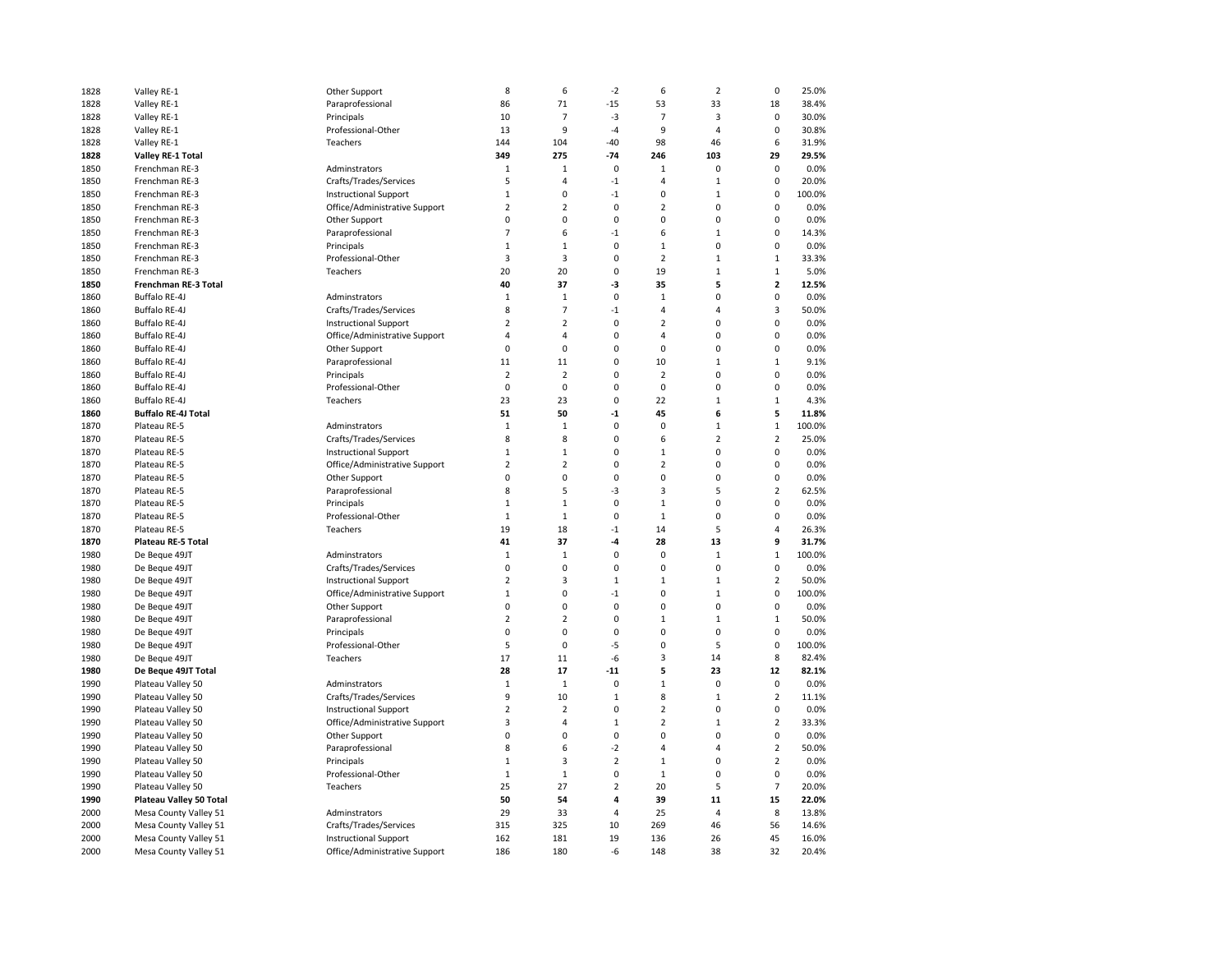| 1828 | Valley RE-1                | Other Support                 | 8              | 6              | $-2$           | 6                       | $\overline{2}$ | $\pmb{0}$               | 25.0%  |
|------|----------------------------|-------------------------------|----------------|----------------|----------------|-------------------------|----------------|-------------------------|--------|
| 1828 | Valley RE-1                | Paraprofessional              | 86             | 71             | $-15$          | 53                      | 33             | 18                      | 38.4%  |
| 1828 | Valley RE-1                | Principals                    | 10             | $\overline{7}$ | $-3$           | $\overline{7}$          | 3              | $\mathbf 0$             | 30.0%  |
| 1828 | Valley RE-1                | Professional-Other            | 13             | 9              | $-4$           | 9                       | $\overline{4}$ | $\mathbf 0$             | 30.8%  |
| 1828 | Valley RE-1                | Teachers                      | 144            | 104            | $-40$          | 98                      | 46             | 6                       | 31.9%  |
| 1828 | <b>Valley RE-1 Total</b>   |                               | 349            | 275            | $-74$          | 246                     | 103            | 29                      | 29.5%  |
| 1850 | Frenchman RE-3             | Adminstrators                 | $\mathbf 1$    | $\mathbf{1}$   | $\mathbf 0$    | $\mathbf 1$             | 0              | 0                       | 0.0%   |
| 1850 | Frenchman RE-3             | Crafts/Trades/Services        | 5              | 4              | $-1$           | $\overline{4}$          | $\mathbf{1}$   | $\mathbf 0$             | 20.0%  |
| 1850 | Frenchman RE-3             | <b>Instructional Support</b>  | $\mathbf 1$    | 0              | $-1$           | 0                       | $\mathbf 1$    | $\pmb{0}$               | 100.0% |
| 1850 | Frenchman RE-3             | Office/Administrative Support | $\overline{2}$ | $\overline{2}$ | $\pmb{0}$      | $\overline{2}$          | $\overline{0}$ | $\pmb{0}$               | 0.0%   |
| 1850 | Frenchman RE-3             | Other Support                 | 0              | 0              | 0              | 0                       | 0              | 0                       | 0.0%   |
| 1850 | Frenchman RE-3             | Paraprofessional              | $\overline{7}$ | 6              | $-1$           | 6                       | $\mathbf{1}$   | 0                       | 14.3%  |
| 1850 | Frenchman RE-3             | Principals                    | $\mathbf{1}$   | $\mathbf{1}$   | 0              | $\mathbf{1}$            | 0              | $\mathbf 0$             | 0.0%   |
| 1850 | Frenchman RE-3             | Professional-Other            | 3              | 3              | $\pmb{0}$      | $\overline{2}$          | $\mathbf{1}$   | $\mathbf 1$             | 33.3%  |
|      | Frenchman RE-3             |                               | 20             | 20             | 0              | 19                      | $\mathbf 1$    | $\mathbf{1}$            | 5.0%   |
| 1850 |                            | Teachers                      |                |                | -3             |                         | 5              | $\overline{\mathbf{2}}$ | 12.5%  |
| 1850 | Frenchman RE-3 Total       |                               | 40             | 37             | $\mathbf 0$    | 35                      | 0              |                         |        |
| 1860 | Buffalo RE-4J              | Adminstrators                 | $\mathbf 1$    | $\mathbf{1}$   |                | $1\,$                   | $\overline{a}$ | $\pmb{0}$               | 0.0%   |
| 1860 | Buffalo RE-4J              | Crafts/Trades/Services        | 8              | $\overline{7}$ | $-1$           | 4                       |                | 3                       | 50.0%  |
| 1860 | Buffalo RE-4J              | <b>Instructional Support</b>  | $\overline{2}$ | $\overline{2}$ | $\pmb{0}$      | $\overline{2}$          | $\mathbf 0$    | $\pmb{0}$               | 0.0%   |
| 1860 | Buffalo RE-4J              | Office/Administrative Support | 4              | 4              | $\pmb{0}$      | 4                       | $\overline{0}$ | $\pmb{0}$               | 0.0%   |
| 1860 | Buffalo RE-4J              | Other Support                 | 0              | $\mathbf 0$    | 0              | 0                       | $\mathbf 0$    | $\mathbf 0$             | 0.0%   |
| 1860 | Buffalo RE-4J              | Paraprofessional              | 11             | 11             | 0              | 10                      | $\mathbf 1$    | $\,1\,$                 | 9.1%   |
| 1860 | Buffalo RE-4J              | Principals                    | $\overline{2}$ | $\overline{2}$ | 0              | $\overline{2}$          | 0              | $\pmb{0}$               | 0.0%   |
| 1860 | Buffalo RE-4J              | Professional-Other            | 0              | 0              | $\mathbf 0$    | 0                       | $\overline{0}$ | $\mathbf 0$             | 0.0%   |
| 1860 | Buffalo RE-4J              | Teachers                      | 23             | 23             | $\mathbf 0$    | 22                      | $\mathbf{1}$   | $\mathbf 1$             | 4.3%   |
| 1860 | <b>Buffalo RE-4J Total</b> |                               | 51             | 50             | $-1$           | 45                      | 6              | 5                       | 11.8%  |
| 1870 | Plateau RE-5               | Adminstrators                 | $\,1\,$        | $\mathbf 1$    | $\mathbf 0$    | $\pmb{0}$               | $\mathbf 1$    | $\mathbf 1$             | 100.0% |
| 1870 | Plateau RE-5               | Crafts/Trades/Services        | 8              | 8              | 0              | 6                       | $\overline{2}$ | $\overline{2}$          | 25.0%  |
| 1870 | Plateau RE-5               | <b>Instructional Support</b>  | $\mathbf{1}$   | $\mathbf{1}$   | 0              | $\mathbf{1}$            | 0              | $\mathbf 0$             | 0.0%   |
| 1870 | Plateau RE-5               | Office/Administrative Support | $\overline{2}$ | $\overline{2}$ | 0              | $\overline{2}$          | $\Omega$       | $\mathbf 0$             | 0.0%   |
| 1870 | Plateau RE-5               | Other Support                 | 0              | 0              | $\pmb{0}$      | 0                       | $\Omega$       | $\pmb{0}$               | 0.0%   |
| 1870 | Plateau RE-5               | Paraprofessional              | 8              | 5              | -3             | 3                       | 5              | $\overline{2}$          | 62.5%  |
| 1870 | Plateau RE-5               | Principals                    | 1              | 1              | 0              | $\mathbf 1$             | 0              | 0                       | 0.0%   |
| 1870 | Plateau RE-5               | Professional-Other            | $\mathbf{1}$   | $\mathbf{1}$   | $\mathbf 0$    | $\mathbf{1}$            | $\mathbf 0$    | $\mathbf 0$             | 0.0%   |
| 1870 | Plateau RE-5               | Teachers                      | 19             | 18             | $-1$           | 14                      | 5              | 4                       | 26.3%  |
| 1870 | Plateau RE-5 Total         |                               | 41             | 37             | -4             | 28                      | 13             | 9                       | 31.7%  |
| 1980 | De Beque 49JT              | Adminstrators                 | 1              | $\mathbf 1$    | 0              | 0                       | 1              | $1\,$                   | 100.0% |
| 1980 | De Beque 49JT              | Crafts/Trades/Services        | 0              | $\mathbf 0$    | $\mathbf 0$    | $\mathbf 0$             | $\mathbf 0$    | $\mathbf 0$             | 0.0%   |
| 1980 | De Beque 49JT              | <b>Instructional Support</b>  | $\overline{2}$ | 3              | $\mathbf{1}$   | $\mathbf{1}$            | $\mathbf{1}$   | $\overline{2}$          | 50.0%  |
| 1980 | De Beque 49JT              | Office/Administrative Support | $\mathbf 1$    | 0              | $-1$           | 0                       | $\mathbf{1}$   | $\pmb{0}$               | 100.0% |
| 1980 | De Beque 49JT              | Other Support                 | 0              | 0              | 0              | 0                       | 0              | 0                       | 0.0%   |
| 1980 | De Beque 49JT              | Paraprofessional              | $\overline{2}$ | $\overline{2}$ | 0              | $\mathbf 1$             | $\mathbf 1$    | $\mathbf{1}$            | 50.0%  |
| 1980 | De Beque 49JT              | Principals                    | 0              | 0              | $\pmb{0}$      | 0                       | 0              | $\mathbf 0$             | 0.0%   |
| 1980 | De Beque 49JT              | Professional-Other            | 5              | 0              | -5             | 0                       | 5              | $\pmb{0}$               | 100.0% |
| 1980 | De Beque 49JT              | Teachers                      | 17             | 11             | -6             | 3                       | 14             | 8                       | 82.4%  |
| 1980 | De Beque 49JT Total        |                               | 28             | 17             | $-11$          | 5                       | 23             | 12                      | 82.1%  |
| 1990 | Plateau Valley 50          | Adminstrators                 | $\mathbf 1$    | $\,1\,$        | $\pmb{0}$      | $\mathbf 1$             | 0              | $\pmb{0}$               | 0.0%   |
| 1990 | Plateau Valley 50          | Crafts/Trades/Services        | 9              | 10             | $\mathbf{1}$   | 8                       | $\mathbf{1}$   | $\mathbf 2$             | 11.1%  |
| 1990 | Plateau Valley 50          | <b>Instructional Support</b>  | $\overline{2}$ | 2              | $\mathbf 0$    | $\overline{2}$          | 0              | $\pmb{0}$               | 0.0%   |
| 1990 | Plateau Valley 50          | Office/Administrative Support | 3              | 4              | $1\,$          | $\overline{2}$          | $\mathbf{1}$   | $\overline{2}$          | 33.3%  |
| 1990 | Plateau Valley 50          | Other Support                 | 0              | $\mathbf 0$    | $\mathbf 0$    | 0                       | $\mathbf 0$    | $\mathbf 0$             | 0.0%   |
| 1990 | Plateau Valley 50          | Paraprofessional              | 8              | 6              | $-2$           | $\overline{\mathbf{4}}$ | 4              | $\mathbf 2$             | 50.0%  |
| 1990 | Plateau Valley 50          | Principals                    | $\mathbf 1$    | 3              | $\overline{2}$ | $\mathbf 1$             | $\mathbf 0$    | $\overline{2}$          | 0.0%   |
| 1990 | Plateau Valley 50          | Professional-Other            | $\mathbf{1}$   | $\mathbf{1}$   | 0              | $\mathbf{1}$            | $\mathbf 0$    | $\mathbf 0$             | 0.0%   |
| 1990 | Plateau Valley 50          | Teachers                      | 25             | 27             | $\overline{2}$ | 20                      | 5              | $\overline{7}$          | 20.0%  |
| 1990 | Plateau Valley 50 Total    |                               | 50             | 54             | 4              | 39                      | 11             | 15                      | 22.0%  |
|      |                            |                               | 29             | 33             |                | 25                      | 4              | 8                       | 13.8%  |
| 2000 | Mesa County Valley 51      | Adminstrators                 |                |                | 4              |                         |                |                         |        |
| 2000 | Mesa County Valley 51      | Crafts/Trades/Services        | 315            | 325            | 10             | 269                     | 46             | 56                      | 14.6%  |
| 2000 | Mesa County Valley 51      | <b>Instructional Support</b>  | 162            | 181            | 19             | 136                     | 26             | 45                      | 16.0%  |
| 2000 | Mesa County Valley 51      | Office/Administrative Support | 186            | 180            | $-6$           | 148                     | 38             | 32                      | 20.4%  |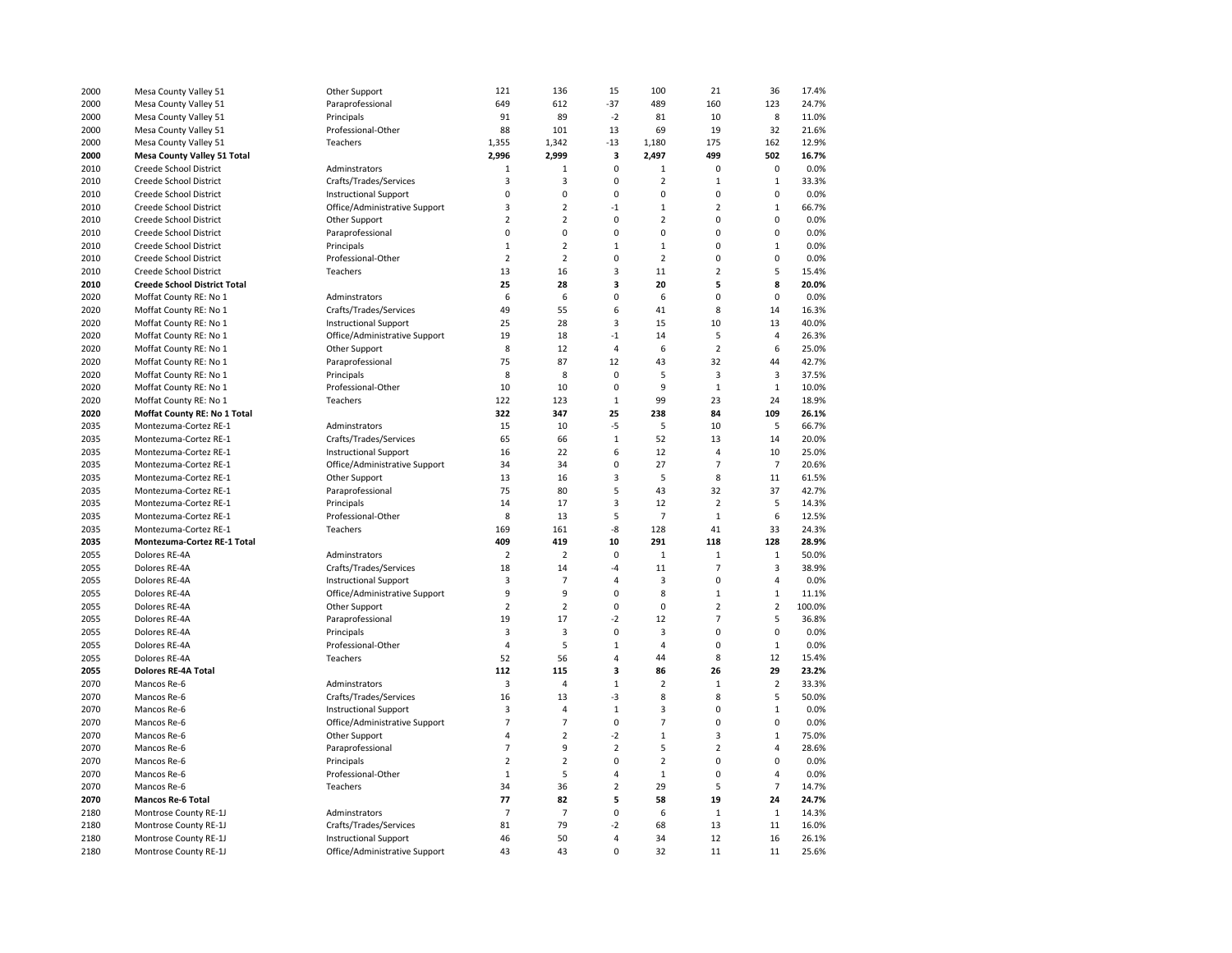| 2000 | Mesa County Valley 51                            | Other Support                 | 121                     | 136            | 15             | 100            | 21             | 36             | 17.4%        |
|------|--------------------------------------------------|-------------------------------|-------------------------|----------------|----------------|----------------|----------------|----------------|--------------|
| 2000 | Mesa County Valley 51                            | Paraprofessional              | 649                     | 612            | $-37$          | 489            | 160            | 123            | 24.7%        |
| 2000 | Mesa County Valley 51                            | Principals                    | 91                      | 89             | $-2$           | 81             | 10             | 8              | 11.0%        |
| 2000 | Mesa County Valley 51                            | Professional-Other            | 88                      | 101            | 13             | 69             | 19             | 32             | 21.6%        |
| 2000 | Mesa County Valley 51                            | Teachers                      | 1,355                   | 1,342          | $-13$          | 1,180          | 175            | 162            | 12.9%        |
| 2000 | <b>Mesa County Valley 51 Total</b>               |                               | 2,996                   | 2,999          | 3              | 2,497          | 499            | 502            | 16.7%        |
| 2010 | Creede School District                           | Adminstrators                 | $\mathbf{1}$            | $\mathbf 1$    | 0              | $\mathbf 1$    | 0              | $\pmb{0}$      | 0.0%         |
| 2010 | Creede School District                           | Crafts/Trades/Services        | $\overline{\mathbf{3}}$ | 3              | 0              | $\overline{2}$ | $\mathbf{1}$   | $\mathbf 1$    | 33.3%        |
| 2010 | Creede School District                           | <b>Instructional Support</b>  | $\pmb{0}$               | 0              | 0              | 0              | 0              | $\mathbf 0$    | 0.0%         |
| 2010 | Creede School District                           | Office/Administrative Support | 3                       | $\overline{2}$ | $-1$           | $\mathbf{1}$   | $\overline{2}$ | $\mathbf{1}$   | 66.7%        |
| 2010 | Creede School District                           | Other Support                 | $\overline{2}$          | $\overline{2}$ | 0              | $\overline{2}$ | 0              | $\mathbf 0$    | 0.0%         |
| 2010 | Creede School District                           | Paraprofessional              | $\pmb{0}$               | 0              | 0              | 0              | 0              | 0              | 0.0%         |
| 2010 | Creede School District                           | Principals                    | $1\,$                   | $\overline{2}$ | $\mathbf 1$    | $\mathbf 1$    | 0              | $\mathbf 1$    | 0.0%         |
| 2010 |                                                  | Professional-Other            | $\overline{2}$          | $\overline{2}$ | 0              | $\overline{2}$ | 0              | $\pmb{0}$      | 0.0%         |
| 2010 | Creede School District<br>Creede School District | Teachers                      | 13                      | 16             | 3              | 11             | $\overline{2}$ | 5              | 15.4%        |
| 2010 |                                                  |                               | 25                      | 28             | 3              | 20             | 5              | 8              | 20.0%        |
|      | <b>Creede School District Total</b>              |                               |                         |                | 0              |                | $\mathbf 0$    | $\mathbf 0$    |              |
| 2020 | Moffat County RE: No 1                           | Adminstrators                 | 6                       | 6              |                | 6              |                |                | 0.0%         |
| 2020 | Moffat County RE: No 1                           | Crafts/Trades/Services        | 49                      | 55             | 6              | 41             | 8              | 14             | 16.3%        |
| 2020 | Moffat County RE: No 1                           | <b>Instructional Support</b>  | 25                      | 28             | 3              | 15             | 10             | 13             | 40.0%        |
| 2020 | Moffat County RE: No 1                           | Office/Administrative Support | 19                      | 18             | $-1$           | 14             | 5              | $\overline{4}$ | 26.3%        |
| 2020 | Moffat County RE: No 1                           | Other Support                 | 8                       | 12             | $\overline{4}$ | 6              | $\overline{2}$ | 6              | 25.0%        |
| 2020 | Moffat County RE: No 1                           | Paraprofessional              | 75                      | 87             | 12             | 43             | 32             | 44             | 42.7%        |
| 2020 | Moffat County RE: No 1                           | Principals                    | 8                       | 8              | $\pmb{0}$      | 5              | 3              | $\mathsf 3$    | 37.5%        |
| 2020 | Moffat County RE: No 1                           | Professional-Other            | 10                      | 10             | $\mathbf 0$    | 9              | $\mathbf 1$    | $\mathbf{1}$   | 10.0%        |
| 2020 | Moffat County RE: No 1                           | Teachers                      | 122                     | 123            | $1\,$          | 99             | 23             | 24             | 18.9%        |
| 2020 | Moffat County RE: No 1 Total                     |                               | 322                     | 347            | 25             | 238            | 84             | 109            | 26.1%        |
| 2035 | Montezuma-Cortez RE-1                            | Adminstrators                 | 15                      | 10             | $-5$           | 5              | 10             | 5              | 66.7%        |
| 2035 | Montezuma-Cortez RE-1                            | Crafts/Trades/Services        | 65                      | 66             | $\,1\,$        | 52             | 13             | 14             | 20.0%        |
| 2035 | Montezuma-Cortez RE-1                            | <b>Instructional Support</b>  | 16                      | 22             | 6              | 12             | $\overline{4}$ | 10             | 25.0%        |
| 2035 | Montezuma-Cortez RE-1                            | Office/Administrative Support | 34                      | 34             | 0              | 27             | $\overline{7}$ | $\overline{7}$ | 20.6%        |
| 2035 | Montezuma-Cortez RE-1                            | Other Support                 | 13                      | 16             | 3              | 5              | 8              | 11             | 61.5%        |
| 2035 | Montezuma-Cortez RE-1                            | Paraprofessional              | 75                      | 80             | 5              | 43             | 32             | 37             | 42.7%        |
| 2035 | Montezuma-Cortez RE-1                            | Principals                    | 14                      | 17             | 3              | 12             | $\overline{2}$ | 5              | 14.3%        |
| 2035 | Montezuma-Cortez RE-1                            | Professional-Other            | 8                       | 13             | 5              | $\overline{7}$ | $\mathbf{1}$   | 6              | 12.5%        |
| 2035 | Montezuma-Cortez RE-1                            | Teachers                      | 169                     | 161            | -8             | 128            | 41             | 33             | 24.3%        |
| 2035 | Montezuma-Cortez RE-1 Total                      |                               | 409                     | 419            | 10             | 291            | 118            | 128            | 28.9%        |
| 2055 | Dolores RE-4A                                    | Adminstrators                 | $\overline{2}$          | $\overline{2}$ | 0              | $\mathbf{1}$   | $\mathbf{1}$   | $\mathbf{1}$   | 50.0%        |
| 2055 | Dolores RE-4A                                    | Crafts/Trades/Services        | 18                      | 14             | $-4$           | 11             | $\overline{7}$ | 3              | 38.9%        |
| 2055 | Dolores RE-4A                                    | <b>Instructional Support</b>  | 3                       | 7              | 4              | 3              | 0              | $\overline{4}$ | 0.0%         |
| 2055 | Dolores RE-4A                                    | Office/Administrative Support | 9                       | 9              | 0              | 8              | $\mathbf 1$    | $\mathbf{1}$   | 11.1%        |
| 2055 | Dolores RE-4A                                    | Other Support                 | $\overline{2}$          | $\overline{2}$ | 0              | 0              | 2              | $\overline{2}$ | 100.0%       |
| 2055 | Dolores RE-4A                                    | Paraprofessional              | 19                      | 17             | $-2$           | 12             | $\overline{7}$ | 5              | 36.8%        |
| 2055 | Dolores RE-4A                                    | Principals                    | $\overline{3}$          | 3              | 0              | 3              | 0              | $\mathbf 0$    | 0.0%         |
| 2055 | Dolores RE-4A                                    | Professional-Other            | 4                       | 5              | $\mathbf 1$    | 4              | 0              | $\mathbf 1$    | 0.0%         |
| 2055 | Dolores RE-4A                                    | Teachers                      | 52                      | 56             | 4              | 44             | 8              | 12             | 15.4%        |
| 2055 | <b>Dolores RE-4A Total</b>                       |                               | 112                     | 115            | 3              | 86             | 26             | 29             | 23.2%        |
| 2070 | Mancos Re-6                                      | Adminstrators                 | 3                       | 4              | $\mathbf 1$    | $\overline{2}$ | $\mathbf 1$    | $\overline{2}$ | 33.3%        |
| 2070 | Mancos Re-6                                      | Crafts/Trades/Services        | 16                      | 13             | $-3$           | 8              | 8              | 5              | 50.0%        |
|      |                                                  |                               | 3                       | 4              | $\mathbf 1$    | 3              | 0              | $\mathbf 1$    |              |
| 2070 | Mancos Re-6                                      | <b>Instructional Support</b>  | $\overline{7}$          | $\overline{7}$ | $\pmb{0}$      | $\overline{7}$ | 0              | $\pmb{0}$      | 0.0%<br>0.0% |
| 2070 | Mancos Re-6                                      | Office/Administrative Support |                         |                |                |                |                |                |              |
| 2070 | Mancos Re-6                                      | Other Support                 | 4                       | $\overline{2}$ | $-2$           | $\mathbf 1$    | 3              | $\mathbf{1}$   | 75.0%        |
| 2070 | Mancos Re-6                                      | Paraprofessional              | $\overline{7}$          | 9              | $\overline{2}$ | 5              | $\overline{2}$ | $\overline{4}$ | 28.6%        |
| 2070 | Mancos Re-6                                      | Principals                    | $\overline{2}$          | $\overline{2}$ | 0              | $\overline{2}$ | 0              | $\pmb{0}$      | 0.0%         |
| 2070 | Mancos Re-6                                      | Professional-Other            | $\mathbf{1}$            | 5              | 4              | $\mathbf 1$    | $\mathbf 0$    | $\overline{4}$ | 0.0%         |
| 2070 | Mancos Re-6                                      | Teachers                      | 34                      | 36             | $\overline{2}$ | 29             | 5              | $\overline{7}$ | 14.7%        |
| 2070 | <b>Mancos Re-6 Total</b>                         |                               | 77                      | 82             | 5              | 58             | 19             | 24             | 24.7%        |
| 2180 | Montrose County RE-1J                            | Adminstrators                 | $\overline{7}$          | $\overline{7}$ | 0              | 6              | $\mathbf 1$    | $\mathbf{1}$   | 14.3%        |
| 2180 | Montrose County RE-1J                            | Crafts/Trades/Services        | 81                      | 79             | $-2$           | 68             | 13             | 11             | 16.0%        |
| 2180 | Montrose County RE-1J                            | <b>Instructional Support</b>  | 46                      | 50             | 4              | 34             | 12             | 16             | 26.1%        |
| 2180 | Montrose County RE-1J                            | Office/Administrative Support | 43                      | 43             | 0              | 32             | 11             | 11             | 25.6%        |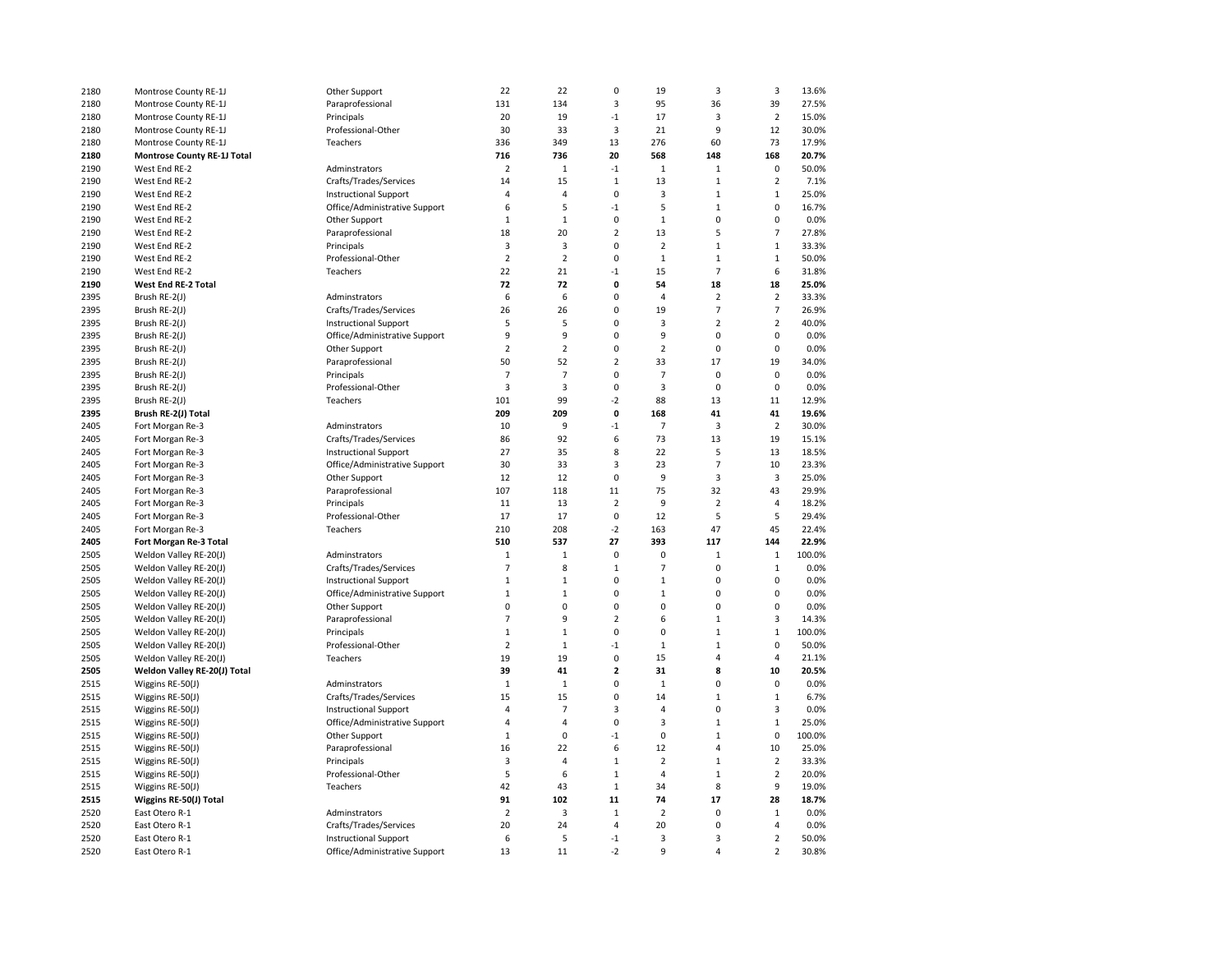| 2180         | Montrose County RE-1J              | Other Support                                                 | 22             | 22             | $\mathbf 0$             | 19                   | 3                   | 3                             | 13.6%          |
|--------------|------------------------------------|---------------------------------------------------------------|----------------|----------------|-------------------------|----------------------|---------------------|-------------------------------|----------------|
| 2180         | Montrose County RE-1J              | Paraprofessional                                              | 131            | 134            | 3                       | 95                   | 36                  | 39                            | 27.5%          |
| 2180         | Montrose County RE-1J              | Principals                                                    | 20             | 19             | $-1$                    | 17                   | 3                   | $\overline{2}$                | 15.0%          |
| 2180         | Montrose County RE-1J              | Professional-Other                                            | 30             | 33             | 3                       | 21                   | 9                   | 12                            | 30.0%          |
| 2180         | Montrose County RE-1J              | Teachers                                                      | 336            | 349            | 13                      | 276                  | 60                  | 73                            | 17.9%          |
| 2180         | <b>Montrose County RE-1J Total</b> |                                                               | 716            | 736            | 20                      | 568                  | 148                 | 168                           | 20.7%          |
| 2190         | West End RE-2                      | Adminstrators                                                 | $\overline{2}$ | $\mathbf 1$    | $-1$                    | $\mathbf 1$          | $\mathbf 1$         | $\pmb{0}$                     | 50.0%          |
| 2190         | West End RE-2                      | Crafts/Trades/Services                                        | 14             | 15             | $\,1\,$                 | 13                   | $\mathbf{1}$        | $\overline{2}$                | 7.1%           |
| 2190         | West End RE-2                      | <b>Instructional Support</b>                                  | 4              | 4              | 0                       | 3                    | $\mathbf 1$         | $\mathbf{1}$                  | 25.0%          |
| 2190         | West End RE-2                      | Office/Administrative Support                                 | 6              | 5              | $-1$                    | 5                    | $\mathbf{1}$        | $\mathbf 0$                   | 16.7%          |
| 2190         | West End RE-2                      | Other Support                                                 | $\mathbf 1$    | $\mathbf 1$    | $\mathbf 0$             | $\mathbf 1$          | $\Omega$            | $\mathbf 0$                   | 0.0%           |
| 2190         | West End RE-2                      | Paraprofessional                                              | 18             | 20             | $\overline{2}$          | 13                   | 5                   | $\overline{7}$                | 27.8%          |
| 2190         | West End RE-2                      | Principals                                                    | 3              | 3              | 0                       | $\overline{2}$       | $\mathbf 1$         | $\mathbf 1$                   | 33.3%          |
| 2190         | West End RE-2                      | Professional-Other                                            | $\overline{2}$ | $\overline{2}$ | 0                       | $\mathbf 1$          | $\mathbf 1$         | $\mathbf{1}$                  | 50.0%          |
| 2190         | West End RE-2                      | Teachers                                                      | 22             | 21             | $-1$                    | 15                   | $\overline{7}$      | 6                             | 31.8%          |
|              |                                    |                                                               | 72             | 72             | 0                       | 54                   | 18                  | 18                            | 25.0%          |
| 2190         | West End RE-2 Total                |                                                               |                |                | 0                       | $\overline{4}$       | $\overline{2}$      |                               |                |
| 2395         | Brush RE-2(J)                      | Adminstrators                                                 | 6              | 6              |                         |                      |                     | $\mathbf 2$                   | 33.3%          |
| 2395         | Brush RE-2(J)                      | Crafts/Trades/Services                                        | 26             | 26             | 0                       | 19                   | $\overline{7}$      | $\overline{7}$                | 26.9%          |
| 2395         | Brush RE-2(J)                      | <b>Instructional Support</b>                                  | 5              | 5              | 0                       | 3                    | $\overline{2}$      | $\mathbf 2$                   | 40.0%          |
| 2395         | Brush RE-2(J)                      | Office/Administrative Support                                 | 9              | 9              | 0                       | 9                    | 0                   | $\pmb{0}$                     | 0.0%           |
| 2395         | Brush RE-2(J)                      | Other Support                                                 | $\overline{2}$ | $\overline{2}$ | 0                       | $\overline{2}$       | $\mathbf 0$         | $\pmb{0}$                     | 0.0%           |
| 2395         | Brush RE-2(J)                      | Paraprofessional                                              | 50             | 52             | $\mathbf 2$             | 33                   | 17                  | 19                            | 34.0%          |
| 2395         | Brush RE-2(J)                      | Principals                                                    | $\overline{7}$ | $\overline{7}$ | 0                       | $\overline{7}$       | 0                   | $\pmb{0}$                     | 0.0%           |
| 2395         | Brush RE-2(J)                      | Professional-Other                                            | 3              | 3              | $\mathbf 0$             | 3                    | $\mathbf 0$         | $\pmb{0}$                     | 0.0%           |
| 2395         | Brush RE-2(J)                      | Teachers                                                      | 101            | 99             | $-2$                    | 88                   | 13                  | 11                            | 12.9%          |
| 2395         | Brush RE-2(J) Total                |                                                               | 209            | 209            | $\mathbf{0}$            | 168                  | 41                  | 41                            | 19.6%          |
| 2405         | Fort Morgan Re-3                   | Adminstrators                                                 | 10             | 9              | $-1$                    | $\overline{7}$       | 3                   | $\overline{2}$                | 30.0%          |
| 2405         | Fort Morgan Re-3                   | Crafts/Trades/Services                                        | 86             | 92             | 6                       | 73                   | 13                  | 19                            | 15.1%          |
| 2405         | Fort Morgan Re-3                   | <b>Instructional Support</b>                                  | 27             | 35             | 8                       | 22                   | 5                   | 13                            | 18.5%          |
| 2405         | Fort Morgan Re-3                   | Office/Administrative Support                                 | 30             | 33             | 3                       | 23                   | $\overline{7}$      | 10                            | 23.3%          |
| 2405         | Fort Morgan Re-3                   | Other Support                                                 | 12             | 12             | $\mathbf 0$             | 9                    | 3                   | $\overline{3}$                | 25.0%          |
| 2405         | Fort Morgan Re-3                   | Paraprofessional                                              | 107            | 118            | 11                      | 75                   | 32                  | 43                            | 29.9%          |
| 2405         | Fort Morgan Re-3                   | Principals                                                    | 11             | 13             | $\overline{2}$          | 9                    | $\overline{2}$      | $\overline{4}$                | 18.2%          |
| 2405         | Fort Morgan Re-3                   | Professional-Other                                            | 17             | 17             | $\mathbf 0$             | 12                   | 5                   | 5                             | 29.4%          |
| 2405         | Fort Morgan Re-3                   | Teachers                                                      | 210            | 208            | $-2$                    | 163                  | 47                  | 45                            | 22.4%          |
| 2405         | Fort Morgan Re-3 Total             |                                                               | 510            | 537            | 27                      | 393                  | 117                 | 144                           | 22.9%          |
| 2505         | Weldon Valley RE-20(J)             | Adminstrators                                                 | $\mathbf 1$    | $\mathbf{1}$   | 0                       | 0                    | $\mathbf{1}$        | $\mathbf{1}$                  | 100.0%         |
| 2505         | Weldon Valley RE-20(J)             | Crafts/Trades/Services                                        | $\overline{7}$ | 8              | $\mathbf{1}$            | $\overline{7}$       | $\mathbf 0$         | $\mathbf{1}$                  | 0.0%           |
| 2505         | Weldon Valley RE-20(J)             | <b>Instructional Support</b>                                  | $\mathbf 1$    | $\,1\,$        | 0                       | $\mathbf 1$          | $\overline{0}$      | $\pmb{0}$                     | 0.0%           |
| 2505         | Weldon Valley RE-20(J)             | Office/Administrative Support                                 | $\mathbf 1$    | 1              | 0                       | $\mathbf 1$          | 0                   | 0                             | 0.0%           |
| 2505         | Weldon Valley RE-20(J)             | Other Support                                                 | 0              | 0              | 0                       | 0                    | 0                   | 0                             | 0.0%           |
| 2505         | Weldon Valley RE-20(J)             | Paraprofessional                                              | $\overline{7}$ | 9              | $\overline{2}$          | 6                    | $\mathbf{1}$        | 3                             | 14.3%          |
| 2505         | Weldon Valley RE-20(J)             | Principals                                                    | $\mathbf 1$    | $\,1\,$        | 0                       | $\mathbf 0$          | $\mathbf{1}$        | $\mathbf{1}$                  | 100.0%         |
| 2505         | Weldon Valley RE-20(J)             | Professional-Other                                            | $\overline{2}$ | $\,1\,$        | $-1$                    | $\mathbf 1$          | $\mathbf{1}$        | $\pmb{0}$                     | 50.0%          |
| 2505         | Weldon Valley RE-20(J)             | Teachers                                                      | 19             | 19             | $\pmb{0}$               | 15                   | 4                   | $\overline{4}$                | 21.1%          |
| 2505         | Weldon Valley RE-20(J) Total       |                                                               | 39             | 41             | $\overline{\mathbf{c}}$ | 31                   | 8                   | 10                            | 20.5%          |
| 2515         | Wiggins RE-50(J)                   | Adminstrators                                                 | $\mathbf 1$    | $\,1\,$        | 0                       | $\mathbf 1$          | $\overline{0}$      | 0                             | 0.0%           |
| 2515         | Wiggins RE-50(J)                   | Crafts/Trades/Services                                        | 15             | 15             | 0                       | 14                   | $\mathbf{1}$        | $\mathbf 1$                   | 6.7%           |
| 2515         | Wiggins RE-50(J)                   | <b>Instructional Support</b>                                  | 4              | $\overline{7}$ | 3                       | 4                    | $\Omega$            | 3                             | 0.0%           |
| 2515         | Wiggins RE-50(J)                   | Office/Administrative Support                                 | 4              | 4              | $\pmb{0}$               | 3                    | $\mathbf 1$         | $\mathbf 1$                   | 25.0%          |
| 2515         | Wiggins RE-50(J)                   | Other Support                                                 | $\mathbf 1$    | 0              | $-1$                    | 0                    | $\mathbf{1}$        | 0                             | 100.0%         |
|              |                                    |                                                               |                |                |                         |                      |                     |                               |                |
| 2515<br>2515 | Wiggins RE-50(J)                   | Paraprofessional<br>Principals                                | 16<br>3        | 22<br>4        | 6<br>$\mathbf 1$        | 12<br>$\overline{2}$ | 4<br>$\mathbf{1}$   | 10<br>$\overline{2}$          | 25.0%<br>33.3% |
|              | Wiggins RE-50(J)                   |                                                               |                |                |                         |                      |                     |                               |                |
| 2515         | Wiggins RE-50(J)                   | Professional-Other                                            | 5              | 6              | $\mathbf 1$             | $\overline{4}$       | $\mathbf{1}$        | $\mathbf 2$                   | 20.0%          |
| 2515         | Wiggins RE-50(J)                   | Teachers                                                      | 42             | 43             | $\,1\,$                 | 34                   | 8                   | 9                             | 19.0%          |
| 2515         | Wiggins RE-50(J) Total             |                                                               | 91             | 102            | 11                      | 74                   | 17                  | 28                            | 18.7%          |
|              |                                    |                                                               |                |                |                         |                      |                     |                               | 0.0%           |
| 2520         | East Otero R-1                     | Adminstrators                                                 | $\overline{2}$ | 3              | $\,1\,$                 | $\mathbf 2$          | 0                   | $\,1\,$                       |                |
| 2520         | East Otero R-1                     | Crafts/Trades/Services                                        | 20             | 24             | $\overline{4}$          | 20                   | $\mathbf 0$         | $\overline{4}$                | 0.0%           |
| 2520<br>2520 | East Otero R-1<br>East Otero R-1   | <b>Instructional Support</b><br>Office/Administrative Support | 6<br>13        | 5<br>11        | $-1$<br>$-2$            | 3<br>9               | 3<br>$\overline{a}$ | $\mathbf 2$<br>$\overline{2}$ | 50.0%<br>30.8% |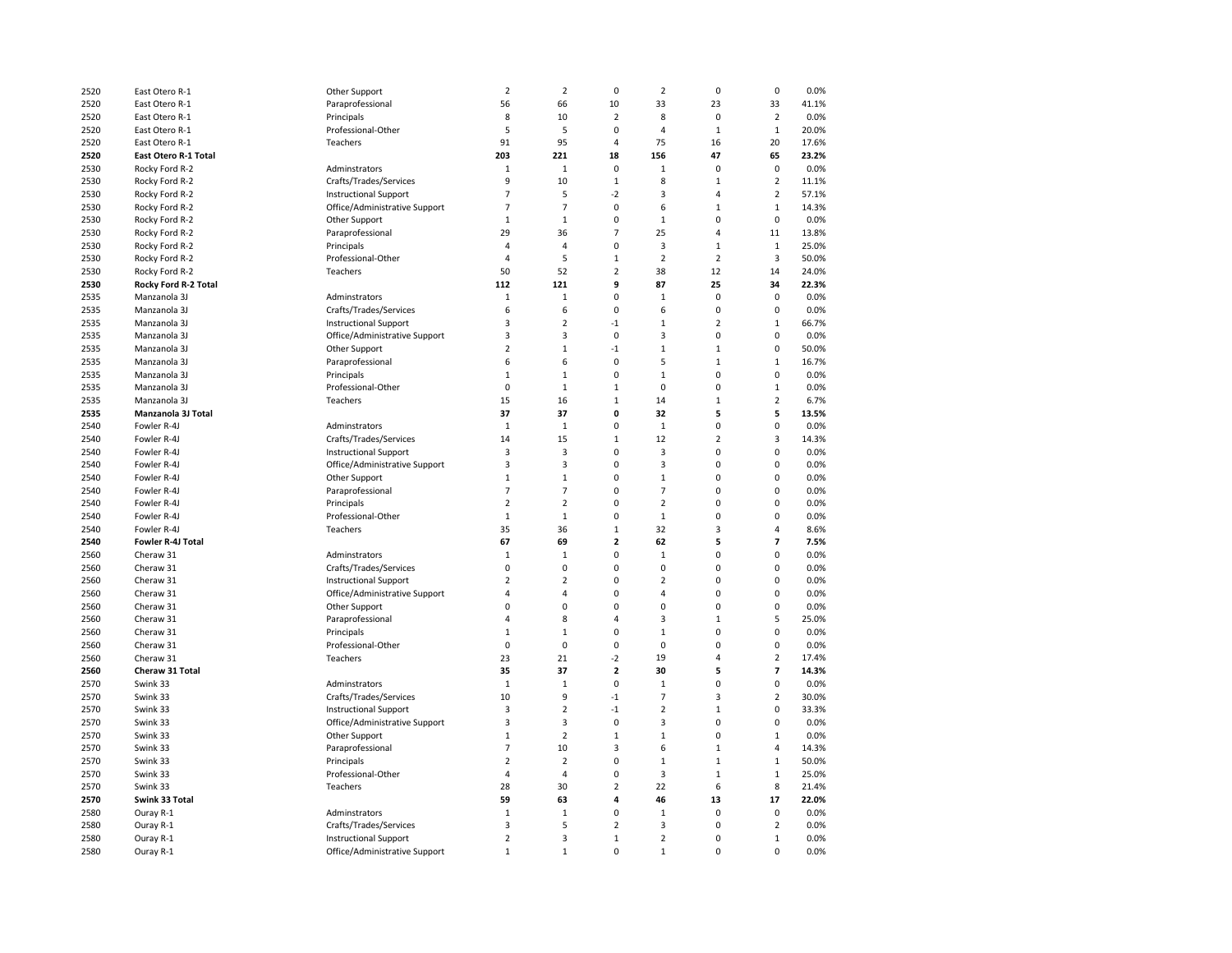| 2520 | East Otero R-1       | Other Support                 | $\overline{2}$ | $\overline{\mathbf{c}}$ | $\mathbf 0$             | $\overline{2}$ | $\mathbf 0$    | $\mathbf 0$             | 0.0%           |
|------|----------------------|-------------------------------|----------------|-------------------------|-------------------------|----------------|----------------|-------------------------|----------------|
| 2520 | East Otero R-1       | Paraprofessional              | 56             | 66                      | 10                      | 33             | 23             | 33                      | 41.1%          |
| 2520 | East Otero R-1       | Principals                    | 8              | 10                      | $\mathbf 2$             | 8              | $\mathbf 0$    | $\overline{2}$          | 0.0%           |
| 2520 | East Otero R-1       | Professional-Other            | 5              | 5                       | $\mathbf 0$             | $\overline{4}$ | $\mathbf{1}$   | $\mathbf{1}$            | 20.0%          |
| 2520 | East Otero R-1       | Teachers                      | 91             | 95                      | $\overline{\mathbf{4}}$ | 75             | 16             | 20                      | 17.6%          |
| 2520 | East Otero R-1 Total |                               | 203            | 221                     | 18                      | 156            | 47             | 65                      | 23.2%          |
| 2530 | Rocky Ford R-2       | Adminstrators                 | $\mathbf{1}$   | $1\,$                   | 0                       | $\mathbf{1}$   | $\mathbf 0$    | $\mathbf 0$             | 0.0%           |
| 2530 | Rocky Ford R-2       | Crafts/Trades/Services        | 9              | 10                      | $\mathbf{1}$            | 8              | $\mathbf{1}$   | $\overline{2}$          | 11.1%          |
| 2530 | Rocky Ford R-2       | <b>Instructional Support</b>  | $\overline{7}$ | 5                       | $-2$                    | 3              | $\overline{4}$ | $\overline{2}$          | 57.1%          |
| 2530 | Rocky Ford R-2       | Office/Administrative Support | $\overline{7}$ | $\overline{7}$          | $\pmb{0}$               | 6              | $\mathbf{1}$   | $\mathbf 1$             | 14.3%          |
| 2530 | Rocky Ford R-2       | Other Support                 | $\mathbf 1$    | $\mathbf 1$             | 0                       | $\mathbf{1}$   | 0              | $\mathbf 0$             | 0.0%           |
|      |                      |                               | 29             | 36                      | $\overline{7}$          | 25             | $\overline{4}$ |                         |                |
| 2530 | Rocky Ford R-2       | Paraprofessional              |                |                         | 0                       |                |                | 11                      | 13.8%<br>25.0% |
| 2530 | Rocky Ford R-2       | Principals                    | $\overline{4}$ | $\overline{4}$          |                         | 3              | $\mathbf{1}$   | $\mathbf{1}$            |                |
| 2530 | Rocky Ford R-2       | Professional-Other            | $\overline{4}$ | 5                       | $\mathbf{1}$            | $\overline{2}$ | $\overline{2}$ | $\overline{\mathbf{3}}$ | 50.0%          |
| 2530 | Rocky Ford R-2       | Teachers                      | 50             | 52                      | $\overline{2}$          | 38             | 12             | 14                      | 24.0%          |
| 2530 | Rocky Ford R-2 Total |                               | 112            | 121                     | 9                       | 87             | 25             | 34                      | 22.3%          |
| 2535 | Manzanola 3J         | Adminstrators                 | $\mathbf 1$    | $\mathbf 1$             | 0                       | $\mathbf{1}$   | 0              | $\mathbf 0$             | 0.0%           |
| 2535 | Manzanola 3J         | Crafts/Trades/Services        | 6              | 6                       | 0                       | 6              | $\mathbf 0$    | $\mathbf 0$             | 0.0%           |
| 2535 | Manzanola 3J         | <b>Instructional Support</b>  | 3              | 2                       | $-1$                    | $\mathbf{1}$   | $\overline{2}$ | $\mathbf 1$             | 66.7%          |
| 2535 | Manzanola 3J         | Office/Administrative Support | 3              | 3                       | $\pmb{0}$               | 3              | 0              | 0                       | 0.0%           |
| 2535 | Manzanola 3J         | Other Support                 | $\overline{2}$ | $\mathbf{1}$            | $-1$                    | $\mathbf 1$    | $\mathbf{1}$   | $\pmb{0}$               | 50.0%          |
| 2535 | Manzanola 3J         | Paraprofessional              | 6              | 6                       | 0                       | 5              | $\mathbf{1}$   | $\mathbf 1$             | 16.7%          |
| 2535 | Manzanola 3J         | Principals                    | $\mathbf 1$    | $\mathbf 1$             | 0                       | $\mathbf{1}$   | $\mathbf 0$    | 0                       | 0.0%           |
| 2535 | Manzanola 3J         | Professional-Other            | 0              | $\mathbf 1$             | $\mathbf{1}$            | 0              | $\mathbf 0$    | $\mathbf 1$             | 0.0%           |
| 2535 | Manzanola 3J         | Teachers                      | 15             | 16                      | $\mathbf 1$             | 14             | $\mathbf{1}$   | $\overline{2}$          | 6.7%           |
| 2535 | Manzanola 3J Total   |                               | 37             | 37                      | 0                       | 32             | 5              | 5                       | 13.5%          |
| 2540 | Fowler R-4J          | Adminstrators                 | $\mathbf{1}$   | $\mathbf{1}$            | 0                       | $\mathbf{1}$   | 0              | 0                       | 0.0%           |
| 2540 | Fowler R-4J          | Crafts/Trades/Services        | 14             | 15                      | $\mathbf 1$             | 12             | $\overline{2}$ | 3                       | 14.3%          |
| 2540 | Fowler R-4J          | <b>Instructional Support</b>  | 3              | 3                       | 0                       | 3              | $\mathbf 0$    | 0                       | 0.0%           |
| 2540 | Fowler R-4J          | Office/Administrative Support | 3              | 3                       | 0                       | 3              | $\mathbf 0$    | $\mathbf 0$             | 0.0%           |
| 2540 | Fowler R-4J          | Other Support                 | $\mathbf 1$    | $\mathbf{1}$            | 0                       | $\mathbf 1$    | $\mathbf 0$    | 0                       | 0.0%           |
| 2540 | Fowler R-4J          | Paraprofessional              | $\overline{7}$ | $\overline{7}$          | 0                       | $\overline{7}$ | 0              | 0                       | 0.0%           |
| 2540 | Fowler R-4J          | Principals                    | $\overline{2}$ | $\overline{2}$          | 0                       | $\overline{2}$ | $\mathbf 0$    | $\pmb{0}$               | 0.0%           |
| 2540 | Fowler R-4J          | Professional-Other            | $\mathbf 1$    | $\mathbf 1$             | $\mathbf 0$             | $\mathbf 1$    | $\mathbf 0$    | $\mathbf 0$             | 0.0%           |
| 2540 | Fowler R-4J          | Teachers                      | 35             | 36                      | $\mathbf 1$             | 32             | 3              | 4                       | 8.6%           |
| 2540 | Fowler R-4J Total    |                               | 67             | 69                      | $\overline{\mathbf{c}}$ | 62             | 5              | 7                       | 7.5%           |
| 2560 | Cheraw 31            | Adminstrators                 | $\mathbf 1$    | $\mathbf 1$             | 0                       | $\mathbf 1$    | $\mathbf 0$    | $\pmb{0}$               | 0.0%           |
| 2560 | Cheraw 31            | Crafts/Trades/Services        | 0              | $\mathbf 0$             | 0                       | 0              | $\mathbf 0$    | $\mathbf 0$             | 0.0%           |
| 2560 | Cheraw 31            | <b>Instructional Support</b>  | $\overline{2}$ | $\overline{2}$          | 0                       | $\overline{2}$ | $\mathbf 0$    | $\mathbf 0$             | 0.0%           |
| 2560 | Cheraw 31            | Office/Administrative Support | 4              | 4                       | 0                       | 4              | 0              | $\pmb{0}$               | 0.0%           |
| 2560 | Cheraw 31            | Other Support                 | $\mathbf 0$    | 0                       | 0                       | 0              | $\mathbf 0$    | $\pmb{0}$               | 0.0%           |
| 2560 | Cheraw 31            | Paraprofessional              | $\overline{4}$ | 8                       | 4                       | 3              | $\mathbf{1}$   | 5                       | 25.0%          |
| 2560 | Cheraw 31            | Principals                    | $\mathbf{1}$   | $\mathbf{1}$            | 0                       | $\mathbf{1}$   | $\mathbf 0$    | 0                       | 0.0%           |
| 2560 | Cheraw 31            | Professional-Other            | $\mathbf 0$    | 0                       | 0                       | $\mathbf 0$    | $\mathbf 0$    | 0                       | 0.0%           |
|      | Cheraw 31            | Teachers                      | 23             | 21                      | $-2$                    | 19             | 4              | $\overline{2}$          | 17.4%          |
| 2560 |                      |                               |                |                         |                         |                |                |                         |                |
| 2560 | Cheraw 31 Total      |                               | 35             | 37                      | $\overline{2}$          | 30             | 5              | $\overline{7}$          | 14.3%          |
| 2570 | Swink 33             | Adminstrators                 | $\mathbf{1}$   | $\mathbf{1}$            | 0                       | $\mathbf{1}$   | $\mathbf 0$    | $\mathbf 0$             | 0.0%           |
| 2570 | Swink 33             | Crafts/Trades/Services        | 10             | 9                       | $-1$                    | $\overline{7}$ | $\overline{3}$ | $\overline{2}$          | 30.0%          |
| 2570 | Swink 33             | <b>Instructional Support</b>  | 3              | $\overline{2}$          | $-1$                    | $\overline{2}$ | $\mathbf{1}$   | 0                       | 33.3%          |
| 2570 | Swink 33             | Office/Administrative Support | 3              | 3                       | $\pmb{0}$               | 3              | 0              | $\pmb{0}$               | 0.0%           |
| 2570 | Swink 33             | Other Support                 | $\mathbf{1}$   | $\overline{2}$          | $\mathbf 1$             | $\mathbf{1}$   | 0              | $\mathbf{1}$            | 0.0%           |
| 2570 | Swink 33             | Paraprofessional              | $\overline{7}$ | 10                      | 3                       | 6              | $\mathbf{1}$   | 4                       | 14.3%          |
| 2570 | Swink 33             | Principals                    | $\overline{2}$ | $\overline{2}$          | 0                       | $\mathbf{1}$   | $\mathbf 1$    | $\mathbf 1$             | 50.0%          |
| 2570 | Swink 33             | Professional-Other            | $\overline{4}$ | 4                       | 0                       | 3              | $\mathbf 1$    | $\mathbf{1}$            | 25.0%          |
| 2570 | Swink 33             | Teachers                      | 28             | 30                      | $\overline{2}$          | 22             | 6              | 8                       | 21.4%          |
| 2570 | Swink 33 Total       |                               | 59             | 63                      | 4                       | 46             | 13             | 17                      | 22.0%          |
| 2580 | Ouray R-1            | Adminstrators                 | $\mathbf 1$    | $\mathbf 1$             | 0                       | $\mathbf{1}$   | 0              | $\pmb{0}$               | 0.0%           |
| 2580 | Ouray R-1            | Crafts/Trades/Services        | 3              | 5                       | $\overline{2}$          | 3              | $\mathbf 0$    | $\overline{2}$          | 0.0%           |
| 2580 | Ouray R-1            | <b>Instructional Support</b>  | $\overline{2}$ | 3                       | $\mathbf 1$             | $\overline{2}$ | 0              | $\mathbf 1$             | 0.0%           |
| 2580 | Ouray R-1            | Office/Administrative Support | $\mathbf 1$    | 1                       | 0                       | $\mathbf 1$    | $\mathbf 0$    | 0                       | 0.0%           |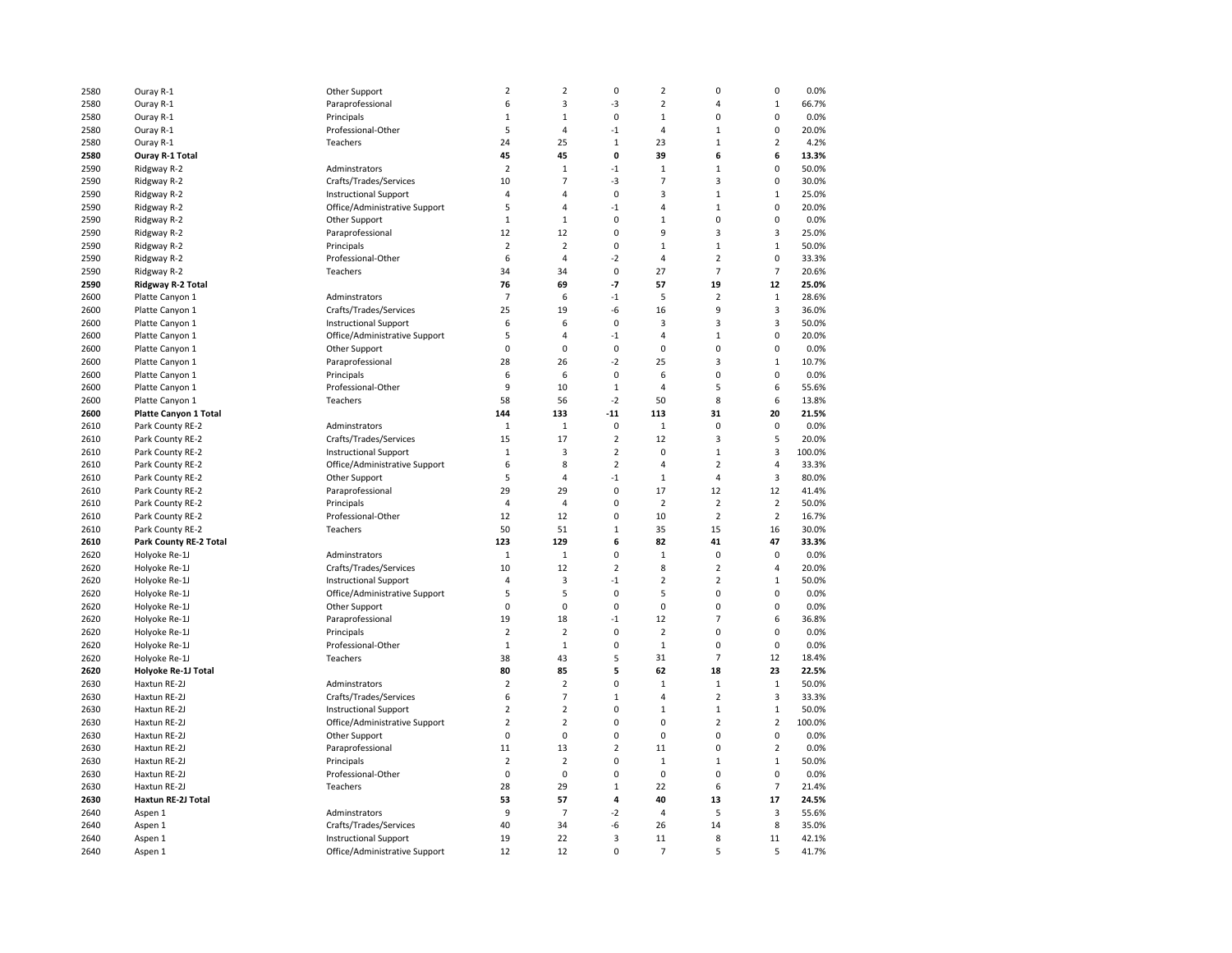| 2580 | Ouray R-1                     | Other Support                 | $\overline{2}$ | $\overline{2}$       | $\mathbf 0$             | $\overline{2}$ | 0                  | $\mathbf 0$             | 0.0%           |
|------|-------------------------------|-------------------------------|----------------|----------------------|-------------------------|----------------|--------------------|-------------------------|----------------|
| 2580 | Ouray R-1                     | Paraprofessional              | 6              | 3                    | -3                      | $\overline{2}$ | $\overline{4}$     | $\mathbf{1}$            | 66.7%          |
| 2580 | Ouray R-1                     | Principals                    | $\mathbf{1}$   | $\mathbf{1}$         | $\mathbf 0$             | $\mathbf{1}$   | $\mathbf 0$        | $\mathbf 0$             | 0.0%           |
| 2580 | Ouray R-1                     | Professional-Other            | 5              | 4                    | $-1$                    | $\overline{4}$ | $\mathbf{1}$       | $\mathbf 0$             | 20.0%          |
| 2580 | Ouray R-1                     | Teachers                      | 24             | 25                   | $\mathbf{1}$            | 23             | $\mathbf{1}$       | $\overline{2}$          | 4.2%           |
| 2580 | Ouray R-1 Total               |                               | 45             | 45                   | 0                       | 39             | 6                  | 6                       | 13.3%          |
| 2590 | Ridgway R-2                   | Adminstrators                 | $\overline{2}$ | $\,1\,$              | $-1$                    | $\mathbf{1}$   | $\mathbf 1$        | 0                       | 50.0%          |
| 2590 | Ridgway R-2                   | Crafts/Trades/Services        | 10             | $\overline{7}$       | -3                      | $\overline{7}$ | 3                  | 0                       | 30.0%          |
| 2590 | Ridgway R-2                   | <b>Instructional Support</b>  | $\overline{4}$ | $\overline{4}$       | $\mathbf 0$             | $\overline{3}$ | $\mathbf{1}$       | $\mathbf{1}$            | 25.0%          |
|      |                               |                               |                |                      |                         |                |                    |                         |                |
| 2590 | Ridgway R-2                   | Office/Administrative Support | 5              | 4                    | $-1$                    | $\overline{4}$ | $\mathbf{1}$       | 0                       | 20.0%          |
| 2590 | Ridgway R-2                   | Other Support                 | $\mathbf{1}$   | $1\,$                | 0                       | $\mathbf{1}$   | 0                  | 0                       | 0.0%           |
| 2590 | Ridgway R-2                   | Paraprofessional              | 12             | 12                   | 0                       | 9              | 3                  | 3                       | 25.0%          |
| 2590 | Ridgway R-2                   | Principals                    | $\overline{2}$ | $\overline{2}$       | $\mathbf 0$             | $\mathbf{1}$   | $\mathbf 1$        | $\,1\,$                 | 50.0%          |
| 2590 | Ridgway R-2                   | Professional-Other            | 6              | 4                    | $-2$                    | $\overline{4}$ | $\mathbf 2$        | $\mathbf 0$             | 33.3%          |
| 2590 | Ridgway R-2                   | Teachers                      | 34             | 34                   | $\mathbf 0$             | 27             | $\overline{7}$     | $\overline{7}$          | 20.6%          |
| 2590 | Ridgway R-2 Total             |                               | 76             | 69                   | $-7$                    | 57             | 19                 | 12                      | 25.0%          |
| 2600 | Platte Canyon 1               | Adminstrators                 | $\overline{7}$ | 6                    | $-1$                    | 5              | $\overline{2}$     | $\mathbf{1}$            | 28.6%          |
| 2600 | Platte Canyon 1               | Crafts/Trades/Services        | 25             | 19                   | -6                      | 16             | 9                  | $\overline{3}$          | 36.0%          |
| 2600 | Platte Canyon 1               | <b>Instructional Support</b>  | 6              | 6                    | $\mathbf 0$             | 3              | 3                  | $\overline{\mathbf{3}}$ | 50.0%          |
| 2600 | Platte Canyon 1               | Office/Administrative Support | 5              | $\sqrt{4}$           | $-1$                    | 4              | $\mathbf 1$        | $\mathbf 0$             | 20.0%          |
| 2600 | Platte Canyon 1               | Other Support                 | $\pmb{0}$      | $\mathbf 0$          | $\mathbf 0$             | $\pmb{0}$      | 0                  | $\pmb{0}$               | 0.0%           |
| 2600 | Platte Canyon 1               | Paraprofessional              | 28             | 26                   | $-2$                    | 25             | 3                  | $\mathbf 1$             | 10.7%          |
| 2600 | Platte Canyon 1               | Principals                    | 6              | 6                    | $\mathbf 0$             | 6              | $\mathbf 0$        | $\pmb{0}$               | 0.0%           |
| 2600 | Platte Canyon 1               | Professional-Other            | 9              | 10                   | $\mathbf 1$             | 4              | 5                  | 6                       | 55.6%          |
| 2600 | Platte Canyon 1               | Teachers                      | 58             | 56                   | $-2$                    | 50             | 8                  | 6                       | 13.8%          |
| 2600 | <b>Platte Canyon 1 Total</b>  |                               | 144            | 133                  | $-11$                   | 113            | 31                 | 20                      | 21.5%          |
| 2610 | Park County RE-2              | Adminstrators                 | $\mathbf{1}$   | $\mathbf 1$          | $\mathbf 0$             | $\,1\,$        | $\mathbf 0$        | $\mathbf 0$             | 0.0%           |
| 2610 | Park County RE-2              | Crafts/Trades/Services        | 15             | 17                   | $\overline{2}$          | 12             | $\overline{3}$     | 5                       | 20.0%          |
| 2610 | Park County RE-2              | <b>Instructional Support</b>  | $\,1\,$        | 3                    | $\overline{2}$          | $\mathbf 0$    | $\mathbf 1$        | 3                       | 100.0%         |
| 2610 | Park County RE-2              | Office/Administrative Support | 6              | 8                    | $\overline{2}$          | 4              | $\overline{2}$     | $\overline{4}$          | 33.3%          |
| 2610 | Park County RE-2              | Other Support                 | 5              | $\overline{4}$       | $-1$                    | $\mathbf{1}$   | $\overline{4}$     | 3                       | 80.0%          |
| 2610 | Park County RE-2              | Paraprofessional              | 29             | 29                   | $\mathbf 0$             | 17             | 12                 | 12                      | 41.4%          |
| 2610 | Park County RE-2              | Principals                    | 4              | 4                    | 0                       | $\overline{2}$ | $\overline{2}$     | $\overline{2}$          | 50.0%          |
| 2610 | Park County RE-2              | Professional-Other            | 12             | 12                   | 0                       | 10             | $\overline{2}$     | $\overline{2}$          | 16.7%          |
| 2610 | Park County RE-2              | Teachers                      | 50             | 51                   | $\mathbf{1}$            | 35             | 15                 | 16                      | 30.0%          |
| 2610 | <b>Park County RE-2 Total</b> |                               | 123            | 129                  | 6                       | 82             | 41                 | 47                      | 33.3%          |
| 2620 | Holyoke Re-1J                 | Adminstrators                 | $\mathbf{1}$   | $\mathbf{1}$         | $\mathbf 0$             | $\mathbf{1}$   | $\mathbf 0$        | $\mathbf 0$             | 0.0%           |
| 2620 | Holyoke Re-1J                 | Crafts/Trades/Services        | 10             | 12                   | $\overline{2}$          | 8              | $\overline{2}$     | 4                       | 20.0%          |
| 2620 | Holyoke Re-1J                 | <b>Instructional Support</b>  | 4              | 3                    | $-1$                    | $\overline{2}$ | $\overline{2}$     | $1\,$                   | 50.0%          |
| 2620 | Holyoke Re-1J                 | Office/Administrative Support | 5              | 5                    | 0                       | 5              | 0                  | 0                       | 0.0%           |
| 2620 | Holyoke Re-1J                 | Other Support                 | 0              | 0                    | $\mathbf 0$             | $\mathbf 0$    | $\mathbf 0$        | 0                       | 0.0%           |
| 2620 | Holyoke Re-1J                 | Paraprofessional              | 19             | 18                   | $-1$                    | 12             | $\overline{7}$     | 6                       | 36.8%          |
| 2620 | Holyoke Re-1J                 | Principals                    | $\overline{2}$ | $\overline{2}$       | 0                       | $\overline{2}$ | 0                  | $\pmb{0}$               | 0.0%           |
| 2620 | Holyoke Re-1J                 | Professional-Other            | $1\,$          | $\mathbf{1}$         | 0                       | $\,1\,$        | 0                  | $\mathbf 0$             | 0.0%           |
| 2620 | Holyoke Re-1J                 | Teachers                      | 38             | 43                   | 5                       | 31             | $\overline{7}$     | 12                      | 18.4%          |
|      |                               |                               | 80             |                      | 5                       | 62             |                    | 23                      |                |
| 2620 | Holyoke Re-1J Total           |                               | $\overline{2}$ | 85<br>$\overline{2}$ | 0                       | $\,1\,$        | 18<br>$\mathbf{1}$ | $\mathbf{1}$            | 22.5%<br>50.0% |
| 2630 | Haxtun RE-2J                  | Adminstrators                 |                | $\overline{7}$       |                         |                | $\overline{2}$     | $\overline{\mathbf{3}}$ |                |
| 2630 | Haxtun RE-2J                  | Crafts/Trades/Services        | 6              |                      | $\mathbf 1$             | 4              |                    |                         | 33.3%          |
| 2630 | Haxtun RE-2J                  | <b>Instructional Support</b>  | $\overline{2}$ | $\overline{2}$       | 0                       | $1\,$          | $\mathbf{1}$       | $\mathbf 1$             | 50.0%          |
| 2630 | Haxtun RE-2J                  | Office/Administrative Support | $\overline{2}$ | $\overline{2}$       | 0                       | $\mathbf 0$    | $\overline{2}$     | $\overline{2}$          | 100.0%         |
| 2630 | Haxtun RE-2J                  | Other Support                 | $\pmb{0}$      | 0                    | $\mathbf 0$             | $\pmb{0}$      | $\pmb{0}$          | $\pmb{0}$               | 0.0%           |
| 2630 | Haxtun RE-2J                  | Paraprofessional              | 11             | 13                   | $\overline{2}$          | 11             | $\mathbf 0$        | $\overline{2}$          | 0.0%           |
| 2630 | Haxtun RE-2J                  | Principals                    | $\overline{2}$ | $\mathbf 2$          | 0                       | $\,1\,$        | $\mathbf{1}$       | $\mathbf 1$             | 50.0%          |
| 2630 | Haxtun RE-2J                  | Professional-Other            | $\mathbf 0$    | $\mathbf 0$          | $\mathbf 0$             | $\mathbf 0$    | $\mathbf 0$        | $\mathbf 0$             | 0.0%           |
| 2630 | Haxtun RE-2J                  | Teachers                      | 28             | 29                   | $\mathbf 1$             | 22             | 6                  | $\overline{7}$          | 21.4%          |
| 2630 | Haxtun RE-2J Total            |                               | 53             | 57                   | $\overline{\mathbf{a}}$ | 40             | 13                 | 17                      | 24.5%          |
| 2640 | Aspen 1                       | Adminstrators                 | 9              | $\overline{7}$       | $-2$                    | $\overline{4}$ | 5                  | 3                       | 55.6%          |
| 2640 | Aspen 1                       | Crafts/Trades/Services        | 40             | 34                   | -6                      | 26             | 14                 | 8                       | 35.0%          |
| 2640 | Aspen 1                       | <b>Instructional Support</b>  | 19             | 22                   | 3                       | 11             | 8                  | 11                      | 42.1%          |
| 2640 | Aspen 1                       | Office/Administrative Support | 12             | 12                   | $\Omega$                | $\overline{7}$ | 5                  | 5                       | 41.7%          |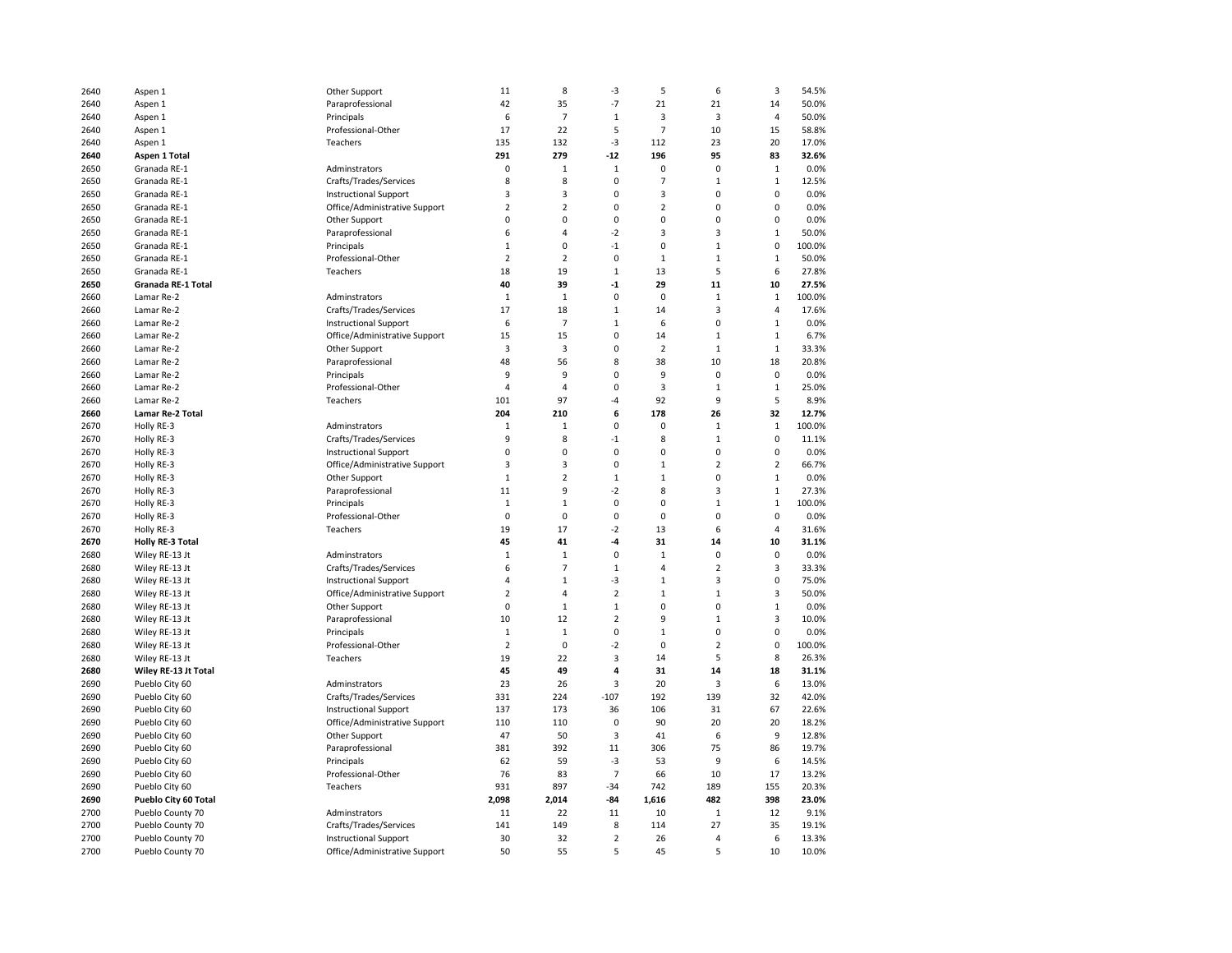| 2640 | Aspen 1                 | Other Support                 | 11             | 8              | $-3$                    | 5              | 6              | 3              | 54.5%  |
|------|-------------------------|-------------------------------|----------------|----------------|-------------------------|----------------|----------------|----------------|--------|
| 2640 | Aspen 1                 | Paraprofessional              | 42             | 35             | $-7$                    | 21             | 21             | 14             | 50.0%  |
| 2640 | Aspen 1                 | Principals                    | 6              | $\overline{7}$ | $1\,$                   | 3              | 3              | $\overline{4}$ | 50.0%  |
| 2640 | Aspen 1                 | Professional-Other            | 17             | 22             | 5                       | $\overline{7}$ | 10             | 15             | 58.8%  |
| 2640 | Aspen 1                 | Teachers                      | 135            | 132            | $-3$                    | 112            | 23             | 20             | 17.0%  |
| 2640 | Aspen 1 Total           |                               | 291            | 279            | $-12$                   | 196            | 95             | 83             | 32.6%  |
| 2650 | Granada RE-1            | Adminstrators                 | $\mathbf 0$    | 1              | $\,1\,$                 | 0              | 0              | $\mathbf 1$    | 0.0%   |
| 2650 | Granada RE-1            | Crafts/Trades/Services        | 8              | 8              | 0                       | 7              | $\mathbf{1}$   | $\mathbf{1}$   | 12.5%  |
| 2650 | Granada RE-1            | <b>Instructional Support</b>  | $\overline{3}$ | 3              | 0                       | 3              | 0              | $\mathbf 0$    | 0.0%   |
| 2650 | Granada RE-1            | Office/Administrative Support | $\overline{2}$ | $\overline{2}$ | 0                       | $\overline{2}$ | $\Omega$       | $\mathbf 0$    | 0.0%   |
| 2650 | Granada RE-1            | Other Support                 | $\mathbf 0$    | 0              | 0                       | 0              | $\overline{0}$ | $\pmb{0}$      | 0.0%   |
| 2650 | Granada RE-1            | Paraprofessional              | 6              | 4              | $-2$                    | 3              | 3              | $1\,$          | 50.0%  |
| 2650 | Granada RE-1            | Principals                    | $1\,$          | 0              | $-1$                    | 0              | $\mathbf{1}$   | 0              | 100.0% |
| 2650 | Granada RE-1            | Professional-Other            | $\overline{2}$ | 2              | $\mathbf 0$             | $\mathbf{1}$   | $\mathbf{1}$   | $\mathbf{1}$   | 50.0%  |
|      |                         | Teachers                      |                |                | $\mathbf{1}$            |                | 5              | 6              |        |
| 2650 | Granada RE-1            |                               | 18             | 19             |                         | 13             |                |                | 27.8%  |
| 2650 | Granada RE-1 Total      |                               | 40             | 39             | -1                      | 29             | 11             | 10             | 27.5%  |
| 2660 | Lamar Re-2              | Adminstrators                 | 1              | $\mathbf{1}$   | $\mathbf 0$             | 0              | $\mathbf 1$    | $\mathbf{1}$   | 100.0% |
| 2660 | Lamar Re-2              | Crafts/Trades/Services        | 17             | 18             | $\mathbf 1$             | 14             | 3              | 4              | 17.6%  |
| 2660 | Lamar Re-2              | <b>Instructional Support</b>  | 6              | $\overline{7}$ | $\mathbf 1$             | 6              | 0              | $\mathbf{1}$   | 0.0%   |
| 2660 | Lamar Re-2              | Office/Administrative Support | 15             | 15             | 0                       | 14             | $\mathbf{1}$   | $1\,$          | 6.7%   |
| 2660 | Lamar Re-2              | Other Support                 | 3              | 3              | 0                       | $\overline{2}$ | $\mathbf 1$    | $\mathbf 1$    | 33.3%  |
| 2660 | Lamar Re-2              | Paraprofessional              | 48             | 56             | 8                       | 38             | 10             | 18             | 20.8%  |
| 2660 | Lamar Re-2              | Principals                    | 9              | 9              | 0                       | 9              | 0              | 0              | 0.0%   |
| 2660 | Lamar Re-2              | Professional-Other            | 4              | 4              | 0                       | 3              | $\mathbf{1}$   | $\mathbf{1}$   | 25.0%  |
| 2660 | Lamar Re-2              | Teachers                      | 101            | 97             | $-4$                    | 92             | 9              | 5              | 8.9%   |
| 2660 | Lamar Re-2 Total        |                               | 204            | 210            | 6                       | 178            | 26             | 32             | 12.7%  |
| 2670 | Holly RE-3              | Adminstrators                 | $\mathbf{1}$   | $\mathbf{1}$   | 0                       | 0              | $\mathbf 1$    | $1\,$          | 100.0% |
| 2670 | Holly RE-3              | Crafts/Trades/Services        | 9              | 8              | $-1$                    | 8              | $\mathbf 1$    | $\pmb{0}$      | 11.1%  |
| 2670 | Holly RE-3              | <b>Instructional Support</b>  | $\mathbf 0$    | 0              | $\mathbf 0$             | 0              | $\mathbf 0$    | $\mathbf 0$    | 0.0%   |
| 2670 | Holly RE-3              | Office/Administrative Support | 3              | 3              | $\mathbf 0$             | $\mathbf{1}$   | $\overline{2}$ | $\overline{2}$ | 66.7%  |
| 2670 | Holly RE-3              | Other Support                 | $1\,$          | $\overline{2}$ | $\,1\,$                 | $\mathbf{1}$   | 0              | $\mathbf{1}$   | 0.0%   |
| 2670 | Holly RE-3              | Paraprofessional              | 11             | 9              | $-2$                    | 8              | 3              | $\mathbf{1}$   | 27.3%  |
| 2670 | Holly RE-3              | Principals                    | $\mathbf{1}$   | $\mathbf 1$    | 0                       | 0              | $\mathbf{1}$   | $\mathbf{1}$   | 100.0% |
| 2670 | Holly RE-3              | Professional-Other            | $\mathbf 0$    | $\mathbf 0$    | $\mathbf 0$             | $\mathbf 0$    | $\mathbf 0$    | $\mathbf 0$    | 0.0%   |
| 2670 | Holly RE-3              | Teachers                      | 19             | 17             | $-2$                    | 13             | 6              | $\overline{a}$ | 31.6%  |
| 2670 | <b>Holly RE-3 Total</b> |                               | 45             | 41             | $-4$                    | 31             | 14             | 10             | 31.1%  |
| 2680 | Wiley RE-13 Jt          | Adminstrators                 | $\mathbf{1}$   | $\mathbf{1}$   | 0                       | $\mathbf{1}$   | $\mathbf 0$    | $\mathbf 0$    | 0.0%   |
| 2680 | Wiley RE-13 Jt          | Crafts/Trades/Services        | 6              | $\overline{7}$ | $\mathbf{1}$            | $\overline{4}$ | $\overline{2}$ | $\overline{3}$ | 33.3%  |
| 2680 | Wiley RE-13 Jt          | <b>Instructional Support</b>  | $\overline{4}$ | $\mathbf{1}$   | $-3$                    | $\mathbf{1}$   | 3              | $\mathbf 0$    | 75.0%  |
| 2680 | Wiley RE-13 Jt          | Office/Administrative Support | $\overline{2}$ | 4              | $\overline{2}$          | $\mathbf 1$    | $\mathbf 1$    | 3              | 50.0%  |
| 2680 | Wiley RE-13 Jt          | Other Support                 | $\mathbf 0$    | $\mathbf{1}$   | $\mathbf 1$             | 0              | $\overline{0}$ | $\mathbf 1$    | 0.0%   |
| 2680 | Wiley RE-13 Jt          | Paraprofessional              | 10             | 12             | $\overline{2}$          | 9              | $\mathbf 1$    | 3              | 10.0%  |
| 2680 | Wiley RE-13 Jt          | Principals                    | $1\,$          | $\mathbf{1}$   | 0                       | $\mathbf{1}$   | 0              | 0              | 0.0%   |
| 2680 | Wiley RE-13 Jt          | Professional-Other            | $\overline{2}$ | $\mathbf 0$    | $-2$                    | 0              | $\overline{2}$ | $\pmb{0}$      | 100.0% |
| 2680 | Wiley RE-13 Jt          | Teachers                      | 19             | 22             | 3                       | 14             | 5              | 8              | 26.3%  |
| 2680 | Wiley RE-13 Jt Total    |                               | 45             | 49             | 4                       | 31             | 14             | 18             | 31.1%  |
| 2690 | Pueblo City 60          | Adminstrators                 | 23             | 26             | 3                       | 20             | 3              | 6              | 13.0%  |
| 2690 | Pueblo City 60          | Crafts/Trades/Services        | 331            | 224            | $-107$                  | 192            | 139            | 32             | 42.0%  |
| 2690 | Pueblo City 60          | <b>Instructional Support</b>  | 137            | 173            | 36                      | 106            | 31             | 67             | 22.6%  |
| 2690 | Pueblo City 60          | Office/Administrative Support | 110            | 110            | $\pmb{0}$               | 90             | 20             | 20             | 18.2%  |
|      | Pueblo City 60          |                               | 47             |                | $\overline{\mathbf{3}}$ |                | 6              | 9              | 12.8%  |
| 2690 |                         | Other Support                 |                | 50             |                         | 41             |                |                |        |
| 2690 | Pueblo City 60          | Paraprofessional              | 381            | 392            | 11<br>$-3$              | 306            | 75<br>9        | 86             | 19.7%  |
| 2690 | Pueblo City 60          | Principals                    | 62             | 59             |                         | 53             |                | 6              | 14.5%  |
| 2690 | Pueblo City 60          | Professional-Other            | 76             | 83             | $\overline{7}$          | 66             | 10             | 17             | 13.2%  |
| 2690 | Pueblo City 60          | Teachers                      | 931            | 897            | $-34$                   | 742            | 189            | 155            | 20.3%  |
| 2690 | Pueblo City 60 Total    |                               | 2,098          | 2,014          | $-84$                   | 1,616          | 482            | 398            | 23.0%  |
| 2700 | Pueblo County 70        | Adminstrators                 | 11             | 22             | 11                      | 10             | $\mathbf 1$    | 12             | 9.1%   |
| 2700 | Pueblo County 70        | Crafts/Trades/Services        | 141            | 149            | 8                       | 114            | 27             | 35             | 19.1%  |
| 2700 | Pueblo County 70        | <b>Instructional Support</b>  | 30             | 32             | $\overline{2}$          | 26             | 4              | 6              | 13.3%  |
| 2700 | Pueblo County 70        | Office/Administrative Support | 50             | 55             | 5                       | 45             | 5              | 10             | 10.0%  |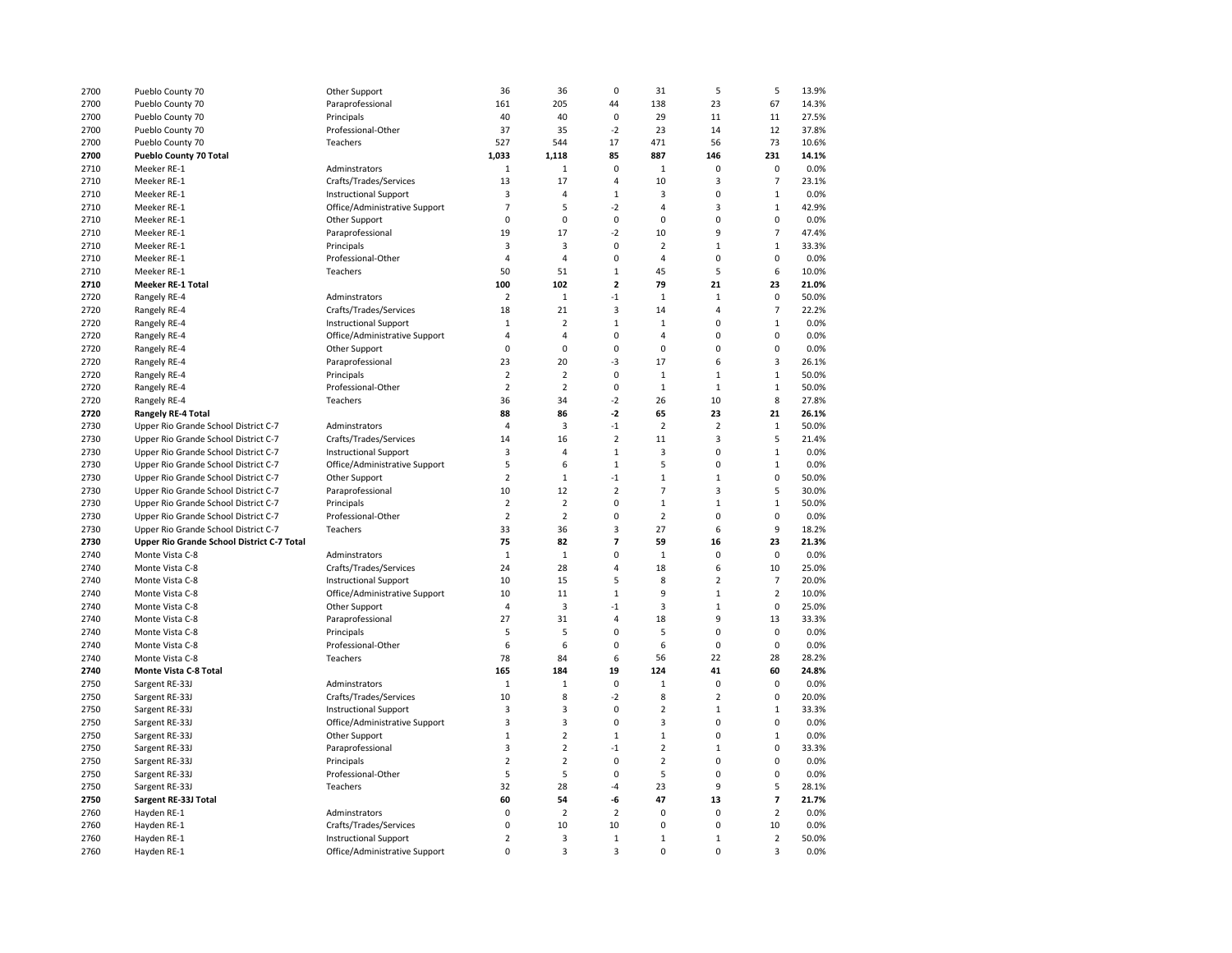| 2700         | Pueblo County 70                           | Other Support                 | 36             | 36             | $\mathbf 0$             | 31             | 5              | 5                        | 13.9% |
|--------------|--------------------------------------------|-------------------------------|----------------|----------------|-------------------------|----------------|----------------|--------------------------|-------|
| 2700         | Pueblo County 70                           | Paraprofessional              | 161            | 205            | 44                      | 138            | 23             | 67                       | 14.3% |
| 2700         | Pueblo County 70                           | Principals                    | 40             | 40             | $\mathbf 0$             | 29             | 11             | 11                       | 27.5% |
| 2700         | Pueblo County 70                           | Professional-Other            | 37             | 35             | $-2$                    | 23             | 14             | 12                       | 37.8% |
| 2700         | Pueblo County 70                           | Teachers                      | 527            | 544            | 17                      | 471            | 56             | 73                       | 10.6% |
| 2700         | Pueblo County 70 Total                     |                               | 1,033          | 1,118          | 85                      | 887            | 146            | 231                      | 14.1% |
| 2710         | Meeker RE-1                                | Adminstrators                 | $\mathbf 1$    | 1              | $\pmb{0}$               | 1              | 0              | $\pmb{0}$                | 0.0%  |
| 2710         | Meeker RE-1                                | Crafts/Trades/Services        | 13             | 17             | 4                       | 10             | 3              | $\overline{7}$           | 23.1% |
| 2710         | Meeker RE-1                                | <b>Instructional Support</b>  | 3              | $\overline{4}$ | $\mathbf{1}$            | 3              | $\mathbf 0$    | $\mathbf{1}$             | 0.0%  |
| 2710         | Meeker RE-1                                | Office/Administrative Support | $\overline{7}$ | 5              | $-2$                    | $\overline{4}$ | 3              | $\mathbf{1}$             | 42.9% |
| 2710         | Meeker RE-1                                | Other Support                 | 0              | 0              | $\pmb{0}$               | 0              | $\overline{0}$ | $\pmb{0}$                | 0.0%  |
| 2710         | Meeker RE-1                                | Paraprofessional              | 19             | 17             | $-2$                    | 10             | 9              | $\overline{7}$           | 47.4% |
| 2710         | Meeker RE-1                                | Principals                    | 3              | 3              | $\mathbf 0$             | $\overline{2}$ | $\mathbf{1}$   | $\mathbf{1}$             | 33.3% |
| 2710         | Meeker RE-1                                | Professional-Other            | $\overline{4}$ | 4              | $\mathbf 0$             | $\overline{4}$ | $\mathbf 0$    | $\mathbf 0$              | 0.0%  |
|              |                                            | Teachers                      | 50             |                | $\mathbf{1}$            |                | 5              | 6                        |       |
| 2710         | Meeker RE-1                                |                               |                | 51             | $\overline{\mathbf{c}}$ | 45             |                |                          | 10.0% |
| 2710         | Meeker RE-1 Total                          |                               | 100            | 102            |                         | 79             | 21             | 23                       | 21.0% |
| 2720         | Rangely RE-4                               | Adminstrators                 | $\overline{2}$ | $\mathbf 1$    | $-1$                    | $1\,$          | $\mathbf 1$    | $\pmb{0}$                | 50.0% |
| 2720         | Rangely RE-4                               | Crafts/Trades/Services        | 18             | 21             | 3                       | 14             | 4              | $\overline{7}$           | 22.2% |
| 2720         | Rangely RE-4                               | <b>Instructional Support</b>  | $\mathbf 1$    | $\overline{2}$ | $\,1\,$                 | $1\,$          | $\mathbf 0$    | $\mathbf{1}$             | 0.0%  |
| 2720         | Rangely RE-4                               | Office/Administrative Support | $\overline{4}$ | 4              | 0                       | $\overline{4}$ | $\overline{0}$ | $\pmb{0}$                | 0.0%  |
| 2720         | Rangely RE-4                               | Other Support                 | 0              | 0              | $\mathbf 0$             | 0              | $\mathbf 0$    | $\pmb{0}$                | 0.0%  |
| 2720         | Rangely RE-4                               | Paraprofessional              | 23             | 20             | $-3$                    | 17             | 6              | $\overline{\mathbf{3}}$  | 26.1% |
| 2720         | Rangely RE-4                               | Principals                    | $\overline{2}$ | $\overline{2}$ | $\pmb{0}$               | $\mathbf{1}$   | $\mathbf 1$    | $\mathbf{1}$             | 50.0% |
| 2720         | Rangely RE-4                               | Professional-Other            | $\overline{2}$ | $\overline{2}$ | $\pmb{0}$               | $\mathbf 1$    | $\mathbf 1$    | $\mathbf 1$              | 50.0% |
| 2720         | Rangely RE-4                               | Teachers                      | 36             | 34             | $-2$                    | 26             | 10             | 8                        | 27.8% |
| 2720         | <b>Rangely RE-4 Total</b>                  |                               | 88             | 86             | $-2$                    | 65             | 23             | 21                       | 26.1% |
| 2730         | Upper Rio Grande School District C-7       | Adminstrators                 | 4              | 3              | $-1$                    | $\overline{2}$ | $\overline{2}$ | $\mathbf{1}$             | 50.0% |
| 2730         | Upper Rio Grande School District C-7       | Crafts/Trades/Services        | 14             | 16             | $\overline{2}$          | 11             | 3              | 5                        | 21.4% |
| 2730         | Upper Rio Grande School District C-7       | <b>Instructional Support</b>  | 3              | 4              | $\,1\,$                 | 3              | $\mathbf 0$    | $\mathbf 1$              | 0.0%  |
| 2730         | Upper Rio Grande School District C-7       | Office/Administrative Support | 5              | 6              | $\mathbf{1}$            | 5              | $\mathbf 0$    | $\mathbf{1}$             | 0.0%  |
| 2730         | Upper Rio Grande School District C-7       | Other Support                 | $\overline{2}$ | $\mathbf 1$    | $^{\text{-}1}$          | $\mathbf 1$    | $\mathbf 1$    | $\pmb{0}$                | 50.0% |
| 2730         | Upper Rio Grande School District C-7       | Paraprofessional              | 10             | 12             | 2                       | $\overline{7}$ | 3              | 5                        | 30.0% |
| 2730         | Upper Rio Grande School District C-7       | Principals                    | $\overline{2}$ | $\overline{2}$ | 0                       | $\mathbf{1}$   | $\mathbf{1}$   | $\mathbf{1}$             | 50.0% |
| 2730         | Upper Rio Grande School District C-7       | Professional-Other            | $\overline{2}$ | $\overline{2}$ | $\mathbf 0$             | $\overline{2}$ | $\mathbf 0$    | $\mathbf 0$              | 0.0%  |
| 2730         | Upper Rio Grande School District C-7       | Teachers                      | 33             | 36             | 3                       | 27             | 6              | 9                        | 18.2% |
| 2730         | Upper Rio Grande School District C-7 Total |                               | 75             | 82             | $\overline{7}$          | 59             | 16             | 23                       | 21.3% |
| 2740         | Monte Vista C-8                            | Adminstrators                 | $1\,$          | $\,1\,$        | 0                       | $\mathbf{1}$   | $\mathbf 0$    | $\mathbf 0$              | 0.0%  |
| 2740         | Monte Vista C-8                            | Crafts/Trades/Services        | 24             | 28             | $\overline{4}$          | 18             | 6              | 10                       | 25.0% |
| 2740         | Monte Vista C-8                            | <b>Instructional Support</b>  | 10             | 15             | 5                       | 8              | $\overline{2}$ | $\overline{7}$           | 20.0% |
| 2740         | Monte Vista C-8                            | Office/Administrative Support | 10             | 11             | $\,1\,$                 | 9              | $\mathbf 1$    | $\overline{2}$           | 10.0% |
| 2740         | Monte Vista C-8                            | Other Support                 | 4              | 3              | $-1$                    | 3              | $\mathbf{1}$   | $\pmb{0}$                | 25.0% |
| 2740         | Monte Vista C-8                            | Paraprofessional              | 27             | 31             | 4                       | 18             | 9              | 13                       | 33.3% |
| 2740         | Monte Vista C-8                            | Principals                    | 5              | 5              | 0                       | 5              | 0              | 0                        | 0.0%  |
| 2740         | Monte Vista C-8                            | Professional-Other            | 6              | 6              | 0                       | 6              | $\mathbf 0$    | $\mathbf 0$              | 0.0%  |
| 2740         | Monte Vista C-8                            | Teachers                      | 78             | 84             | 6                       | 56             | 22             | 28                       | 28.2% |
| 2740         | Monte Vista C-8 Total                      |                               | 165            | 184            | 19                      | 124            | 41             | 60                       | 24.8% |
| 2750         | Sargent RE-33J                             | Adminstrators                 | $\mathbf 1$    | $\mathbf 1$    | 0                       | $\mathbf 1$    | 0              | 0                        | 0.0%  |
| 2750         | Sargent RE-33J                             | Crafts/Trades/Services        | 10             | 8              | $-2$                    | 8              | $\overline{2}$ | $\pmb{0}$                | 20.0% |
| 2750         | Sargent RE-33J                             | <b>Instructional Support</b>  | 3              | 3              | $\mathbf 0$             | $\overline{2}$ | $\mathbf{1}$   | $\mathbf 1$              | 33.3% |
| 2750         | Sargent RE-33J                             | Office/Administrative Support | 3              | 3              | $\pmb{0}$               | 3              | 0              | $\pmb{0}$                | 0.0%  |
| 2750         | Sargent RE-33J                             | Other Support                 | $\mathbf 1$    | $\overline{2}$ | $\,1\,$                 | $\mathbf 1$    | $\mathbf 0$    | $\mathbf 1$              | 0.0%  |
|              |                                            |                               | 3              | $\overline{2}$ | $-1$                    | $\overline{2}$ | $\mathbf 1$    | $\pmb{0}$                | 33.3% |
| 2750<br>2750 | Sargent RE-33J                             | Paraprofessional              | $\overline{2}$ | $\overline{2}$ | $\pmb{0}$               | $\overline{2}$ | $\overline{0}$ | $\pmb{0}$                | 0.0%  |
|              | Sargent RE-33J                             | Principals                    |                |                | $\mathbf 0$             | 5              | $\mathbf 0$    | $\mathbf 0$              |       |
| 2750         | Sargent RE-33J                             | Professional-Other            | 5              | 5              |                         |                |                |                          | 0.0%  |
| 2750         | Sargent RE-33J                             | Teachers                      | 32             | 28             | $-4$                    | 23             | 9              | 5                        | 28.1% |
| 2750         | Sargent RE-33J Total                       |                               | 60             | 54             | -6                      | 47             | 13             | $\overline{\phantom{a}}$ | 21.7% |
| 2760         | Hayden RE-1                                | Adminstrators                 | 0              | $\mathbf 2$    | $\mathbf 2$             | 0              | 0              | $\overline{2}$           | 0.0%  |
| 2760         | Hayden RE-1                                | Crafts/Trades/Services        | 0              | 10             | 10                      | 0              | $\mathbf 0$    | 10                       | 0.0%  |
| 2760         | Hayden RE-1                                | <b>Instructional Support</b>  | $\overline{2}$ | 3              | $\mathbf 1$             | $\mathbf{1}$   | $\mathbf{1}$   | $\mathbf 2$              | 50.0% |
| 2760         | Hayden RE-1                                | Office/Administrative Support | $\mathbf 0$    | 3              | $\overline{\mathbf{3}}$ | $\mathbf 0$    | $\Omega$       | $\overline{3}$           | 0.0%  |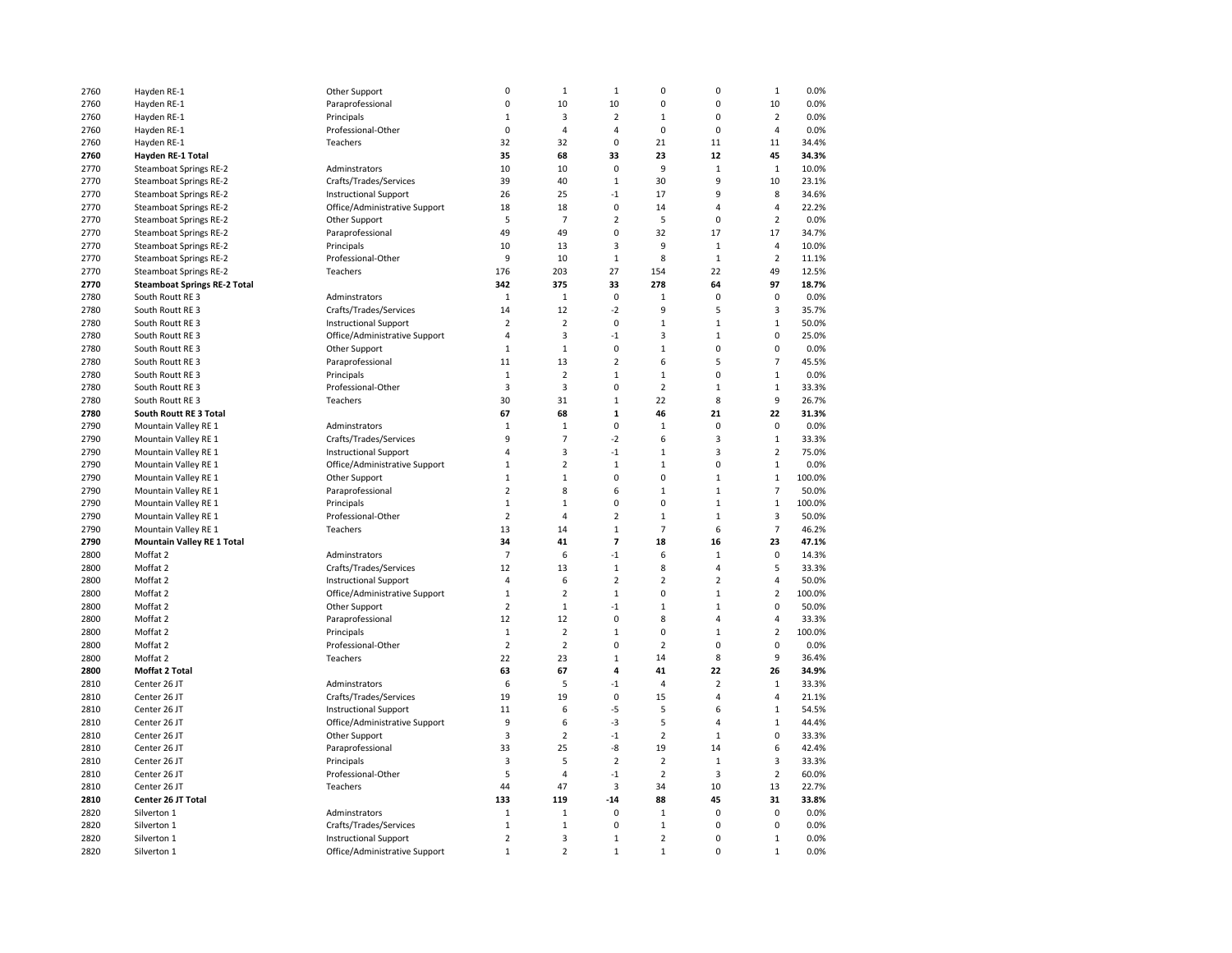| 2760 | Hayden RE-1                         | Other Support                 | 0                              | $\mathbf 1$                      | $1\,$                         | 0                   | $\pmb{0}$                        | $\mathbf 1$         | 0.0%            |
|------|-------------------------------------|-------------------------------|--------------------------------|----------------------------------|-------------------------------|---------------------|----------------------------------|---------------------|-----------------|
| 2760 | Hayden RE-1                         | Paraprofessional              | $\pmb{0}$                      | 10                               | 10                            | $\mathbf 0$         | $\mathbf 0$                      | 10                  | 0.0%            |
| 2760 | Hayden RE-1                         | Principals                    | $\mathbf{1}$                   | 3                                | $\overline{2}$                | $\mathbf{1}$        | $\mathbf 0$                      | $\overline{2}$      | 0.0%            |
| 2760 | Hayden RE-1                         | Professional-Other            | $\mathbf 0$                    | $\overline{4}$                   | $\overline{4}$                | $\mathbf 0$         | $\mathbf 0$                      | $\overline{4}$      | 0.0%            |
| 2760 | Hayden RE-1                         | Teachers                      | 32                             | 32                               | $\mathbf 0$                   | 21                  | 11                               | 11                  | 34.4%           |
| 2760 | Hayden RE-1 Total                   |                               | 35                             | 68                               | 33                            | 23                  | 12                               | 45                  | 34.3%           |
| 2770 | Steamboat Springs RE-2              | Adminstrators                 | 10                             | 10                               | 0                             | 9                   | $\mathbf{1}$                     | $\mathbf 1$         | 10.0%           |
| 2770 | Steamboat Springs RE-2              | Crafts/Trades/Services        | 39                             | 40                               | $\mathbf 1$                   | 30                  | 9                                | 10                  | 23.1%           |
| 2770 | Steamboat Springs RE-2              | <b>Instructional Support</b>  | 26                             | 25                               | $-1$                          | 17                  | 9                                | 8                   | 34.6%           |
| 2770 | Steamboat Springs RE-2              | Office/Administrative Support | 18                             | 18                               | $\mathbf 0$                   | 14                  | $\overline{4}$                   | $\overline{4}$      | 22.2%           |
| 2770 | Steamboat Springs RE-2              | Other Support                 | 5                              | $\overline{7}$                   | $\overline{2}$                | 5                   | $\pmb{0}$                        | $\overline{2}$      | 0.0%            |
| 2770 | Steamboat Springs RE-2              | Paraprofessional              | 49                             | 49                               | 0                             | 32                  | 17                               | 17                  | 34.7%           |
| 2770 | <b>Steamboat Springs RE-2</b>       | Principals                    | 10                             | 13                               | 3                             | 9                   | $\mathbf{1}$                     | 4                   | 10.0%           |
| 2770 | <b>Steamboat Springs RE-2</b>       | Professional-Other            | 9                              | 10                               | $1\,$                         | 8                   | $\mathbf{1}$                     | $\overline{2}$      | 11.1%           |
| 2770 | Steamboat Springs RE-2              | Teachers                      | 176                            | 203                              | 27                            | 154                 | 22                               | 49                  | 12.5%           |
| 2770 | <b>Steamboat Springs RE-2 Total</b> |                               | 342                            | 375                              | 33                            | 278                 | 64                               | 97                  | 18.7%           |
| 2780 | South Routt RE 3                    | Adminstrators                 | 1                              | $1\,$                            | 0                             | $\mathbf 1$         | $\mathbf 0$                      | $\mathbf 0$         | 0.0%            |
| 2780 | South Routt RE 3                    | Crafts/Trades/Services        | 14                             | 12                               | $-2$                          | 9                   | 5                                | 3                   | 35.7%           |
| 2780 | South Routt RE 3                    | <b>Instructional Support</b>  | $\overline{2}$                 | $\overline{2}$                   | 0                             | $\mathbf 1$         | $\mathbf 1$                      | $\mathbf 1$         | 50.0%           |
| 2780 | South Routt RE 3                    | Office/Administrative Support | $\overline{4}$                 | $\mathsf 3$                      | $-1$                          | 3                   | $\,1\,$                          | 0                   | 25.0%           |
| 2780 | South Routt RE 3                    | Other Support                 | $\mathbf{1}$                   | $\,1\,$                          | $\mathbf 0$                   | $\mathbf 1$         | $\pmb{0}$                        | 0                   | 0.0%            |
| 2780 | South Routt RE 3                    | Paraprofessional              | 11                             | 13                               | $\overline{2}$                | 6                   | 5                                | $\overline{7}$      | 45.5%           |
| 2780 | South Routt RE 3                    | Principals                    | $\mathbf{1}$                   | $\overline{2}$                   | $\mathbf 1$                   | $\mathbf{1}$        | $\mathbf 0$                      | $\mathbf 1$         | 0.0%            |
| 2780 | South Routt RE 3                    | Professional-Other            | 3                              | $\overline{3}$                   | $\mathbf 0$                   | $\overline{2}$      | $\mathbf{1}$                     | $\mathbf 1$         | 33.3%           |
| 2780 | South Routt RE 3                    | Teachers                      | 30                             | 31                               | $\mathbf{1}$                  | 22                  | 8                                | 9                   | 26.7%           |
| 2780 | South Routt RE 3 Total              |                               | 67                             | 68                               | $\mathbf 1$                   | 46                  | 21                               | 22                  | 31.3%           |
| 2790 | Mountain Valley RE 1                | Adminstrators                 | $\mathbf{1}$                   | $\mathbf 1$                      | $\mathbf 0$                   | $\mathbf{1}$        | $\mathbf 0$                      | $\mathbf 0$         | 0.0%            |
| 2790 | Mountain Valley RE 1                | Crafts/Trades/Services        | 9                              | $\overline{7}$                   | $-2$                          | 6                   | 3                                | $\mathbf 1$         | 33.3%           |
| 2790 | Mountain Valley RE 1                | <b>Instructional Support</b>  | $\overline{4}$                 | 3                                | $-1$                          | $\mathbf 1$         | $\overline{3}$                   | $\overline{2}$      | 75.0%           |
| 2790 | Mountain Valley RE 1                |                               | $\mathbf{1}$                   | $\overline{2}$                   | $\mathbf{1}$                  | $\mathbf{1}$        | $\mathbf 0$                      | $\mathbf{1}$        | 0.0%            |
| 2790 |                                     | Office/Administrative Support | $\,1\,$                        |                                  | 0                             | $\mathbf 0$         | $\mathbf{1}$                     | $\mathbf 1$         | 100.0%          |
|      | Mountain Valley RE 1                | Other Support                 | 2                              | $\,1\,$                          |                               | $\mathbf{1}$        |                                  | $\overline{7}$      |                 |
| 2790 | Mountain Valley RE 1                | Paraprofessional              | $\mathbf{1}$                   | 8                                | 6<br>0                        | 0                   | $\mathbf{1}$<br>$\mathbf{1}$     |                     | 50.0%           |
| 2790 | Mountain Valley RE 1                | Principals                    |                                | $\mathbf{1}$                     |                               |                     |                                  | $\mathbf 1$         | 100.0%          |
| 2790 | Mountain Valley RE 1                | Professional-Other            | $\overline{2}$                 | $\overline{4}$                   | $\overline{2}$                | $\mathbf 1$         | $\mathbf{1}$                     | 3                   | 50.0%           |
| 2790 | Mountain Valley RE 1                | Teachers                      | 13                             | 14                               | $\mathbf 1$                   | $\overline{7}$      | 6                                | $\overline{7}$      | 46.2%           |
| 2790 | <b>Mountain Valley RE 1 Total</b>   |                               | 34                             | 41                               | $\overline{7}$                | 18                  | 16                               | 23                  | 47.1%           |
| 2800 | Moffat 2                            | Adminstrators                 | $\overline{7}$                 | 6                                | $-1$                          | 6                   | $\mathbf{1}$                     | $\mathbf 0$         | 14.3%           |
| 2800 | Moffat 2                            | Crafts/Trades/Services        | 12                             | 13                               | $\mathbf 1$<br>$\overline{2}$ | 8<br>$\overline{2}$ | $\overline{4}$<br>$\overline{2}$ | 5<br>4              | 33.3%<br>50.0%  |
| 2800 | Moffat 2                            | <b>Instructional Support</b>  | $\overline{4}$                 | 6                                |                               |                     |                                  | $\overline{2}$      |                 |
| 2800 | Moffat 2                            | Office/Administrative Support | $1\,$                          | $\overline{2}$                   | $\mathbf 1$                   | 0                   | $\mathbf{1}$<br>$\mathbf{1}$     |                     | 100.0%          |
| 2800 | Moffat 2                            | Other Support                 | $\overline{2}$                 | $\mathbf 1$                      | $-1$                          | $\mathbf 1$         |                                  | 0                   | 50.0%           |
| 2800 | Moffat 2                            | Paraprofessional              | 12                             | 12                               | 0                             | 8                   | $\overline{4}$                   | 4<br>$\overline{2}$ | 33.3%<br>100.0% |
| 2800 | Moffat 2                            | Principals                    | $\mathbf{1}$<br>$\overline{2}$ | $\overline{2}$<br>$\overline{2}$ | $\mathbf 1$<br>$\mathbf 0$    | 0<br>$\overline{2}$ | $\mathbf{1}$<br>$\mathbf 0$      | 0                   | 0.0%            |
| 2800 | Moffat 2                            | Professional-Other            | 22                             |                                  | $\mathbf{1}$                  | 14                  | 8                                | 9                   |                 |
| 2800 | Moffat 2                            | Teachers                      |                                | 23                               |                               |                     |                                  |                     | 36.4%           |
| 2800 | Moffat 2 Total                      |                               | 63                             | 67                               | 4                             | 41                  | 22                               | 26                  | 34.9%           |
| 2810 | Center 26 JT                        | Adminstrators                 | 6                              | 5                                | $-1$                          | 4                   | $\overline{2}$                   | $\mathbf 1$         | 33.3%           |
| 2810 | Center 26 JT                        | Crafts/Trades/Services        | 19                             | 19                               | 0                             | 15                  | $\overline{4}$                   | 4                   | 21.1%           |
| 2810 | Center 26 JT                        | <b>Instructional Support</b>  | 11                             | 6                                | -5                            | 5                   | 6                                | $\mathbf 1$         | 54.5%           |
| 2810 | Center 26 JT                        | Office/Administrative Support | 9                              | 6                                | -3                            | 5                   | $\overline{4}$                   | $\mathbf 1$         | 44.4%           |
| 2810 | Center 26 JT                        | Other Support                 | 3                              | $\overline{2}$                   | $-1$                          | $\overline{2}$      | $\mathbf 1$                      | 0                   | 33.3%           |
| 2810 | Center 26 JT                        | Paraprofessional              | 33                             | 25                               | -8                            | 19                  | 14                               | 6                   | 42.4%           |
| 2810 | Center 26 JT                        | Principals                    | 3                              | 5                                | $\overline{2}$                | $\overline{2}$      | $\mathbf{1}$                     | 3                   | 33.3%           |
| 2810 | Center 26 JT                        | Professional-Other            | 5                              | $\overline{4}$                   | $-1$                          | $\overline{2}$      | $\overline{\mathbf{3}}$          | $\overline{2}$      | 60.0%           |
| 2810 | Center 26 JT                        | Teachers                      | 44                             | 47                               | $\overline{\mathbf{3}}$       | 34                  | 10                               | 13                  | 22.7%           |
| 2810 | Center 26 JT Total                  |                               | 133                            | 119                              | $-14$                         | 88                  | 45                               | 31                  | 33.8%           |
| 2820 | Silverton 1                         | Adminstrators                 | $\mathbf 1$                    | $\mathbf 1$                      | 0                             | $\mathbf 1$         | $\mathbf 0$                      | 0                   | 0.0%            |
| 2820 | Silverton 1                         | Crafts/Trades/Services        | $\mathbf{1}$                   | $\mathbf 1$                      | $\mathbf 0$                   | $\mathbf 1$         | $\mathbf 0$                      | $\mathbf 0$         | 0.0%            |
| 2820 | Silverton 1                         | <b>Instructional Support</b>  | $\overline{2}$                 | 3                                | $\mathbf{1}$                  | $\overline{2}$      | $\mathbf 0$                      | $\mathbf 1$         | 0.0%            |
| 2820 | Silverton 1                         | Office/Administrative Support | $\mathbf 1$                    | $\overline{2}$                   | $\mathbf 1$                   | $\mathbf 1$         | $\mathbf 0$                      | $\mathbf 1$         | 0.0%            |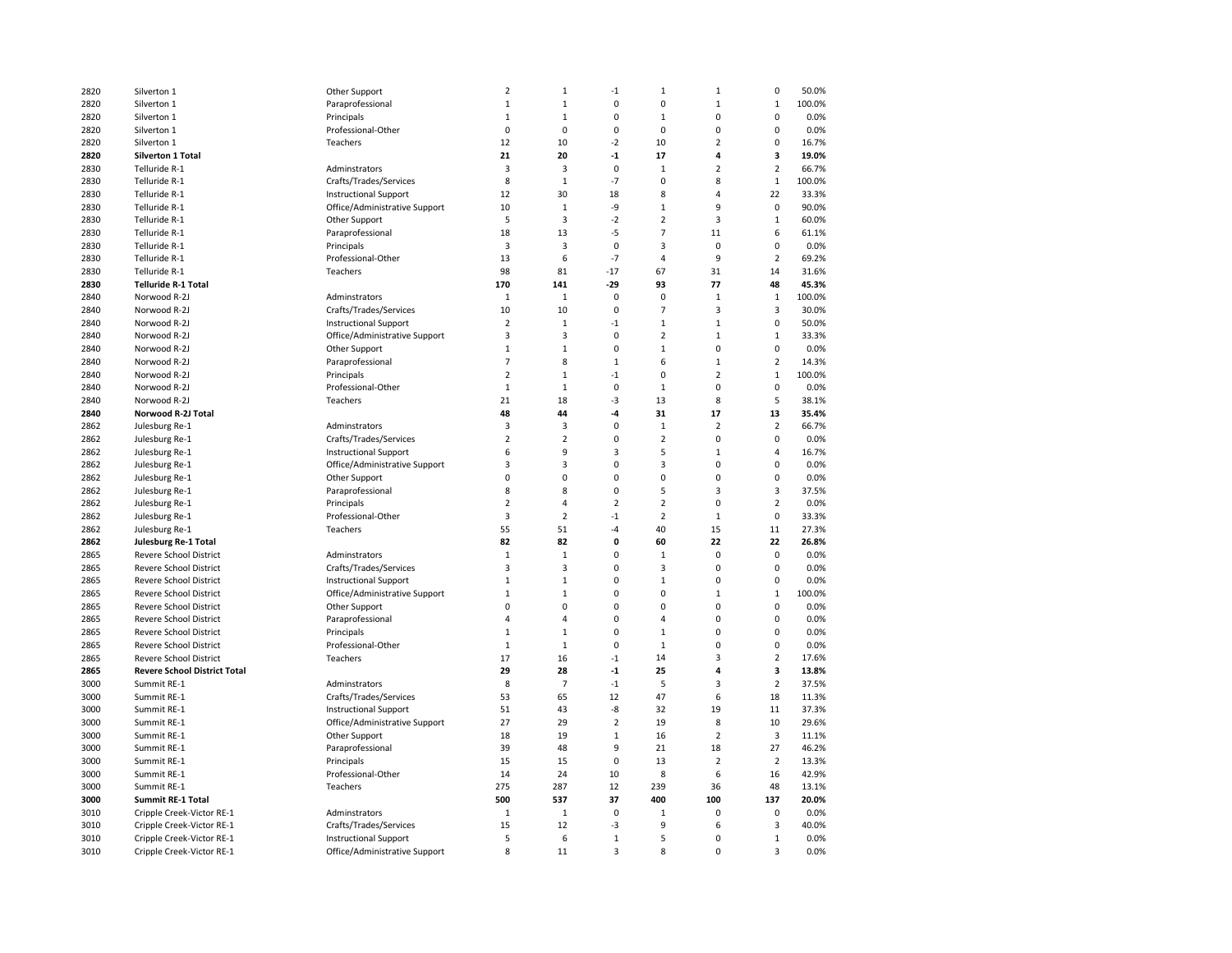| 2820 | Silverton 1                         | Other Support                 | $\overline{2}$          | $\mathbf 1$             | $^{\text{-}1}$ | $\mathbf{1}$            | $\mathbf 1$    | 0              | 50.0%  |
|------|-------------------------------------|-------------------------------|-------------------------|-------------------------|----------------|-------------------------|----------------|----------------|--------|
| 2820 | Silverton 1                         | Paraprofessional              | $1\,$                   | $\mathbf{1}$            | 0              | $\mathbf 0$             | $\mathbf{1}$   | $\mathbf 1$    | 100.0% |
| 2820 | Silverton 1                         | Principals                    | $\mathbf{1}$            | $\mathbf{1}$            | 0              | $\mathbf{1}$            | $\mathbf 0$    | 0              | 0.0%   |
| 2820 | Silverton 1                         | Professional-Other            | $\mathbf 0$             | $\mathbf 0$             | 0              | $\mathbf 0$             | $\mathbf 0$    | 0              | 0.0%   |
| 2820 | Silverton 1                         | Teachers                      | 12                      | 10                      | $-2$           | 10                      | $\overline{2}$ | 0              | 16.7%  |
| 2820 | <b>Silverton 1 Total</b>            |                               | 21                      | 20                      | $-1$           | 17                      | $\overline{a}$ | 3              | 19.0%  |
| 2830 | Telluride R-1                       | Adminstrators                 | 3                       | 3                       | 0              | $1\,$                   | $\overline{2}$ | $\overline{2}$ | 66.7%  |
| 2830 | Telluride R-1                       | Crafts/Trades/Services        | 8                       | $\mathbf{1}$            | $-7$           | 0                       | 8              | $\mathbf{1}$   | 100.0% |
| 2830 | Telluride R-1                       | <b>Instructional Support</b>  | 12                      | 30                      | 18             | 8                       | $\overline{4}$ | 22             | 33.3%  |
| 2830 | Telluride R-1                       | Office/Administrative Support | 10                      | $\mathbf{1}$            | -9             | $\mathbf{1}$            | 9              | 0              | 90.0%  |
| 2830 | Telluride R-1                       | Other Support                 | 5                       | 3                       | $-2$           | $\overline{2}$          | $\overline{3}$ | $\mathbf{1}$   | 60.0%  |
| 2830 | Telluride R-1                       | Paraprofessional              | 18                      | 13                      | -5             | $\overline{7}$          | 11             | 6              | 61.1%  |
| 2830 | Telluride R-1                       | Principals                    | 3                       | 3                       | 0              | 3                       | $\mathbf 0$    | 0              | 0.0%   |
| 2830 | Telluride R-1                       |                               | 13                      | 6                       | $-7$           | $\overline{4}$          | 9              | $\overline{2}$ | 69.2%  |
|      |                                     | Professional-Other            |                         |                         | $-17$          |                         | 31             |                |        |
| 2830 | Telluride R-1                       | Teachers                      | 98                      | 81                      |                | 67                      |                | 14             | 31.6%  |
| 2830 | <b>Telluride R-1 Total</b>          |                               | 170                     | 141                     | $-29$          | 93                      | 77             | 48             | 45.3%  |
| 2840 | Norwood R-2J                        | Adminstrators                 | $1\,$                   | $\mathbf 1$             | 0              | $\mathbf 0$             | $\mathbf{1}$   | $\mathbf 1$    | 100.0% |
| 2840 | Norwood R-2J                        | Crafts/Trades/Services        | 10                      | 10                      | 0              | $\overline{7}$          | $\overline{3}$ | 3              | 30.0%  |
| 2840 | Norwood R-2J                        | <b>Instructional Support</b>  | $\overline{2}$          | $\mathbf{1}$            | $-1$           | $\mathbf{1}$            | $\mathbf 1$    | 0              | 50.0%  |
| 2840 | Norwood R-2J                        | Office/Administrative Support | 3                       | 3                       | 0              | $\overline{2}$          | $\mathbf{1}$   | $\mathbf{1}$   | 33.3%  |
| 2840 | Norwood R-2J                        | Other Support                 | $\mathbf{1}$            | $\mathbf{1}$            | 0              | $\mathbf{1}$            | $\mathbf 0$    | $\mathbf 0$    | 0.0%   |
| 2840 | Norwood R-2J                        | Paraprofessional              | $\overline{7}$          | 8                       | $\mathbf 1$    | 6                       | $\mathbf 1$    | $\overline{2}$ | 14.3%  |
| 2840 | Norwood R-2J                        | Principals                    | $\overline{2}$          | $\mathbf 1$             | $-1$           | $\mathbf 0$             | $\overline{2}$ | $\mathbf{1}$   | 100.0% |
| 2840 | Norwood R-2J                        | Professional-Other            | $\mathbf{1}$            | $\mathbf{1}$            | 0              | $\mathbf{1}$            | $\pmb{0}$      | 0              | 0.0%   |
| 2840 | Norwood R-2J                        | Teachers                      | 21                      | 18                      | $-3$           | 13                      | 8              | 5              | 38.1%  |
| 2840 | Norwood R-2J Total                  |                               | 48                      | 44                      | -4             | 31                      | 17             | 13             | 35.4%  |
| 2862 | Julesburg Re-1                      | Adminstrators                 | $\overline{3}$          | $\overline{\mathbf{3}}$ | $\mathbf 0$    | $\,1\,$                 | $\overline{2}$ | $\overline{2}$ | 66.7%  |
| 2862 | Julesburg Re-1                      | Crafts/Trades/Services        | $\overline{2}$          | $\mathbf 2$             | $\mathbf 0$    | $\overline{2}$          | $\pmb{0}$      | 0              | 0.0%   |
| 2862 | Julesburg Re-1                      | <b>Instructional Support</b>  | 6                       | $\overline{9}$          | 3              | 5                       | $\mathbf{1}$   | 4              | 16.7%  |
| 2862 | Julesburg Re-1                      | Office/Administrative Support | 3                       | 3                       | 0              | 3                       | $\pmb{0}$      | 0              | 0.0%   |
| 2862 | Julesburg Re-1                      | Other Support                 | $\mathbf 0$             | $\mathbf 0$             | $\Omega$       | $\mathbf 0$             | $\mathbf 0$    | 0              | 0.0%   |
| 2862 | Julesburg Re-1                      | Paraprofessional              | 8                       | 8                       | 0              | 5                       | $\overline{3}$ | 3              | 37.5%  |
| 2862 | Julesburg Re-1                      | Principals                    | $\overline{2}$          | $\overline{a}$          | $\overline{2}$ | $\overline{2}$          | $\Omega$       | $\overline{2}$ | 0.0%   |
| 2862 | Julesburg Re-1                      | Professional-Other            | $\overline{\mathbf{3}}$ | $\mathbf 2$             | $-1$           | $\overline{2}$          | $\mathbf{1}$   | $\mathbf 0$    | 33.3%  |
| 2862 | Julesburg Re-1                      | Teachers                      | 55                      | 51                      | $-4$           | 40                      | 15             | 11             | 27.3%  |
| 2862 | Julesburg Re-1 Total                |                               | 82                      | 82                      | 0              | 60                      | 22             | 22             | 26.8%  |
| 2865 | <b>Revere School District</b>       | Adminstrators                 | $\mathbf{1}$            | $\mathbf 1$             | 0              | $\mathbf{1}$            | $\Omega$       | $\mathbf 0$    | 0.0%   |
| 2865 | Revere School District              | Crafts/Trades/Services        | 3                       | 3                       | 0              | $\overline{\mathbf{3}}$ | $\Omega$       | 0              | 0.0%   |
| 2865 | <b>Revere School District</b>       | <b>Instructional Support</b>  | $1\,$                   | $\mathbf 1$             | 0              | $1\,$                   | $\mathbf 0$    | 0              | 0.0%   |
| 2865 | <b>Revere School District</b>       | Office/Administrative Support | $\mathbf{1}$            | $\mathbf{1}$            | $\Omega$       | $\mathbf 0$             | $\mathbf{1}$   | $\mathbf 1$    | 100.0% |
| 2865 | <b>Revere School District</b>       | Other Support                 | 0                       | $\mathbf 0$             | $\Omega$       | 0                       | $\mathbf 0$    | 0              | 0.0%   |
| 2865 | <b>Revere School District</b>       | Paraprofessional              | $\overline{4}$          | $\overline{4}$          | $\Omega$       | $\overline{4}$          | $\mathbf 0$    | 0              | 0.0%   |
| 2865 | <b>Revere School District</b>       | Principals                    | $\mathbf{1}$            | $\mathbf{1}$            | $\Omega$       | $\mathbf{1}$            | $\mathbf 0$    | $\mathbf 0$    | 0.0%   |
| 2865 | <b>Revere School District</b>       | Professional-Other            | $\mathbf{1}$            | $\mathbf 1$             | 0              | $1\,$                   | $\pmb{0}$      | 0              | 0.0%   |
|      |                                     |                               |                         |                         |                |                         |                | $\overline{2}$ |        |
| 2865 | <b>Revere School District</b>       | Teachers                      | 17                      | 16                      | $-1$           | 14                      | 3              |                | 17.6%  |
| 2865 | <b>Revere School District Total</b> |                               | 29                      | 28                      | $-1$           | 25                      | $\overline{a}$ | 3              | 13.8%  |
| 3000 | Summit RE-1                         | Adminstrators                 | 8                       | $\overline{7}$          | $-1$           | 5                       | $\overline{3}$ | $\overline{2}$ | 37.5%  |
| 3000 | Summit RE-1                         | Crafts/Trades/Services        | 53                      | 65                      | 12             | 47                      | 6              | 18             | 11.3%  |
| 3000 | Summit RE-1                         | <b>Instructional Support</b>  | 51                      | 43                      | -8             | 32                      | 19             | 11             | 37.3%  |
| 3000 | Summit RE-1                         | Office/Administrative Support | 27                      | 29                      | $\overline{2}$ | 19                      | 8              | 10             | 29.6%  |
| 3000 | Summit RE-1                         | Other Support                 | 18                      | 19                      | $\mathbf 1$    | 16                      | $\overline{2}$ | 3              | 11.1%  |
| 3000 | Summit RE-1                         | Paraprofessional              | 39                      | 48                      | 9              | 21                      | 18             | 27             | 46.2%  |
| 3000 | Summit RE-1                         | Principals                    | 15                      | 15                      | 0              | 13                      | $\overline{2}$ | $\overline{2}$ | 13.3%  |
| 3000 | Summit RE-1                         | Professional-Other            | 14                      | 24                      | 10             | 8                       | 6              | 16             | 42.9%  |
| 3000 | Summit RE-1                         | Teachers                      | 275                     | 287                     | 12             | 239                     | 36             | 48             | 13.1%  |
| 3000 | <b>Summit RE-1 Total</b>            |                               | 500                     | 537                     | 37             | 400                     | 100            | 137            | 20.0%  |
| 3010 | Cripple Creek-Victor RE-1           | Adminstrators                 | $1\,$                   | $\mathbf{1}$            | 0              | $1\,$                   | $\pmb{0}$      | 0              | 0.0%   |
| 3010 | Cripple Creek-Victor RE-1           | Crafts/Trades/Services        | 15                      | 12                      | $-3$           | 9                       | 6              | 3              | 40.0%  |
| 3010 | Cripple Creek-Victor RE-1           | <b>Instructional Support</b>  | 5                       | 6                       | $\mathbf 1$    | 5                       | $\pmb{0}$      | $\mathbf 1$    | 0.0%   |
| 3010 | Cripple Creek-Victor RE-1           | Office/Administrative Support | 8                       | 11                      | 3              | 8                       | $\mathbf 0$    | 3              | 0.0%   |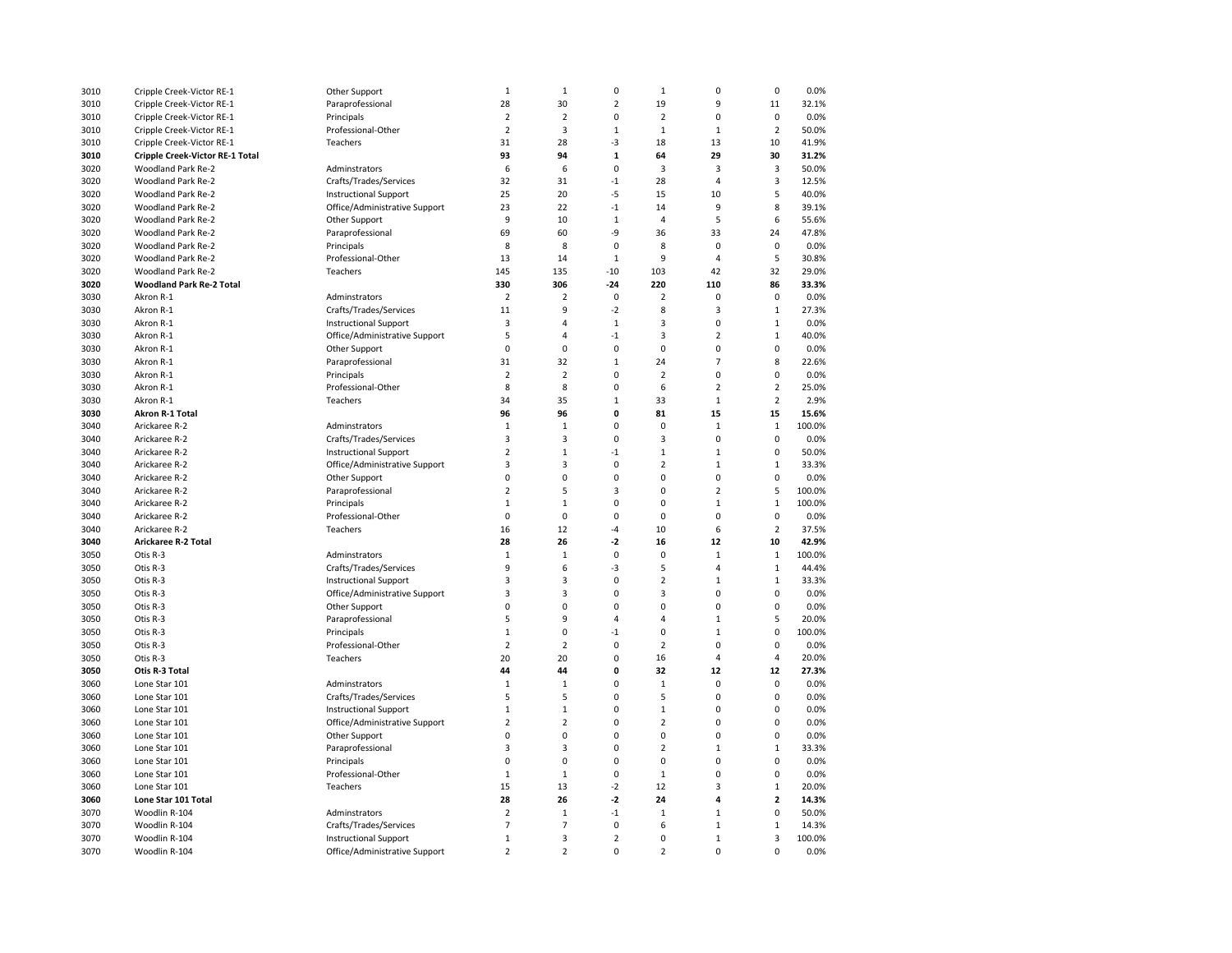| 3010 | Cripple Creek-Victor RE-1              | Other Support                 | $\mathbf{1}$            | $\mathbf{1}$   | 0                 | $\mathbf{1}$            | $\mathbf 0$             | $\mathbf 0$             | 0.0%   |
|------|----------------------------------------|-------------------------------|-------------------------|----------------|-------------------|-------------------------|-------------------------|-------------------------|--------|
| 3010 | Cripple Creek-Victor RE-1              | Paraprofessional              | 28                      | 30             | $\overline{2}$    | 19                      | 9                       | 11                      | 32.1%  |
| 3010 | Cripple Creek-Victor RE-1              | Principals                    | $\overline{2}$          | $\overline{2}$ | 0                 | $\overline{2}$          | $\mathbf 0$             | 0                       | 0.0%   |
| 3010 | Cripple Creek-Victor RE-1              | Professional-Other            | $\overline{2}$          | 3              | $\mathbf 1$       | $\mathbf{1}$            | $\mathbf{1}$            | $\overline{2}$          | 50.0%  |
| 3010 | Cripple Creek-Victor RE-1              | Teachers                      | 31                      | 28             | -3                | 18                      | 13                      | 10                      | 41.9%  |
| 3010 | <b>Cripple Creek-Victor RE-1 Total</b> |                               | 93                      | 94             | $\mathbf{1}$      | 64                      | 29                      | 30                      | 31.2%  |
| 3020 | Woodland Park Re-2                     | Adminstrators                 | 6                       | 6              | 0                 | $\overline{\mathbf{3}}$ | 3                       | $\overline{\mathbf{3}}$ | 50.0%  |
| 3020 | Woodland Park Re-2                     | Crafts/Trades/Services        | 32                      | 31             | $-1$              | 28                      | 4                       | 3                       | 12.5%  |
| 3020 | Woodland Park Re-2                     | <b>Instructional Support</b>  | 25                      | 20             | -5                | 15                      | 10                      | 5                       | 40.0%  |
| 3020 | Woodland Park Re-2                     | Office/Administrative Support | 23                      | 22             | $-1$              | 14                      | 9                       | 8                       | 39.1%  |
|      |                                        |                               | 9                       |                |                   |                         | 5                       |                         |        |
| 3020 | Woodland Park Re-2                     | Other Support                 |                         | 10             | $\mathbf 1$       | $\overline{4}$          |                         | 6                       | 55.6%  |
| 3020 | Woodland Park Re-2                     | Paraprofessional              | 69                      | 60             | -9                | 36                      | 33                      | 24                      | 47.8%  |
| 3020 | Woodland Park Re-2                     | Principals                    | 8                       | 8              | 0                 | 8                       | 0                       | $\pmb{0}$               | 0.0%   |
| 3020 | Woodland Park Re-2                     | Professional-Other            | 13                      | 14             | $\mathbf 1$       | 9                       | $\overline{4}$          | 5                       | 30.8%  |
| 3020 | Woodland Park Re-2                     | Teachers                      | 145                     | 135            | $-10$             | 103                     | 42                      | 32                      | 29.0%  |
| 3020 | <b>Woodland Park Re-2 Total</b>        |                               | 330                     | 306            | $-24$             | 220                     | 110                     | 86                      | 33.3%  |
| 3030 | Akron R-1                              | Adminstrators                 | $\overline{2}$          | $\mathbf 2$    | $\mathbf 0$       | $\overline{2}$          | $\mathbf 0$             | $\pmb{0}$               | 0.0%   |
| 3030 | Akron R-1                              | Crafts/Trades/Services        | 11                      | 9              | $-2$              | 8                       | $\overline{\mathbf{3}}$ | $\mathbf 1$             | 27.3%  |
| 3030 | Akron R-1                              | <b>Instructional Support</b>  | 3                       | $\overline{4}$ | $\mathbf 1$       | 3                       | $\mathbf 0$             | $\mathbf 1$             | 0.0%   |
| 3030 | Akron R-1                              | Office/Administrative Support | 5                       | $\overline{4}$ | $-1$              | 3                       | $\overline{2}$          | $\mathbf 1$             | 40.0%  |
| 3030 | Akron R-1                              | Other Support                 | $\pmb{0}$               | 0              | $\mathbf 0$       | $\pmb{0}$               | $\Omega$                | 0                       | 0.0%   |
| 3030 | Akron R-1                              | Paraprofessional              | 31                      | 32             | $\mathbf 1$       | 24                      | $\overline{7}$          | 8                       | 22.6%  |
| 3030 | Akron R-1                              | Principals                    | $\overline{2}$          | $\mathbf 2$    | $\mathbf 0$       | $\overline{2}$          | $\mathbf 0$             | 0                       | 0.0%   |
| 3030 | Akron R-1                              | Professional-Other            | 8                       | 8              | $\mathbf 0$       | 6                       | $\overline{2}$          | $\overline{2}$          | 25.0%  |
| 3030 | Akron R-1                              | Teachers                      | 34                      | 35             | $\mathbf{1}$      | 33                      | $\mathbf{1}$            | $\overline{2}$          | 2.9%   |
| 3030 | <b>Akron R-1 Total</b>                 |                               | 96                      | 96             | 0                 | 81                      | 15                      | 15                      | 15.6%  |
| 3040 | Arickaree R-2                          | Adminstrators                 | $\,1\,$                 | $\mathbf 1$    | $\mathbf 0$       | $\mathbf 0$             | $\mathbf{1}$            | $\mathbf 1$             | 100.0% |
| 3040 | Arickaree R-2                          | Crafts/Trades/Services        | 3                       | 3              | $\mathbf 0$       | 3                       | $\mathbf 0$             | 0                       | 0.0%   |
| 3040 | Arickaree R-2                          | <b>Instructional Support</b>  | 2                       | $\mathbf{1}$   | $-1$              | $\mathbf{1}$            | $\mathbf{1}$            | 0                       | 50.0%  |
| 3040 | Arickaree R-2                          | Office/Administrative Support | $\overline{3}$          | 3              | $\mathbf 0$       | $\overline{2}$          | $\mathbf{1}$            | $\mathbf{1}$            | 33.3%  |
| 3040 | Arickaree R-2                          | Other Support                 | $\pmb{0}$               | 0              | 0                 | $\pmb{0}$               | $\mathbf 0$             | 0                       | 0.0%   |
| 3040 | Arickaree R-2                          | Paraprofessional              | $\overline{2}$          | 5              | 3                 | $\pmb{0}$               | $\overline{2}$          | 5                       | 100.0% |
| 3040 | Arickaree R-2                          | Principals                    | $1\,$                   | $\mathbf 1$    | 0                 | 0                       | $\mathbf{1}$            | $\mathbf 1$             | 100.0% |
| 3040 | Arickaree R-2                          | Professional-Other            | $\mathbf 0$             | $\mathbf 0$    | $\mathbf 0$       | $\mathbf 0$             | $\mathbf 0$             | $\mathbf 0$             | 0.0%   |
| 3040 | Arickaree R-2                          | Teachers                      | 16                      | 12             | -4                | 10                      | 6                       | $\overline{2}$          | 37.5%  |
| 3040 | Arickaree R-2 Total                    |                               | 28                      | 26             | $-2$              | 16                      | 12                      | 10                      | 42.9%  |
| 3050 | Otis R-3                               | Adminstrators                 |                         | $\mathbf 1$    | 0                 | 0                       | $\mathbf{1}$            | $\mathbf 1$             | 100.0% |
|      |                                        |                               | 1                       |                |                   | 5                       | $\overline{4}$          |                         |        |
| 3050 | Otis R-3                               | Crafts/Trades/Services        | 9                       | 6              | -3<br>$\mathbf 0$ |                         |                         | $\mathbf{1}$            | 44.4%  |
| 3050 | Otis R-3                               | <b>Instructional Support</b>  | 3                       | 3              |                   | $\overline{2}$          | $\mathbf{1}$            | $\mathbf 1$             | 33.3%  |
| 3050 | Otis R-3                               | Office/Administrative Support | 3                       | 3              | $\mathbf 0$       | 3                       | $\mathbf 0$             | 0                       | 0.0%   |
| 3050 | Otis R-3                               | Other Support                 | $\pmb{0}$               | 0              | 0                 | $\pmb{0}$               | $\pmb{0}$               | 0                       | 0.0%   |
| 3050 | Otis R-3                               | Paraprofessional              | 5                       | 9              | 4                 | $\overline{4}$          | $\mathbf{1}$            | 5                       | 20.0%  |
| 3050 | Otis R-3                               | Principals                    | $\,1\,$                 | $\mathbf 0$    | $-1$              | $\pmb{0}$               | $\mathbf{1}$            | 0                       | 100.0% |
| 3050 | Otis R-3                               | Professional-Other            | $\overline{2}$          | $\overline{2}$ | $\mathbf 0$       | $\overline{2}$          | $\mathbf 0$             | 0                       | 0.0%   |
| 3050 | Otis R-3                               | Teachers                      | 20                      | 20             | $\mathbf 0$       | 16                      | $\overline{4}$          | 4                       | 20.0%  |
| 3050 | Otis R-3 Total                         |                               | 44                      | 44             | 0                 | 32                      | 12                      | 12                      | 27.3%  |
| 3060 | Lone Star 101                          | Adminstrators                 | $1\,$                   | $1\,$          | $\mathbf 0$       | $\mathbf{1}$            | $\mathbf 0$             | $\pmb{0}$               | 0.0%   |
| 3060 | Lone Star 101                          | Crafts/Trades/Services        | 5                       | 5              | 0                 | 5                       | $\mathbf 0$             | 0                       | 0.0%   |
| 3060 | Lone Star 101                          | <b>Instructional Support</b>  | $\mathbf{1}$            | $1\,$          | 0                 | $\mathbf{1}$            | $\mathbf 0$             | 0                       | 0.0%   |
| 3060 | Lone Star 101                          | Office/Administrative Support | $\mathbf 2$             | $\overline{2}$ | $\mathbf 0$       | $\mathbf 2$             | $\mathbf 0$             | 0                       | 0.0%   |
| 3060 | Lone Star 101                          | Other Support                 | $\pmb{0}$               | $\pmb{0}$      | $\mathbf 0$       | $\pmb{0}$               | $\mathbf 0$             | 0                       | 0.0%   |
| 3060 | Lone Star 101                          | Paraprofessional              | $\overline{\mathbf{3}}$ | 3              | $\mathbf 0$       | $\overline{2}$          | $\mathbf{1}$            | $\mathbf 1$             | 33.3%  |
| 3060 | Lone Star 101                          | Principals                    | $\mathbf 0$             | 0              | 0                 | $\pmb{0}$               | $\mathbf 0$             | 0                       | 0.0%   |
| 3060 | Lone Star 101                          | Professional-Other            | $\mathbf{1}$            | $\mathbf 1$    | $\mathbf 0$       | $\mathbf{1}$            | $\mathbf 0$             | 0                       | 0.0%   |
| 3060 | Lone Star 101                          | Teachers                      | 15                      | 13             | $-2$              | 12                      | $\overline{3}$          | $\mathbf 1$             | 20.0%  |
| 3060 | Lone Star 101 Total                    |                               | 28                      | 26             | $-2$              | 24                      | $\overline{a}$          | $\overline{\mathbf{2}}$ | 14.3%  |
| 3070 | Woodlin R-104                          | Adminstrators                 | $\overline{2}$          | $1\,$          | $-1$              | $\mathbf{1}$            | $\mathbf{1}$            | 0                       | 50.0%  |
| 3070 | Woodlin R-104                          | Crafts/Trades/Services        | $\overline{7}$          | $\overline{7}$ | 0                 | 6                       | $\mathbf{1}$            | $\mathbf 1$             | 14.3%  |
| 3070 | Woodlin R-104                          | <b>Instructional Support</b>  | $\mathbf{1}$            | 3              | $\overline{2}$    | $\mathbf 0$             | $\mathbf{1}$            | 3                       | 100.0% |
| 3070 | Woodlin R-104                          | Office/Administrative Support | $\overline{2}$          | $\overline{2}$ | $\Omega$          | $\overline{2}$          | $\Omega$                | $\Omega$                | 0.0%   |
|      |                                        |                               |                         |                |                   |                         |                         |                         |        |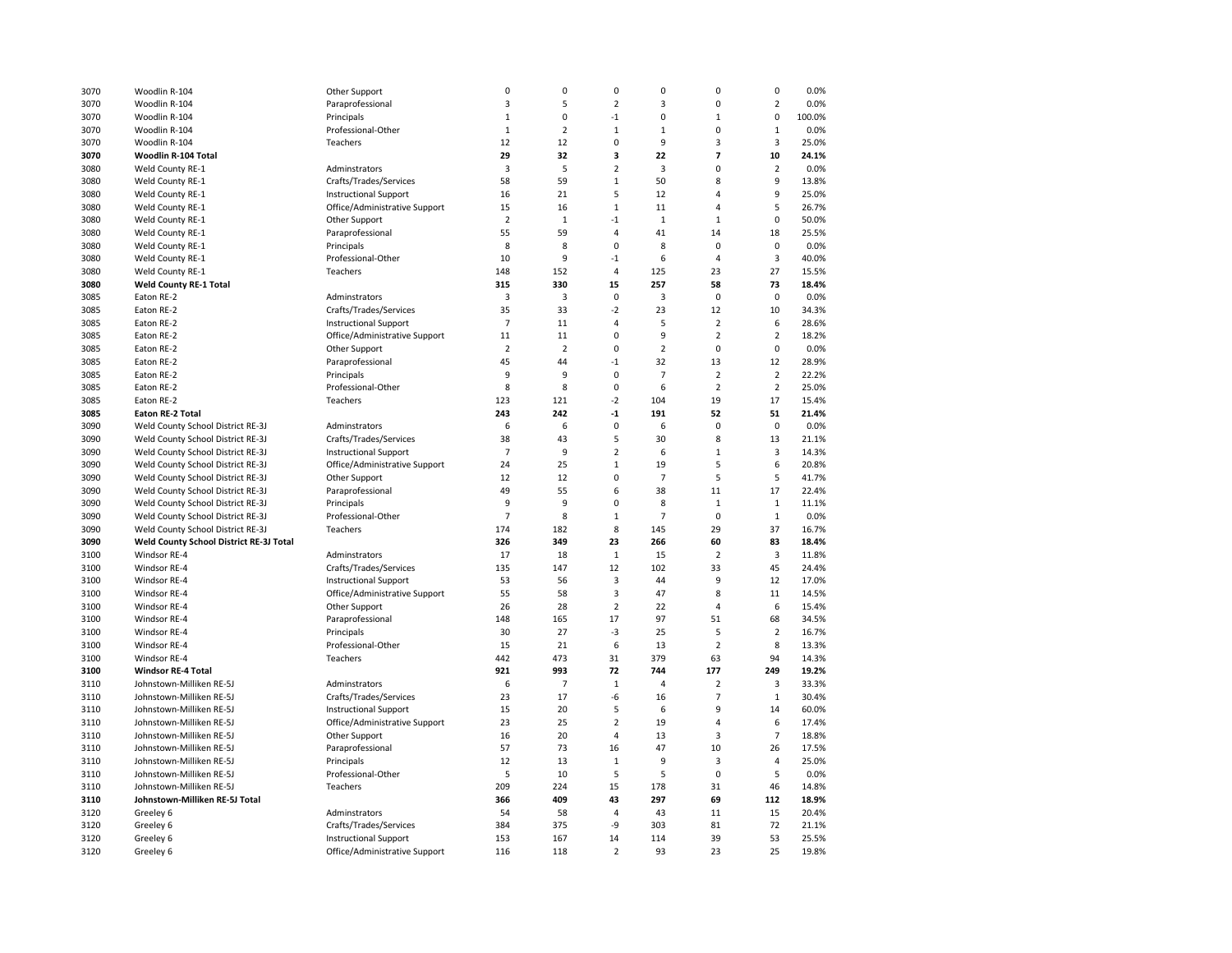| 3070 | Woodlin R-104                           | Other Support                 | $\mathbf 0$    | 0              | $\pmb{0}$      | $\mathbf 0$    | $\mathbf 0$    | $\pmb{0}$               | 0.0%          |
|------|-----------------------------------------|-------------------------------|----------------|----------------|----------------|----------------|----------------|-------------------------|---------------|
| 3070 | Woodlin R-104                           | Paraprofessional              | 3              | 5              | $\overline{2}$ | 3              | $\mathbf 0$    | $\overline{2}$          | 0.0%          |
| 3070 | Woodlin R-104                           | Principals                    | $\mathbf 1$    | 0              | $-1$           | $\mathbf 0$    | $\mathbf{1}$   | $\pmb{0}$               | 100.0%        |
| 3070 | Woodlin R-104                           | Professional-Other            | $\mathbf{1}$   | $\overline{2}$ | $\mathbf{1}$   | $\mathbf 1$    | $\mathbf 0$    | $\mathbf 1$             | 0.0%          |
| 3070 | Woodlin R-104                           | Teachers                      | 12             | 12             | $\mathbf 0$    | 9              | $\overline{3}$ | $\overline{\mathbf{3}}$ | 25.0%         |
| 3070 | Woodlin R-104 Total                     |                               | 29             | 32             | 3              | 22             | $\overline{7}$ | 10                      | 24.1%         |
| 3080 | Weld County RE-1                        | Adminstrators                 | 3              | 5              | $\overline{2}$ | 3              | $\mathbf 0$    | $\overline{2}$          | 0.0%          |
| 3080 | Weld County RE-1                        | Crafts/Trades/Services        | 58             | 59             | $\mathbf{1}$   | 50             | 8              | 9                       | 13.8%         |
| 3080 | Weld County RE-1                        | <b>Instructional Support</b>  | 16             | 21             | 5              | 12             | $\overline{4}$ | 9                       | 25.0%         |
| 3080 | Weld County RE-1                        | Office/Administrative Support | 15             | 16             | $\mathbf 1$    | 11             | $\overline{4}$ | 5                       | 26.7%         |
| 3080 | Weld County RE-1                        | Other Support                 | $\overline{2}$ | $\mathbf 1$    | $-1$           | $\mathbf{1}$   | $\mathbf{1}$   | $\mathbf 0$             | 50.0%         |
|      |                                         |                               | 55             | 59             | 4              | 41             | 14             | 18                      |               |
| 3080 | Weld County RE-1                        | Paraprofessional              | 8              |                | 0              |                |                | $\mathbf 0$             | 25.5%<br>0.0% |
| 3080 | Weld County RE-1                        | Principals                    |                | 8              |                | 8              | $\mathbf 0$    |                         |               |
| 3080 | Weld County RE-1                        | Professional-Other            | 10             | 9              | $-1$           | 6              | $\overline{4}$ | $\overline{\mathbf{3}}$ | 40.0%         |
| 3080 | Weld County RE-1                        | Teachers                      | 148            | 152            | 4              | 125            | 23             | 27                      | 15.5%         |
| 3080 | <b>Weld County RE-1 Total</b>           |                               | 315            | 330            | 15             | 257            | 58             | 73                      | 18.4%         |
| 3085 | Eaton RE-2                              | Adminstrators                 | 3              | 3              | 0              | 3              | $\mathbf 0$    | $\mathbf 0$             | 0.0%          |
| 3085 | Eaton RE-2                              | Crafts/Trades/Services        | 35             | 33             | $-2$           | 23             | 12             | 10                      | 34.3%         |
| 3085 | Eaton RE-2                              | <b>Instructional Support</b>  | $\overline{7}$ | 11             | 4              | 5              | $\overline{2}$ | 6                       | 28.6%         |
| 3085 | Eaton RE-2                              | Office/Administrative Support | 11             | 11             | 0              | 9              | $\overline{2}$ | $\overline{2}$          | 18.2%         |
| 3085 | Eaton RE-2                              | Other Support                 | $\overline{2}$ | $\overline{2}$ | 0              | $\overline{2}$ | 0              | $\mathsf 0$             | 0.0%          |
| 3085 | Eaton RE-2                              | Paraprofessional              | 45             | 44             | -1             | 32             | 13             | 12                      | 28.9%         |
| 3085 | Eaton RE-2                              | Principals                    | 9              | 9              | 0              | $\overline{7}$ | $\overline{2}$ | $\overline{2}$          | 22.2%         |
| 3085 | Eaton RE-2                              | Professional-Other            | 8              | 8              | 0              | 6              | $\overline{2}$ | $\overline{2}$          | 25.0%         |
| 3085 | Eaton RE-2                              | Teachers                      | 123            | 121            | $-2$           | 104            | 19             | 17                      | 15.4%         |
| 3085 | <b>Eaton RE-2 Total</b>                 |                               | 243            | 242            | $-1$           | 191            | 52             | 51                      | 21.4%         |
| 3090 | Weld County School District RE-3J       | Adminstrators                 | 6              | 6              | 0              | 6              | 0              | $\mathbf 0$             | 0.0%          |
| 3090 | Weld County School District RE-3J       | Crafts/Trades/Services        | 38             | 43             | 5              | 30             | 8              | 13                      | 21.1%         |
| 3090 | Weld County School District RE-3J       | <b>Instructional Support</b>  | $\overline{7}$ | 9              | $\overline{2}$ | 6              | $\mathbf{1}$   | $\overline{3}$          | 14.3%         |
| 3090 | Weld County School District RE-3J       | Office/Administrative Support | 24             | 25             | $\mathbf 1$    | 19             | 5              | 6                       | 20.8%         |
| 3090 | Weld County School District RE-3J       | Other Support                 | 12             | 12             | 0              | $\overline{7}$ | 5              | 5                       | 41.7%         |
| 3090 | Weld County School District RE-3J       | Paraprofessional              | 49             | 55             | 6              | 38             | 11             | 17                      | 22.4%         |
| 3090 | Weld County School District RE-3J       | Principals                    | 9              | 9              | 0              | 8              | $\mathbf{1}$   | $\mathbf{1}$            | 11.1%         |
| 3090 | Weld County School District RE-3J       | Professional-Other            | $\overline{7}$ | 8              | $\mathbf 1$    | $\overline{7}$ | $\mathbf 0$    | $\,1\,$                 | 0.0%          |
| 3090 | Weld County School District RE-3J       | Teachers                      | 174            | 182            | 8              | 145            | 29             | 37                      | 16.7%         |
| 3090 | Weld County School District RE-3J Total |                               | 326            | 349            | 23             | 266            | 60             | 83                      | 18.4%         |
| 3100 | Windsor RE-4                            | Adminstrators                 | 17             | 18             | $1\,$          | 15             | $\overline{2}$ | 3                       | 11.8%         |
| 3100 | Windsor RE-4                            | Crafts/Trades/Services        | 135            | 147            | 12             | 102            | 33             | 45                      | 24.4%         |
| 3100 | Windsor RE-4                            | <b>Instructional Support</b>  | 53             | 56             | $\overline{3}$ | 44             | 9              | 12                      | 17.0%         |
| 3100 | Windsor RE-4                            | Office/Administrative Support | 55             | 58             | 3              | 47             | 8              | 11                      | 14.5%         |
| 3100 | Windsor RE-4                            | Other Support                 | 26             | 28             | $\overline{2}$ | 22             | $\overline{4}$ | 6                       | 15.4%         |
| 3100 | Windsor RE-4                            | Paraprofessional              | 148            | 165            | 17             | 97             | 51             | 68                      | 34.5%         |
| 3100 | Windsor RE-4                            | Principals                    | 30             | 27             | $-3$           | 25             | 5              | $\overline{2}$          | 16.7%         |
| 3100 | Windsor RE-4                            | Professional-Other            | 15             | 21             | 6              | 13             | $\overline{2}$ | 8                       | 13.3%         |
|      |                                         |                               |                |                |                |                |                |                         |               |
| 3100 | Windsor RE-4                            | Teachers                      | 442            | 473            | 31             | 379            | 63             | 94                      | 14.3%         |
| 3100 | <b>Windsor RE-4 Total</b>               |                               | 921            | 993            | 72             | 744            | 177            | 249                     | 19.2%         |
| 3110 | Johnstown-Milliken RE-5J                | Adminstrators                 | 6              | $\overline{7}$ | $\mathbf{1}$   | 4              | $\overline{2}$ | $\overline{\mathbf{3}}$ | 33.3%         |
| 3110 | Johnstown-Milliken RE-5J                | Crafts/Trades/Services        | 23             | 17             | $-6$           | 16             | $\overline{7}$ | $\mathbf{1}$            | 30.4%         |
| 3110 | Johnstown-Milliken RE-5J                | <b>Instructional Support</b>  | 15             | 20             | 5              | 6              | 9              | 14                      | 60.0%         |
| 3110 | Johnstown-Milliken RE-5J                | Office/Administrative Support | 23             | 25             | $\overline{2}$ | 19             | 4              | 6                       | 17.4%         |
| 3110 | Johnstown-Milliken RE-5J                | Other Support                 | 16             | 20             | 4              | 13             | 3              | $\overline{7}$          | 18.8%         |
| 3110 | Johnstown-Milliken RE-5J                | Paraprofessional              | 57             | 73             | 16             | 47             | 10             | 26                      | 17.5%         |
| 3110 | Johnstown-Milliken RE-5J                | Principals                    | 12             | 13             | $\mathbf 1$    | 9              | $\overline{3}$ | $\overline{4}$          | 25.0%         |
| 3110 | Johnstown-Milliken RE-5J                | Professional-Other            | 5              | 10             | 5              | 5              | $\mathbf 0$    | 5                       | 0.0%          |
| 3110 | Johnstown-Milliken RE-5J                | Teachers                      | 209            | 224            | 15             | 178            | 31             | 46                      | 14.8%         |
| 3110 | Johnstown-Milliken RE-5J Total          |                               | 366            | 409            | 43             | 297            | 69             | 112                     | 18.9%         |
| 3120 | Greeley 6                               | Adminstrators                 | 54             | 58             | 4              | 43             | 11             | 15                      | 20.4%         |
| 3120 | Greeley 6                               | Crafts/Trades/Services        | 384            | 375            | -9             | 303            | 81             | 72                      | 21.1%         |
| 3120 | Greeley 6                               | <b>Instructional Support</b>  | 153            | 167            | 14             | 114            | 39             | 53                      | 25.5%         |
| 3120 | Greeley 6                               | Office/Administrative Support | 116            | 118            | $\overline{2}$ | 93             | 23             | 25                      | 19.8%         |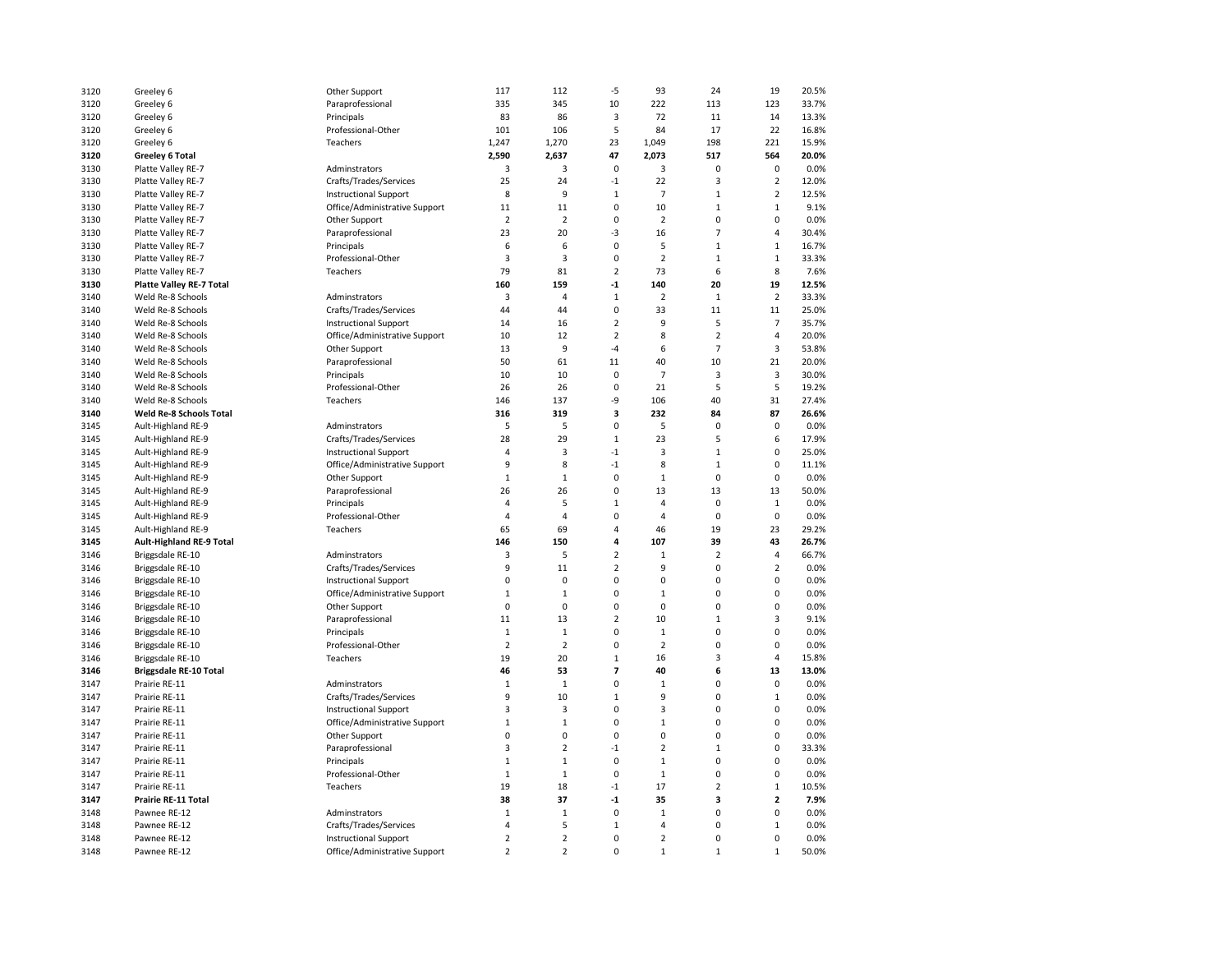| 3120 | Greeley 6                                | Other Support                 | 117            | 112                     | $-5$           | 93             | 24             | 19             | 20.5% |
|------|------------------------------------------|-------------------------------|----------------|-------------------------|----------------|----------------|----------------|----------------|-------|
| 3120 | Greeley 6                                | Paraprofessional              | 335            | 345                     | 10             | 222            | 113            | 123            | 33.7% |
| 3120 | Greeley 6                                | Principals                    | 83             | 86                      | 3              | 72             | 11             | 14             | 13.3% |
| 3120 | Greeley 6                                | Professional-Other            | 101            | 106                     | 5              | 84             | 17             | 22             | 16.8% |
| 3120 | Greeley 6                                | Teachers                      | 1,247          | 1,270                   | 23             | 1,049          | 198            | 221            | 15.9% |
| 3120 | <b>Greeley 6 Total</b>                   |                               | 2,590          | 2,637                   | 47             | 2,073          | 517            | 564            | 20.0% |
| 3130 | Platte Valley RE-7                       | Adminstrators                 | 3              | 3                       | $\mathbf 0$    | 3              | $\mathbf 0$    | 0              | 0.0%  |
| 3130 | Platte Valley RE-7                       | Crafts/Trades/Services        | 25             | 24                      | $-1$           | 22             | 3              | $\overline{2}$ | 12.0% |
| 3130 | Platte Valley RE-7                       | <b>Instructional Support</b>  | 8              | 9                       | $\mathbf{1}$   | $\overline{7}$ | $\mathbf{1}$   | $\overline{2}$ | 12.5% |
| 3130 | Platte Valley RE-7                       | Office/Administrative Support | 11             | 11                      | $\pmb{0}$      | 10             | $\mathbf 1$    | $\mathbf 1$    | 9.1%  |
| 3130 | Platte Valley RE-7                       | Other Support                 | $\overline{2}$ | $\overline{2}$          | $\mathbf 0$    | $\overline{2}$ | 0              | $\mathbf 0$    | 0.0%  |
| 3130 | Platte Valley RE-7                       | Paraprofessional              | 23             | 20                      | -3             | 16             | $\overline{7}$ | $\overline{4}$ | 30.4% |
| 3130 | Platte Valley RE-7                       | Principals                    | 6              | 6                       | 0              | 5              | $\mathbf{1}$   | $\mathbf{1}$   | 16.7% |
| 3130 | Platte Valley RE-7                       | Professional-Other            | $\overline{3}$ | $\overline{\mathbf{3}}$ | 0              | $\overline{2}$ | $\mathbf{1}$   | $\mathbf{1}$   | 33.3% |
| 3130 | Platte Valley RE-7                       | Teachers                      | 79             | 81                      | $\overline{2}$ | 73             | 6              | 8              | 7.6%  |
| 3130 | <b>Platte Valley RE-7 Total</b>          |                               | 160            | 159                     | -1             | 140            | 20             | 19             | 12.5% |
| 3140 | Weld Re-8 Schools                        | Adminstrators                 | 3              | 4                       | $1\,$          | $\overline{2}$ | $\mathbf{1}$   | $\overline{2}$ | 33.3% |
| 3140 | Weld Re-8 Schools                        | Crafts/Trades/Services        | 44             | 44                      | 0              | 33             | 11             | 11             | 25.0% |
| 3140 | Weld Re-8 Schools                        | <b>Instructional Support</b>  | 14             | 16                      | $\overline{2}$ | 9              | 5              | $\overline{7}$ | 35.7% |
| 3140 | Weld Re-8 Schools                        | Office/Administrative Support | 10             | 12                      | $\overline{2}$ | 8              | $\overline{2}$ | $\sqrt{4}$     | 20.0% |
| 3140 | Weld Re-8 Schools                        | Other Support                 | 13             | 9                       | -4             | 6              | $\overline{7}$ | $\overline{3}$ | 53.8% |
| 3140 | Weld Re-8 Schools                        | Paraprofessional              | 50             | 61                      | 11             | 40             | 10             | 21             | 20.0% |
| 3140 | Weld Re-8 Schools                        | Principals                    | 10             | 10                      | 0              | $\overline{7}$ | 3              | 3              | 30.0% |
| 3140 | Weld Re-8 Schools                        | Professional-Other            | 26             | 26                      | $\mathbf 0$    | 21             | 5              | 5              | 19.2% |
| 3140 | Weld Re-8 Schools                        | Teachers                      | 146            | 137                     | -9             | 106            | 40             | 31             | 27.4% |
| 3140 | Weld Re-8 Schools Total                  |                               | 316            | 319                     | 3              | 232            | 84             | 87             | 26.6% |
|      |                                          |                               | 5              | 5                       | 0              | 5              | 0              | 0              | 0.0%  |
| 3145 | Ault-Highland RE-9                       | Adminstrators                 | 28             | 29                      | $\mathbf 1$    | 23             | 5              | 6              | 17.9% |
| 3145 | Ault-Highland RE-9<br>Ault-Highland RE-9 | Crafts/Trades/Services        | $\overline{4}$ | $\overline{\mathbf{3}}$ | $-1$           | 3              | $\mathbf{1}$   | $\mathbf 0$    | 25.0% |
| 3145 |                                          | <b>Instructional Support</b>  |                |                         |                |                |                |                |       |
| 3145 | Ault-Highland RE-9                       | Office/Administrative Support | 9              | 8                       | $-1$           | 8              | $\mathbf 1$    | $\pmb{0}$      | 11.1% |
| 3145 | Ault-Highland RE-9                       | Other Support                 | $\mathbf{1}$   | $\mathbf{1}$            | $\mathbf 0$    | $\,1\,$        | $\mathbf 0$    | $\pmb{0}$      | 0.0%  |
| 3145 | Ault-Highland RE-9                       | Paraprofessional              | 26             | 26                      | 0              | 13             | 13             | 13             | 50.0% |
| 3145 | Ault-Highland RE-9                       | Principals                    | $\overline{4}$ | 5                       | $\mathbf 1$    | 4              | $\mathbf 0$    | $\mathbf{1}$   | 0.0%  |
| 3145 | Ault-Highland RE-9                       | Professional-Other            | $\overline{4}$ | 4                       | 0              | $\overline{4}$ | $\mathbf 0$    | $\mathbf 0$    | 0.0%  |
| 3145 | Ault-Highland RE-9                       | Teachers                      | 65             | 69                      | 4              | 46             | 19             | 23             | 29.2% |
| 3145 | <b>Ault-Highland RE-9 Total</b>          |                               | 146            | 150                     | 4              | 107            | 39             | 43             | 26.7% |
| 3146 | Briggsdale RE-10                         | Adminstrators                 | 3              | 5                       | $\overline{2}$ | $\mathbf 1$    | $\overline{2}$ | $\overline{4}$ | 66.7% |
| 3146 | Briggsdale RE-10                         | Crafts/Trades/Services        | 9              | 11                      | $\overline{2}$ | 9              | $\mathbf 0$    | $\overline{2}$ | 0.0%  |
| 3146 | Briggsdale RE-10                         | <b>Instructional Support</b>  | $\mathbf 0$    | $\mathbf 0$             | 0              | 0              | 0              | $\mathbf 0$    | 0.0%  |
| 3146 | Briggsdale RE-10                         | Office/Administrative Support | $\,1\,$        | $\mathbf 1$             | 0              | $\mathbf 1$    | 0              | $\pmb{0}$      | 0.0%  |
| 3146 | Briggsdale RE-10                         | Other Support                 | $\mathbf 0$    | $\mathbf 0$             | 0              | 0              | 0              | $\pmb{0}$      | 0.0%  |
| 3146 | Briggsdale RE-10                         | Paraprofessional              | 11             | 13                      | $\overline{2}$ | 10             | $\mathbf{1}$   | 3              | 9.1%  |
| 3146 | Briggsdale RE-10                         | Principals                    | $\mathbf{1}$   | $1\,$                   | 0              | $\mathbf{1}$   | $\Omega$       | $\mathbf 0$    | 0.0%  |
| 3146 | Briggsdale RE-10                         | Professional-Other            | $\overline{2}$ | $\overline{2}$          | 0              | $\overline{2}$ | $\Omega$       | $\mathbf 0$    | 0.0%  |
| 3146 | Briggsdale RE-10                         | Teachers                      | 19             | 20                      | $\mathbf 1$    | 16             | 3              | $\overline{4}$ | 15.8% |
| 3146 | <b>Briggsdale RE-10 Total</b>            |                               | 46             | 53                      | $\overline{7}$ | 40             | 6              | 13             | 13.0% |
| 3147 | Prairie RE-11                            | Adminstrators                 | $\mathbf{1}$   | $\mathbf{1}$            | 0              | $\mathbf{1}$   | $\Omega$       | $\mathbf 0$    | 0.0%  |
| 3147 | Prairie RE-11                            | Crafts/Trades/Services        | 9              | 10                      | $\mathbf{1}$   | 9              | $\Omega$       | $\mathbf{1}$   | 0.0%  |
| 3147 | Prairie RE-11                            | <b>Instructional Support</b>  | $\overline{3}$ | 3                       | 0              | 3              | $\Omega$       | $\mathbf 0$    | 0.0%  |
| 3147 | Prairie RE-11                            | Office/Administrative Support | $1\,$          | $\mathbf 1$             | 0              | $\mathbf 1$    | $\overline{0}$ | $\pmb{0}$      | 0.0%  |
| 3147 | Prairie RE-11                            | Other Support                 | 0              | 0                       | 0              | 0              | 0              | 0              | 0.0%  |
| 3147 | Prairie RE-11                            | Paraprofessional              | 3              | $\overline{2}$          | -1             | $\overline{2}$ | $\mathbf{1}$   | 0              | 33.3% |
| 3147 | Prairie RE-11                            | Principals                    | $1\,$          | $\mathbf 1$             | 0              | $\mathbf{1}$   | $\Omega$       | $\mathbf 0$    | 0.0%  |
| 3147 | Prairie RE-11                            | Professional-Other            | $\mathbf{1}$   | $\mathbf{1}$            | 0              | $\,1$          | 0              | $\mathbf 0$    | 0.0%  |
| 3147 | Prairie RE-11                            | Teachers                      | 19             | 18                      | $-1$           | 17             | $\overline{2}$ | $\mathbf 1$    | 10.5% |
| 3147 | Prairie RE-11 Total                      |                               | 38             | 37                      | -1             | 35             | 3              | $\mathbf 2$    | 7.9%  |
| 3148 | Pawnee RE-12                             | Adminstrators                 | $1\,$          | $\mathbf 1$             | 0              | $\mathbf 1$    | 0              | $\pmb{0}$      | 0.0%  |
| 3148 | Pawnee RE-12                             | Crafts/Trades/Services        | $\overline{4}$ | 5                       | $\mathbf 1$    | $\overline{4}$ | 0              | $\mathbf{1}$   | 0.0%  |
| 3148 | Pawnee RE-12                             | <b>Instructional Support</b>  | $\overline{2}$ | $\overline{2}$          | 0              | $\overline{2}$ | 0              | 0              | 0.0%  |
| 3148 | Pawnee RE-12                             | Office/Administrative Support | $\overline{2}$ | $\overline{2}$          | 0              | $\mathbf 1$    | $\mathbf{1}$   | $\mathbf 1$    | 50.0% |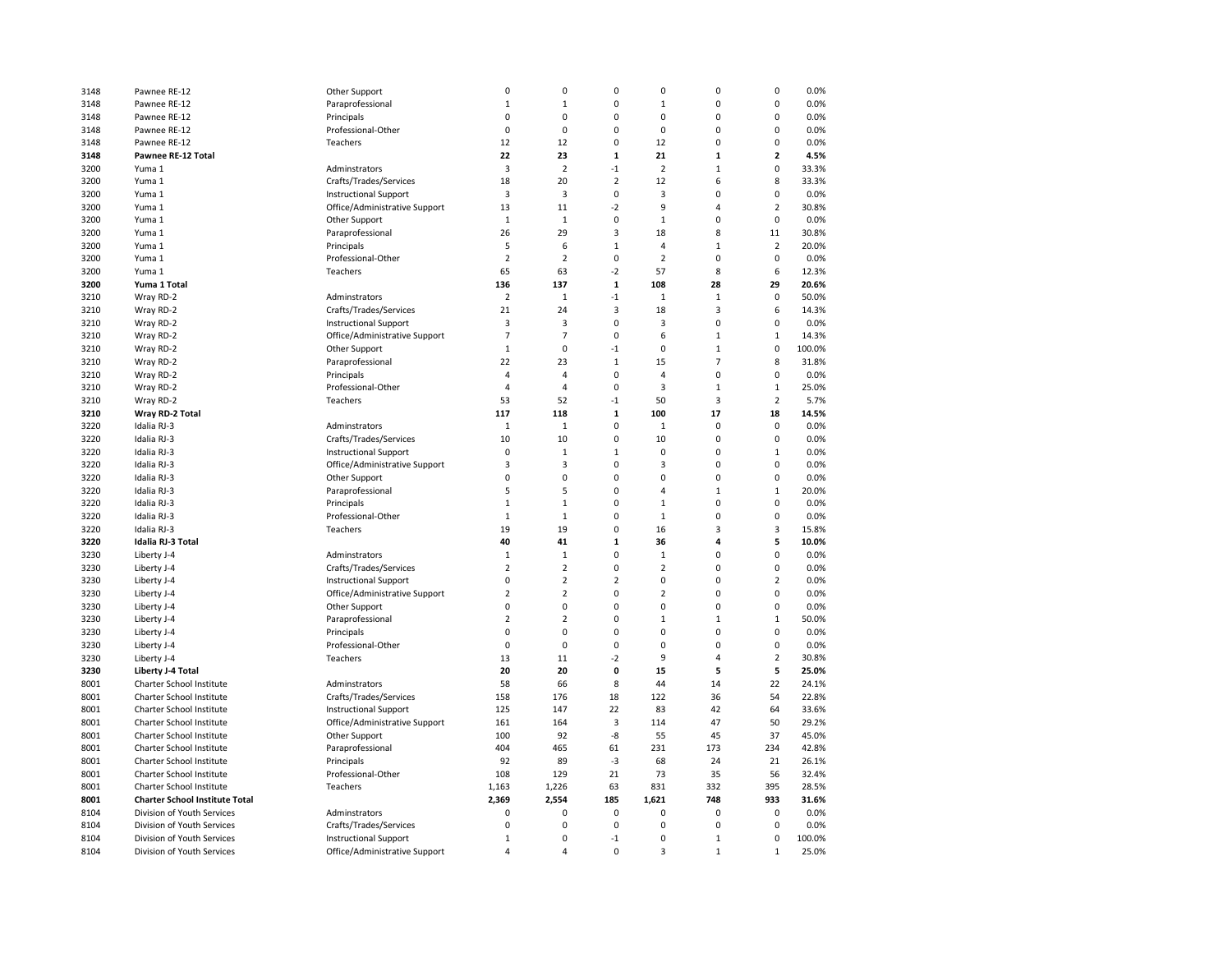| 3148 | Pawnee RE-12                          | Other Support                 | $\pmb{0}$      | $\pmb{0}$      | 0              | $\pmb{0}$      | $\pmb{0}$               | 0              | 0.0%   |
|------|---------------------------------------|-------------------------------|----------------|----------------|----------------|----------------|-------------------------|----------------|--------|
| 3148 | Pawnee RE-12                          | Paraprofessional              | $1\,$          | $\mathbf{1}$   | 0              | $\mathbf{1}$   | $\mathbf 0$             | 0              | 0.0%   |
| 3148 | Pawnee RE-12                          | Principals                    | $\mathbf 0$    | $\mathbf 0$    | $\Omega$       | $\mathbf 0$    | $\mathbf 0$             | 0              | 0.0%   |
| 3148 | Pawnee RE-12                          | Professional-Other            | $\mathbf 0$    | $\mathbf 0$    | $\Omega$       | $\mathbf 0$    | $\mathbf 0$             | 0              | 0.0%   |
| 3148 | Pawnee RE-12                          | Teachers                      | 12             | 12             | $\mathbf 0$    | 12             | $\mathbf 0$             | 0              | 0.0%   |
| 3148 | <b>Pawnee RE-12 Total</b>             |                               | 22             | 23             | $\mathbf{1}$   | 21             | $\mathbf{1}$            | $\overline{2}$ | 4.5%   |
| 3200 | Yuma 1                                | Adminstrators                 | 3              | $\overline{2}$ | $-1$           | $\overline{2}$ | $\mathbf{1}$            | 0              | 33.3%  |
| 3200 | Yuma 1                                | Crafts/Trades/Services        | 18             | 20             | 2              | 12             | 6                       | 8              | 33.3%  |
| 3200 | Yuma 1                                | <b>Instructional Support</b>  | 3              | $\overline{3}$ | 0              | $\overline{3}$ | $\mathbf 0$             | 0              | 0.0%   |
| 3200 | Yuma 1                                | Office/Administrative Support | 13             | 11             | $-2$           | 9              | $\overline{4}$          | $\overline{2}$ | 30.8%  |
| 3200 | Yuma 1                                | Other Support                 | $\mathbf{1}$   | $\mathbf{1}$   | 0              | $\mathbf{1}$   | $\mathbf 0$             | 0              | 0.0%   |
| 3200 | Yuma 1                                | Paraprofessional              | 26             | 29             | 3              | 18             | 8                       | 11             | 30.8%  |
| 3200 | Yuma 1                                | Principals                    | 5              | 6              | $\mathbf 1$    | $\overline{4}$ | $\mathbf{1}$            | $\overline{2}$ | 20.0%  |
| 3200 | Yuma 1                                |                               | $\overline{2}$ | $\overline{2}$ | 0              | $\overline{2}$ | 0                       | 0              | 0.0%   |
|      |                                       | Professional-Other            |                |                |                |                | 8                       |                |        |
| 3200 | Yuma 1                                | Teachers                      | 65             | 63             | $-2$           | 57             |                         | 6              | 12.3%  |
| 3200 | Yuma 1 Total                          |                               | 136            | 137            | $\mathbf 1$    | 108            | 28                      | 29             | 20.6%  |
| 3210 | Wray RD-2                             | Adminstrators                 | $\overline{2}$ | $\mathbf{1}$   | $-1$           | $1\,$          | $\mathbf{1}$            | $\pmb{0}$      | 50.0%  |
| 3210 | Wray RD-2                             | Crafts/Trades/Services        | 21             | 24             | 3              | 18             | $\overline{\mathbf{3}}$ | 6              | 14.3%  |
| 3210 | Wray RD-2                             | <b>Instructional Support</b>  | 3              | 3              | 0              | 3              | $\pmb{0}$               | 0              | 0.0%   |
| 3210 | Wray RD-2                             | Office/Administrative Support | $\overline{7}$ | $\overline{7}$ | 0              | 6              | $\mathbf{1}$            | $\mathbf{1}$   | 14.3%  |
| 3210 | Wray RD-2                             | Other Support                 | $\mathbf{1}$   | $\mathbf 0$    | $-1$           | $\mathbf 0$    | $\mathbf{1}$            | $\mathbf 0$    | 100.0% |
| 3210 | Wray RD-2                             | Paraprofessional              | 22             | 23             | $\mathbf 1$    | 15             | $\overline{7}$          | 8              | 31.8%  |
| 3210 | Wray RD-2                             | Principals                    | $\overline{4}$ | $\overline{4}$ | 0              | $\overline{4}$ | $\pmb{0}$               | 0              | 0.0%   |
| 3210 | Wray RD-2                             | Professional-Other            | $\overline{4}$ | 4              | 0              | 3              | $\mathbf{1}$            | $\mathbf 1$    | 25.0%  |
| 3210 | Wray RD-2                             | Teachers                      | 53             | 52             | $-1$           | 50             | 3                       | $\overline{2}$ | 5.7%   |
| 3210 | Wray RD-2 Total                       |                               | 117            | 118            | $\mathbf 1$    | 100            | 17                      | 18             | 14.5%  |
| 3220 | Idalia RJ-3                           | Adminstrators                 | $\mathbf 1$    | $\,1\,$        | $\Omega$       | $\,1\,$        | $\mathbf 0$             | $\mathbf 0$    | 0.0%   |
| 3220 | Idalia RJ-3                           | Crafts/Trades/Services        | 10             | 10             | $\overline{0}$ | 10             | $\pmb{0}$               | 0              | 0.0%   |
| 3220 | Idalia RJ-3                           | <b>Instructional Support</b>  | 0              | $\mathbf{1}$   | $\mathbf 1$    | $\mathbf 0$    | $\mathbf 0$             | $\mathbf{1}$   | 0.0%   |
| 3220 | Idalia RJ-3                           | Office/Administrative Support | 3              | 3              | 0              | 3              | $\mathbf 0$             | 0              | 0.0%   |
| 3220 | Idalia RJ-3                           | Other Support                 | $\mathbf 0$    | $\mathbf 0$    | 0              | $\mathbf 0$    | $\mathbf 0$             | 0              | 0.0%   |
| 3220 | Idalia RJ-3                           | Paraprofessional              | 5              | 5              | 0              | $\overline{4}$ | $\mathbf{1}$            | $\mathbf 1$    | 20.0%  |
| 3220 | Idalia RJ-3                           | Principals                    | $1\,$          | $\mathbf 1$    | 0              | $1\,$          | $\Omega$                | 0              | 0.0%   |
| 3220 | Idalia RJ-3                           | Professional-Other            | $\mathbf{1}$   | $\mathbf{1}$   | 0              | $\mathbf{1}$   | $\mathbf 0$             | 0              | 0.0%   |
| 3220 | Idalia RJ-3                           | Teachers                      | 19             | 19             | 0              | 16             | 3                       | 3              | 15.8%  |
| 3220 | <b>Idalia RJ-3 Total</b>              |                               | 40             | 41             | $\mathbf 1$    | 36             | 4                       | 5              | 10.0%  |
| 3230 | Liberty J-4                           | Adminstrators                 | $\mathbf{1}$   | $\mathbf 1$    | 0              | $\mathbf{1}$   | $\Omega$                | 0              | 0.0%   |
| 3230 | Liberty J-4                           | Crafts/Trades/Services        | $\overline{2}$ | $\overline{2}$ | 0              | $\overline{2}$ | $\pmb{0}$               | 0              | 0.0%   |
| 3230 | Liberty J-4                           | <b>Instructional Support</b>  | $\mathbf 0$    | $\overline{2}$ | $\overline{2}$ | $\mathbf 0$    | $\mathbf 0$             | $\overline{2}$ | 0.0%   |
| 3230 | Liberty J-4                           | Office/Administrative Support | 2              | $\overline{2}$ | 0              | $\overline{2}$ | $\mathbf 0$             | 0              | 0.0%   |
| 3230 | Liberty J-4                           | Other Support                 | 0              | $\mathbf 0$    | $\Omega$       | $\mathbf 0$    | $\mathbf 0$             | 0              | 0.0%   |
| 3230 | Liberty J-4                           | Paraprofessional              | $\overline{2}$ | $\overline{2}$ | $\Omega$       | $\mathbf{1}$   | $\mathbf{1}$            | $\mathbf 1$    | 50.0%  |
| 3230 | Liberty J-4                           | Principals                    | $\mathbf 0$    | $\mathbf 0$    | $\Omega$       | $\mathbf 0$    | $\mathbf 0$             | $\mathbf 0$    | 0.0%   |
| 3230 | Liberty J-4                           | Professional-Other            | $\mathbf 0$    | $\pmb{0}$      | 0              | $\mathbf 0$    | $\pmb{0}$               | 0              | 0.0%   |
| 3230 | Liberty J-4                           | Teachers                      | 13             | 11             | $-2$           | 9              | $\overline{4}$          | 2              | 30.8%  |
| 3230 | Liberty J-4 Total                     |                               | 20             | 20             | 0              | 15             | 5                       | 5              | 25.0%  |
| 8001 | Charter School Institute              | Adminstrators                 | 58             | 66             | 8              | 44             | 14                      | 22             | 24.1%  |
| 8001 | Charter School Institute              | Crafts/Trades/Services        | 158            | 176            | 18             | 122            | 36                      | 54             | 22.8%  |
| 8001 | Charter School Institute              | <b>Instructional Support</b>  | 125            | 147            | 22             | 83             | 42                      | 64             | 33.6%  |
|      |                                       |                               |                |                |                |                |                         |                |        |
| 8001 | Charter School Institute              | Office/Administrative Support | 161            | 164            | 3              | 114            | 47                      | 50             | 29.2%  |
| 8001 | Charter School Institute              | Other Support                 | 100            | 92             | -8             | 55             | 45                      | 37             | 45.0%  |
| 8001 | Charter School Institute              | Paraprofessional              | 404            | 465            | 61             | 231            | 173                     | 234            | 42.8%  |
| 8001 | Charter School Institute              | Principals                    | 92             | 89             | -3             | 68             | 24                      | 21             | 26.1%  |
| 8001 | Charter School Institute              | Professional-Other            | 108            | 129            | 21             | 73             | 35                      | 56             | 32.4%  |
| 8001 | Charter School Institute              | Teachers                      | 1,163          | 1,226          | 63             | 831            | 332                     | 395            | 28.5%  |
| 8001 | <b>Charter School Institute Total</b> |                               | 2,369          | 2,554          | 185            | 1,621          | 748                     | 933            | 31.6%  |
| 8104 | Division of Youth Services            | Adminstrators                 | 0              | $\pmb{0}$      | 0              | $\pmb{0}$      | $\pmb{0}$               | 0              | 0.0%   |
| 8104 | Division of Youth Services            | Crafts/Trades/Services        | 0              | $\mathbf 0$    | 0              | $\mathbf 0$    | $\mathbf 0$             | $\pmb{0}$      | 0.0%   |
| 8104 | Division of Youth Services            | <b>Instructional Support</b>  | $\mathbf 1$    | $\pmb{0}$      | $-1$           | $\mathbf 0$    | $\mathbf 1$             | 0              | 100.0% |
| 8104 | Division of Youth Services            | Office/Administrative Support | 4              | $\overline{4}$ | 0              | 3              | $\mathbf{1}$            | $\mathbf{1}$   | 25.0%  |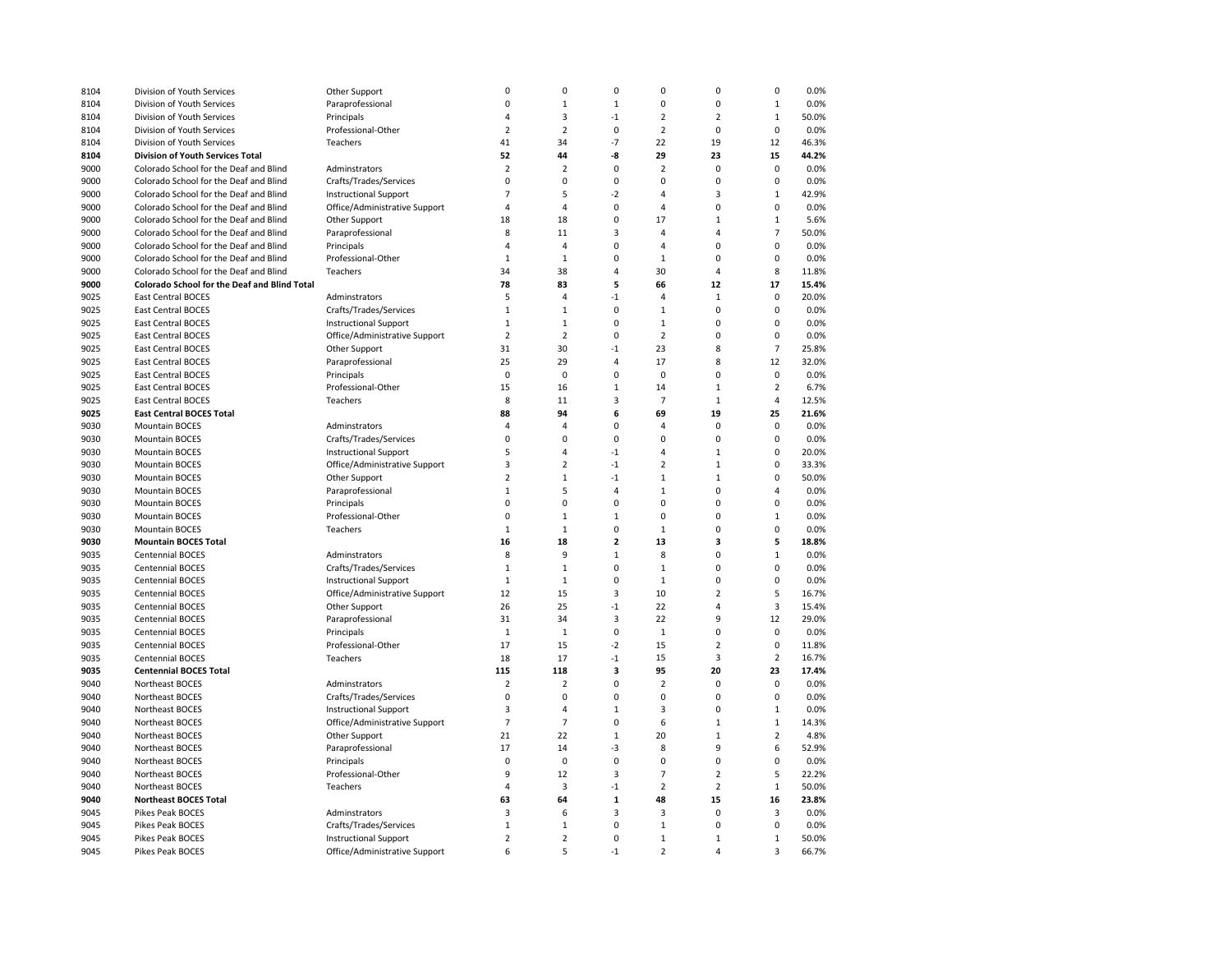| 8104 | Division of Youth Services                   | Other Support                 | $\mathbf 0$    | $\mathbf 0$    | 0              | $\mathbf 0$    | $\mathbf 0$    | 0              | 0.0%  |
|------|----------------------------------------------|-------------------------------|----------------|----------------|----------------|----------------|----------------|----------------|-------|
| 8104 | Division of Youth Services                   | Paraprofessional              | $\pmb{0}$      | $\mathbf 1$    | $\mathbf 1$    | $\pmb{0}$      | $\pmb{0}$      | $\mathbf 1$    | 0.0%  |
| 8104 | Division of Youth Services                   | Principals                    | $\overline{4}$ | 3              | $-1$           | $\overline{2}$ | $\overline{2}$ | $\mathbf 1$    | 50.0% |
| 8104 | Division of Youth Services                   | Professional-Other            | $\overline{2}$ | $\overline{2}$ | 0              | $\overline{2}$ | $\mathbf 0$    | 0              | 0.0%  |
| 8104 | Division of Youth Services                   | Teachers                      | 41             | 34             | $-7$           | 22             | 19             | 12             | 46.3% |
| 8104 | Division of Youth Services Total             |                               | 52             | 44             | -8             | 29             | 23             | 15             | 44.2% |
| 9000 | Colorado School for the Deaf and Blind       | Adminstrators                 | $\overline{2}$ | $\overline{2}$ | 0              | $\overline{2}$ | $\pmb{0}$      | 0              | 0.0%  |
| 9000 | Colorado School for the Deaf and Blind       | Crafts/Trades/Services        | $\pmb{0}$      | $\mathbf 0$    | $\mathbf 0$    | $\pmb{0}$      | $\pmb{0}$      | 0              | 0.0%  |
| 9000 | Colorado School for the Deaf and Blind       | <b>Instructional Support</b>  | $\overline{7}$ | 5              | $-2$           | $\overline{4}$ | $\overline{3}$ | $\mathbf 1$    | 42.9% |
| 9000 | Colorado School for the Deaf and Blind       | Office/Administrative Support | $\overline{4}$ | 4              | $\mathbf 0$    | $\overline{4}$ | $\mathbf 0$    | $\mathbf 0$    | 0.0%  |
| 9000 | Colorado School for the Deaf and Blind       | Other Support                 | 18             | 18             | $\mathbf 0$    | 17             | $\mathbf{1}$   | $\mathbf{1}$   | 5.6%  |
| 9000 | Colorado School for the Deaf and Blind       | Paraprofessional              | 8              | 11             | 3              | 4              | 4              | $\overline{7}$ | 50.0% |
| 9000 | Colorado School for the Deaf and Blind       | Principals                    | $\overline{4}$ | $\sqrt{4}$     | $\mathbf 0$    | $\overline{4}$ | $\mathbf 0$    | 0              | 0.0%  |
| 9000 | Colorado School for the Deaf and Blind       | Professional-Other            | $1\,$          | $\mathbf{1}$   | 0              | $\mathbf{1}$   | $\pmb{0}$      | 0              | 0.0%  |
| 9000 | Colorado School for the Deaf and Blind       | Teachers                      | 34             | 38             | 4              | 30             | $\overline{4}$ | 8              | 11.8% |
|      | Colorado School for the Deaf and Blind Total |                               | 78             | 83             | 5              | 66             | 12             | 17             | 15.4% |
| 9000 |                                              |                               | 5              | $\overline{4}$ | $-1$           | $\overline{4}$ | $\mathbf{1}$   | $\mathbf 0$    |       |
| 9025 | East Central BOCES                           | Adminstrators                 |                |                |                |                |                |                | 20.0% |
| 9025 | East Central BOCES                           | Crafts/Trades/Services        | $\,1\,$        | $\mathbf 1$    | $\mathbf 0$    | $\mathbf{1}$   | $\pmb{0}$      | 0              | 0.0%  |
| 9025 | East Central BOCES                           | <b>Instructional Support</b>  | $1\,$          | $\mathbf{1}$   | $\mathbf 0$    | $\mathbf{1}$   | $\mathbf 0$    | 0              | 0.0%  |
| 9025 | <b>East Central BOCES</b>                    | Office/Administrative Support | $\overline{2}$ | $\overline{2}$ | 0              | $\overline{2}$ | $\mathbf 0$    | $\mathbf 0$    | 0.0%  |
| 9025 | <b>East Central BOCES</b>                    | Other Support                 | 31             | 30             | $-1$           | 23             | 8              | $\overline{7}$ | 25.8% |
| 9025 | East Central BOCES                           | Paraprofessional              | 25             | 29             | 4              | 17             | 8              | 12             | 32.0% |
| 9025 | East Central BOCES                           | Principals                    | $\pmb{0}$      | $\mathbf 0$    | $\mathbf 0$    | $\pmb{0}$      | $\mathbf 0$    | 0              | 0.0%  |
| 9025 | <b>East Central BOCES</b>                    | Professional-Other            | 15             | 16             | $\mathbf 1$    | 14             | $\mathbf{1}$   | $\overline{2}$ | 6.7%  |
| 9025 | <b>East Central BOCES</b>                    | Teachers                      | 8              | 11             | 3              | $\overline{7}$ | $\mathbf{1}$   | 4              | 12.5% |
| 9025 | <b>East Central BOCES Total</b>              |                               | 88             | 94             | 6              | 69             | 19             | 25             | 21.6% |
| 9030 | <b>Mountain BOCES</b>                        | Adminstrators                 | $\overline{a}$ | $\overline{4}$ | $\mathbf 0$    | $\overline{a}$ | $\Omega$       | 0              | 0.0%  |
| 9030 | <b>Mountain BOCES</b>                        | Crafts/Trades/Services        | $\Omega$       | $\Omega$       | $\Omega$       | $\Omega$       | $\Omega$       | $\Omega$       | 0.0%  |
| 9030 | <b>Mountain BOCES</b>                        | <b>Instructional Support</b>  | 5              | $\overline{4}$ | $-1$           | $\overline{4}$ | $\mathbf{1}$   | 0              | 20.0% |
| 9030 | <b>Mountain BOCES</b>                        | Office/Administrative Support | 3              | $\overline{2}$ | $-1$           | $\overline{2}$ | $\mathbf{1}$   | 0              | 33.3% |
| 9030 | <b>Mountain BOCES</b>                        | Other Support                 | $\overline{2}$ | $\mathbf{1}$   | $-1$           | $\mathbf{1}$   | $\mathbf{1}$   | $\mathbf 0$    | 50.0% |
| 9030 | <b>Mountain BOCES</b>                        | Paraprofessional              | $\mathbf{1}$   | 5              | 4              | $\mathbf{1}$   | $\mathbf 0$    | 4              | 0.0%  |
| 9030 | <b>Mountain BOCES</b>                        | Principals                    | $\mathbf 0$    | $\mathbf 0$    | $\mathbf 0$    | $\mathbf 0$    | $\mathbf 0$    | $\mathbf 0$    | 0.0%  |
| 9030 | <b>Mountain BOCES</b>                        | Professional-Other            | $\mathbf 0$    | $1\,$          | $\mathbf{1}$   | $\mathbf 0$    | $\mathbf 0$    | $\mathbf 1$    | 0.0%  |
| 9030 | <b>Mountain BOCES</b>                        | Teachers                      | $\mathbf{1}$   | $1\,$          | 0              | $\mathbf{1}$   | $\mathbf 0$    | 0              | 0.0%  |
| 9030 | <b>Mountain BOCES Total</b>                  |                               | 16             | 18             | $\overline{2}$ | 13             | 3              | 5              | 18.8% |
| 9035 | <b>Centennial BOCES</b>                      | Adminstrators                 | 8              | 9              | $\mathbf{1}$   | 8              | $\mathbf 0$    | $\mathbf{1}$   | 0.0%  |
| 9035 | <b>Centennial BOCES</b>                      | Crafts/Trades/Services        | $\mathbf{1}$   | $\mathbf{1}$   | $\mathbf 0$    | $\mathbf{1}$   | $\mathbf 0$    | $\mathbf 0$    | 0.0%  |
| 9035 | Centennial BOCES                             | <b>Instructional Support</b>  | $\,1\,$        | $\mathbf 1$    | 0              | $\mathbf 1$    | $\pmb{0}$      | 0              | 0.0%  |
| 9035 | Centennial BOCES                             | Office/Administrative Support | 12             | 15             | 3              | 10             | $\overline{2}$ | 5              | 16.7% |
| 9035 | Centennial BOCES                             | Other Support                 | 26             | 25             | $-1$           | 22             | $\overline{4}$ | 3              | 15.4% |
| 9035 | Centennial BOCES                             | Paraprofessional              | 31             | 34             | 3              | 22             | 9              | 12             | 29.0% |
| 9035 | Centennial BOCES                             | Principals                    | $\mathbf{1}$   | $1\,$          | 0              | $\mathbf{1}$   | $\mathbf 0$    | 0              | 0.0%  |
| 9035 | Centennial BOCES                             | Professional-Other            | 17             | 15             | $-2$           | 15             | $\overline{2}$ | 0              | 11.8% |
| 9035 | Centennial BOCES                             | Teachers                      | 18             | 17             | $-1$           | 15             | 3              | $\overline{2}$ | 16.7% |
| 9035 | <b>Centennial BOCES Total</b>                |                               | 115            | 118            | 3              | 95             | 20             | 23             | 17.4% |
| 9040 | Northeast BOCES                              | Adminstrators                 | $\overline{2}$ | $\overline{2}$ | $\mathbf 0$    | $\overline{2}$ | $\mathbf 0$    | 0              | 0.0%  |
| 9040 | Northeast BOCES                              | Crafts/Trades/Services        | $\mathbf 0$    | $\mathbf 0$    | $\mathbf 0$    | $\mathbf 0$    | $\mathbf 0$    | 0              | 0.0%  |
| 9040 |                                              |                               | 3              | 4              | $\mathbf{1}$   | 3              | $\pmb{0}$      | $\mathbf{1}$   | 0.0%  |
|      | Northeast BOCES                              | <b>Instructional Support</b>  | $\overline{7}$ | $\overline{7}$ | 0              | 6              | $\mathbf{1}$   | $\mathbf 1$    |       |
| 9040 | Northeast BOCES                              | Office/Administrative Support |                |                |                |                |                |                | 14.3% |
| 9040 | Northeast BOCES                              | Other Support                 | 21             | 22             | $\mathbf 1$    | 20             | $\mathbf 1$    | $\overline{2}$ | 4.8%  |
| 9040 | Northeast BOCES                              | Paraprofessional              | 17             | 14             | -3             | 8              | 9              | 6              | 52.9% |
| 9040 | Northeast BOCES                              | Principals                    | $\mathbf 0$    | $\mathbf 0$    | 0              | $\pmb{0}$      | $\mathbf 0$    | 0              | 0.0%  |
| 9040 | Northeast BOCES                              | Professional-Other            | 9              | 12             | 3              | $\overline{7}$ | $\overline{2}$ | 5              | 22.2% |
| 9040 | Northeast BOCES                              | Teachers                      | $\overline{4}$ | 3              | $-1$           | $\overline{2}$ | $\overline{2}$ | $\mathbf 1$    | 50.0% |
| 9040 | <b>Northeast BOCES Total</b>                 |                               | 63             | 64             | $\mathbf{1}$   | 48             | 15             | 16             | 23.8% |
| 9045 | Pikes Peak BOCES                             | Adminstrators                 | 3              | 6              | 3              | 3              | $\mathbf 0$    | 3              | 0.0%  |
| 9045 | Pikes Peak BOCES                             | Crafts/Trades/Services        | $\mathbf{1}$   | $1\,$          | $\mathbf 0$    | $\mathbf{1}$   | $\Omega$       | 0              | 0.0%  |
| 9045 | Pikes Peak BOCES                             | <b>Instructional Support</b>  | $\overline{2}$ | $\overline{2}$ | $\mathbf 0$    | $\mathbf{1}$   | $\mathbf{1}$   | $\mathbf 1$    | 50.0% |
| 9045 | Pikes Peak BOCES                             | Office/Administrative Support | 6              | 5              | $-1$           | $\overline{2}$ | $\overline{A}$ | 3              | 66.7% |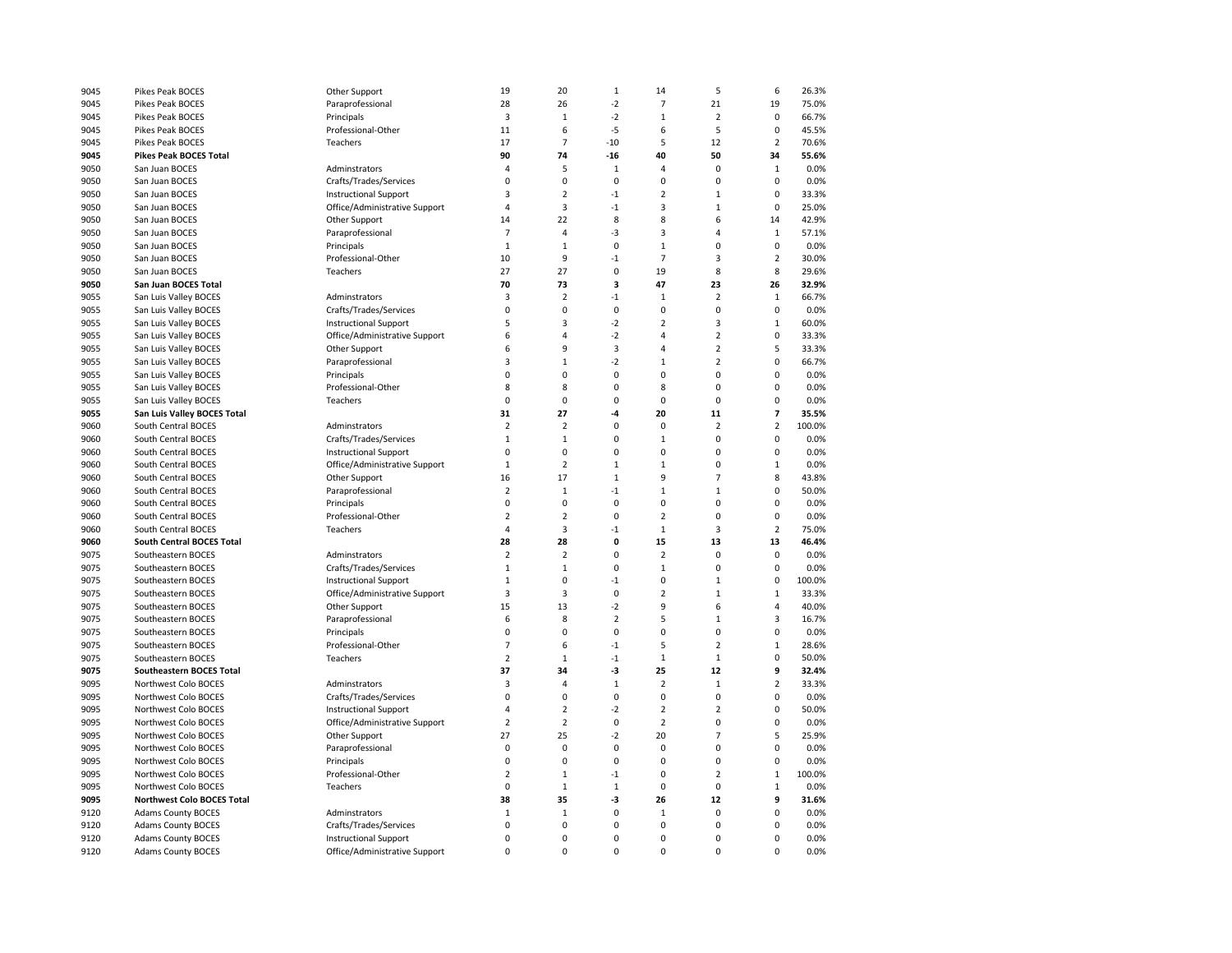| 9045         | Pikes Peak BOCES                                   | Other Support                    | 19             | 20             | $1\,$          | 14             | 5              | 6              | 26.3%         |
|--------------|----------------------------------------------------|----------------------------------|----------------|----------------|----------------|----------------|----------------|----------------|---------------|
| 9045         | Pikes Peak BOCES                                   | Paraprofessional                 | 28             | 26             | $-2$           | $\overline{7}$ | 21             | 19             | 75.0%         |
| 9045         | <b>Pikes Peak BOCES</b>                            | Principals                       | 3              | $\mathbf{1}$   | $-2$           | $\mathbf{1}$   | $\overline{2}$ | $\mathbf 0$    | 66.7%         |
| 9045         | Pikes Peak BOCES                                   | Professional-Other               | 11             | 6              | $-5$           | 6              | 5              | $\mathbf 0$    | 45.5%         |
| 9045         | Pikes Peak BOCES                                   | Teachers                         | 17             | $\overline{7}$ | $-10$          | 5              | 12             | $\overline{2}$ | 70.6%         |
| 9045         | <b>Pikes Peak BOCES Total</b>                      |                                  | 90             | 74             | $-16$          | 40             | 50             | 34             | 55.6%         |
| 9050         | San Juan BOCES                                     | Adminstrators                    | $\overline{4}$ | 5              | $\mathbf{1}$   | $\overline{4}$ | $\mathbf 0$    | $\mathbf{1}$   | 0.0%          |
| 9050         | San Juan BOCES                                     | Crafts/Trades/Services           | 0              | 0              | $\mathbf 0$    | $\mathbf 0$    | $\mathbf 0$    | $\mathbf 0$    | 0.0%          |
| 9050         | San Juan BOCES                                     | <b>Instructional Support</b>     | 3              | $\overline{2}$ | $-1$           | $\overline{2}$ | $\mathbf{1}$   | $\mathbf 0$    | 33.3%         |
| 9050         | San Juan BOCES                                     | Office/Administrative Support    | 4              | 3              | $-1$           | 3              | $\mathbf 1$    | 0              | 25.0%         |
| 9050         | San Juan BOCES                                     | Other Support                    | 14             | 22             | 8              | 8              | 6              | 14             | 42.9%         |
| 9050         | San Juan BOCES                                     | Paraprofessional                 | $\overline{7}$ | 4              | -3             | 3              | $\overline{4}$ | $\mathbf{1}$   | 57.1%         |
| 9050         | San Juan BOCES                                     | Principals                       | $\mathbf{1}$   | $\mathbf{1}$   | $\mathbf 0$    | $\mathbf{1}$   | $\mathbf 0$    | $\mathbf 0$    | 0.0%          |
| 9050         | San Juan BOCES                                     | Professional-Other               | 10             | 9              | $-1$           | $\overline{7}$ | 3              | $\overline{2}$ | 30.0%         |
| 9050         | San Juan BOCES                                     | Teachers                         | 27             | 27             | $\mathbf 0$    | 19             | 8              | 8              | 29.6%         |
| 9050         | San Juan BOCES Total                               |                                  | 70             | 73             | 3              | 47             | 23             | 26             | 32.9%         |
| 9055         | San Luis Valley BOCES                              | Adminstrators                    | 3              | $\overline{2}$ | $-1$           | $1\,$          | $\overline{2}$ | $\mathbf 1$    | 66.7%         |
| 9055         | San Luis Valley BOCES                              | Crafts/Trades/Services           | $\mathbf 0$    | $\pmb{0}$      | $\mathbf 0$    | $\mathbf 0$    | $\pmb{0}$      | 0              | 0.0%          |
| 9055         | San Luis Valley BOCES                              | <b>Instructional Support</b>     | 5              | 3              | $-2$           | $\overline{2}$ | $\overline{3}$ | $\mathbf 1$    | 60.0%         |
| 9055         | San Luis Valley BOCES                              | Office/Administrative Support    | 6              | 4              | $-2$           | $\overline{4}$ | $\overline{2}$ | $\mathbf 0$    | 33.3%         |
| 9055         | San Luis Valley BOCES                              | Other Support                    | 6              | 9              | 3              | $\overline{4}$ | $\overline{2}$ | 5              | 33.3%         |
| 9055         | San Luis Valley BOCES                              | Paraprofessional                 | 3              | $\mathbf{1}$   | $-2$           | $1\,$          | $\overline{2}$ | 0              | 66.7%         |
| 9055         | San Luis Valley BOCES                              |                                  | $\Omega$       | $\mathbf 0$    | $\mathbf 0$    | $\mathbf 0$    | $\mathbf 0$    | $\mathbf 0$    | 0.0%          |
| 9055         | San Luis Valley BOCES                              | Principals<br>Professional-Other | 8              | 8              | $\mathbf 0$    | 8              | $\pmb{0}$      | $\mathbf 0$    | 0.0%          |
|              |                                                    |                                  | 0              | $\pmb{0}$      | $\mathbf 0$    | $\mathbf 0$    | $\mathbf 0$    | $\mathbf 0$    |               |
| 9055<br>9055 | San Luis Valley BOCES                              | Teachers                         | 31             | 27             | -4             | 20             | 11             | 7              | 0.0%<br>35.5% |
| 9060         | San Luis Valley BOCES Total<br>South Central BOCES | Adminstrators                    | $\overline{2}$ | $\overline{2}$ | $\mathbf 0$    | $\mathbf 0$    | $\overline{2}$ | $\overline{2}$ | 100.0%        |
|              | South Central BOCES                                |                                  | $\mathbf{1}$   | $\mathbf{1}$   | $\mathbf 0$    | $\mathbf{1}$   | $\Omega$       | $\mathbf 0$    |               |
| 9060         |                                                    | Crafts/Trades/Services           | $\mathbf 0$    | $\mathbf 0$    | $\mathbf 0$    | $\mathbf 0$    | $\mathbf 0$    |                | 0.0%          |
| 9060         | South Central BOCES                                | <b>Instructional Support</b>     |                | $\overline{2}$ |                |                | $\mathbf 0$    | 0              | 0.0%          |
| 9060         | South Central BOCES                                | Office/Administrative Support    | $\mathbf{1}$   |                | $\mathbf{1}$   | $\mathbf{1}$   |                | $\,1\,$        | 0.0%          |
| 9060         | South Central BOCES                                | Other Support                    | 16             | 17             | $\mathbf{1}$   | 9              | $\overline{7}$ | 8              | 43.8%         |
| 9060         | South Central BOCES                                | Paraprofessional                 | $\overline{2}$ | $\mathbf{1}$   | $-1$           | $\mathbf{1}$   | $\mathbf{1}$   | $\mathbf 0$    | 50.0%         |
| 9060         | South Central BOCES                                | Principals                       | $\Omega$       | 0              | $\Omega$       | $\pmb{0}$      | $\pmb{0}$      | 0              | 0.0%          |
| 9060         | South Central BOCES                                | Professional-Other               | $\overline{2}$ | $\overline{2}$ | $\mathbf 0$    | 2              | $\mathbf 0$    | $\mathbf 0$    | 0.0%          |
| 9060         | South Central BOCES                                | Teachers                         | $\overline{4}$ | 3              | $-1$           | $\mathbf{1}$   | $\overline{3}$ | $\overline{2}$ | 75.0%         |
| 9060         | <b>South Central BOCES Total</b>                   |                                  | 28             | 28             | 0              | 15             | 13             | 13             | 46.4%         |
| 9075         | Southeastern BOCES                                 | Adminstrators                    | $\overline{2}$ | $\overline{2}$ | $\mathbf 0$    | $\overline{2}$ | $\mathbf 0$    | $\mathbf 0$    | 0.0%          |
| 9075         | Southeastern BOCES                                 | Crafts/Trades/Services           | $\mathbf{1}$   | $\mathbf 1$    | $\mathbf 0$    | $1\,$          | $\pmb{0}$      | 0              | 0.0%          |
| 9075         | Southeastern BOCES                                 | <b>Instructional Support</b>     | $\mathbf{1}$   | 0              | $-1$           | 0              | $\mathbf{1}$   | 0              | 100.0%        |
| 9075         | Southeastern BOCES                                 | Office/Administrative Support    | 3              | 3              | $\mathbf 0$    | 2              | $\mathbf{1}$   | $\mathbf 1$    | 33.3%         |
| 9075         | Southeastern BOCES                                 | Other Support                    | 15             | 13             | $-2$           | 9              | 6              | 4              | 40.0%         |
| 9075         | Southeastern BOCES                                 | Paraprofessional                 | 6              | 8              | $\overline{2}$ | 5              | $\mathbf 1$    | 3              | 16.7%         |
| 9075         | Southeastern BOCES                                 | Principals                       | $\pmb{0}$      | $\pmb{0}$      | $\mathbf 0$    | $\mathbf 0$    | $\pmb{0}$      | $\mathbf 0$    | 0.0%          |
| 9075         | Southeastern BOCES                                 | Professional-Other               | $\overline{7}$ | 6              | $-1$           | 5              | $\overline{2}$ | $\mathbf{1}$   | 28.6%         |
| 9075         | Southeastern BOCES                                 | Teachers                         | $\overline{2}$ | $\mathbf{1}$   | $-1$           | $\mathbf{1}$   | $\mathbf{1}$   | 0              | 50.0%         |
| 9075         | Southeastern BOCES Total                           |                                  | 37             | 34             | $-3$           | 25             | 12             | 9              | 32.4%         |
| 9095         | Northwest Colo BOCES                               | Adminstrators                    | 3              | $\overline{4}$ | $1\,$          | $\overline{2}$ | $\mathbf 1$    | $\overline{2}$ | 33.3%         |
| 9095         | Northwest Colo BOCES                               | Crafts/Trades/Services           | 0              | $\pmb{0}$      | $\mathbf 0$    | 0              | $\pmb{0}$      | $\mathbf 0$    | 0.0%          |
| 9095         | Northwest Colo BOCES                               | <b>Instructional Support</b>     | 4              | $\overline{2}$ | $-2$           | $\overline{2}$ | $\overline{2}$ | 0              | 50.0%         |
| 9095         | Northwest Colo BOCES                               | Office/Administrative Support    | $\overline{2}$ | $\overline{2}$ | $\mathbf 0$    | $\overline{2}$ | $\mathbf 0$    | 0              | 0.0%          |
| 9095         | Northwest Colo BOCES                               | Other Support                    | 27             | 25             | $-2$           | 20             | $\overline{7}$ | 5              | 25.9%         |
| 9095         | Northwest Colo BOCES                               | Paraprofessional                 | $\mathbf 0$    | $\pmb{0}$      | $\mathbf 0$    | $\mathbf 0$    | $\mathbf 0$    | $\mathbf 0$    | 0.0%          |
| 9095         | Northwest Colo BOCES                               | Principals                       | 0              | $\pmb{0}$      | $\mathbf 0$    | $\mathbf 0$    | $\mathbf 0$    | 0              | 0.0%          |
| 9095         | Northwest Colo BOCES                               | Professional-Other               | $\overline{2}$ | $\mathbf{1}$   | $-1$           | $\mathbf 0$    | $\overline{2}$ | $\mathbf{1}$   | 100.0%        |
| 9095         | Northwest Colo BOCES                               | Teachers                         | $\mathbf 0$    | $\mathbf{1}$   | $\mathbf{1}$   | $\mathbf 0$    | $\mathbf 0$    | $\mathbf 1$    | 0.0%          |
| 9095         | Northwest Colo BOCES Total                         |                                  | 38             | 35             | -3             | 26             | 12             | 9              | 31.6%         |
| 9120         | <b>Adams County BOCES</b>                          | Adminstrators                    | $\,1\,$        | $\mathbf{1}$   | $\mathbf 0$    | $1\,$          | $\mathbf 0$    | 0              | 0.0%          |
| 9120         | <b>Adams County BOCES</b>                          | Crafts/Trades/Services           | 0              | $\mathbf 0$    | 0              | $\mathbf 0$    | $\mathbf 0$    | $\mathbf 0$    | 0.0%          |
| 9120         | <b>Adams County BOCES</b>                          | <b>Instructional Support</b>     | $\Omega$       | $\mathbf 0$    | $\mathbf 0$    | $\mathbf 0$    | $\Omega$       | $\mathbf 0$    | 0.0%          |
| 9120         | Adams County BOCES                                 | Office/Administrative Support    | $\Omega$       | $\Omega$       | $\Omega$       | $\Omega$       | $\Omega$       | $\Omega$       | 0.0%          |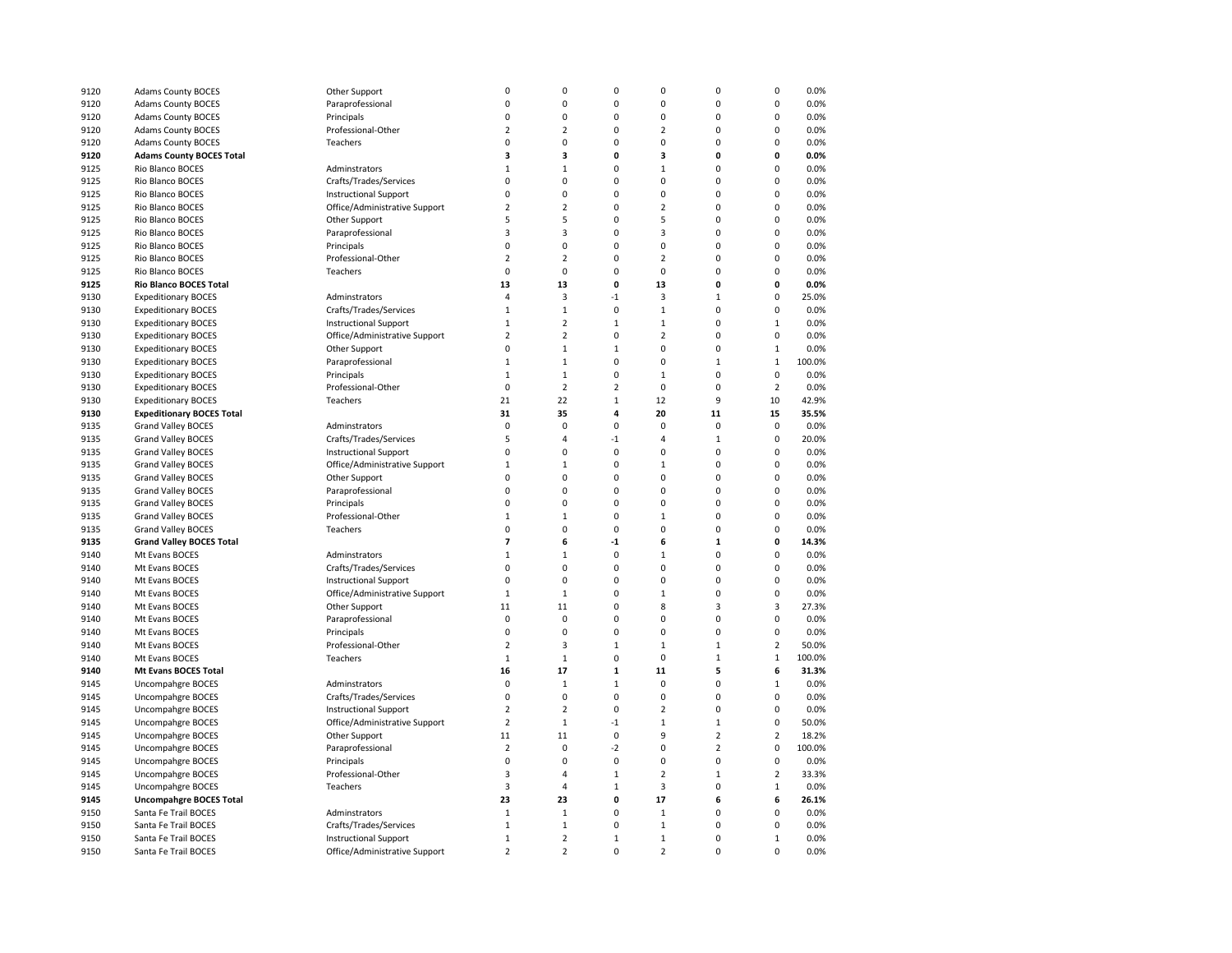| 9120 | <b>Adams County BOCES</b>        | Other Support                 | 0                       | $\mathbf 0$    | 0                       | $\mathbf 0$             | $\mathbf 0$    | 0              | 0.0%   |
|------|----------------------------------|-------------------------------|-------------------------|----------------|-------------------------|-------------------------|----------------|----------------|--------|
| 9120 | <b>Adams County BOCES</b>        | Paraprofessional              | $\mathbf 0$             | 0              | 0                       | $\mathbf 0$             | $\pmb{0}$      | 0              | 0.0%   |
| 9120 | <b>Adams County BOCES</b>        | Principals                    | $\mathbf 0$             | 0              | 0                       | $\mathbf 0$             | $\mathbf 0$    | 0              | 0.0%   |
| 9120 | <b>Adams County BOCES</b>        | Professional-Other            | $\overline{2}$          | $\overline{2}$ | $\Omega$                | $\overline{2}$          | $\mathbf 0$    | O              | 0.0%   |
| 9120 | <b>Adams County BOCES</b>        | Teachers                      | 0                       | $\mathbf 0$    | $\Omega$                | $\mathbf 0$             | $\mathbf 0$    | 0              | 0.0%   |
| 9120 | <b>Adams County BOCES Total</b>  |                               | 3                       | 3              | $\mathbf{0}$            | $\overline{\mathbf{3}}$ | $\mathbf{0}$   | 0              | 0.0%   |
| 9125 | Rio Blanco BOCES                 | Adminstrators                 | $\mathbf{1}$            | $\mathbf{1}$   | $\Omega$                | $\mathbf{1}$            | $\mathbf 0$    | 0              | 0.0%   |
| 9125 | Rio Blanco BOCES                 | Crafts/Trades/Services        | $\pmb{0}$               | $\pmb{0}$      | 0                       | $\mathbf 0$             | $\pmb{0}$      | 0              | 0.0%   |
| 9125 | Rio Blanco BOCES                 | <b>Instructional Support</b>  | 0                       | 0              | 0                       | 0                       | $\mathbf 0$    | 0              | 0.0%   |
| 9125 | Rio Blanco BOCES                 | Office/Administrative Support | $\overline{2}$          | $\overline{2}$ | 0                       | $\overline{2}$          | $\mathbf 0$    | O              | 0.0%   |
|      |                                  |                               | 5                       | 5              | $\Omega$                | 5                       | $\mathbf 0$    | 0              | 0.0%   |
| 9125 | Rio Blanco BOCES                 | Other Support                 |                         |                | $\Omega$                |                         |                |                |        |
| 9125 | Rio Blanco BOCES                 | Paraprofessional              | 3                       | 3              |                         | $\overline{3}$          | $\mathbf 0$    | $\mathbf 0$    | 0.0%   |
| 9125 | Rio Blanco BOCES                 | Principals                    | $\pmb{0}$               | $\pmb{0}$      | $\Omega$                | $\mathbf 0$             | $\pmb{0}$      | 0              | 0.0%   |
| 9125 | Rio Blanco BOCES                 | Professional-Other            | $\overline{2}$          | $\overline{2}$ | $\overline{0}$          | $\overline{2}$          | $\pmb{0}$      | 0              | 0.0%   |
| 9125 | Rio Blanco BOCES                 | Teachers                      | 0                       | $\pmb{0}$      | 0                       | $\mathbf 0$             | $\pmb{0}$      | 0              | 0.0%   |
| 9125 | Rio Blanco BOCES Total           |                               | 13                      | 13             | 0                       | 13                      | 0              | 0              | 0.0%   |
| 9130 | <b>Expeditionary BOCES</b>       | Adminstrators                 | $\overline{4}$          | 3              | $-1$                    | 3                       | $\mathbf{1}$   | 0              | 25.0%  |
| 9130 | <b>Expeditionary BOCES</b>       | Crafts/Trades/Services        | $\mathbf{1}$            | $\mathbf 1$    | 0                       | $1\,$                   | $\mathbf 0$    | 0              | 0.0%   |
| 9130 | <b>Expeditionary BOCES</b>       | <b>Instructional Support</b>  | $\mathbf{1}$            | $\mathbf 2$    | $\mathbf 1$             | $1\,$                   | $\mathbf 0$    | $\mathbf{1}$   | 0.0%   |
| 9130 | <b>Expeditionary BOCES</b>       | Office/Administrative Support | $\overline{2}$          | $\mathbf 2$    | $\overline{0}$          | $\overline{2}$          | $\pmb{0}$      | 0              | 0.0%   |
| 9130 | <b>Expeditionary BOCES</b>       | Other Support                 | 0                       | $\mathbf{1}$   | $\mathbf 1$             | $\mathbf 0$             | $\mathbf 0$    | $\mathbf{1}$   | 0.0%   |
| 9130 | <b>Expeditionary BOCES</b>       | Paraprofessional              | $1\,$                   | $\mathbf{1}$   | 0                       | $\mathbf 0$             | $\mathbf{1}$   | $\mathbf{1}$   | 100.0% |
| 9130 | <b>Expeditionary BOCES</b>       | Principals                    | $1\,$                   | $\mathbf{1}$   | 0                       | $\mathbf{1}$            | $\mathbf 0$    | 0              | 0.0%   |
| 9130 | <b>Expeditionary BOCES</b>       | Professional-Other            | $\mathbf 0$             | $\mathbf 2$    | $\overline{\mathbf{c}}$ | $\pmb{0}$               | $\mathbf 0$    | $\overline{2}$ | 0.0%   |
| 9130 | <b>Expeditionary BOCES</b>       | Teachers                      | 21                      | 22             | $\mathbf 1$             | 12                      | 9              | 10             | 42.9%  |
| 9130 | <b>Expeditionary BOCES Total</b> |                               | 31                      | 35             | 4                       | 20                      | 11             | 15             | 35.5%  |
| 9135 | <b>Grand Valley BOCES</b>        | Adminstrators                 | $\mathbf 0$             | $\pmb{0}$      | 0                       | $\mathbf 0$             | $\mathbf 0$    | 0              | 0.0%   |
| 9135 | <b>Grand Valley BOCES</b>        | Crafts/Trades/Services        | 5                       | $\overline{4}$ | $-1$                    | $\overline{4}$          | $\mathbf{1}$   | 0              | 20.0%  |
| 9135 | <b>Grand Valley BOCES</b>        | <b>Instructional Support</b>  | $\Omega$                | $\mathbf 0$    | $\mathbf 0$             | $\mathbf 0$             | $\Omega$       | 0              | 0.0%   |
| 9135 | Grand Valley BOCES               | Office/Administrative Support | $\mathbf{1}$            | $\mathbf{1}$   | 0                       | $\mathbf{1}$            | $\mathbf 0$    | 0              | 0.0%   |
| 9135 | <b>Grand Valley BOCES</b>        | Other Support                 | $\mathbf 0$             | $\pmb{0}$      | 0                       | $\mathbf 0$             | $\mathbf 0$    | 0              | 0.0%   |
| 9135 | <b>Grand Valley BOCES</b>        | Paraprofessional              | 0                       | $\mathbf 0$    | 0                       | $\mathbf 0$             | $\mathbf 0$    | 0              | 0.0%   |
| 9135 | <b>Grand Valley BOCES</b>        | Principals                    | 0                       | $\mathbf 0$    | $\Omega$                | $\mathbf 0$             | $\mathbf 0$    | 0              | 0.0%   |
|      |                                  | Professional-Other            | $\mathbf{1}$            | $\mathbf{1}$   | $\mathbf 0$             | $\mathbf{1}$            | $\mathbf 0$    | $\mathbf 0$    | 0.0%   |
| 9135 | <b>Grand Valley BOCES</b>        |                               | $\Omega$                |                |                         |                         | $\Omega$       |                |        |
| 9135 | <b>Grand Valley BOCES</b>        | Teachers                      |                         | $\mathbf 0$    | $\mathbf 0$             | $\mathbf 0$             |                | $\mathbf 0$    | 0.0%   |
| 9135 | <b>Grand Valley BOCES Total</b>  |                               | $\overline{7}$          | 6              | $-1$                    | 6                       | $\mathbf 1$    | 0              | 14.3%  |
| 9140 | Mt Evans BOCES                   | Adminstrators                 | $\mathbf{1}$            | $\mathbf{1}$   | 0                       | $\mathbf{1}$            | $\mathbf 0$    | 0              | 0.0%   |
| 9140 | Mt Evans BOCES                   | Crafts/Trades/Services        | $\mathbf 0$             | $\mathbf 0$    | 0                       | $\mathbf 0$             | $\mathbf 0$    | 0              | 0.0%   |
| 9140 | Mt Evans BOCES                   | <b>Instructional Support</b>  | 0                       | $\mathbf 0$    | $\Omega$                | $\mathbf 0$             | $\mathbf 0$    | 0              | 0.0%   |
| 9140 | Mt Evans BOCES                   | Office/Administrative Support | $\mathbf{1}$            | $\mathbf{1}$   | $\Omega$                | $\mathbf{1}$            | $\mathbf 0$    | $\mathbf 0$    | 0.0%   |
| 9140 | Mt Evans BOCES                   | Other Support                 | 11                      | 11             | $\Omega$                | 8                       | $\overline{3}$ | 3              | 27.3%  |
| 9140 | Mt Evans BOCES                   | Paraprofessional              | $\mathbf 0$             | $\pmb{0}$      | $\Omega$                | $\mathbf 0$             | $\pmb{0}$      | 0              | 0.0%   |
| 9140 | Mt Evans BOCES                   | Principals                    | $\mathbf 0$             | $\pmb{0}$      | 0                       | $\mathbf 0$             | $\mathbf 0$    | 0              | 0.0%   |
| 9140 | Mt Evans BOCES                   | Professional-Other            | 2                       | 3              | $\mathbf{1}$            | $\mathbf{1}$            | $\mathbf{1}$   | $\overline{2}$ | 50.0%  |
| 9140 | Mt Evans BOCES                   | Teachers                      | $\mathbf{1}$            | $\mathbf{1}$   | 0                       | $\mathbf 0$             | $\mathbf{1}$   | $\mathbf 1$    | 100.0% |
| 9140 | Mt Evans BOCES Total             |                               | 16                      | 17             | $\mathbf{1}$            | 11                      | 5              | 6              | 31.3%  |
| 9145 | Uncompahgre BOCES                | Adminstrators                 | $\mathbf 0$             | $\mathbf{1}$   | $\mathbf{1}$            | $\mathbf 0$             | $\mathbf 0$    | $\mathbf{1}$   | 0.0%   |
| 9145 | Uncompahgre BOCES                | Crafts/Trades/Services        | $\mathbf 0$             | $\pmb{0}$      | 0                       | $\mathbf 0$             | $\mathbf 0$    | 0              | 0.0%   |
| 9145 | Uncompahgre BOCES                | <b>Instructional Support</b>  | 2                       | $\overline{2}$ | 0                       | $\overline{2}$          | 0              | 0              | 0.0%   |
| 9145 | Uncompahgre BOCES                | Office/Administrative Support | $\overline{2}$          | $\mathbf{1}$   | $-1$                    | $\mathbf{1}$            | $\mathbf{1}$   | 0              | 50.0%  |
| 9145 | <b>Uncompahgre BOCES</b>         | Other Support                 | 11                      | 11             | 0                       | 9                       | $\overline{2}$ | $\overline{2}$ | 18.2%  |
| 9145 | <b>Uncompahgre BOCES</b>         | Paraprofessional              | 2                       | $\mathbf 0$    | $-2$                    | $\mathbf 0$             | $\overline{2}$ | 0              | 100.0% |
| 9145 | Uncompahgre BOCES                | Principals                    | 0                       | $\mathbf 0$    | $\mathbf 0$             | $\mathbf 0$             | $\mathbf 0$    | $\mathbf 0$    | 0.0%   |
| 9145 | Uncompahgre BOCES                | Professional-Other            | 3                       | $\overline{4}$ | $\mathbf 1$             | $\overline{2}$          | $\mathbf{1}$   | $\overline{2}$ | 33.3%  |
| 9145 | Uncompahgre BOCES                | Teachers                      | $\overline{\mathbf{3}}$ | 4              | $\mathbf{1}$            | $\overline{3}$          | $\mathbf 0$    | $\mathbf 1$    | 0.0%   |
| 9145 | <b>Uncompahgre BOCES Total</b>   |                               | 23                      | 23             | 0                       | 17                      | 6              | 6              | 26.1%  |
| 9150 | Santa Fe Trail BOCES             | Adminstrators                 | $1\,$                   | $\mathbf{1}$   | 0                       | $\mathbf{1}$            | $\mathbf 0$    | 0              | 0.0%   |
|      |                                  |                               | $\mathbf{1}$            |                | $\mathbf 0$             | $\mathbf{1}$            | $\mathbf 0$    | 0              |        |
| 9150 | Santa Fe Trail BOCES             | Crafts/Trades/Services        |                         | $\mathbf{1}$   |                         |                         |                |                | 0.0%   |
| 9150 | Santa Fe Trail BOCES             | <b>Instructional Support</b>  | $\mathbf{1}$            | $\overline{2}$ | $\overline{1}$          | $1\,$                   | $\pmb{0}$      | $\mathbf{1}$   | 0.0%   |
| 9150 | Santa Fe Trail BOCES             | Office/Administrative Support | $\overline{2}$          | $\overline{2}$ | $\Omega$                | $\overline{2}$          | $\mathbf 0$    | 0              | 0.0%   |